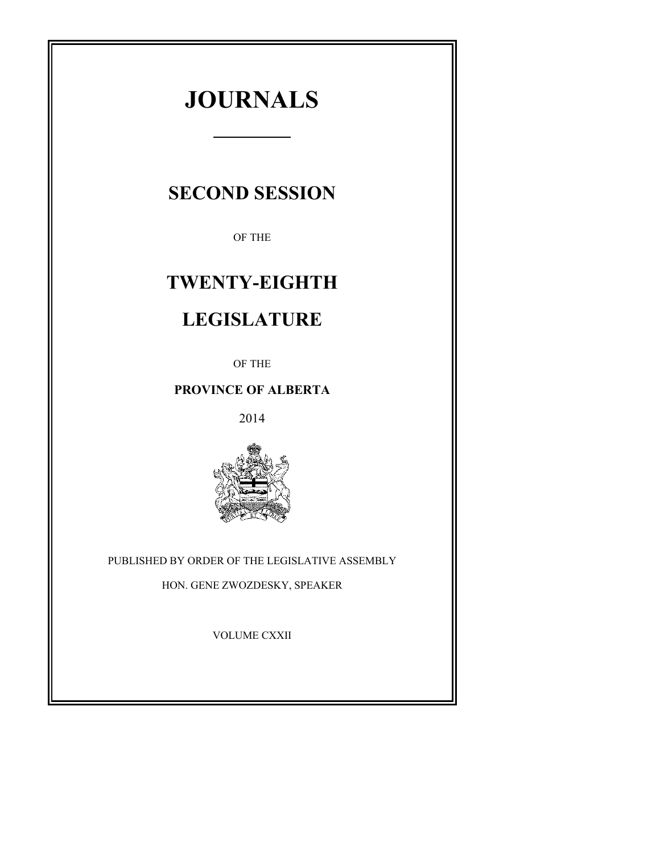# **JOURNALS**

# **SECOND SESSION**

OF THE

# **TWENTY-EIGHTH**

# **LEGISLATURE**

OF THE

## **PROVINCE OF ALBERTA**

2014



PUBLISHED BY ORDER OF THE LEGISLATIVE ASSEMBLY

HON. GENE ZWOZDESKY, SPEAKER

VOLUME CXXII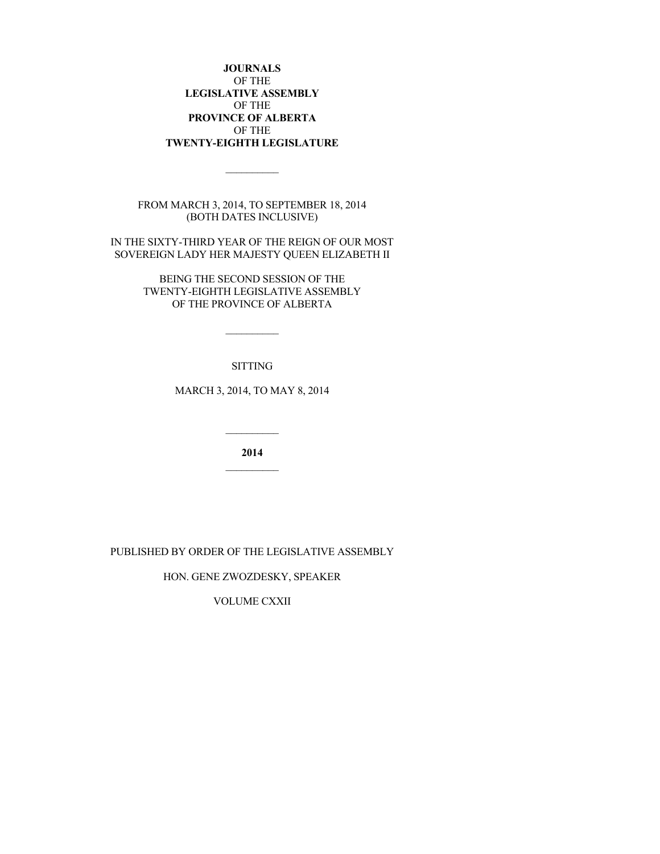**JOURNALS** OF THE **LEGISLATIVE ASSEMBLY** OF THE **PROVINCE OF ALBERTA** OF THE **TWENTY-EIGHTH LEGISLATURE**

FROM MARCH 3, 2014, TO SEPTEMBER 18, 2014 (BOTH DATES INCLUSIVE)

 $\overline{\phantom{a}}$   $\overline{\phantom{a}}$   $\overline{\phantom{a}}$   $\overline{\phantom{a}}$   $\overline{\phantom{a}}$   $\overline{\phantom{a}}$   $\overline{\phantom{a}}$   $\overline{\phantom{a}}$   $\overline{\phantom{a}}$   $\overline{\phantom{a}}$   $\overline{\phantom{a}}$   $\overline{\phantom{a}}$   $\overline{\phantom{a}}$   $\overline{\phantom{a}}$   $\overline{\phantom{a}}$   $\overline{\phantom{a}}$   $\overline{\phantom{a}}$   $\overline{\phantom{a}}$   $\overline{\$ 

IN THE SIXTY-THIRD YEAR OF THE REIGN OF OUR MOST SOVEREIGN LADY HER MAJESTY QUEEN ELIZABETH II

> BEING THE SECOND SESSION OF THE TWENTY-EIGHTH LEGISLATIVE ASSEMBLY OF THE PROVINCE OF ALBERTA

> > SITTING

 $\mathcal{L}=\mathcal{L}$ 

MARCH 3, 2014, TO MAY 8, 2014

**2014**

PUBLISHED BY ORDER OF THE LEGISLATIVE ASSEMBLY

HON. GENE ZWOZDESKY, SPEAKER

VOLUME CXXII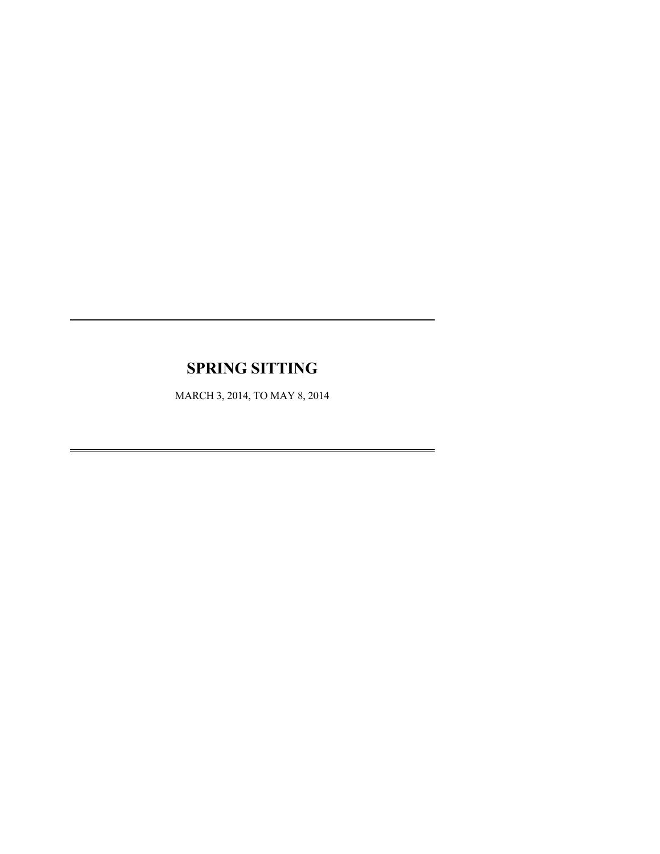# **SPRING SITTING**

MARCH 3, 2014, TO MAY 8, 2014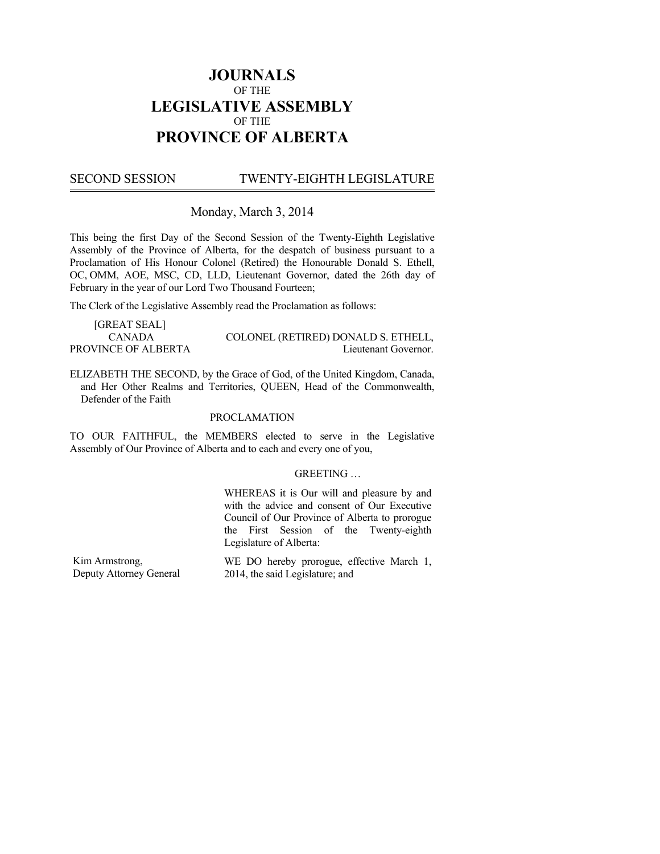## **JOURNALS**  OF THE **LEGISLATIVE ASSEMBLY**  OF THE **PROVINCE OF ALBERTA**

#### TWENTY-EIGHTH LEGISLATURE **SECOND SESSION**

## Monday, March 3, 2014

This being the first Day of the Second Session of the Twenty-Eighth Legislative Assembly of the Province of Alberta, for the despatch of business pursuant to a Proclamation of His Honour Colonel (Retired) the Honourable Donald S. Ethell, OC, OMM, AOE, MSC, CD, LLD, Lieutenant Governor, dated the 26th day of February in the year of our Lord Two Thousand Fourteen;

The Clerk of the Legislative Assembly read the Proclamation as follows:

| [GREAT SEAL]        |                                     |
|---------------------|-------------------------------------|
| CANADA              | COLONEL (RETIRED) DONALD S. ETHELL, |
| PROVINCE OF ALBERTA | Lieutenant Governor.                |

ELIZABETH THE SECOND, by the Grace of God, of the United Kingdom, Canada, and Her Other Realms and Territories, QUEEN, Head of the Commonwealth, Defender of the Faith

#### PROCLAMATION

TO OUR FAITHFUL, the MEMBERS elected to serve in the Legislative Assembly of Our Province of Alberta and to each and every one of you,

#### GREETING …

WHEREAS it is Our will and pleasure by and with the advice and consent of Our Executive Council of Our Province of Alberta to prorogue the First Session of the Twenty-eighth Legislature of Alberta:

Kim Armstrong, Deputy Attorney General WE DO hereby prorogue, effective March 1, 2014, the said Legislature; and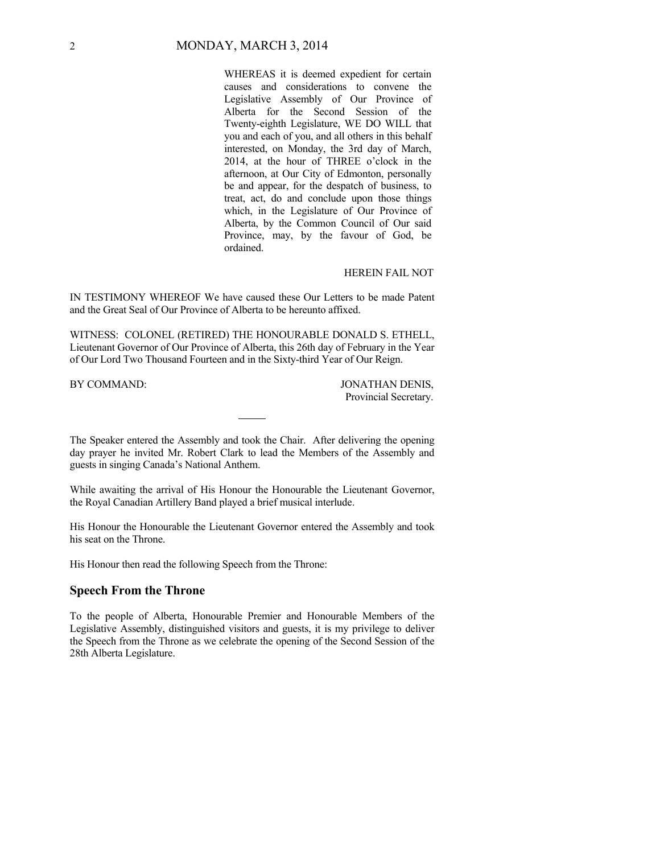WHEREAS it is deemed expedient for certain causes and considerations to convene the Legislative Assembly of Our Province of Alberta for the Second Session of the Twenty-eighth Legislature, WE DO WILL that you and each of you, and all others in this behalf interested, on Monday, the 3rd day of March, 2014, at the hour of THREE o'clock in the afternoon, at Our City of Edmonton, personally be and appear, for the despatch of business, to treat, act, do and conclude upon those things which, in the Legislature of Our Province of Alberta, by the Common Council of Our said Province, may, by the favour of God, be ordained.

#### HEREIN FAIL NOT

IN TESTIMONY WHEREOF We have caused these Our Letters to be made Patent and the Great Seal of Our Province of Alberta to be hereunto affixed.

WITNESS: COLONEL (RETIRED) THE HONOURABLE DONALD S. ETHELL, Lieutenant Governor of Our Province of Alberta, this 26th day of February in the Year of Our Lord Two Thousand Fourteen and in the Sixty-third Year of Our Reign.

BY COMMAND: JONATHAN DENIS, Provincial Secretary.

The Speaker entered the Assembly and took the Chair. After delivering the opening day prayer he invited Mr. Robert Clark to lead the Members of the Assembly and guests in singing Canada's National Anthem.

While awaiting the arrival of His Honour the Honourable the Lieutenant Governor, the Royal Canadian Artillery Band played a brief musical interlude.

His Honour the Honourable the Lieutenant Governor entered the Assembly and took his seat on the Throne.

His Honour then read the following Speech from the Throne:

## **Speech From the Throne**

To the people of Alberta, Honourable Premier and Honourable Members of the Legislative Assembly, distinguished visitors and guests, it is my privilege to deliver the Speech from the Throne as we celebrate the opening of the Second Session of the 28th Alberta Legislature.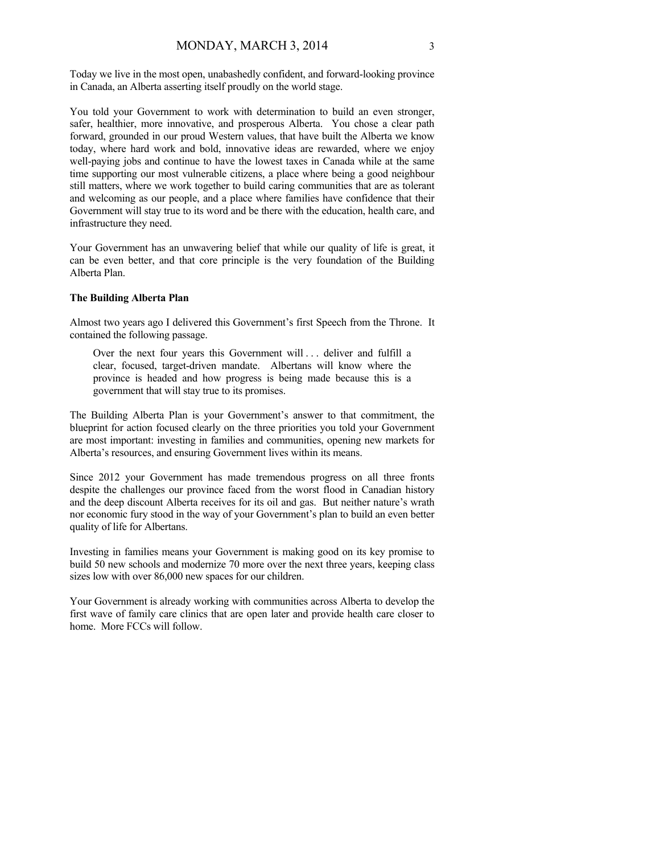Today we live in the most open, unabashedly confident, and forward-looking province in Canada, an Alberta asserting itself proudly on the world stage.

You told your Government to work with determination to build an even stronger, safer, healthier, more innovative, and prosperous Alberta. You chose a clear path forward, grounded in our proud Western values, that have built the Alberta we know today, where hard work and bold, innovative ideas are rewarded, where we enjoy well-paying jobs and continue to have the lowest taxes in Canada while at the same time supporting our most vulnerable citizens, a place where being a good neighbour still matters, where we work together to build caring communities that are as tolerant and welcoming as our people, and a place where families have confidence that their Government will stay true to its word and be there with the education, health care, and infrastructure they need.

Your Government has an unwavering belief that while our quality of life is great, it can be even better, and that core principle is the very foundation of the Building Alberta Plan.

#### **The Building Alberta Plan**

Almost two years ago I delivered this Government's first Speech from the Throne. It contained the following passage.

Over the next four years this Government will . . . deliver and fulfill a clear, focused, target-driven mandate. Albertans will know where the province is headed and how progress is being made because this is a government that will stay true to its promises.

The Building Alberta Plan is your Government's answer to that commitment, the blueprint for action focused clearly on the three priorities you told your Government are most important: investing in families and communities, opening new markets for Alberta's resources, and ensuring Government lives within its means.

Since 2012 your Government has made tremendous progress on all three fronts despite the challenges our province faced from the worst flood in Canadian history and the deep discount Alberta receives for its oil and gas. But neither nature's wrath nor economic fury stood in the way of your Government's plan to build an even better quality of life for Albertans.

Investing in families means your Government is making good on its key promise to build 50 new schools and modernize 70 more over the next three years, keeping class sizes low with over 86,000 new spaces for our children.

Your Government is already working with communities across Alberta to develop the first wave of family care clinics that are open later and provide health care closer to home. More FCCs will follow.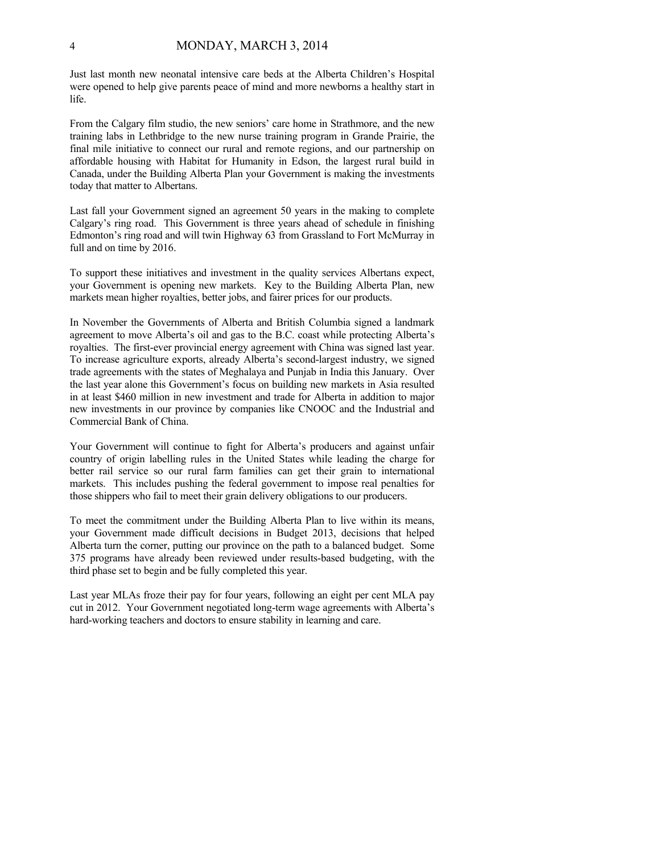Just last month new neonatal intensive care beds at the Alberta Children's Hospital were opened to help give parents peace of mind and more newborns a healthy start in life.

From the Calgary film studio, the new seniors' care home in Strathmore, and the new training labs in Lethbridge to the new nurse training program in Grande Prairie, the final mile initiative to connect our rural and remote regions, and our partnership on affordable housing with Habitat for Humanity in Edson, the largest rural build in Canada, under the Building Alberta Plan your Government is making the investments today that matter to Albertans.

Last fall your Government signed an agreement 50 years in the making to complete Calgary's ring road. This Government is three years ahead of schedule in finishing Edmonton's ring road and will twin Highway 63 from Grassland to Fort McMurray in full and on time by 2016.

To support these initiatives and investment in the quality services Albertans expect, your Government is opening new markets. Key to the Building Alberta Plan, new markets mean higher royalties, better jobs, and fairer prices for our products.

In November the Governments of Alberta and British Columbia signed a landmark agreement to move Alberta's oil and gas to the B.C. coast while protecting Alberta's royalties. The first-ever provincial energy agreement with China was signed last year. To increase agriculture exports, already Alberta's second-largest industry, we signed trade agreements with the states of Meghalaya and Punjab in India this January. Over the last year alone this Government's focus on building new markets in Asia resulted in at least \$460 million in new investment and trade for Alberta in addition to major new investments in our province by companies like CNOOC and the Industrial and Commercial Bank of China.

Your Government will continue to fight for Alberta's producers and against unfair country of origin labelling rules in the United States while leading the charge for better rail service so our rural farm families can get their grain to international markets. This includes pushing the federal government to impose real penalties for those shippers who fail to meet their grain delivery obligations to our producers.

To meet the commitment under the Building Alberta Plan to live within its means, your Government made difficult decisions in Budget 2013, decisions that helped Alberta turn the corner, putting our province on the path to a balanced budget. Some 375 programs have already been reviewed under results-based budgeting, with the third phase set to begin and be fully completed this year.

Last year MLAs froze their pay for four years, following an eight per cent MLA pay cut in 2012. Your Government negotiated long-term wage agreements with Alberta's hard-working teachers and doctors to ensure stability in learning and care.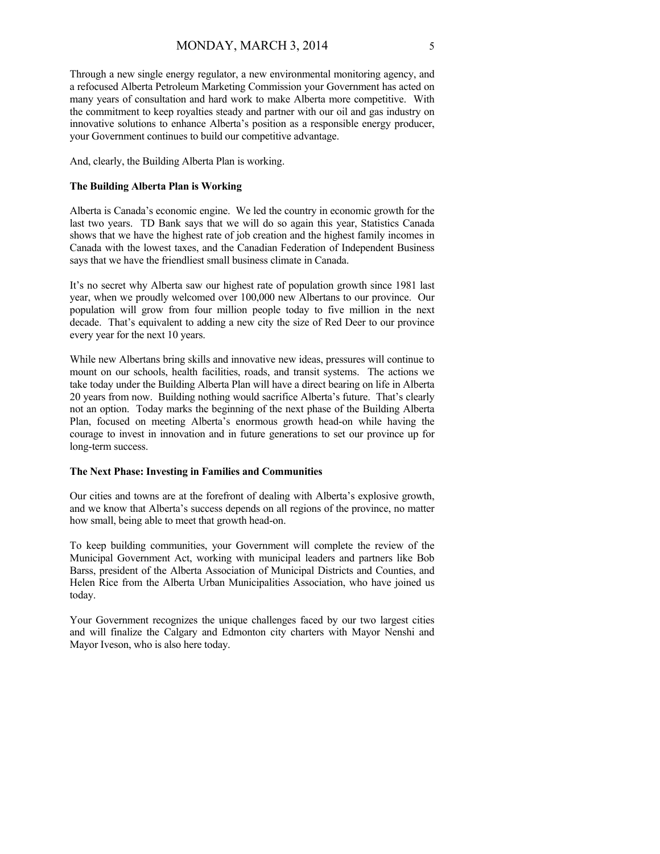Through a new single energy regulator, a new environmental monitoring agency, and a refocused Alberta Petroleum Marketing Commission your Government has acted on many years of consultation and hard work to make Alberta more competitive. With the commitment to keep royalties steady and partner with our oil and gas industry on innovative solutions to enhance Alberta's position as a responsible energy producer, your Government continues to build our competitive advantage.

And, clearly, the Building Alberta Plan is working.

#### **The Building Alberta Plan is Working**

Alberta is Canada's economic engine. We led the country in economic growth for the last two years. TD Bank says that we will do so again this year, Statistics Canada shows that we have the highest rate of job creation and the highest family incomes in Canada with the lowest taxes, and the Canadian Federation of Independent Business says that we have the friendliest small business climate in Canada.

It's no secret why Alberta saw our highest rate of population growth since 1981 last year, when we proudly welcomed over 100,000 new Albertans to our province. Our population will grow from four million people today to five million in the next decade. That's equivalent to adding a new city the size of Red Deer to our province every year for the next 10 years.

While new Albertans bring skills and innovative new ideas, pressures will continue to mount on our schools, health facilities, roads, and transit systems. The actions we take today under the Building Alberta Plan will have a direct bearing on life in Alberta 20 years from now. Building nothing would sacrifice Alberta's future. That's clearly not an option. Today marks the beginning of the next phase of the Building Alberta Plan, focused on meeting Alberta's enormous growth head-on while having the courage to invest in innovation and in future generations to set our province up for long-term success.

#### **The Next Phase: Investing in Families and Communities**

Our cities and towns are at the forefront of dealing with Alberta's explosive growth, and we know that Alberta's success depends on all regions of the province, no matter how small, being able to meet that growth head-on.

To keep building communities, your Government will complete the review of the Municipal Government Act, working with municipal leaders and partners like Bob Barss, president of the Alberta Association of Municipal Districts and Counties, and Helen Rice from the Alberta Urban Municipalities Association, who have joined us today.

Your Government recognizes the unique challenges faced by our two largest cities and will finalize the Calgary and Edmonton city charters with Mayor Nenshi and Mayor Iveson, who is also here today.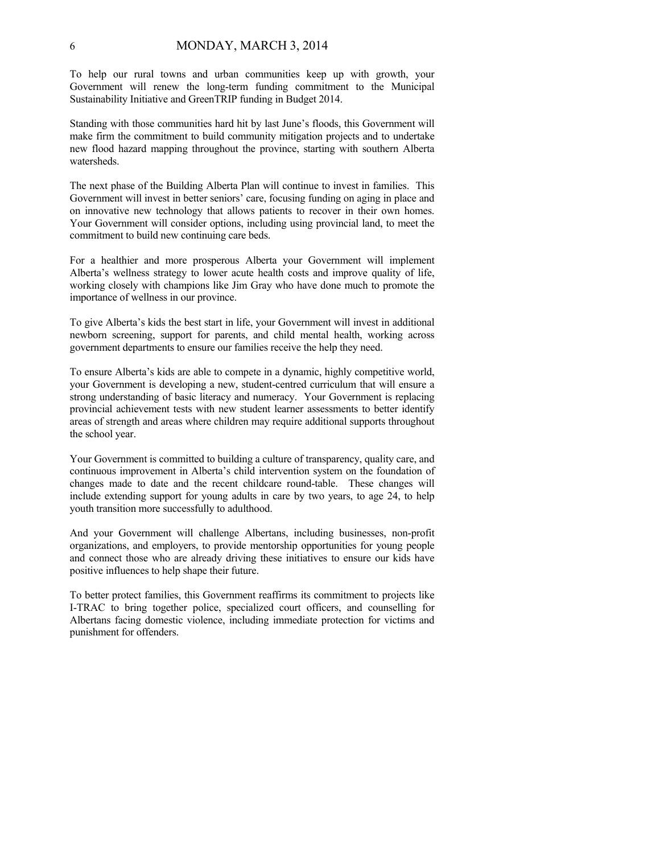To help our rural towns and urban communities keep up with growth, your Government will renew the long-term funding commitment to the Municipal Sustainability Initiative and GreenTRIP funding in Budget 2014.

Standing with those communities hard hit by last June's floods, this Government will make firm the commitment to build community mitigation projects and to undertake new flood hazard mapping throughout the province, starting with southern Alberta watersheds.

The next phase of the Building Alberta Plan will continue to invest in families. This Government will invest in better seniors' care, focusing funding on aging in place and on innovative new technology that allows patients to recover in their own homes. Your Government will consider options, including using provincial land, to meet the commitment to build new continuing care beds.

For a healthier and more prosperous Alberta your Government will implement Alberta's wellness strategy to lower acute health costs and improve quality of life, working closely with champions like Jim Gray who have done much to promote the importance of wellness in our province.

To give Alberta's kids the best start in life, your Government will invest in additional newborn screening, support for parents, and child mental health, working across government departments to ensure our families receive the help they need.

To ensure Alberta's kids are able to compete in a dynamic, highly competitive world, your Government is developing a new, student-centred curriculum that will ensure a strong understanding of basic literacy and numeracy. Your Government is replacing provincial achievement tests with new student learner assessments to better identify areas of strength and areas where children may require additional supports throughout the school year.

Your Government is committed to building a culture of transparency, quality care, and continuous improvement in Alberta's child intervention system on the foundation of changes made to date and the recent childcare round-table. These changes will include extending support for young adults in care by two years, to age 24, to help youth transition more successfully to adulthood.

And your Government will challenge Albertans, including businesses, non-profit organizations, and employers, to provide mentorship opportunities for young people and connect those who are already driving these initiatives to ensure our kids have positive influences to help shape their future.

To better protect families, this Government reaffirms its commitment to projects like I-TRAC to bring together police, specialized court officers, and counselling for Albertans facing domestic violence, including immediate protection for victims and punishment for offenders.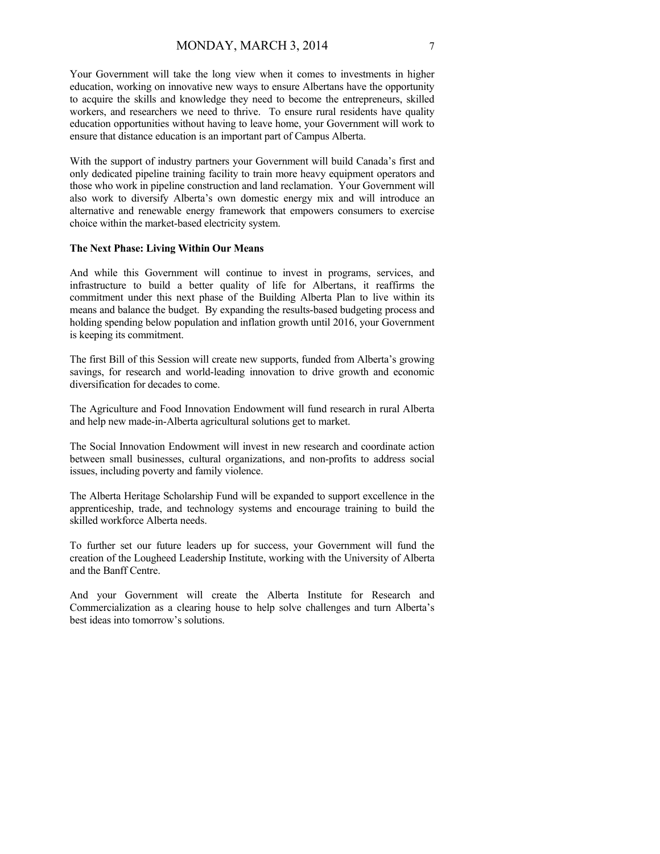Your Government will take the long view when it comes to investments in higher education, working on innovative new ways to ensure Albertans have the opportunity to acquire the skills and knowledge they need to become the entrepreneurs, skilled workers, and researchers we need to thrive. To ensure rural residents have quality education opportunities without having to leave home, your Government will work to ensure that distance education is an important part of Campus Alberta.

With the support of industry partners your Government will build Canada's first and only dedicated pipeline training facility to train more heavy equipment operators and those who work in pipeline construction and land reclamation. Your Government will also work to diversify Alberta's own domestic energy mix and will introduce an alternative and renewable energy framework that empowers consumers to exercise choice within the market-based electricity system.

#### **The Next Phase: Living Within Our Means**

And while this Government will continue to invest in programs, services, and infrastructure to build a better quality of life for Albertans, it reaffirms the commitment under this next phase of the Building Alberta Plan to live within its means and balance the budget. By expanding the results-based budgeting process and holding spending below population and inflation growth until 2016, your Government is keeping its commitment.

The first Bill of this Session will create new supports, funded from Alberta's growing savings, for research and world-leading innovation to drive growth and economic diversification for decades to come.

The Agriculture and Food Innovation Endowment will fund research in rural Alberta and help new made-in-Alberta agricultural solutions get to market.

The Social Innovation Endowment will invest in new research and coordinate action between small businesses, cultural organizations, and non-profits to address social issues, including poverty and family violence.

The Alberta Heritage Scholarship Fund will be expanded to support excellence in the apprenticeship, trade, and technology systems and encourage training to build the skilled workforce Alberta needs.

To further set our future leaders up for success, your Government will fund the creation of the Lougheed Leadership Institute, working with the University of Alberta and the Banff Centre.

And your Government will create the Alberta Institute for Research and Commercialization as a clearing house to help solve challenges and turn Alberta's best ideas into tomorrow's solutions.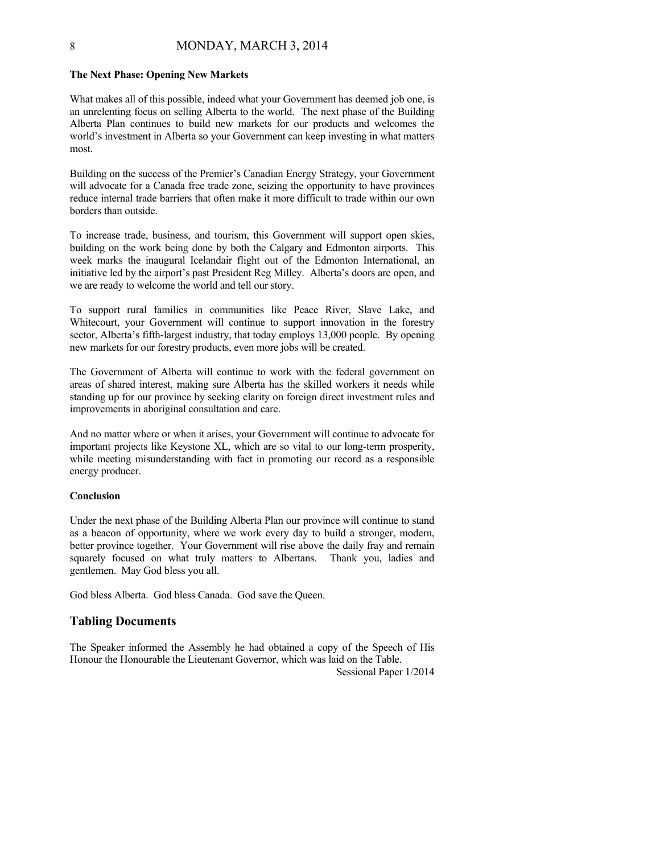#### **The Next Phase: Opening New Markets**

What makes all of this possible, indeed what your Government has deemed job one, is an unrelenting focus on selling Alberta to the world. The next phase of the Building Alberta Plan continues to build new markets for our products and welcomes the world's investment in Alberta so your Government can keep investing in what matters most.

Building on the success of the Premier's Canadian Energy Strategy, your Government will advocate for a Canada free trade zone, seizing the opportunity to have provinces reduce internal trade barriers that often make it more difficult to trade within our own borders than outside.

To increase trade, business, and tourism, this Government will support open skies, building on the work being done by both the Calgary and Edmonton airports. This week marks the inaugural Icelandair flight out of the Edmonton International, an initiative led by the airport's past President Reg Milley. Alberta's doors are open, and we are ready to welcome the world and tell our story.

To support rural families in communities like Peace River, Slave Lake, and Whitecourt, your Government will continue to support innovation in the forestry sector, Alberta's fifth-largest industry, that today employs 13,000 people. By opening new markets for our forestry products, even more jobs will be created.

The Government of Alberta will continue to work with the federal government on areas of shared interest, making sure Alberta has the skilled workers it needs while standing up for our province by seeking clarity on foreign direct investment rules and improvements in aboriginal consultation and care.

And no matter where or when it arises, your Government will continue to advocate for important projects like Keystone XL, which are so vital to our long-term prosperity, while meeting misunderstanding with fact in promoting our record as a responsible energy producer.

#### **Conclusion**

Under the next phase of the Building Alberta Plan our province will continue to stand as a beacon of opportunity, where we work every day to build a stronger, modern, better province together. Your Government will rise above the daily fray and remain squarely focused on what truly matters to Albertans. Thank you, ladies and gentlemen. May God bless you all.

God bless Alberta. God bless Canada. God save the Queen.

## **Tabling Documents**

The Speaker informed the Assembly he had obtained a copy of the Speech of His Honour the Honourable the Lieutenant Governor, which was laid on the Table.

Sessional Paper 1/2014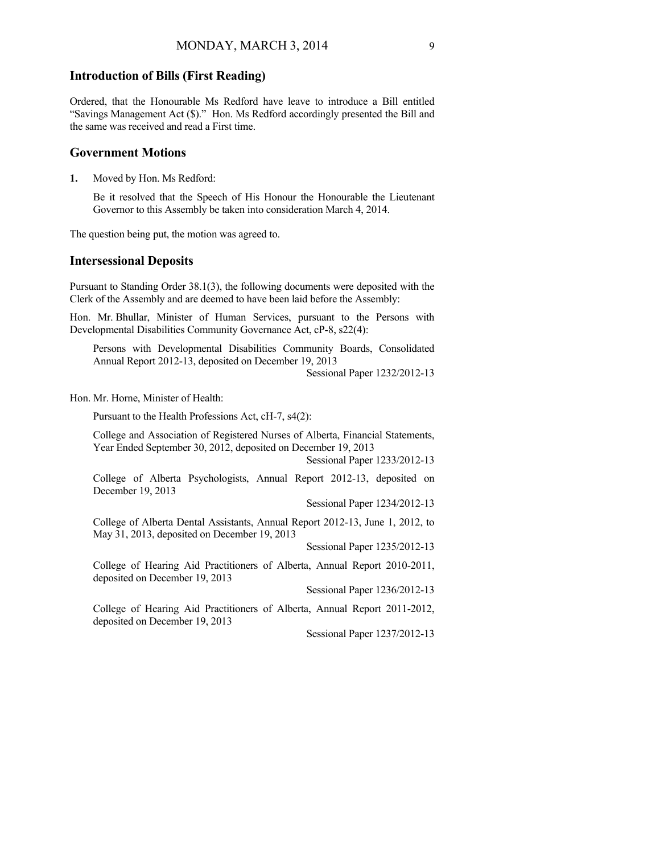#### **Introduction of Bills (First Reading)**

Ordered, that the Honourable Ms Redford have leave to introduce a Bill entitled "Savings Management Act (\$)." Hon. Ms Redford accordingly presented the Bill and the same was received and read a First time.

### **Government Motions**

**1.** Moved by Hon. Ms Redford:

Be it resolved that the Speech of His Honour the Honourable the Lieutenant Governor to this Assembly be taken into consideration March 4, 2014.

The question being put, the motion was agreed to.

## **Intersessional Deposits**

Pursuant to Standing Order 38.1(3), the following documents were deposited with the Clerk of the Assembly and are deemed to have been laid before the Assembly:

Hon. Mr. Bhullar, Minister of Human Services, pursuant to the Persons with Developmental Disabilities Community Governance Act, cP-8, s22(4):

Persons with Developmental Disabilities Community Boards, Consolidated Annual Report 2012-13, deposited on December 19, 2013

Sessional Paper 1232/2012-13

Hon. Mr. Horne, Minister of Health:

Pursuant to the Health Professions Act, cH-7, s4(2):

College and Association of Registered Nurses of Alberta, Financial Statements, Year Ended September 30, 2012, deposited on December 19, 2013

Sessional Paper 1233/2012-13

College of Alberta Psychologists, Annual Report 2012-13, deposited on December 19, 2013

Sessional Paper 1234/2012-13

College of Alberta Dental Assistants, Annual Report 2012-13, June 1, 2012, to May 31, 2013, deposited on December 19, 2013

Sessional Paper 1235/2012-13

College of Hearing Aid Practitioners of Alberta, Annual Report 2010-2011, deposited on December 19, 2013

Sessional Paper 1236/2012-13

College of Hearing Aid Practitioners of Alberta, Annual Report 2011-2012, deposited on December 19, 2013

Sessional Paper 1237/2012-13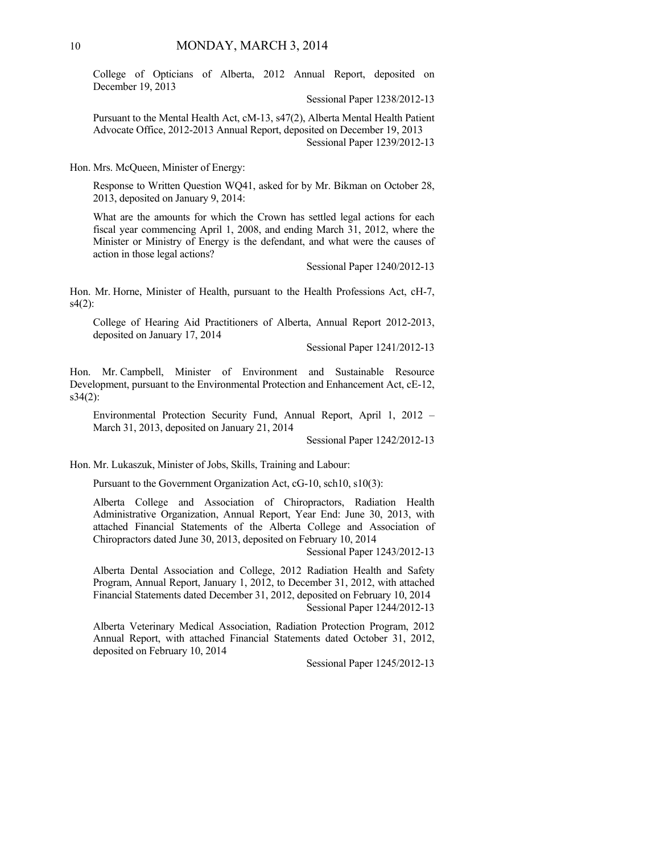College of Opticians of Alberta, 2012 Annual Report, deposited on December 19, 2013

Sessional Paper 1238/2012-13

Pursuant to the Mental Health Act, cM-13, s47(2), Alberta Mental Health Patient Advocate Office, 2012-2013 Annual Report, deposited on December 19, 2013 Sessional Paper 1239/2012-13

Hon. Mrs. McQueen, Minister of Energy:

Response to Written Question WQ41, asked for by Mr. Bikman on October 28, 2013, deposited on January 9, 2014:

What are the amounts for which the Crown has settled legal actions for each fiscal year commencing April 1, 2008, and ending March 31, 2012, where the Minister or Ministry of Energy is the defendant, and what were the causes of action in those legal actions?

Sessional Paper 1240/2012-13

Hon. Mr. Horne, Minister of Health, pursuant to the Health Professions Act, cH-7, s4(2):

College of Hearing Aid Practitioners of Alberta, Annual Report 2012-2013, deposited on January 17, 2014

Sessional Paper 1241/2012-13

Hon. Mr. Campbell, Minister of Environment and Sustainable Resource Development, pursuant to the Environmental Protection and Enhancement Act, cE-12, s34(2):

Environmental Protection Security Fund, Annual Report, April 1, 2012 – March 31, 2013, deposited on January 21, 2014

Sessional Paper 1242/2012-13

Hon. Mr. Lukaszuk, Minister of Jobs, Skills, Training and Labour:

Pursuant to the Government Organization Act, cG-10, sch10, s10(3):

Alberta College and Association of Chiropractors, Radiation Health Administrative Organization, Annual Report, Year End: June 30, 2013, with attached Financial Statements of the Alberta College and Association of Chiropractors dated June 30, 2013, deposited on February 10, 2014

Sessional Paper 1243/2012-13

Alberta Dental Association and College, 2012 Radiation Health and Safety Program, Annual Report, January 1, 2012, to December 31, 2012, with attached Financial Statements dated December 31, 2012, deposited on February 10, 2014 Sessional Paper 1244/2012-13

Alberta Veterinary Medical Association, Radiation Protection Program, 2012 Annual Report, with attached Financial Statements dated October 31, 2012, deposited on February 10, 2014

Sessional Paper 1245/2012-13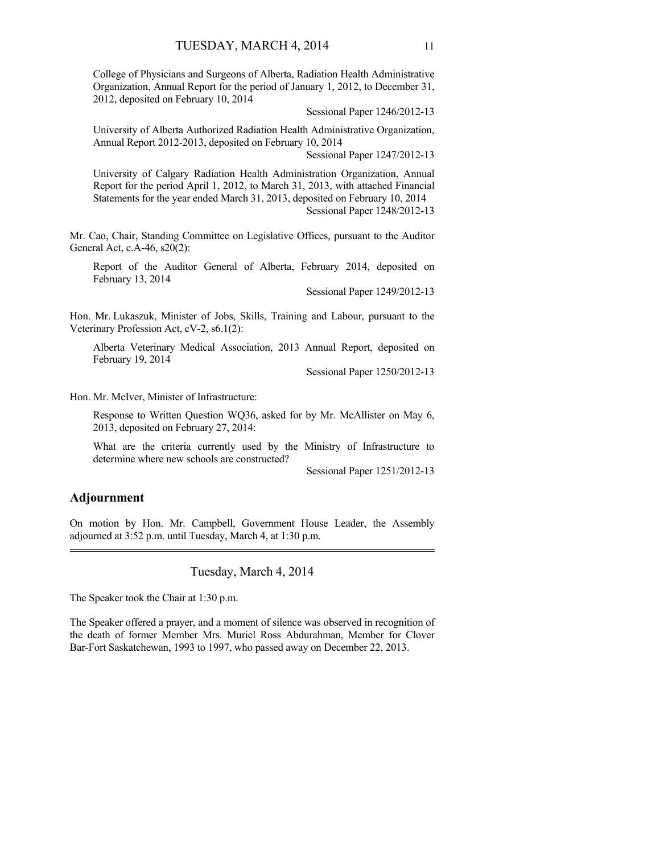College of Physicians and Surgeons of Alberta, Radiation Health Administrative Organization, Annual Report for the period of January 1, 2012, to December 31, 2012, deposited on February 10, 2014

Sessional Paper 1246/2012-13

University of Alberta Authorized Radiation Health Administrative Organization, Annual Report 2012-2013, deposited on February 10, 2014

Sessional Paper 1247/2012-13

University of Calgary Radiation Health Administration Organization, Annual Report for the period April 1, 2012, to March 31, 2013, with attached Financial Statements for the year ended March 31, 2013, deposited on February 10, 2014 Sessional Paper 1248/2012-13

Mr. Cao, Chair, Standing Committee on Legislative Offices, pursuant to the Auditor General Act, c.A-46, s20(2):

Report of the Auditor General of Alberta, February 2014, deposited on February 13, 2014

Sessional Paper 1249/2012-13

Hon. Mr. Lukaszuk, Minister of Jobs, Skills, Training and Labour, pursuant to the Veterinary Profession Act, cV-2, s6.1(2):

Alberta Veterinary Medical Association, 2013 Annual Report, deposited on February 19, 2014

Sessional Paper 1250/2012-13

Hon. Mr. McIver, Minister of Infrastructure:

Response to Written Question WQ36, asked for by Mr. McAllister on May 6, 2013, deposited on February 27, 2014:

What are the criteria currently used by the Ministry of Infrastructure to determine where new schools are constructed?

Sessional Paper 1251/2012-13

## **Adjournment**

On motion by Hon. Mr. Campbell, Government House Leader, the Assembly adjourned at 3:52 p.m. until Tuesday, March 4, at 1:30 p.m. 

### Tuesday, March 4, 2014

The Speaker took the Chair at 1:30 p.m.

The Speaker offered a prayer, and a moment of silence was observed in recognition of the death of former Member Mrs. Muriel Ross Abdurahman, Member for Clover Bar-Fort Saskatchewan, 1993 to 1997, who passed away on December 22, 2013.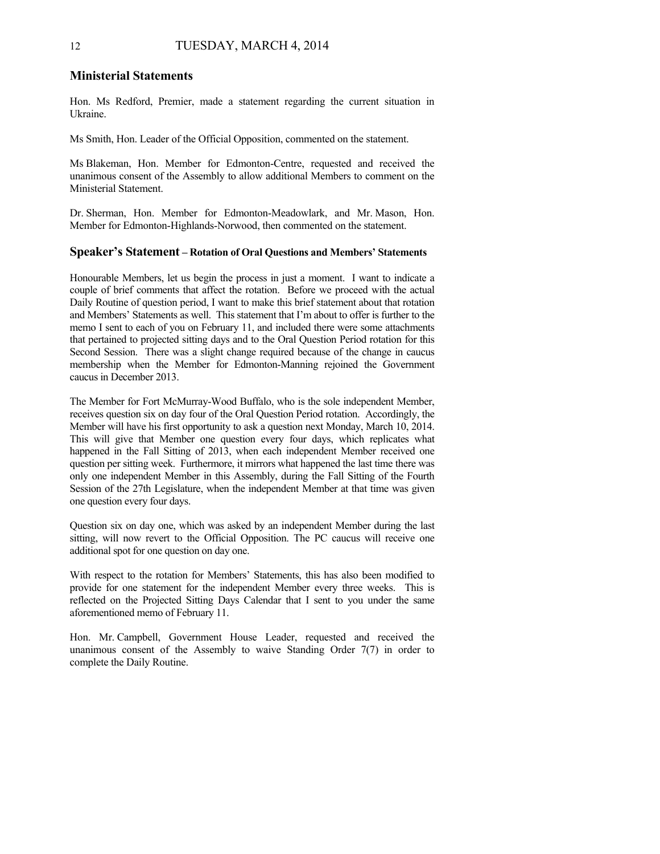#### **Ministerial Statements**

Hon. Ms Redford, Premier, made a statement regarding the current situation in Ukraine.

Ms Smith, Hon. Leader of the Official Opposition, commented on the statement.

Ms Blakeman, Hon. Member for Edmonton-Centre, requested and received the unanimous consent of the Assembly to allow additional Members to comment on the Ministerial Statement.

Dr. Sherman, Hon. Member for Edmonton-Meadowlark, and Mr. Mason, Hon. Member for Edmonton-Highlands-Norwood, then commented on the statement.

#### **Speaker's Statement – Rotation of Oral Questions and Members' Statements**

Honourable Members, let us begin the process in just a moment. I want to indicate a couple of brief comments that affect the rotation. Before we proceed with the actual Daily Routine of question period, I want to make this brief statement about that rotation and Members' Statements as well. This statement that I'm about to offer is further to the memo I sent to each of you on February 11, and included there were some attachments that pertained to projected sitting days and to the Oral Question Period rotation for this Second Session. There was a slight change required because of the change in caucus membership when the Member for Edmonton-Manning rejoined the Government caucus in December 2013.

The Member for Fort McMurray-Wood Buffalo, who is the sole independent Member, receives question six on day four of the Oral Question Period rotation. Accordingly, the Member will have his first opportunity to ask a question next Monday, March 10, 2014. This will give that Member one question every four days, which replicates what happened in the Fall Sitting of 2013, when each independent Member received one question per sitting week. Furthermore, it mirrors what happened the last time there was only one independent Member in this Assembly, during the Fall Sitting of the Fourth Session of the 27th Legislature, when the independent Member at that time was given one question every four days.

Question six on day one, which was asked by an independent Member during the last sitting, will now revert to the Official Opposition. The PC caucus will receive one additional spot for one question on day one.

With respect to the rotation for Members' Statements, this has also been modified to provide for one statement for the independent Member every three weeks. This is reflected on the Projected Sitting Days Calendar that I sent to you under the same aforementioned memo of February 11.

Hon. Mr. Campbell, Government House Leader, requested and received the unanimous consent of the Assembly to waive Standing Order 7(7) in order to complete the Daily Routine.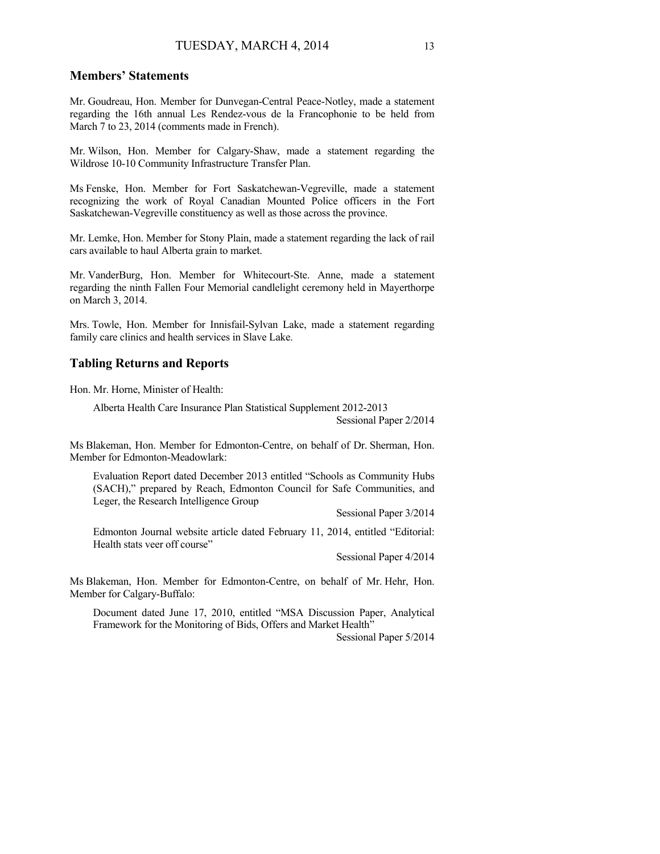## **Members' Statements**

Mr. Goudreau, Hon. Member for Dunvegan-Central Peace-Notley, made a statement regarding the 16th annual Les Rendez-vous de la Francophonie to be held from March 7 to 23, 2014 (comments made in French).

Mr. Wilson, Hon. Member for Calgary-Shaw, made a statement regarding the Wildrose 10-10 Community Infrastructure Transfer Plan.

Ms Fenske, Hon. Member for Fort Saskatchewan-Vegreville, made a statement recognizing the work of Royal Canadian Mounted Police officers in the Fort Saskatchewan-Vegreville constituency as well as those across the province.

Mr. Lemke, Hon. Member for Stony Plain, made a statement regarding the lack of rail cars available to haul Alberta grain to market.

Mr. VanderBurg, Hon. Member for Whitecourt-Ste. Anne, made a statement regarding the ninth Fallen Four Memorial candlelight ceremony held in Mayerthorpe on March 3, 2014.

Mrs. Towle, Hon. Member for Innisfail-Sylvan Lake, made a statement regarding family care clinics and health services in Slave Lake.

#### **Tabling Returns and Reports**

Hon. Mr. Horne, Minister of Health:

Alberta Health Care Insurance Plan Statistical Supplement 2012-2013 Sessional Paper 2/2014

Ms Blakeman, Hon. Member for Edmonton-Centre, on behalf of Dr. Sherman, Hon. Member for Edmonton-Meadowlark:

Evaluation Report dated December 2013 entitled "Schools as Community Hubs (SACH)," prepared by Reach, Edmonton Council for Safe Communities, and Leger, the Research Intelligence Group

Sessional Paper 3/2014

Edmonton Journal website article dated February 11, 2014, entitled "Editorial: Health stats veer off course"

Sessional Paper 4/2014

Ms Blakeman, Hon. Member for Edmonton-Centre, on behalf of Mr. Hehr, Hon. Member for Calgary-Buffalo:

Document dated June 17, 2010, entitled "MSA Discussion Paper, Analytical Framework for the Monitoring of Bids, Offers and Market Health"

Sessional Paper 5/2014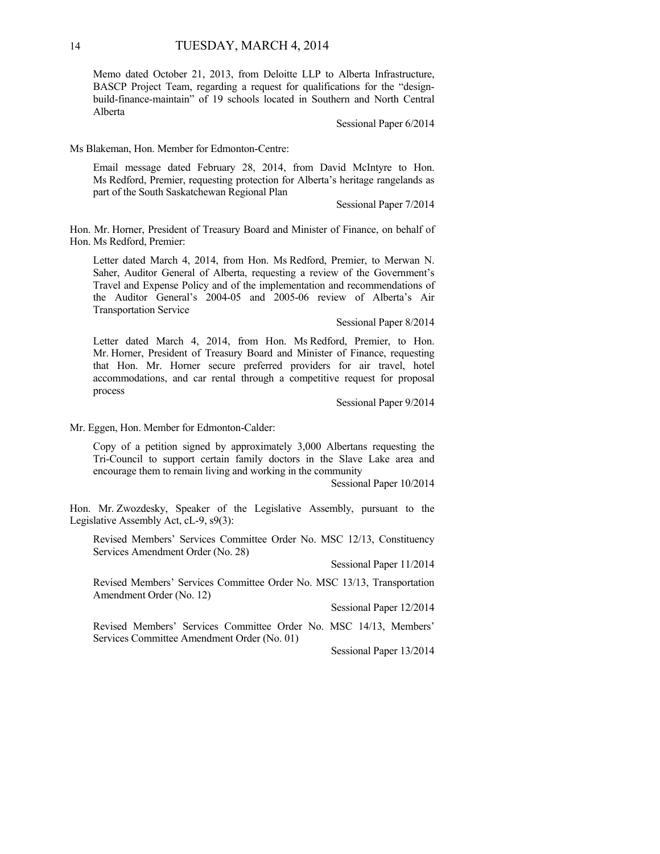Memo dated October 21, 2013, from Deloitte LLP to Alberta Infrastructure, BASCP Project Team, regarding a request for qualifications for the "designbuild-finance-maintain" of 19 schools located in Southern and North Central Alberta

Sessional Paper 6/2014

Ms Blakeman, Hon. Member for Edmonton-Centre:

Email message dated February 28, 2014, from David McIntyre to Hon. Ms Redford, Premier, requesting protection for Alberta's heritage rangelands as part of the South Saskatchewan Regional Plan

Sessional Paper 7/2014

Hon. Mr. Horner, President of Treasury Board and Minister of Finance, on behalf of Hon. Ms Redford, Premier:

Letter dated March 4, 2014, from Hon. Ms Redford, Premier, to Merwan N. Saher, Auditor General of Alberta, requesting a review of the Government's Travel and Expense Policy and of the implementation and recommendations of the Auditor General's 2004-05 and 2005-06 review of Alberta's Air Transportation Service

Sessional Paper 8/2014

Letter dated March 4, 2014, from Hon. Ms Redford, Premier, to Hon. Mr. Horner, President of Treasury Board and Minister of Finance, requesting that Hon. Mr. Horner secure preferred providers for air travel, hotel accommodations, and car rental through a competitive request for proposal process

Sessional Paper 9/2014

Mr. Eggen, Hon. Member for Edmonton-Calder:

Copy of a petition signed by approximately 3,000 Albertans requesting the Tri-Council to support certain family doctors in the Slave Lake area and encourage them to remain living and working in the community

Sessional Paper 10/2014

Hon. Mr. Zwozdesky, Speaker of the Legislative Assembly, pursuant to the Legislative Assembly Act, cL-9, s9(3):

Revised Members' Services Committee Order No. MSC 12/13, Constituency Services Amendment Order (No. 28)

Sessional Paper 11/2014

Revised Members' Services Committee Order No. MSC 13/13, Transportation Amendment Order (No. 12)

Sessional Paper 12/2014

Revised Members' Services Committee Order No. MSC 14/13, Members' Services Committee Amendment Order (No. 01)

Sessional Paper 13/2014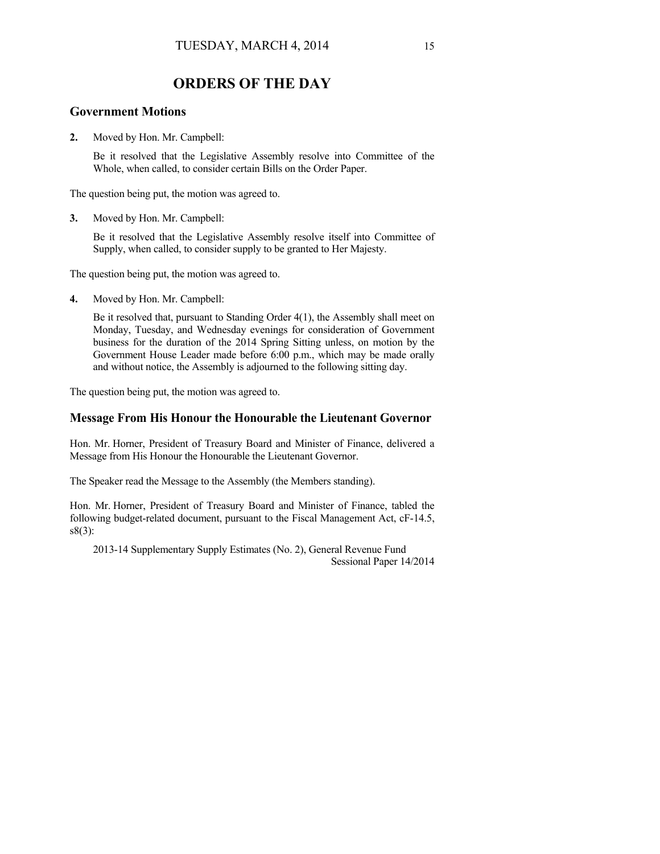## **ORDERS OF THE DAY**

## **Government Motions**

**2.** Moved by Hon. Mr. Campbell:

Be it resolved that the Legislative Assembly resolve into Committee of the Whole, when called, to consider certain Bills on the Order Paper.

The question being put, the motion was agreed to.

**3.** Moved by Hon. Mr. Campbell:

Be it resolved that the Legislative Assembly resolve itself into Committee of Supply, when called, to consider supply to be granted to Her Majesty.

The question being put, the motion was agreed to.

**4.** Moved by Hon. Mr. Campbell:

Be it resolved that, pursuant to Standing Order 4(1), the Assembly shall meet on Monday, Tuesday, and Wednesday evenings for consideration of Government business for the duration of the 2014 Spring Sitting unless, on motion by the Government House Leader made before 6:00 p.m., which may be made orally and without notice, the Assembly is adjourned to the following sitting day.

The question being put, the motion was agreed to.

## **Message From His Honour the Honourable the Lieutenant Governor**

Hon. Mr. Horner, President of Treasury Board and Minister of Finance, delivered a Message from His Honour the Honourable the Lieutenant Governor.

The Speaker read the Message to the Assembly (the Members standing).

Hon. Mr. Horner, President of Treasury Board and Minister of Finance, tabled the following budget-related document, pursuant to the Fiscal Management Act, cF-14.5, s8(3):

2013-14 Supplementary Supply Estimates (No. 2), General Revenue Fund Sessional Paper 14/2014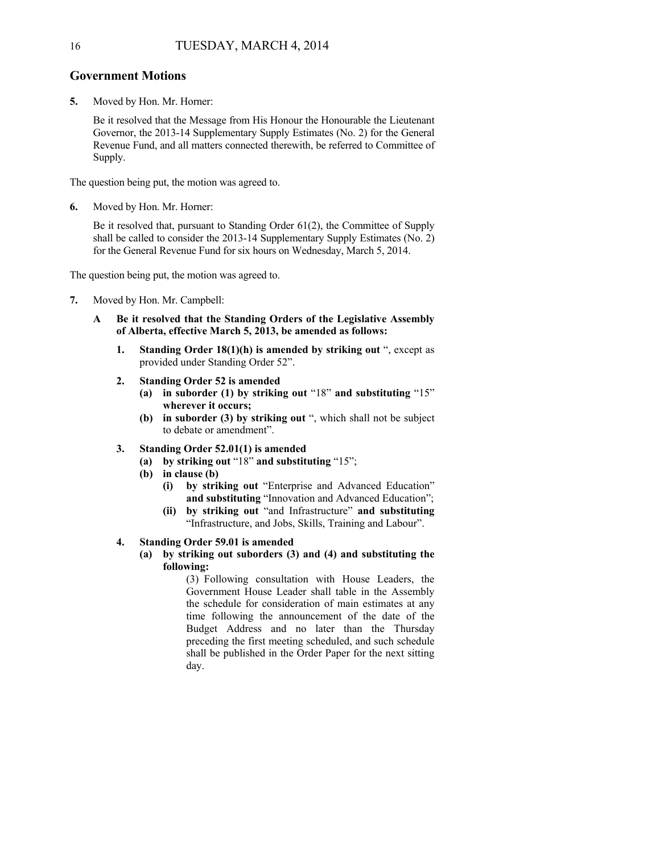#### **Government Motions**

**5.** Moved by Hon. Mr. Horner:

Be it resolved that the Message from His Honour the Honourable the Lieutenant Governor, the 2013-14 Supplementary Supply Estimates (No. 2) for the General Revenue Fund, and all matters connected therewith, be referred to Committee of Supply.

The question being put, the motion was agreed to.

**6.** Moved by Hon. Mr. Horner:

Be it resolved that, pursuant to Standing Order 61(2), the Committee of Supply shall be called to consider the 2013-14 Supplementary Supply Estimates (No. 2) for the General Revenue Fund for six hours on Wednesday, March 5, 2014.

The question being put, the motion was agreed to.

- **7.** Moved by Hon. Mr. Campbell:
	- **A Be it resolved that the Standing Orders of the Legislative Assembly of Alberta, effective March 5, 2013, be amended as follows:**
		- **1.** Standing Order 18(1)(h) is amended by striking out ", except as provided under Standing Order 52".
		- **2. Standing Order 52 is amended** 
			- **(a) in suborder (1) by striking out** "18" **and substituting** "15" **wherever it occurs;**
			- **(b) in suborder (3) by striking out** ", which shall not be subject to debate or amendment".
		- **3. Standing Order 52.01(1) is amended** 
			- **(a) by striking out** "18" **and substituting** "15";
			- **(b) in clause (b)** 
				- **(i) by striking out** "Enterprise and Advanced Education" **and substituting** "Innovation and Advanced Education";
				- **(ii) by striking out** "and Infrastructure" **and substituting**  "Infrastructure, and Jobs, Skills, Training and Labour".

#### **4. Standing Order 59.01 is amended**

**(a) by striking out suborders (3) and (4) and substituting the following:** 

> (3) Following consultation with House Leaders, the Government House Leader shall table in the Assembly the schedule for consideration of main estimates at any time following the announcement of the date of the Budget Address and no later than the Thursday preceding the first meeting scheduled, and such schedule shall be published in the Order Paper for the next sitting day.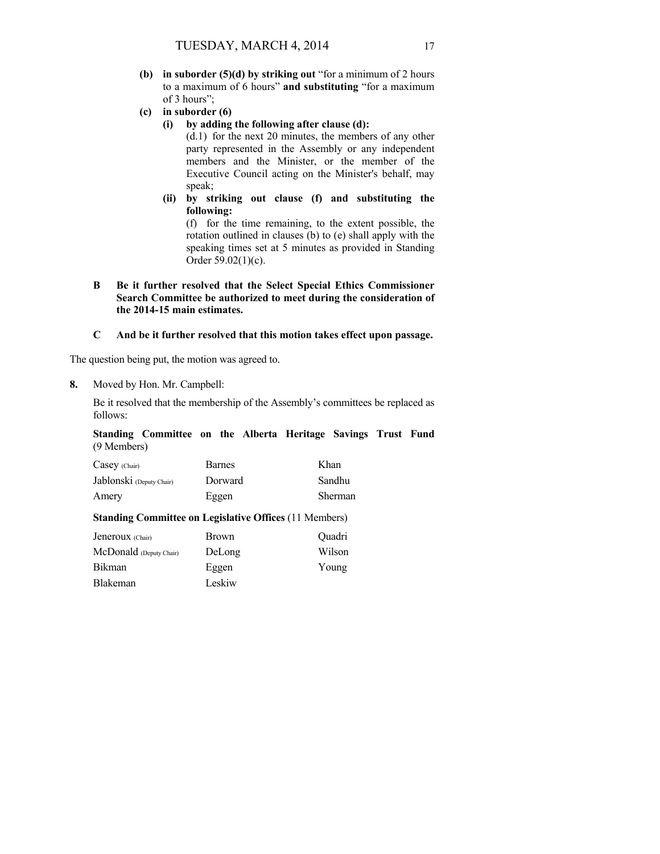- **(b) in suborder (5)(d) by striking out** "for a minimum of 2 hours to a maximum of 6 hours" **and substituting** "for a maximum of 3 hours";
- **(c) in suborder (6)** 
	- **(i) by adding the following after clause (d):**

(d.1) for the next 20 minutes, the members of any other party represented in the Assembly or any independent members and the Minister, or the member of the Executive Council acting on the Minister's behalf, may speak;

**(ii) by striking out clause (f) and substituting the following:** 

(f) for the time remaining, to the extent possible, the rotation outlined in clauses (b) to (e) shall apply with the speaking times set at 5 minutes as provided in Standing Order 59.02(1)(c).

**B Be it further resolved that the Select Special Ethics Commissioner Search Committee be authorized to meet during the consideration of the 2014-15 main estimates.** 

## **C And be it further resolved that this motion takes effect upon passage.**

The question being put, the motion was agreed to.

**8.** Moved by Hon. Mr. Campbell:

Be it resolved that the membership of the Assembly's committees be replaced as follows:

|             | Standing Committee on the Alberta Heritage Savings Trust Fund |  |  |  |  |
|-------------|---------------------------------------------------------------|--|--|--|--|
| (9 Members) |                                                               |  |  |  |  |

| $Casey$ (Chair)          | <b>Barnes</b> | Khan    |
|--------------------------|---------------|---------|
| Jablonski (Deputy Chair) | Dorward       | Sandhu  |
| Amery                    | Eggen         | Sherman |

#### **Standing Committee on Legislative Offices** (11 Members)

| Jeneroux (Chair)        | <b>Brown</b> | <b>Ouadri</b> |
|-------------------------|--------------|---------------|
| McDonald (Deputy Chair) | DeLong       | Wilson        |
| Bikman                  | Eggen        | Young         |
| Blakeman                | Leskiw       |               |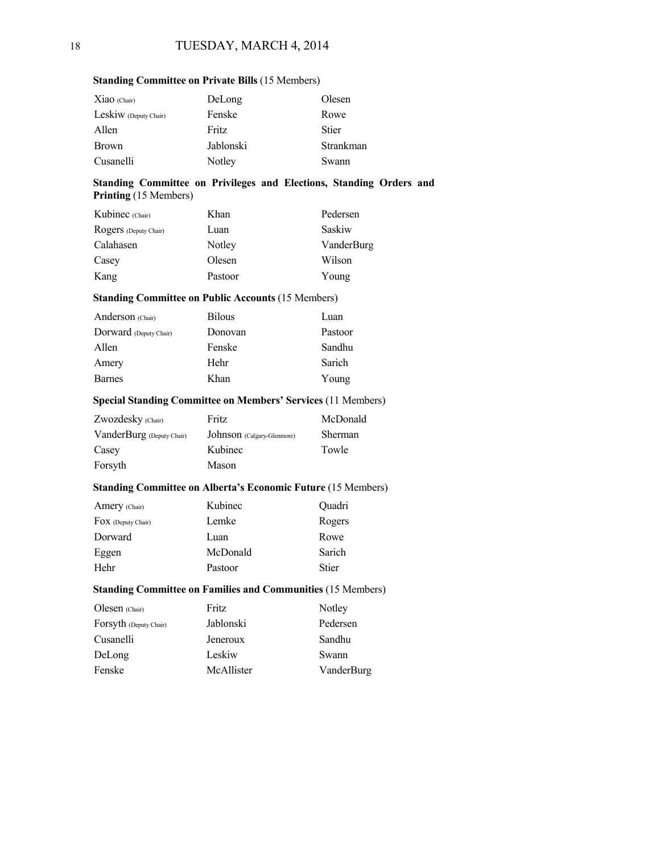| $Xiao$ (Chair)        | DeLong       | Olesen       |
|-----------------------|--------------|--------------|
| Leskiw (Deputy Chair) | Fenske       | Rowe         |
| Allen                 | <b>Fritz</b> | <b>Stier</b> |
| <b>Brown</b>          | Jablonski    | Strankman    |
| Cusanelli             | Notley       | Swann        |

#### **Standing Committee on Private Bills** (15 Members)

#### **Standing Committee on Privileges and Elections, Standing Orders and Printing** (15 Members)

| Kubinec (Chair)       | Khan    | Pedersen   |
|-----------------------|---------|------------|
| Rogers (Deputy Chair) | Luan    | Saskiw     |
| Calahasen             | Notley  | VanderBurg |
| Casey                 | Olesen  | Wilson     |
| Kang                  | Pastoor | Young      |

#### **Standing Committee on Public Accounts** (15 Members)

| <b>Bilous</b> | Luan    |
|---------------|---------|
| Donovan       | Pastoor |
| Fenske        | Sandhu  |
| Hehr          | Sarich  |
| Khan          | Young   |
|               |         |

#### **Special Standing Committee on Members' Services** (11 Members)

| Zwozdesky (Chair)         | Fritz                      | McDonald |
|---------------------------|----------------------------|----------|
| VanderBurg (Deputy Chair) | Johnson (Calgary-Glenmore) | Sherman  |
| Casey                     | Kubinec                    | Towle    |
| Forsyth                   | Mason                      |          |

#### **Standing Committee on Alberta's Economic Future** (15 Members)

| Amery (Chair)              | Kubinec  | Quadri       |
|----------------------------|----------|--------------|
| $\Gamma$ OX (Deputy Chair) | Lemke    | Rogers       |
| Dorward                    | Luan     | Rowe         |
| Eggen                      | McDonald | Sarich       |
| Hehr                       | Pastoor  | <b>Stier</b> |

#### **Standing Committee on Families and Communities** (15 Members)

| Olesen (Chair)         | Fritz      | Notley     |
|------------------------|------------|------------|
| Forsyth (Deputy Chair) | Jablonski  | Pedersen   |
| Cusanelli              | Jeneroux   | Sandhu     |
| DeLong                 | Leskiw     | Swann      |
| Fenske                 | McAllister | VanderBurg |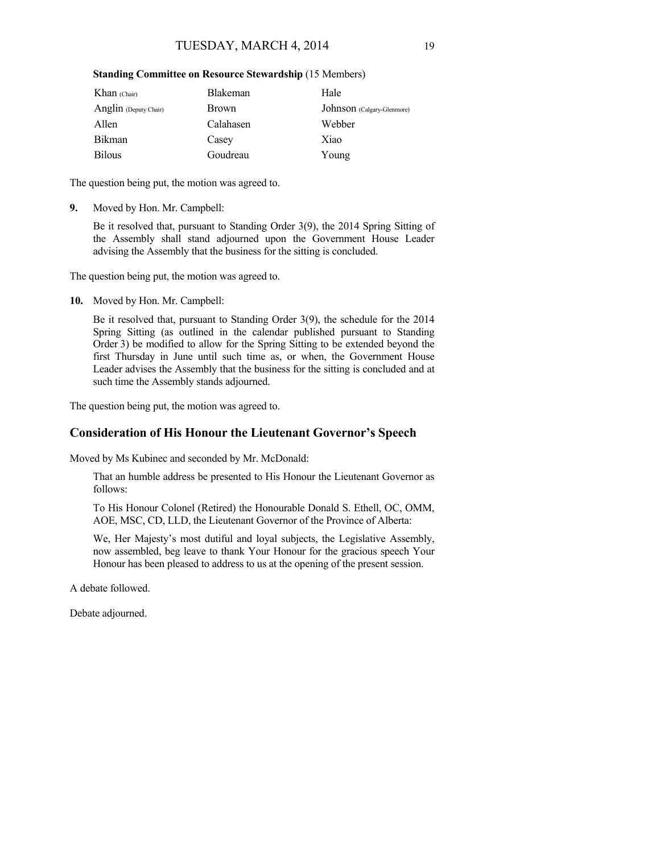#### **Standing Committee on Resource Stewardship** (15 Members)

| Khan $(Chair)$        | <b>Blakeman</b> | Hale                       |
|-----------------------|-----------------|----------------------------|
| Anglin (Deputy Chair) | <b>Brown</b>    | Johnson (Calgary-Glenmore) |
| Allen                 | Calahasen       | Webber                     |
| <b>Bikman</b>         | Casey           | Xiao                       |
| <b>Bilous</b>         | Goudreau        | Young                      |

The question being put, the motion was agreed to.

**9.** Moved by Hon. Mr. Campbell:

Be it resolved that, pursuant to Standing Order 3(9), the 2014 Spring Sitting of the Assembly shall stand adjourned upon the Government House Leader advising the Assembly that the business for the sitting is concluded.

The question being put, the motion was agreed to.

**10.** Moved by Hon. Mr. Campbell:

Be it resolved that, pursuant to Standing Order 3(9), the schedule for the 2014 Spring Sitting (as outlined in the calendar published pursuant to Standing Order 3) be modified to allow for the Spring Sitting to be extended beyond the first Thursday in June until such time as, or when, the Government House Leader advises the Assembly that the business for the sitting is concluded and at such time the Assembly stands adjourned.

The question being put, the motion was agreed to.

## **Consideration of His Honour the Lieutenant Governor's Speech**

Moved by Ms Kubinec and seconded by Mr. McDonald:

That an humble address be presented to His Honour the Lieutenant Governor as follows:

To His Honour Colonel (Retired) the Honourable Donald S. Ethell, OC, OMM, AOE, MSC, CD, LLD, the Lieutenant Governor of the Province of Alberta:

We, Her Majesty's most dutiful and loyal subjects, the Legislative Assembly, now assembled, beg leave to thank Your Honour for the gracious speech Your Honour has been pleased to address to us at the opening of the present session.

A debate followed.

Debate adjourned.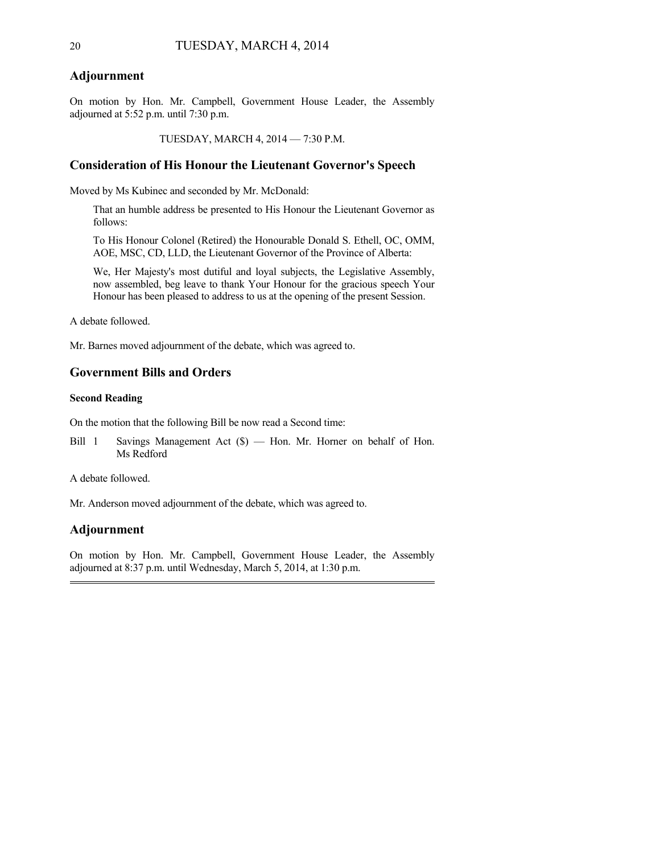#### **Adjournment**

On motion by Hon. Mr. Campbell, Government House Leader, the Assembly adjourned at 5:52 p.m. until 7:30 p.m.

TUESDAY, MARCH 4, 2014 — 7:30 P.M.

#### **Consideration of His Honour the Lieutenant Governor's Speech**

Moved by Ms Kubinec and seconded by Mr. McDonald:

That an humble address be presented to His Honour the Lieutenant Governor as follows:

To His Honour Colonel (Retired) the Honourable Donald S. Ethell, OC, OMM, AOE, MSC, CD, LLD, the Lieutenant Governor of the Province of Alberta:

We, Her Majesty's most dutiful and loyal subjects, the Legislative Assembly, now assembled, beg leave to thank Your Honour for the gracious speech Your Honour has been pleased to address to us at the opening of the present Session.

A debate followed.

Mr. Barnes moved adjournment of the debate, which was agreed to.

## **Government Bills and Orders**

#### **Second Reading**

On the motion that the following Bill be now read a Second time:

Bill 1 Savings Management Act (\$) — Hon. Mr. Horner on behalf of Hon. Ms Redford

A debate followed.

Mr. Anderson moved adjournment of the debate, which was agreed to.

## **Adjournment**

On motion by Hon. Mr. Campbell, Government House Leader, the Assembly adjourned at 8:37 p.m. until Wednesday, March 5, 2014, at 1:30 p.m.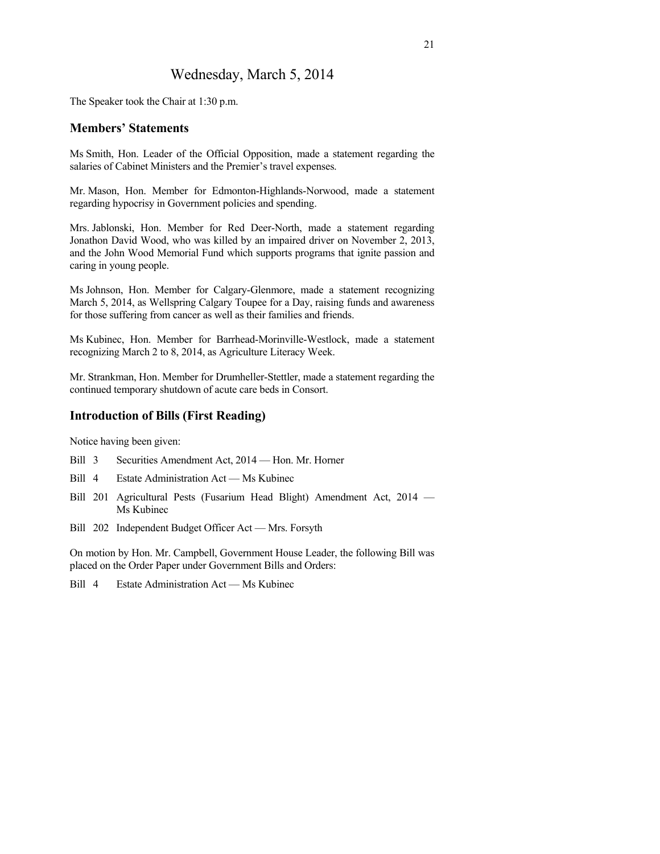## Wednesday, March 5, 2014

The Speaker took the Chair at 1:30 p.m.

## **Members' Statements**

Ms Smith, Hon. Leader of the Official Opposition, made a statement regarding the salaries of Cabinet Ministers and the Premier's travel expenses.

Mr. Mason, Hon. Member for Edmonton-Highlands-Norwood, made a statement regarding hypocrisy in Government policies and spending.

Mrs. Jablonski, Hon. Member for Red Deer-North, made a statement regarding Jonathon David Wood, who was killed by an impaired driver on November 2, 2013, and the John Wood Memorial Fund which supports programs that ignite passion and caring in young people.

Ms Johnson, Hon. Member for Calgary-Glenmore, made a statement recognizing March 5, 2014, as Wellspring Calgary Toupee for a Day, raising funds and awareness for those suffering from cancer as well as their families and friends.

Ms Kubinec, Hon. Member for Barrhead-Morinville-Westlock, made a statement recognizing March 2 to 8, 2014, as Agriculture Literacy Week.

Mr. Strankman, Hon. Member for Drumheller-Stettler, made a statement regarding the continued temporary shutdown of acute care beds in Consort.

## **Introduction of Bills (First Reading)**

Notice having been given:

- Bill 3 Securities Amendment Act, 2014 Hon. Mr. Horner
- Bill 4 Estate Administration Act Ms Kubinec
- Bill 201 Agricultural Pests (Fusarium Head Blight) Amendment Act, 2014 Ms Kubinec
- Bill 202 Independent Budget Officer Act Mrs. Forsyth

On motion by Hon. Mr. Campbell, Government House Leader, the following Bill was placed on the Order Paper under Government Bills and Orders:

Bill 4 Estate Administration Act — Ms Kubinec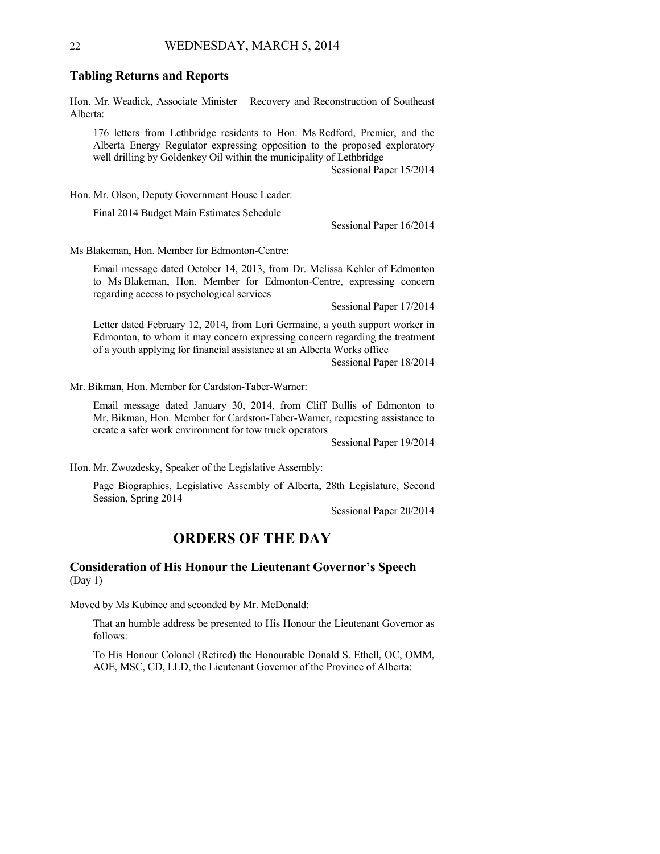#### **Tabling Returns and Reports**

Hon. Mr. Weadick, Associate Minister – Recovery and Reconstruction of Southeast Alberta:

176 letters from Lethbridge residents to Hon. Ms Redford, Premier, and the Alberta Energy Regulator expressing opposition to the proposed exploratory well drilling by Goldenkey Oil within the municipality of Lethbridge Sessional Paper 15/2014

Hon. Mr. Olson, Deputy Government House Leader:

Final 2014 Budget Main Estimates Schedule

Sessional Paper 16/2014

Ms Blakeman, Hon. Member for Edmonton-Centre:

Email message dated October 14, 2013, from Dr. Melissa Kehler of Edmonton to Ms Blakeman, Hon. Member for Edmonton-Centre, expressing concern regarding access to psychological services

Sessional Paper 17/2014

Letter dated February 12, 2014, from Lori Germaine, a youth support worker in Edmonton, to whom it may concern expressing concern regarding the treatment of a youth applying for financial assistance at an Alberta Works office

Sessional Paper 18/2014

Mr. Bikman, Hon. Member for Cardston-Taber-Warner:

Email message dated January 30, 2014, from Cliff Bullis of Edmonton to Mr. Bikman, Hon. Member for Cardston-Taber-Warner, requesting assistance to create a safer work environment for tow truck operators

Sessional Paper 19/2014

Hon. Mr. Zwozdesky, Speaker of the Legislative Assembly:

Page Biographies, Legislative Assembly of Alberta, 28th Legislature, Second Session, Spring 2014

Sessional Paper 20/2014

## **ORDERS OF THE DAY**

## **Consideration of His Honour the Lieutenant Governor's Speech**  (Day 1)

Moved by Ms Kubinec and seconded by Mr. McDonald:

That an humble address be presented to His Honour the Lieutenant Governor as follows:

To His Honour Colonel (Retired) the Honourable Donald S. Ethell, OC, OMM, AOE, MSC, CD, LLD, the Lieutenant Governor of the Province of Alberta: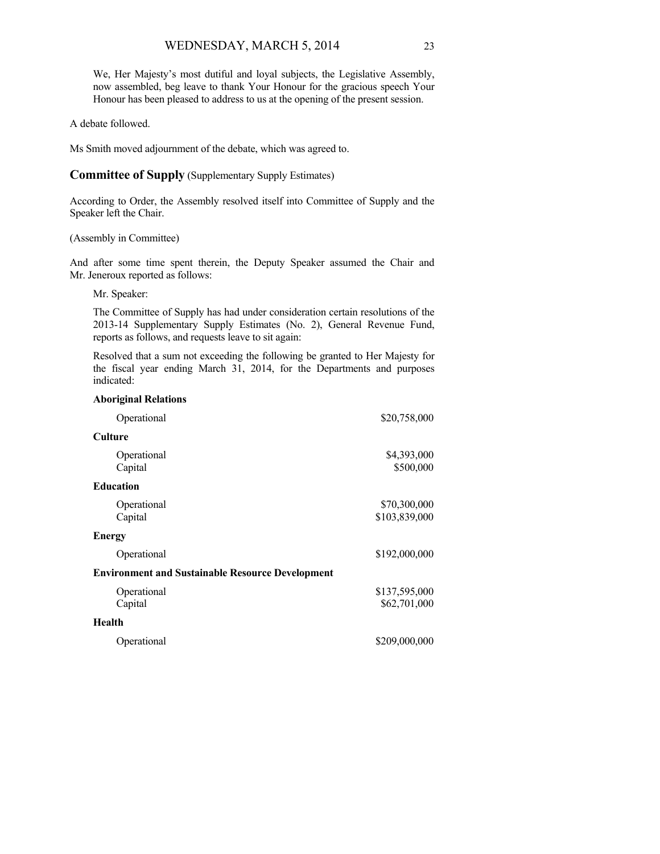We, Her Majesty's most dutiful and loyal subjects, the Legislative Assembly, now assembled, beg leave to thank Your Honour for the gracious speech Your Honour has been pleased to address to us at the opening of the present session.

#### A debate followed.

Ms Smith moved adjournment of the debate, which was agreed to.

#### **Committee of Supply** (Supplementary Supply Estimates)

According to Order, the Assembly resolved itself into Committee of Supply and the Speaker left the Chair.

#### (Assembly in Committee)

And after some time spent therein, the Deputy Speaker assumed the Chair and Mr. Jeneroux reported as follows:

#### Mr. Speaker:

The Committee of Supply has had under consideration certain resolutions of the 2013-14 Supplementary Supply Estimates (No. 2), General Revenue Fund, reports as follows, and requests leave to sit again:

Resolved that a sum not exceeding the following be granted to Her Majesty for the fiscal year ending March 31, 2014, for the Departments and purposes indicated:

| <b>Aboriginal Relations</b>                             |                               |
|---------------------------------------------------------|-------------------------------|
| Operational                                             | \$20,758,000                  |
| <b>Culture</b>                                          |                               |
| Operational<br>Capital                                  | \$4,393,000<br>\$500,000      |
| <b>Education</b>                                        |                               |
| Operational<br>Capital                                  | \$70,300,000<br>\$103,839,000 |
| <b>Energy</b>                                           |                               |
| Operational                                             | \$192,000,000                 |
| <b>Environment and Sustainable Resource Development</b> |                               |
| Operational<br>Capital                                  | \$137,595,000<br>\$62,701,000 |
| <b>Health</b>                                           |                               |
| Operational                                             | \$209,000,000                 |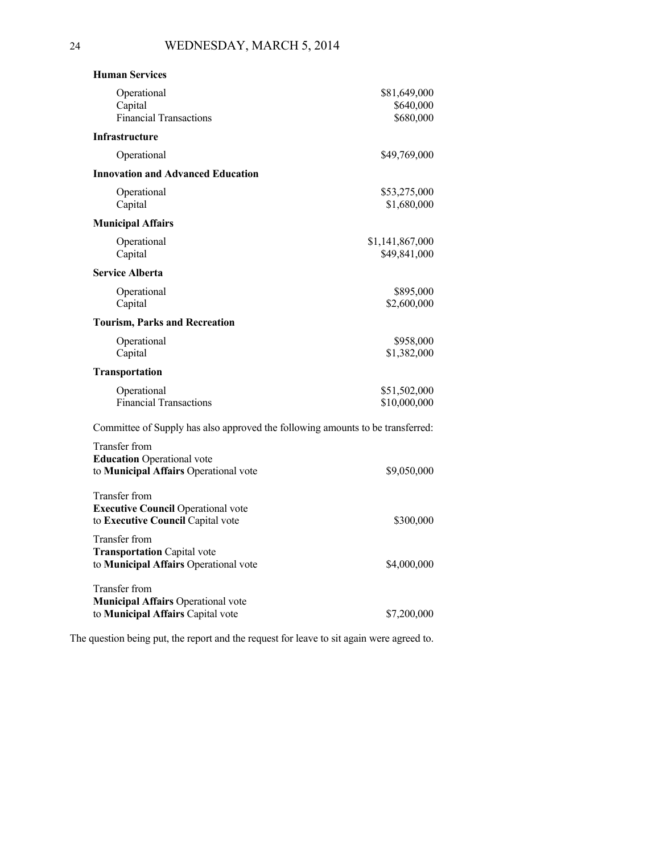| <b>Human Services</b>                                                          |                                 |  |
|--------------------------------------------------------------------------------|---------------------------------|--|
| Operational                                                                    | \$81,649,000                    |  |
| Capital<br><b>Financial Transactions</b>                                       | \$640,000<br>\$680,000          |  |
| Infrastructure                                                                 |                                 |  |
| Operational                                                                    | \$49,769,000                    |  |
| <b>Innovation and Advanced Education</b>                                       |                                 |  |
| Operational<br>Capital                                                         | \$53,275,000<br>\$1,680,000     |  |
| <b>Municipal Affairs</b>                                                       |                                 |  |
| Operational<br>Capital                                                         | \$1,141,867,000<br>\$49,841,000 |  |
| <b>Service Alberta</b>                                                         |                                 |  |
| Operational                                                                    | \$895,000                       |  |
| Capital                                                                        | \$2,600,000                     |  |
| <b>Tourism, Parks and Recreation</b>                                           |                                 |  |
| Operational<br>Capital                                                         | \$958,000<br>\$1,382,000        |  |
| <b>Transportation</b>                                                          |                                 |  |
| Operational                                                                    | \$51,502,000                    |  |
| <b>Financial Transactions</b>                                                  | \$10,000,000                    |  |
| Committee of Supply has also approved the following amounts to be transferred: |                                 |  |
| Transfer from                                                                  |                                 |  |
| <b>Education</b> Operational vote<br>to Municipal Affairs Operational vote     | \$9,050,000                     |  |
|                                                                                |                                 |  |
| <b>Transfer from</b><br><b>Executive Council Operational vote</b>              |                                 |  |
| to Executive Council Capital vote                                              | \$300,000                       |  |
| Transfer from                                                                  |                                 |  |
| <b>Transportation Capital vote</b><br>to Municipal Affairs Operational vote    | \$4,000,000                     |  |
|                                                                                |                                 |  |
| Transfer from<br><b>Municipal Affairs Operational vote</b>                     |                                 |  |
| to Municipal Affairs Capital vote                                              | \$7,200,000                     |  |

The question being put, the report and the request for leave to sit again were agreed to.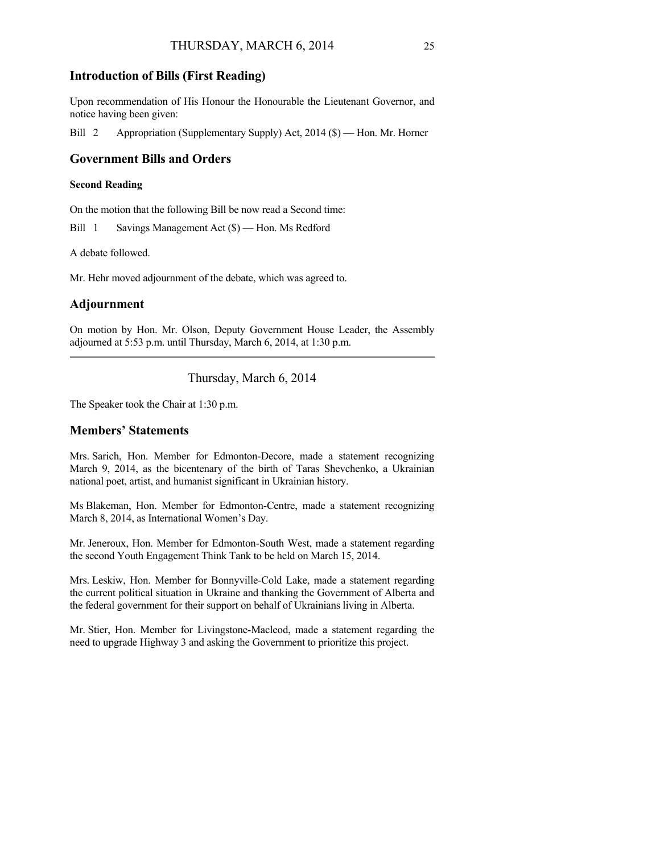## **Introduction of Bills (First Reading)**

Upon recommendation of His Honour the Honourable the Lieutenant Governor, and notice having been given:

Bill 2 Appropriation (Supplementary Supply) Act, 2014 (\$) — Hon. Mr. Horner

## **Government Bills and Orders**

#### **Second Reading**

On the motion that the following Bill be now read a Second time:

Bill 1 Savings Management Act (\$) — Hon. Ms Redford

A debate followed.

Mr. Hehr moved adjournment of the debate, which was agreed to.

## **Adjournment**

On motion by Hon. Mr. Olson, Deputy Government House Leader, the Assembly adjourned at 5:53 p.m. until Thursday, March 6, 2014, at 1:30 p.m.

Thursday, March 6, 2014

The Speaker took the Chair at 1:30 p.m.

## **Members' Statements**

Mrs. Sarich, Hon. Member for Edmonton-Decore, made a statement recognizing March 9, 2014, as the bicentenary of the birth of Taras Shevchenko, a Ukrainian national poet, artist, and humanist significant in Ukrainian history.

Ms Blakeman, Hon. Member for Edmonton-Centre, made a statement recognizing March 8, 2014, as International Women's Day.

Mr. Jeneroux, Hon. Member for Edmonton-South West, made a statement regarding the second Youth Engagement Think Tank to be held on March 15, 2014.

Mrs. Leskiw, Hon. Member for Bonnyville-Cold Lake, made a statement regarding the current political situation in Ukraine and thanking the Government of Alberta and the federal government for their support on behalf of Ukrainians living in Alberta.

Mr. Stier, Hon. Member for Livingstone-Macleod, made a statement regarding the need to upgrade Highway 3 and asking the Government to prioritize this project.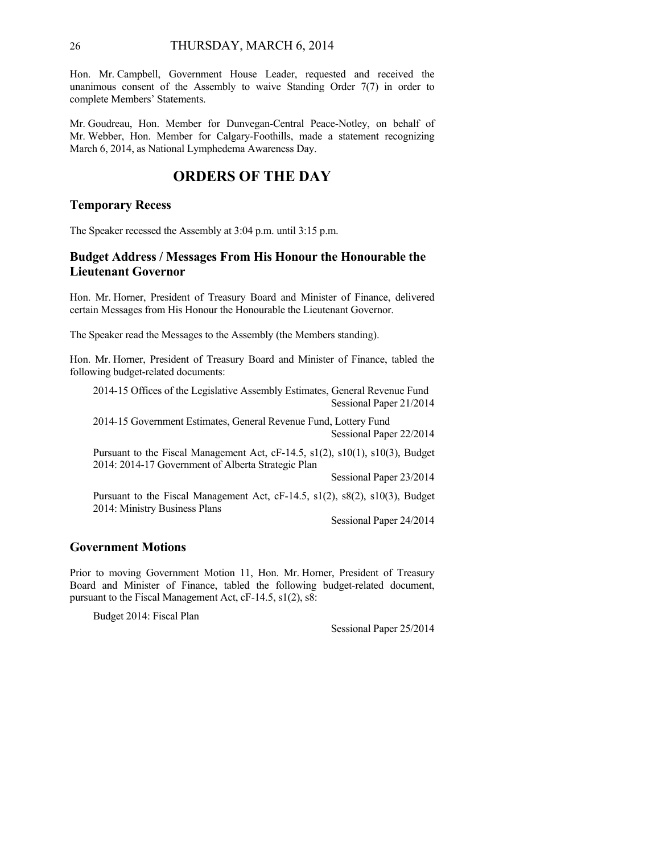Hon. Mr. Campbell, Government House Leader, requested and received the unanimous consent of the Assembly to waive Standing Order 7(7) in order to complete Members' Statements.

Mr. Goudreau, Hon. Member for Dunvegan-Central Peace-Notley, on behalf of Mr. Webber, Hon. Member for Calgary-Foothills, made a statement recognizing March 6, 2014, as National Lymphedema Awareness Day.

## **ORDERS OF THE DAY**

#### **Temporary Recess**

The Speaker recessed the Assembly at 3:04 p.m. until 3:15 p.m.

## **Budget Address / Messages From His Honour the Honourable the Lieutenant Governor**

Hon. Mr. Horner, President of Treasury Board and Minister of Finance, delivered certain Messages from His Honour the Honourable the Lieutenant Governor.

The Speaker read the Messages to the Assembly (the Members standing).

Hon. Mr. Horner, President of Treasury Board and Minister of Finance, tabled the following budget-related documents:

2014-15 Offices of the Legislative Assembly Estimates, General Revenue Fund Sessional Paper 21/2014

2014-15 Government Estimates, General Revenue Fund, Lottery Fund Sessional Paper 22/2014

Pursuant to the Fiscal Management Act, cF-14.5, s1(2), s10(1), s10(3), Budget 2014: 2014-17 Government of Alberta Strategic Plan

Sessional Paper 23/2014

Pursuant to the Fiscal Management Act, cF-14.5, s1(2), s8(2), s10(3), Budget 2014: Ministry Business Plans

Sessional Paper 24/2014

## **Government Motions**

Prior to moving Government Motion 11, Hon. Mr. Horner, President of Treasury Board and Minister of Finance, tabled the following budget-related document, pursuant to the Fiscal Management Act, cF-14.5, s1(2), s8:

Budget 2014: Fiscal Plan

Sessional Paper 25/2014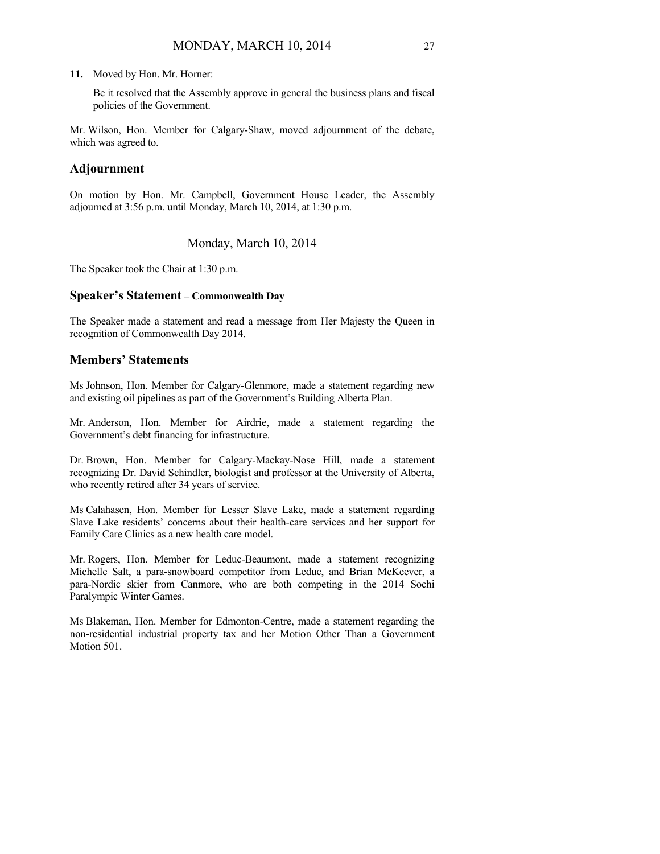#### **11.** Moved by Hon. Mr. Horner:

Be it resolved that the Assembly approve in general the business plans and fiscal policies of the Government.

Mr. Wilson, Hon. Member for Calgary-Shaw, moved adjournment of the debate, which was agreed to.

#### **Adjournment**

On motion by Hon. Mr. Campbell, Government House Leader, the Assembly adjourned at 3:56 p.m. until Monday, March 10, 2014, at 1:30 p.m.

## Monday, March 10, 2014

The Speaker took the Chair at 1:30 p.m.

## **Speaker's Statement – Commonwealth Day**

The Speaker made a statement and read a message from Her Majesty the Queen in recognition of Commonwealth Day 2014.

## **Members' Statements**

Ms Johnson, Hon. Member for Calgary-Glenmore, made a statement regarding new and existing oil pipelines as part of the Government's Building Alberta Plan.

Mr. Anderson, Hon. Member for Airdrie, made a statement regarding the Government's debt financing for infrastructure.

Dr. Brown, Hon. Member for Calgary-Mackay-Nose Hill, made a statement recognizing Dr. David Schindler, biologist and professor at the University of Alberta, who recently retired after 34 years of service.

Ms Calahasen, Hon. Member for Lesser Slave Lake, made a statement regarding Slave Lake residents' concerns about their health-care services and her support for Family Care Clinics as a new health care model.

Mr. Rogers, Hon. Member for Leduc-Beaumont, made a statement recognizing Michelle Salt, a para-snowboard competitor from Leduc, and Brian McKeever, a para-Nordic skier from Canmore, who are both competing in the 2014 Sochi Paralympic Winter Games.

Ms Blakeman, Hon. Member for Edmonton-Centre, made a statement regarding the non-residential industrial property tax and her Motion Other Than a Government Motion 501.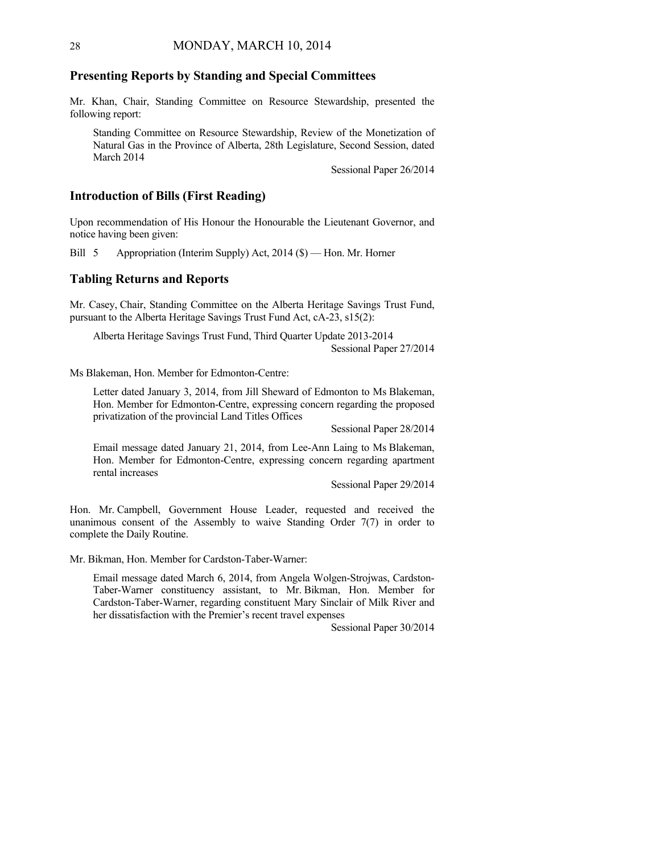#### **Presenting Reports by Standing and Special Committees**

Mr. Khan, Chair, Standing Committee on Resource Stewardship, presented the following report:

Standing Committee on Resource Stewardship, Review of the Monetization of Natural Gas in the Province of Alberta, 28th Legislature, Second Session, dated March 2014

Sessional Paper 26/2014

## **Introduction of Bills (First Reading)**

Upon recommendation of His Honour the Honourable the Lieutenant Governor, and notice having been given:

Bill 5 Appropriation (Interim Supply) Act, 2014 (\$) — Hon. Mr. Horner

### **Tabling Returns and Reports**

Mr. Casey, Chair, Standing Committee on the Alberta Heritage Savings Trust Fund, pursuant to the Alberta Heritage Savings Trust Fund Act, cA-23, s15(2):

Alberta Heritage Savings Trust Fund, Third Quarter Update 2013-2014 Sessional Paper 27/2014

Ms Blakeman, Hon. Member for Edmonton-Centre:

Letter dated January 3, 2014, from Jill Sheward of Edmonton to Ms Blakeman, Hon. Member for Edmonton-Centre, expressing concern regarding the proposed privatization of the provincial Land Titles Offices

Sessional Paper 28/2014

Email message dated January 21, 2014, from Lee-Ann Laing to Ms Blakeman, Hon. Member for Edmonton-Centre, expressing concern regarding apartment rental increases

Sessional Paper 29/2014

Hon. Mr. Campbell, Government House Leader, requested and received the unanimous consent of the Assembly to waive Standing Order 7(7) in order to complete the Daily Routine.

Mr. Bikman, Hon. Member for Cardston-Taber-Warner:

Email message dated March 6, 2014, from Angela Wolgen-Strojwas, Cardston-Taber-Warner constituency assistant, to Mr. Bikman, Hon. Member for Cardston-Taber-Warner, regarding constituent Mary Sinclair of Milk River and her dissatisfaction with the Premier's recent travel expenses

Sessional Paper 30/2014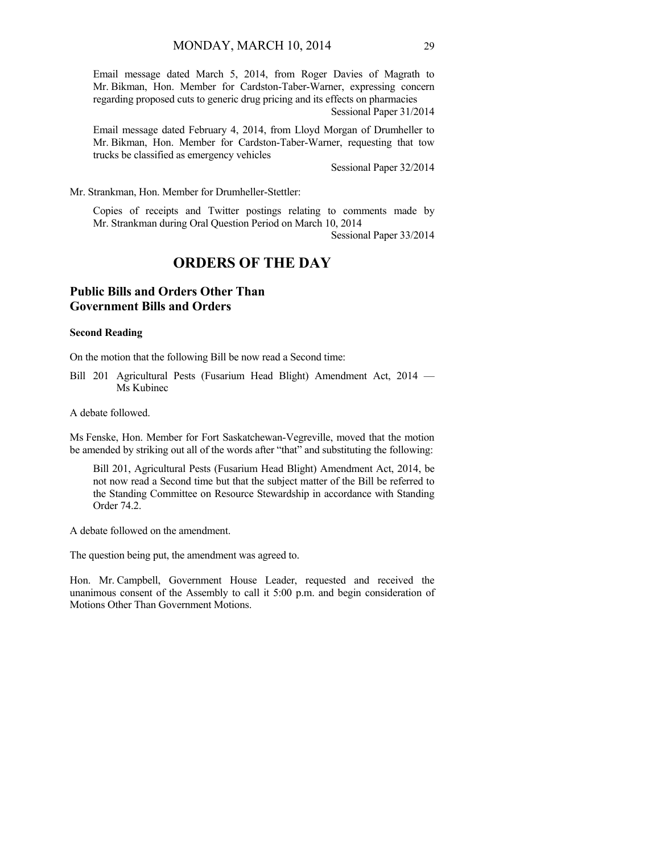Email message dated March 5, 2014, from Roger Davies of Magrath to Mr. Bikman, Hon. Member for Cardston-Taber-Warner, expressing concern regarding proposed cuts to generic drug pricing and its effects on pharmacies Sessional Paper 31/2014

Email message dated February 4, 2014, from Lloyd Morgan of Drumheller to Mr. Bikman, Hon. Member for Cardston-Taber-Warner, requesting that tow trucks be classified as emergency vehicles

Sessional Paper 32/2014

Mr. Strankman, Hon. Member for Drumheller-Stettler:

Copies of receipts and Twitter postings relating to comments made by Mr. Strankman during Oral Question Period on March 10, 2014

Sessional Paper 33/2014

## **ORDERS OF THE DAY**

## **Public Bills and Orders Other Than Government Bills and Orders**

#### **Second Reading**

On the motion that the following Bill be now read a Second time:

Bill 201 Agricultural Pests (Fusarium Head Blight) Amendment Act, 2014 — Ms Kubinec

A debate followed.

Ms Fenske, Hon. Member for Fort Saskatchewan-Vegreville, moved that the motion be amended by striking out all of the words after "that" and substituting the following:

Bill 201, Agricultural Pests (Fusarium Head Blight) Amendment Act, 2014, be not now read a Second time but that the subject matter of the Bill be referred to the Standing Committee on Resource Stewardship in accordance with Standing Order 74.2.

A debate followed on the amendment.

The question being put, the amendment was agreed to.

Hon. Mr. Campbell, Government House Leader, requested and received the unanimous consent of the Assembly to call it 5:00 p.m. and begin consideration of Motions Other Than Government Motions.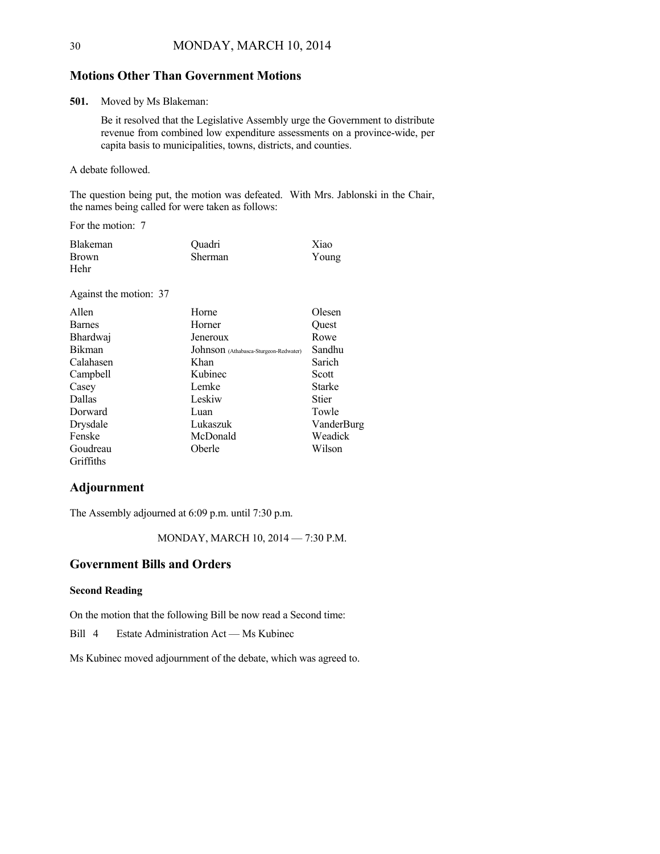## **Motions Other Than Government Motions**

**501.** Moved by Ms Blakeman:

Be it resolved that the Legislative Assembly urge the Government to distribute revenue from combined low expenditure assessments on a province-wide, per capita basis to municipalities, towns, districts, and counties.

A debate followed.

The question being put, the motion was defeated. With Mrs. Jablonski in the Chair, the names being called for were taken as follows:

For the motion: 7

| <b>Blakeman</b> | Ouadri  | Xiao  |
|-----------------|---------|-------|
| <b>Brown</b>    | Sherman | Young |
| Hehr            |         |       |

Against the motion: 37

| Allen         | Horne                                 | Olesen     |
|---------------|---------------------------------------|------------|
| <b>Barnes</b> | Horner                                | Ouest      |
| Bhardwaj      | Jeneroux                              | Rowe       |
| <b>Bikman</b> | Johnson (Athabasca-Sturgeon-Redwater) | Sandhu     |
| Calahasen     | Khan                                  | Sarich     |
| Campbell      | Kubinec                               | Scott      |
| Casey         | Lemke                                 | Starke     |
| Dallas        | Leskiw                                | Stier      |
| Dorward       | Luan                                  | Towle      |
| Drysdale      | Lukaszuk                              | VanderBurg |
| Fenske        | McDonald                              | Weadick    |
| Goudreau      | Oberle                                | Wilson     |
| Griffiths     |                                       |            |

## **Adjournment**

The Assembly adjourned at 6:09 p.m. until 7:30 p.m.

MONDAY, MARCH 10, 2014 — 7:30 P.M.

## **Government Bills and Orders**

#### **Second Reading**

On the motion that the following Bill be now read a Second time:

Bill 4 Estate Administration Act — Ms Kubinec

Ms Kubinec moved adjournment of the debate, which was agreed to.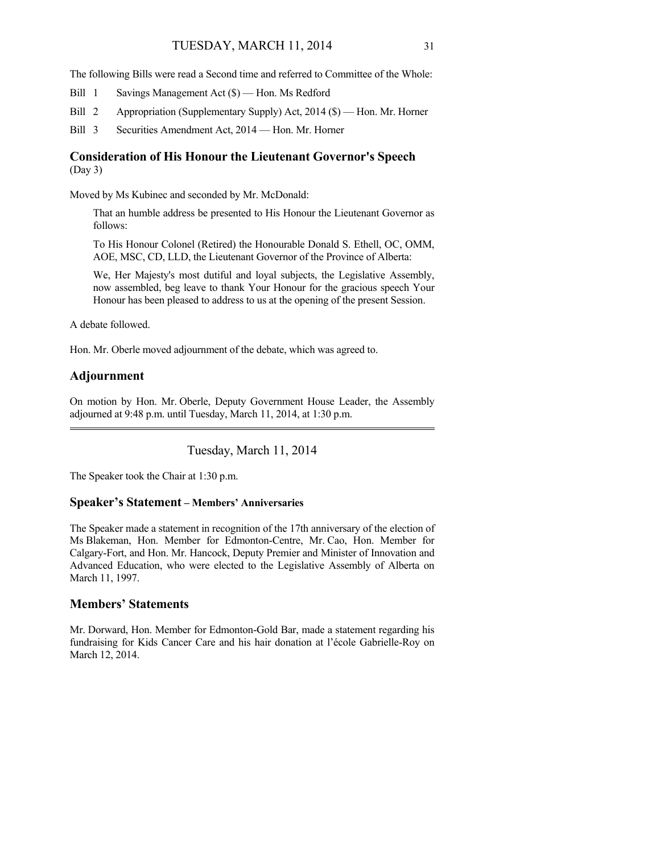The following Bills were read a Second time and referred to Committee of the Whole:

Bill 1 Savings Management Act (\$) — Hon. Ms Redford

Bill 2 Appropriation (Supplementary Supply) Act, 2014 (\$) — Hon. Mr. Horner

Bill 3 Securities Amendment Act, 2014 — Hon. Mr. Horner

### **Consideration of His Honour the Lieutenant Governor's Speech**  (Day 3)

Moved by Ms Kubinec and seconded by Mr. McDonald:

That an humble address be presented to His Honour the Lieutenant Governor as follows:

To His Honour Colonel (Retired) the Honourable Donald S. Ethell, OC, OMM, AOE, MSC, CD, LLD, the Lieutenant Governor of the Province of Alberta:

We, Her Majesty's most dutiful and loyal subjects, the Legislative Assembly, now assembled, beg leave to thank Your Honour for the gracious speech Your Honour has been pleased to address to us at the opening of the present Session.

A debate followed.

Hon. Mr. Oberle moved adjournment of the debate, which was agreed to.

## **Adjournment**

On motion by Hon. Mr. Oberle, Deputy Government House Leader, the Assembly adjourned at 9:48 p.m. until Tuesday, March 11, 2014, at 1:30 p.m.

Tuesday, March 11, 2014

The Speaker took the Chair at 1:30 p.m.

### **Speaker's Statement – Members' Anniversaries**

The Speaker made a statement in recognition of the 17th anniversary of the election of Ms Blakeman, Hon. Member for Edmonton-Centre, Mr. Cao, Hon. Member for Calgary-Fort, and Hon. Mr. Hancock, Deputy Premier and Minister of Innovation and Advanced Education, who were elected to the Legislative Assembly of Alberta on March 11, 1997.

## **Members' Statements**

Mr. Dorward, Hon. Member for Edmonton-Gold Bar, made a statement regarding his fundraising for Kids Cancer Care and his hair donation at l'école Gabrielle-Roy on March 12, 2014.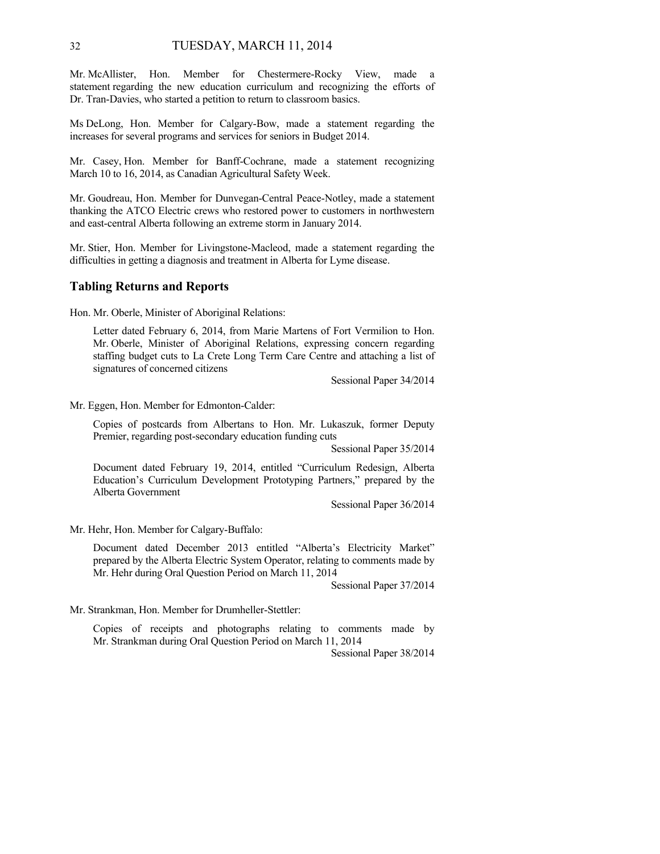Mr. McAllister, Hon. Member for Chestermere-Rocky View, made a statement regarding the new education curriculum and recognizing the efforts of Dr. Tran-Davies, who started a petition to return to classroom basics.

Ms DeLong, Hon. Member for Calgary-Bow, made a statement regarding the increases for several programs and services for seniors in Budget 2014.

Mr. Casey, Hon. Member for Banff-Cochrane, made a statement recognizing March 10 to 16, 2014, as Canadian Agricultural Safety Week.

Mr. Goudreau, Hon. Member for Dunvegan-Central Peace-Notley, made a statement thanking the ATCO Electric crews who restored power to customers in northwestern and east-central Alberta following an extreme storm in January 2014.

Mr. Stier, Hon. Member for Livingstone-Macleod, made a statement regarding the difficulties in getting a diagnosis and treatment in Alberta for Lyme disease.

### **Tabling Returns and Reports**

Hon. Mr. Oberle, Minister of Aboriginal Relations:

Letter dated February 6, 2014, from Marie Martens of Fort Vermilion to Hon. Mr. Oberle, Minister of Aboriginal Relations, expressing concern regarding staffing budget cuts to La Crete Long Term Care Centre and attaching a list of signatures of concerned citizens

Sessional Paper 34/2014

Mr. Eggen, Hon. Member for Edmonton-Calder:

Copies of postcards from Albertans to Hon. Mr. Lukaszuk, former Deputy Premier, regarding post-secondary education funding cuts

Sessional Paper 35/2014

Document dated February 19, 2014, entitled "Curriculum Redesign, Alberta Education's Curriculum Development Prototyping Partners," prepared by the Alberta Government

Sessional Paper 36/2014

Mr. Hehr, Hon. Member for Calgary-Buffalo:

Document dated December 2013 entitled "Alberta's Electricity Market" prepared by the Alberta Electric System Operator, relating to comments made by Mr. Hehr during Oral Question Period on March 11, 2014

Sessional Paper 37/2014

Mr. Strankman, Hon. Member for Drumheller-Stettler:

Copies of receipts and photographs relating to comments made by Mr. Strankman during Oral Question Period on March 11, 2014

Sessional Paper 38/2014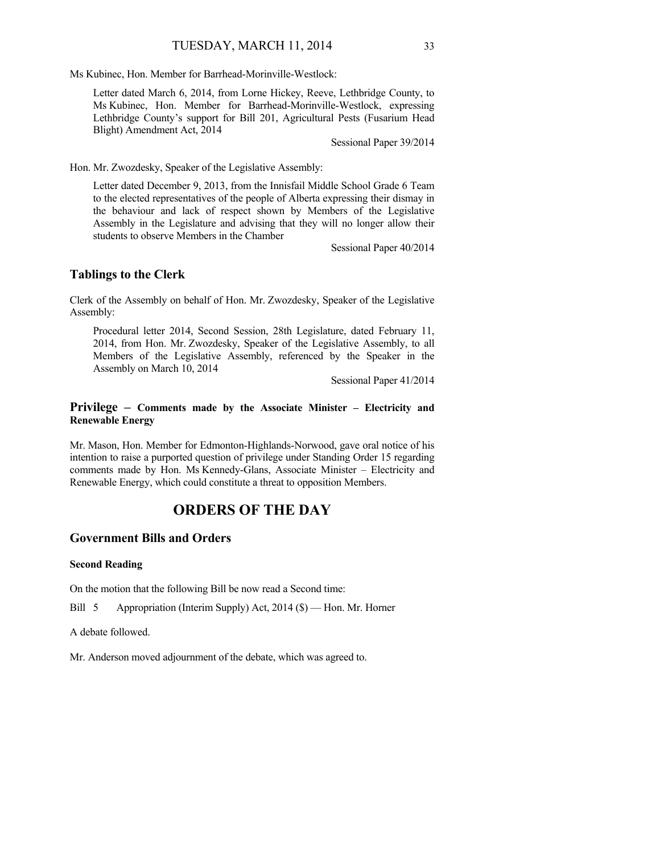Ms Kubinec, Hon. Member for Barrhead-Morinville-Westlock:

Letter dated March 6, 2014, from Lorne Hickey, Reeve, Lethbridge County, to Ms Kubinec, Hon. Member for Barrhead-Morinville-Westlock, expressing Lethbridge County's support for Bill 201, Agricultural Pests (Fusarium Head Blight) Amendment Act, 2014

Sessional Paper 39/2014

Hon. Mr. Zwozdesky, Speaker of the Legislative Assembly:

Letter dated December 9, 2013, from the Innisfail Middle School Grade 6 Team to the elected representatives of the people of Alberta expressing their dismay in the behaviour and lack of respect shown by Members of the Legislative Assembly in the Legislature and advising that they will no longer allow their students to observe Members in the Chamber

Sessional Paper 40/2014

## **Tablings to the Clerk**

Clerk of the Assembly on behalf of Hon. Mr. Zwozdesky, Speaker of the Legislative Assembly:

Procedural letter 2014, Second Session, 28th Legislature, dated February 11, 2014, from Hon. Mr. Zwozdesky, Speaker of the Legislative Assembly, to all Members of the Legislative Assembly, referenced by the Speaker in the Assembly on March 10, 2014

Sessional Paper 41/2014

### **Privilege – Comments made by the Associate Minister – Electricity and Renewable Energy**

Mr. Mason, Hon. Member for Edmonton-Highlands-Norwood, gave oral notice of his intention to raise a purported question of privilege under Standing Order 15 regarding comments made by Hon. Ms Kennedy-Glans, Associate Minister – Electricity and Renewable Energy, which could constitute a threat to opposition Members.

# **ORDERS OF THE DAY**

### **Government Bills and Orders**

### **Second Reading**

On the motion that the following Bill be now read a Second time:

Bill 5 Appropriation (Interim Supply) Act, 2014 (\$) — Hon. Mr. Horner

A debate followed.

Mr. Anderson moved adjournment of the debate, which was agreed to.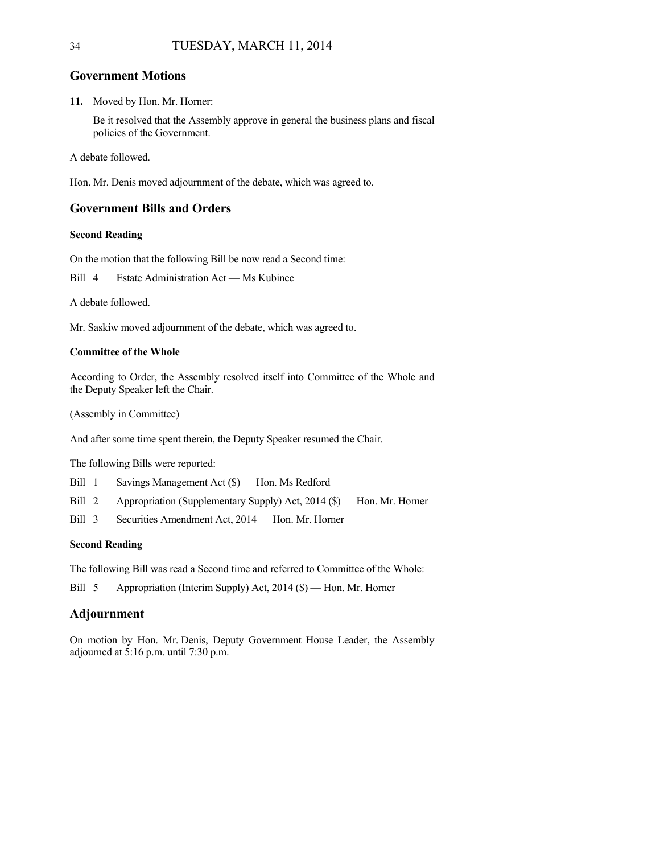# **Government Motions**

**11.** Moved by Hon. Mr. Horner:

Be it resolved that the Assembly approve in general the business plans and fiscal policies of the Government.

A debate followed.

Hon. Mr. Denis moved adjournment of the debate, which was agreed to.

## **Government Bills and Orders**

### **Second Reading**

On the motion that the following Bill be now read a Second time:

Bill 4 Estate Administration Act — Ms Kubinec

A debate followed.

Mr. Saskiw moved adjournment of the debate, which was agreed to.

### **Committee of the Whole**

According to Order, the Assembly resolved itself into Committee of the Whole and the Deputy Speaker left the Chair.

(Assembly in Committee)

And after some time spent therein, the Deputy Speaker resumed the Chair.

The following Bills were reported:

Bill 1 Savings Management Act (\$) — Hon. Ms Redford

Bill 2 Appropriation (Supplementary Supply) Act, 2014 (\$) — Hon. Mr. Horner

Bill 3 Securities Amendment Act, 2014 — Hon. Mr. Horner

### **Second Reading**

The following Bill was read a Second time and referred to Committee of the Whole:

Bill 5 Appropriation (Interim Supply) Act, 2014 (\$) — Hon. Mr. Horner

# **Adjournment**

On motion by Hon. Mr. Denis, Deputy Government House Leader, the Assembly adjourned at 5:16 p.m. until 7:30 p.m.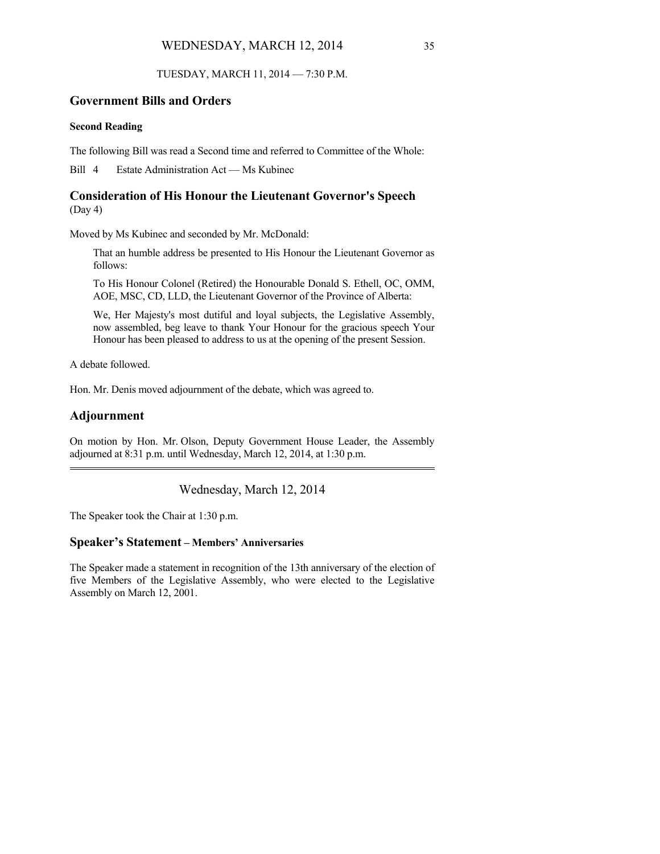### WEDNESDAY, MARCH 12, 2014 35

TUESDAY, MARCH 11, 2014 — 7:30 P.M.

# **Government Bills and Orders**

### **Second Reading**

The following Bill was read a Second time and referred to Committee of the Whole:

Bill 4 Estate Administration Act — Ms Kubinec

# **Consideration of His Honour the Lieutenant Governor's Speech**  (Day 4)

Moved by Ms Kubinec and seconded by Mr. McDonald:

That an humble address be presented to His Honour the Lieutenant Governor as follows:

To His Honour Colonel (Retired) the Honourable Donald S. Ethell, OC, OMM, AOE, MSC, CD, LLD, the Lieutenant Governor of the Province of Alberta:

We, Her Majesty's most dutiful and loyal subjects, the Legislative Assembly, now assembled, beg leave to thank Your Honour for the gracious speech Your Honour has been pleased to address to us at the opening of the present Session.

A debate followed.

Hon. Mr. Denis moved adjournment of the debate, which was agreed to.

# **Adjournment**

On motion by Hon. Mr. Olson, Deputy Government House Leader, the Assembly adjourned at 8:31 p.m. until Wednesday, March 12, 2014, at 1:30 p.m.

Wednesday, March 12, 2014

The Speaker took the Chair at 1:30 p.m.

## **Speaker's Statement – Members' Anniversaries**

The Speaker made a statement in recognition of the 13th anniversary of the election of five Members of the Legislative Assembly, who were elected to the Legislative Assembly on March 12, 2001.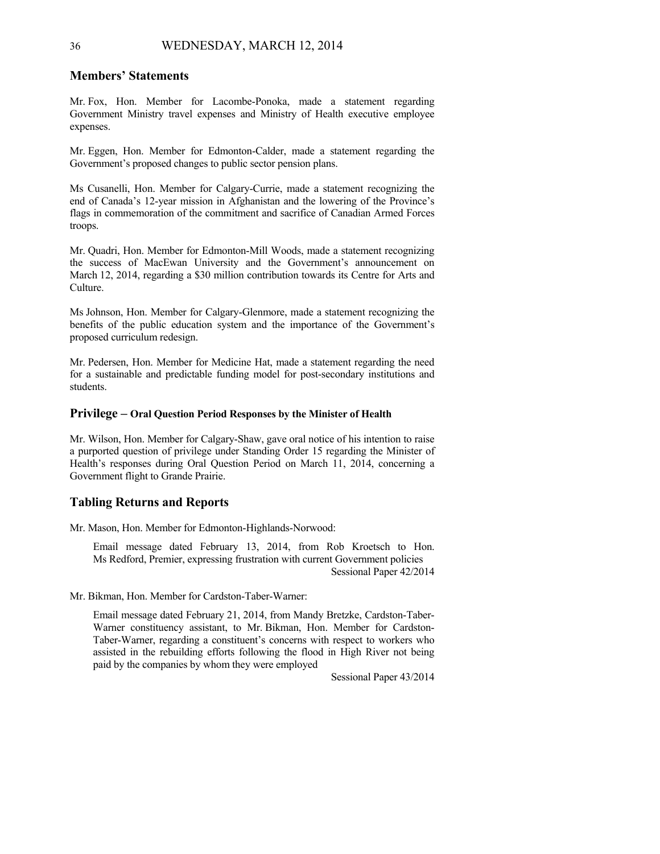### **Members' Statements**

Mr. Fox, Hon. Member for Lacombe-Ponoka, made a statement regarding Government Ministry travel expenses and Ministry of Health executive employee expenses.

Mr. Eggen, Hon. Member for Edmonton-Calder, made a statement regarding the Government's proposed changes to public sector pension plans.

Ms Cusanelli, Hon. Member for Calgary-Currie, made a statement recognizing the end of Canada's 12-year mission in Afghanistan and the lowering of the Province's flags in commemoration of the commitment and sacrifice of Canadian Armed Forces troops.

Mr. Quadri, Hon. Member for Edmonton-Mill Woods, made a statement recognizing the success of MacEwan University and the Government's announcement on March 12, 2014, regarding a \$30 million contribution towards its Centre for Arts and Culture.

Ms Johnson, Hon. Member for Calgary-Glenmore, made a statement recognizing the benefits of the public education system and the importance of the Government's proposed curriculum redesign.

Mr. Pedersen, Hon. Member for Medicine Hat, made a statement regarding the need for a sustainable and predictable funding model for post-secondary institutions and students.

#### **Privilege – Oral Question Period Responses by the Minister of Health**

Mr. Wilson, Hon. Member for Calgary-Shaw, gave oral notice of his intention to raise a purported question of privilege under Standing Order 15 regarding the Minister of Health's responses during Oral Question Period on March 11, 2014, concerning a Government flight to Grande Prairie.

### **Tabling Returns and Reports**

Mr. Mason, Hon. Member for Edmonton-Highlands-Norwood:

Email message dated February 13, 2014, from Rob Kroetsch to Hon. Ms Redford, Premier, expressing frustration with current Government policies Sessional Paper 42/2014

Mr. Bikman, Hon. Member for Cardston-Taber-Warner:

Email message dated February 21, 2014, from Mandy Bretzke, Cardston-Taber-Warner constituency assistant, to Mr. Bikman, Hon. Member for Cardston-Taber-Warner, regarding a constituent's concerns with respect to workers who assisted in the rebuilding efforts following the flood in High River not being paid by the companies by whom they were employed

Sessional Paper 43/2014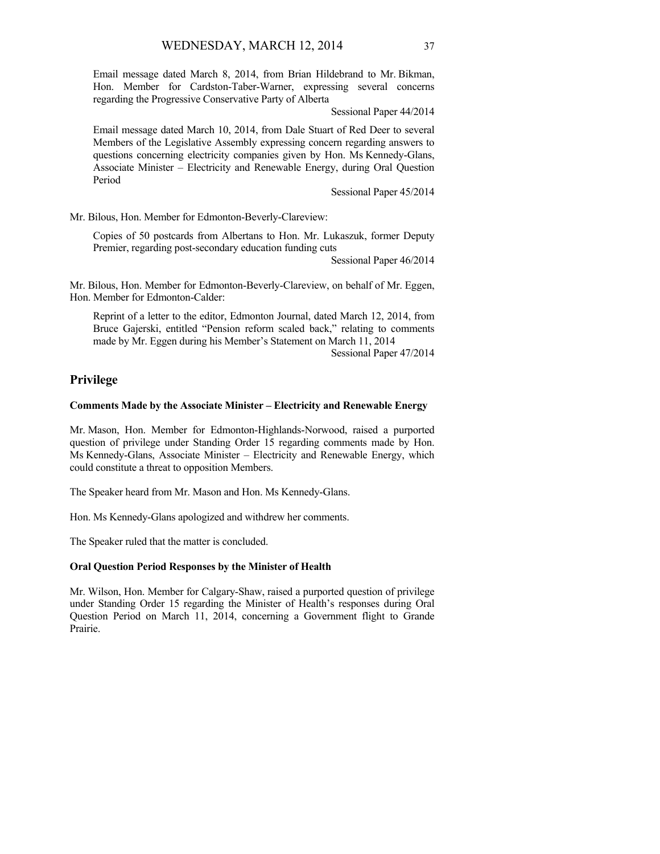Email message dated March 8, 2014, from Brian Hildebrand to Mr. Bikman, Hon. Member for Cardston-Taber-Warner, expressing several concerns regarding the Progressive Conservative Party of Alberta

Sessional Paper 44/2014

Email message dated March 10, 2014, from Dale Stuart of Red Deer to several Members of the Legislative Assembly expressing concern regarding answers to questions concerning electricity companies given by Hon. Ms Kennedy-Glans, Associate Minister – Electricity and Renewable Energy, during Oral Question Period

Sessional Paper 45/2014

Mr. Bilous, Hon. Member for Edmonton-Beverly-Clareview:

Copies of 50 postcards from Albertans to Hon. Mr. Lukaszuk, former Deputy Premier, regarding post-secondary education funding cuts

Sessional Paper 46/2014

Mr. Bilous, Hon. Member for Edmonton-Beverly-Clareview, on behalf of Mr. Eggen, Hon. Member for Edmonton-Calder:

Reprint of a letter to the editor, Edmonton Journal, dated March 12, 2014, from Bruce Gajerski, entitled "Pension reform scaled back," relating to comments made by Mr. Eggen during his Member's Statement on March 11, 2014

Sessional Paper 47/2014

## **Privilege**

#### **Comments Made by the Associate Minister – Electricity and Renewable Energy**

Mr. Mason, Hon. Member for Edmonton-Highlands-Norwood, raised a purported question of privilege under Standing Order 15 regarding comments made by Hon. Ms Kennedy-Glans, Associate Minister – Electricity and Renewable Energy, which could constitute a threat to opposition Members.

The Speaker heard from Mr. Mason and Hon. Ms Kennedy-Glans.

Hon. Ms Kennedy-Glans apologized and withdrew her comments.

The Speaker ruled that the matter is concluded.

### **Oral Question Period Responses by the Minister of Health**

Mr. Wilson, Hon. Member for Calgary-Shaw, raised a purported question of privilege under Standing Order 15 regarding the Minister of Health's responses during Oral Question Period on March 11, 2014, concerning a Government flight to Grande Prairie.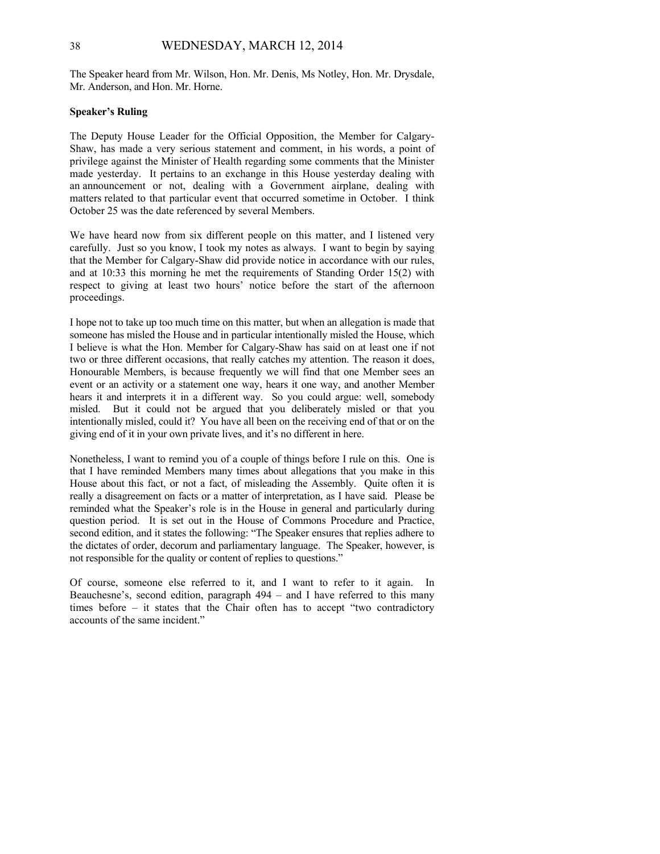The Speaker heard from Mr. Wilson, Hon. Mr. Denis, Ms Notley, Hon. Mr. Drysdale, Mr. Anderson, and Hon. Mr. Horne.

#### **Speaker's Ruling**

The Deputy House Leader for the Official Opposition, the Member for Calgary-Shaw, has made a very serious statement and comment, in his words, a point of privilege against the Minister of Health regarding some comments that the Minister made yesterday. It pertains to an exchange in this House yesterday dealing with an announcement or not, dealing with a Government airplane, dealing with matters related to that particular event that occurred sometime in October. I think October 25 was the date referenced by several Members.

We have heard now from six different people on this matter, and I listened very carefully. Just so you know, I took my notes as always. I want to begin by saying that the Member for Calgary-Shaw did provide notice in accordance with our rules, and at 10:33 this morning he met the requirements of Standing Order 15(2) with respect to giving at least two hours' notice before the start of the afternoon proceedings.

I hope not to take up too much time on this matter, but when an allegation is made that someone has misled the House and in particular intentionally misled the House, which I believe is what the Hon. Member for Calgary-Shaw has said on at least one if not two or three different occasions, that really catches my attention. The reason it does, Honourable Members, is because frequently we will find that one Member sees an event or an activity or a statement one way, hears it one way, and another Member hears it and interprets it in a different way. So you could argue: well, somebody misled. But it could not be argued that you deliberately misled or that you intentionally misled, could it? You have all been on the receiving end of that or on the giving end of it in your own private lives, and it's no different in here.

Nonetheless, I want to remind you of a couple of things before I rule on this. One is that I have reminded Members many times about allegations that you make in this House about this fact, or not a fact, of misleading the Assembly. Quite often it is really a disagreement on facts or a matter of interpretation, as I have said. Please be reminded what the Speaker's role is in the House in general and particularly during question period. It is set out in the House of Commons Procedure and Practice, second edition, and it states the following: "The Speaker ensures that replies adhere to the dictates of order, decorum and parliamentary language. The Speaker, however, is not responsible for the quality or content of replies to questions."

Of course, someone else referred to it, and I want to refer to it again. In Beauchesne's, second edition, paragraph  $494 -$  and I have referred to this many times before – it states that the Chair often has to accept "two contradictory accounts of the same incident."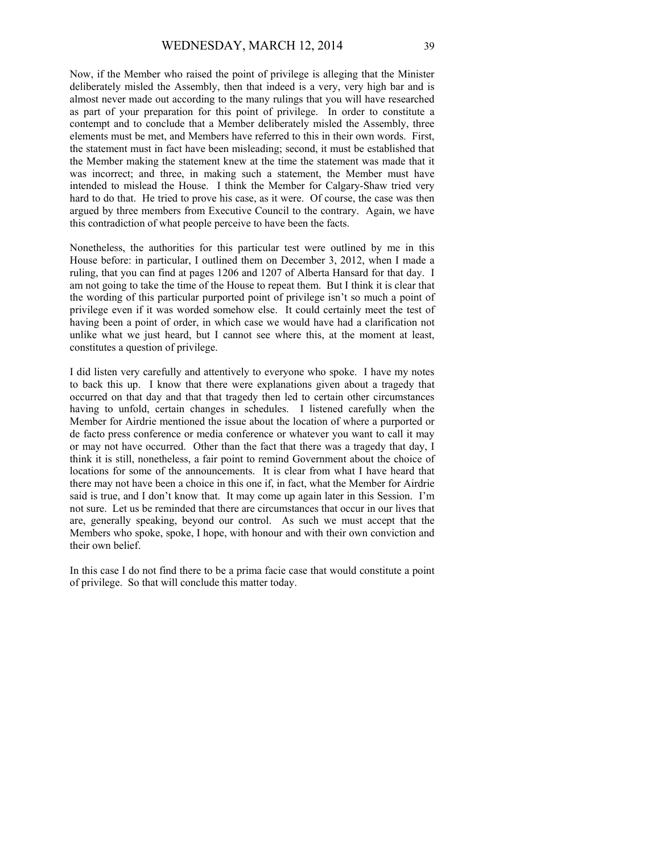Now, if the Member who raised the point of privilege is alleging that the Minister deliberately misled the Assembly, then that indeed is a very, very high bar and is almost never made out according to the many rulings that you will have researched as part of your preparation for this point of privilege. In order to constitute a contempt and to conclude that a Member deliberately misled the Assembly, three elements must be met, and Members have referred to this in their own words. First, the statement must in fact have been misleading; second, it must be established that the Member making the statement knew at the time the statement was made that it was incorrect; and three, in making such a statement, the Member must have intended to mislead the House. I think the Member for Calgary-Shaw tried very hard to do that. He tried to prove his case, as it were. Of course, the case was then argued by three members from Executive Council to the contrary. Again, we have this contradiction of what people perceive to have been the facts.

Nonetheless, the authorities for this particular test were outlined by me in this House before: in particular, I outlined them on December 3, 2012, when I made a ruling, that you can find at pages 1206 and 1207 of Alberta Hansard for that day. I am not going to take the time of the House to repeat them. But I think it is clear that the wording of this particular purported point of privilege isn't so much a point of privilege even if it was worded somehow else. It could certainly meet the test of having been a point of order, in which case we would have had a clarification not unlike what we just heard, but I cannot see where this, at the moment at least, constitutes a question of privilege.

I did listen very carefully and attentively to everyone who spoke. I have my notes to back this up. I know that there were explanations given about a tragedy that occurred on that day and that that tragedy then led to certain other circumstances having to unfold, certain changes in schedules. I listened carefully when the Member for Airdrie mentioned the issue about the location of where a purported or de facto press conference or media conference or whatever you want to call it may or may not have occurred. Other than the fact that there was a tragedy that day, I think it is still, nonetheless, a fair point to remind Government about the choice of locations for some of the announcements. It is clear from what I have heard that there may not have been a choice in this one if, in fact, what the Member for Airdrie said is true, and I don't know that. It may come up again later in this Session. I'm not sure. Let us be reminded that there are circumstances that occur in our lives that are, generally speaking, beyond our control. As such we must accept that the Members who spoke, spoke, I hope, with honour and with their own conviction and their own belief.

In this case I do not find there to be a prima facie case that would constitute a point of privilege. So that will conclude this matter today.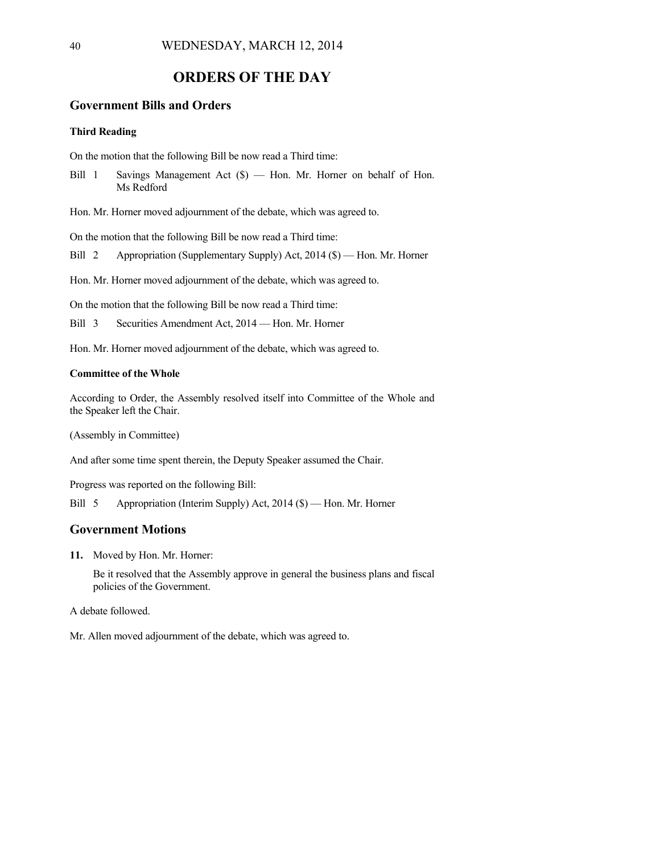# **ORDERS OF THE DAY**

## **Government Bills and Orders**

### **Third Reading**

On the motion that the following Bill be now read a Third time:

Bill 1 Savings Management Act (\$) — Hon. Mr. Horner on behalf of Hon. Ms Redford

Hon. Mr. Horner moved adjournment of the debate, which was agreed to.

On the motion that the following Bill be now read a Third time:

Bill 2 Appropriation (Supplementary Supply) Act, 2014 (\$) — Hon. Mr. Horner

Hon. Mr. Horner moved adjournment of the debate, which was agreed to.

On the motion that the following Bill be now read a Third time:

Bill 3 Securities Amendment Act, 2014 — Hon. Mr. Horner

Hon. Mr. Horner moved adjournment of the debate, which was agreed to.

### **Committee of the Whole**

According to Order, the Assembly resolved itself into Committee of the Whole and the Speaker left the Chair.

(Assembly in Committee)

And after some time spent therein, the Deputy Speaker assumed the Chair.

Progress was reported on the following Bill:

Bill 5 Appropriation (Interim Supply) Act, 2014 (\$) — Hon. Mr. Horner

## **Government Motions**

**11.** Moved by Hon. Mr. Horner:

Be it resolved that the Assembly approve in general the business plans and fiscal policies of the Government.

A debate followed.

Mr. Allen moved adjournment of the debate, which was agreed to.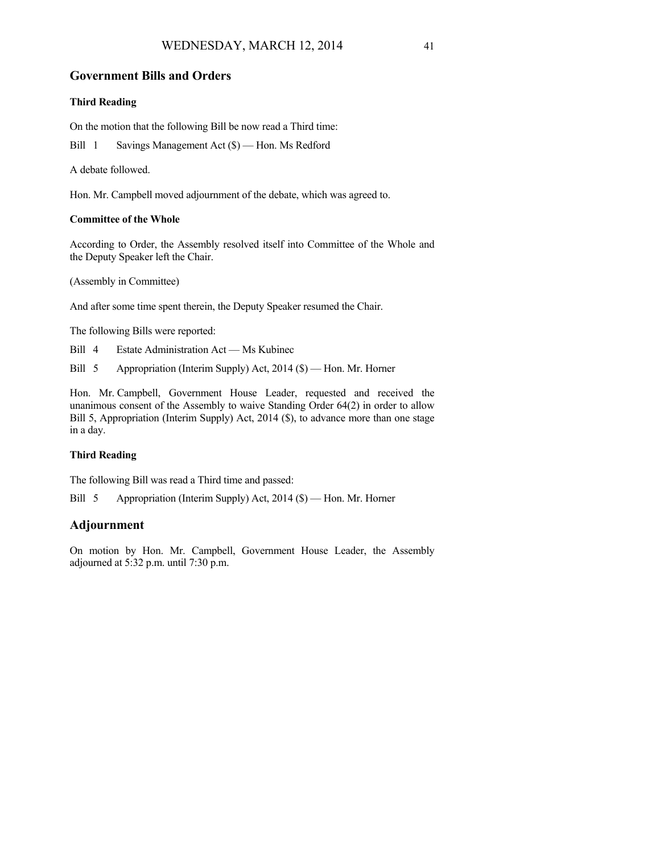## **Government Bills and Orders**

## **Third Reading**

On the motion that the following Bill be now read a Third time:

Bill 1 Savings Management Act (\$) — Hon. Ms Redford

A debate followed.

Hon. Mr. Campbell moved adjournment of the debate, which was agreed to.

### **Committee of the Whole**

According to Order, the Assembly resolved itself into Committee of the Whole and the Deputy Speaker left the Chair.

(Assembly in Committee)

And after some time spent therein, the Deputy Speaker resumed the Chair.

The following Bills were reported:

Bill 4 Estate Administration Act — Ms Kubinec

Bill 5 Appropriation (Interim Supply) Act, 2014 (\$) — Hon. Mr. Horner

Hon. Mr. Campbell, Government House Leader, requested and received the unanimous consent of the Assembly to waive Standing Order 64(2) in order to allow Bill 5, Appropriation (Interim Supply) Act, 2014 (\$), to advance more than one stage in a day.

## **Third Reading**

The following Bill was read a Third time and passed:

Bill 5 Appropriation (Interim Supply) Act, 2014 (\$) — Hon. Mr. Horner

# **Adjournment**

On motion by Hon. Mr. Campbell, Government House Leader, the Assembly adjourned at 5:32 p.m. until 7:30 p.m.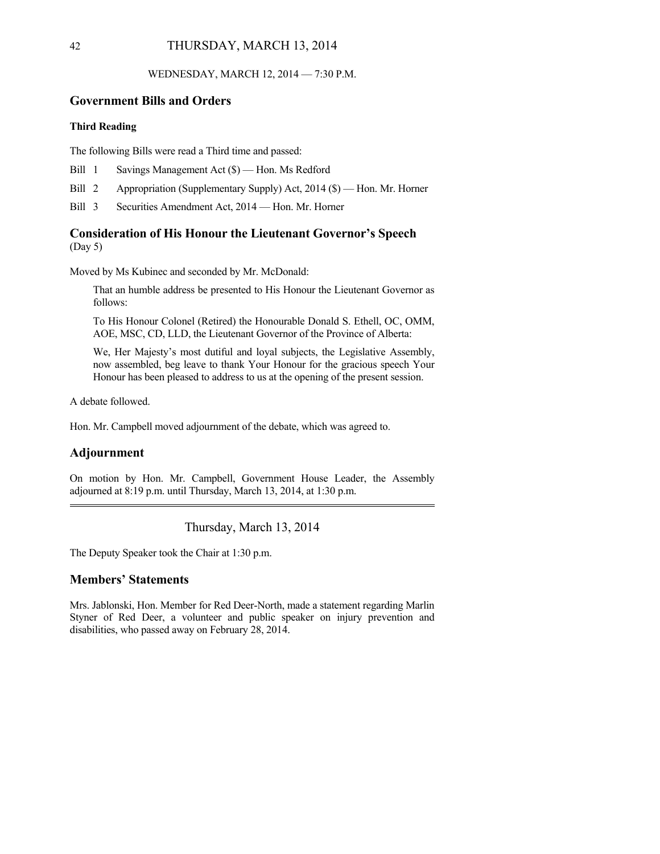WEDNESDAY, MARCH 12, 2014 — 7:30 P.M.

# **Government Bills and Orders**

### **Third Reading**

The following Bills were read a Third time and passed:

- Bill 1 Savings Management Act (\$) Hon. Ms Redford
- Bill 2 Appropriation (Supplementary Supply) Act, 2014 (\$) Hon. Mr. Horner
- Bill 3 Securities Amendment Act, 2014 Hon. Mr. Horner

# **Consideration of His Honour the Lieutenant Governor's Speech**

(Day 5)

Moved by Ms Kubinec and seconded by Mr. McDonald:

That an humble address be presented to His Honour the Lieutenant Governor as follows:

To His Honour Colonel (Retired) the Honourable Donald S. Ethell, OC, OMM, AOE, MSC, CD, LLD, the Lieutenant Governor of the Province of Alberta:

We, Her Majesty's most dutiful and loyal subjects, the Legislative Assembly, now assembled, beg leave to thank Your Honour for the gracious speech Your Honour has been pleased to address to us at the opening of the present session.

A debate followed.

Hon. Mr. Campbell moved adjournment of the debate, which was agreed to.

## **Adjournment**

On motion by Hon. Mr. Campbell, Government House Leader, the Assembly adjourned at 8:19 p.m. until Thursday, March 13, 2014, at 1:30 p.m.

Thursday, March 13, 2014

The Deputy Speaker took the Chair at 1:30 p.m.

## **Members' Statements**

Mrs. Jablonski, Hon. Member for Red Deer-North, made a statement regarding Marlin Styner of Red Deer, a volunteer and public speaker on injury prevention and disabilities, who passed away on February 28, 2014.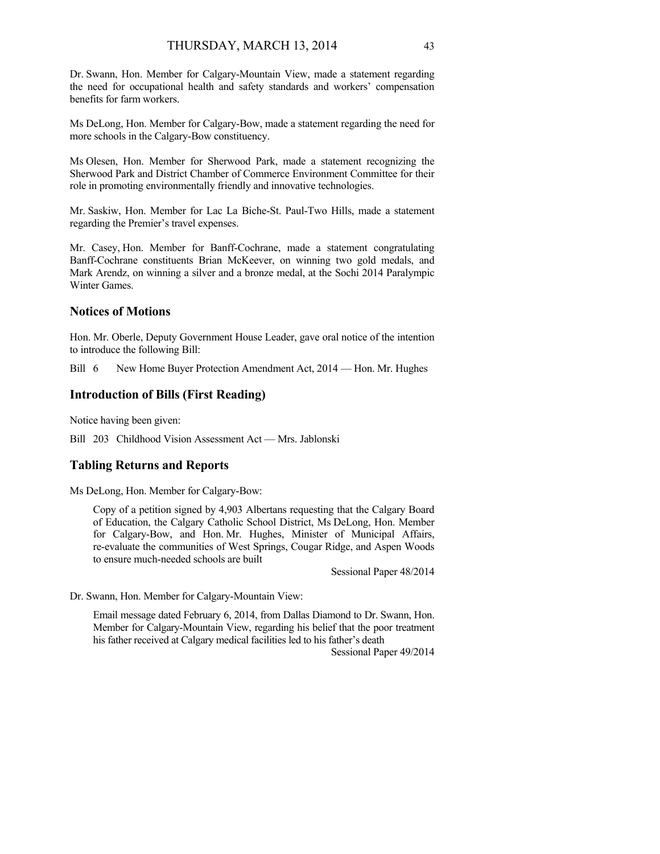Dr. Swann, Hon. Member for Calgary-Mountain View, made a statement regarding the need for occupational health and safety standards and workers' compensation benefits for farm workers.

Ms DeLong, Hon. Member for Calgary-Bow, made a statement regarding the need for more schools in the Calgary-Bow constituency.

Ms Olesen, Hon. Member for Sherwood Park, made a statement recognizing the Sherwood Park and District Chamber of Commerce Environment Committee for their role in promoting environmentally friendly and innovative technologies.

Mr. Saskiw, Hon. Member for Lac La Biche-St. Paul-Two Hills, made a statement regarding the Premier's travel expenses.

Mr. Casey, Hon. Member for Banff-Cochrane, made a statement congratulating Banff-Cochrane constituents Brian McKeever, on winning two gold medals, and Mark Arendz, on winning a silver and a bronze medal, at the Sochi 2014 Paralympic Winter Games.

## **Notices of Motions**

Hon. Mr. Oberle, Deputy Government House Leader, gave oral notice of the intention to introduce the following Bill:

Bill 6 New Home Buyer Protection Amendment Act, 2014 — Hon. Mr. Hughes

### **Introduction of Bills (First Reading)**

Notice having been given:

Bill 203 Childhood Vision Assessment Act — Mrs. Jablonski

### **Tabling Returns and Reports**

Ms DeLong, Hon. Member for Calgary-Bow:

Copy of a petition signed by 4,903 Albertans requesting that the Calgary Board of Education, the Calgary Catholic School District, Ms DeLong, Hon. Member for Calgary-Bow, and Hon. Mr. Hughes, Minister of Municipal Affairs, re-evaluate the communities of West Springs, Cougar Ridge, and Aspen Woods to ensure much-needed schools are built

Sessional Paper 48/2014

Dr. Swann, Hon. Member for Calgary-Mountain View:

Email message dated February 6, 2014, from Dallas Diamond to Dr. Swann, Hon. Member for Calgary-Mountain View, regarding his belief that the poor treatment his father received at Calgary medical facilities led to his father's death

Sessional Paper 49/2014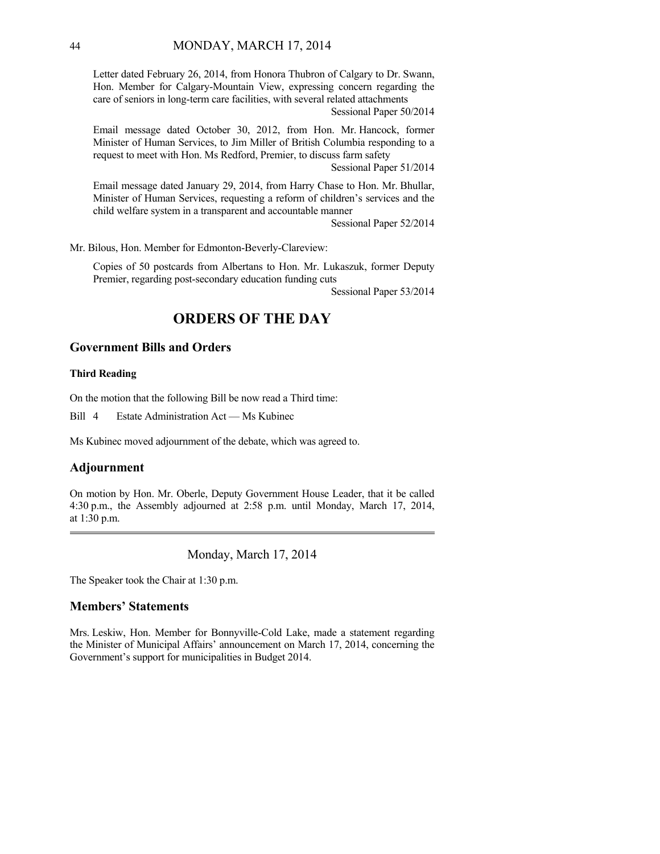Letter dated February 26, 2014, from Honora Thubron of Calgary to Dr. Swann, Hon. Member for Calgary-Mountain View, expressing concern regarding the care of seniors in long-term care facilities, with several related attachments

Sessional Paper 50/2014

Email message dated October 30, 2012, from Hon. Mr. Hancock, former Minister of Human Services, to Jim Miller of British Columbia responding to a request to meet with Hon. Ms Redford, Premier, to discuss farm safety

Sessional Paper 51/2014

Email message dated January 29, 2014, from Harry Chase to Hon. Mr. Bhullar, Minister of Human Services, requesting a reform of children's services and the child welfare system in a transparent and accountable manner

Sessional Paper 52/2014

Mr. Bilous, Hon. Member for Edmonton-Beverly-Clareview:

Copies of 50 postcards from Albertans to Hon. Mr. Lukaszuk, former Deputy Premier, regarding post-secondary education funding cuts

Sessional Paper 53/2014

# **ORDERS OF THE DAY**

## **Government Bills and Orders**

### **Third Reading**

On the motion that the following Bill be now read a Third time:

Bill 4 Estate Administration Act — Ms Kubinec

Ms Kubinec moved adjournment of the debate, which was agreed to.

## **Adjournment**

On motion by Hon. Mr. Oberle, Deputy Government House Leader, that it be called 4:30 p.m., the Assembly adjourned at 2:58 p.m. until Monday, March 17, 2014, at 1:30 p.m. 

Monday, March 17, 2014

The Speaker took the Chair at 1:30 p.m.

## **Members' Statements**

Mrs. Leskiw, Hon. Member for Bonnyville-Cold Lake, made a statement regarding the Minister of Municipal Affairs' announcement on March 17, 2014, concerning the Government's support for municipalities in Budget 2014.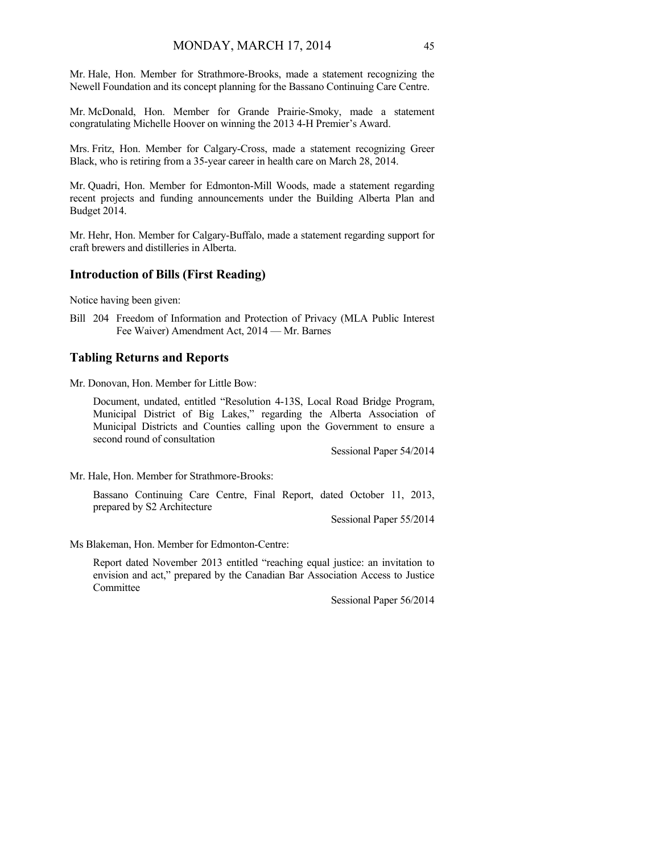Mr. Hale, Hon. Member for Strathmore-Brooks, made a statement recognizing the Newell Foundation and its concept planning for the Bassano Continuing Care Centre.

Mr. McDonald, Hon. Member for Grande Prairie-Smoky, made a statement congratulating Michelle Hoover on winning the 2013 4-H Premier's Award.

Mrs. Fritz, Hon. Member for Calgary-Cross, made a statement recognizing Greer Black, who is retiring from a 35-year career in health care on March 28, 2014.

Mr. Quadri, Hon. Member for Edmonton-Mill Woods, made a statement regarding recent projects and funding announcements under the Building Alberta Plan and Budget 2014.

Mr. Hehr, Hon. Member for Calgary-Buffalo, made a statement regarding support for craft brewers and distilleries in Alberta.

# **Introduction of Bills (First Reading)**

Notice having been given:

Bill 204 Freedom of Information and Protection of Privacy (MLA Public Interest Fee Waiver) Amendment Act, 2014 — Mr. Barnes

### **Tabling Returns and Reports**

Mr. Donovan, Hon. Member for Little Bow:

Document, undated, entitled "Resolution 4-13S, Local Road Bridge Program, Municipal District of Big Lakes," regarding the Alberta Association of Municipal Districts and Counties calling upon the Government to ensure a second round of consultation

Sessional Paper 54/2014

Mr. Hale, Hon. Member for Strathmore-Brooks:

Bassano Continuing Care Centre, Final Report, dated October 11, 2013, prepared by S2 Architecture

Sessional Paper 55/2014

Ms Blakeman, Hon. Member for Edmonton-Centre:

Report dated November 2013 entitled "reaching equal justice: an invitation to envision and act," prepared by the Canadian Bar Association Access to Justice Committee

Sessional Paper 56/2014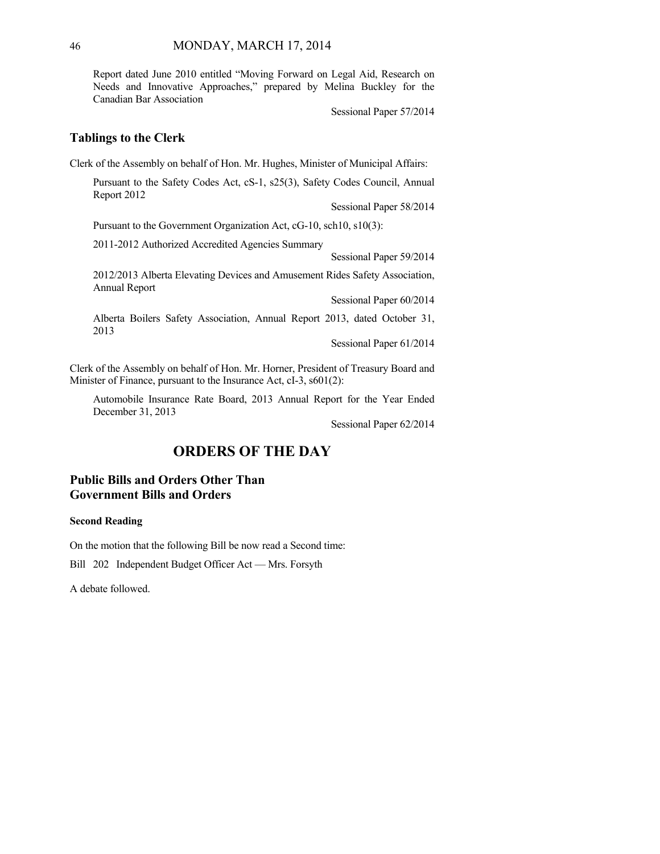Report dated June 2010 entitled "Moving Forward on Legal Aid, Research on Needs and Innovative Approaches," prepared by Melina Buckley for the Canadian Bar Association

Sessional Paper 57/2014

## **Tablings to the Clerk**

Clerk of the Assembly on behalf of Hon. Mr. Hughes, Minister of Municipal Affairs:

Pursuant to the Safety Codes Act, cS-1, s25(3), Safety Codes Council, Annual Report 2012

Sessional Paper 58/2014

Pursuant to the Government Organization Act, cG-10, sch10, s10(3):

2011-2012 Authorized Accredited Agencies Summary

Sessional Paper 59/2014

2012/2013 Alberta Elevating Devices and Amusement Rides Safety Association, Annual Report

Sessional Paper 60/2014

Alberta Boilers Safety Association, Annual Report 2013, dated October 31, 2013

Sessional Paper 61/2014

Clerk of the Assembly on behalf of Hon. Mr. Horner, President of Treasury Board and Minister of Finance, pursuant to the Insurance Act, cI-3, s601(2):

Automobile Insurance Rate Board, 2013 Annual Report for the Year Ended December 31, 2013

Sessional Paper 62/2014

# **ORDERS OF THE DAY**

# **Public Bills and Orders Other Than Government Bills and Orders**

#### **Second Reading**

On the motion that the following Bill be now read a Second time:

Bill 202 Independent Budget Officer Act — Mrs. Forsyth

A debate followed.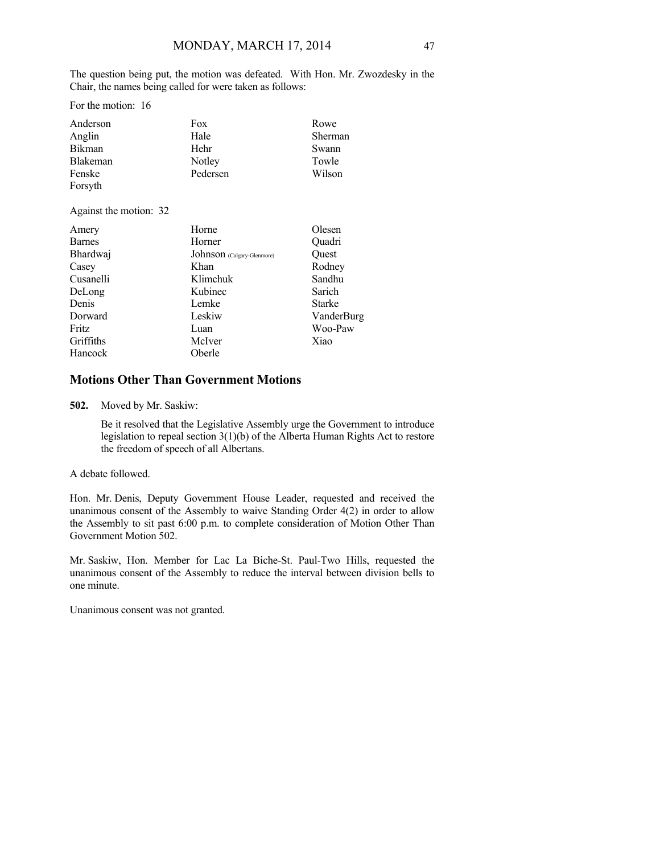The question being put, the motion was defeated. With Hon. Mr. Zwozdesky in the Chair, the names being called for were taken as follows:

For the motion: 16

| Anderson        | Fox      | Rowe    |
|-----------------|----------|---------|
| Anglin          | Hale     | Sherman |
| Bikman          | Hehr     | Swann   |
| <b>Blakeman</b> | Notley   | Towle   |
| Fenske          | Pedersen | Wilson  |
| Forsyth         |          |         |

Against the motion: 32

| Amery         | Horne                      | Olesen        |
|---------------|----------------------------|---------------|
| <b>Barnes</b> | Horner                     | Ouadri        |
| Bhardwaj      | Johnson (Calgary-Glenmore) | Ouest         |
| Casey         | Khan                       | Rodney        |
| Cusanelli     | Klimchuk                   | Sandhu        |
| DeLong        | Kubinec                    | Sarich        |
| Denis         | Lemke                      | <b>Starke</b> |
| Dorward       | Leskiw                     | VanderBurg    |
| Fritz         | Luan                       | Woo-Paw       |
| Griffiths     | McIver                     | Xiao          |
| Hancock       | Oberle                     |               |

# **Motions Other Than Government Motions**

**502.** Moved by Mr. Saskiw:

Be it resolved that the Legislative Assembly urge the Government to introduce legislation to repeal section 3(1)(b) of the Alberta Human Rights Act to restore the freedom of speech of all Albertans.

### A debate followed.

Hon. Mr. Denis, Deputy Government House Leader, requested and received the unanimous consent of the Assembly to waive Standing Order 4(2) in order to allow the Assembly to sit past 6:00 p.m. to complete consideration of Motion Other Than Government Motion 502.

Mr. Saskiw, Hon. Member for Lac La Biche-St. Paul-Two Hills, requested the unanimous consent of the Assembly to reduce the interval between division bells to one minute.

Unanimous consent was not granted.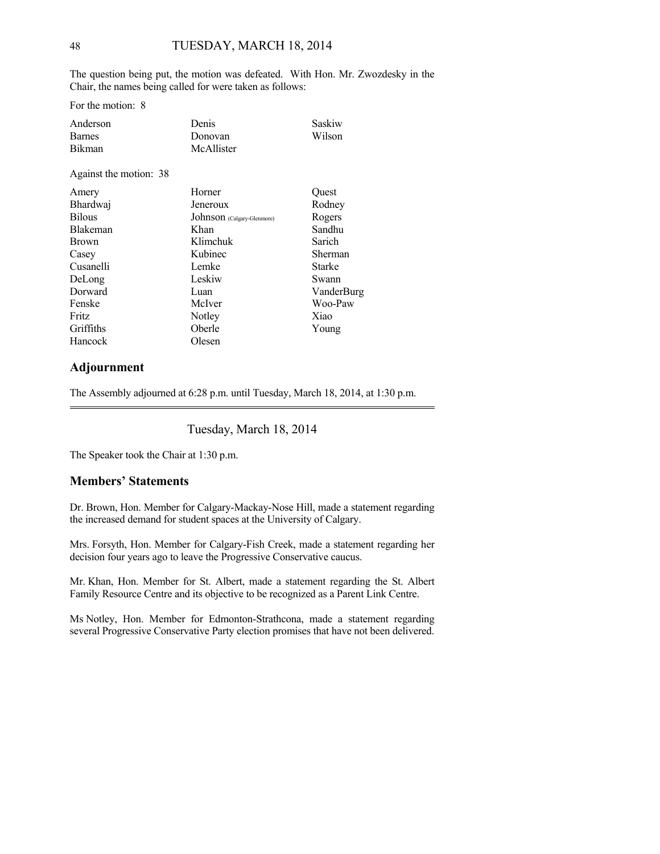The question being put, the motion was defeated. With Hon. Mr. Zwozdesky in the Chair, the names being called for were taken as follows:

For the motion: 8

| Anderson      | Denis      | Saskiw |
|---------------|------------|--------|
| <b>Barnes</b> | Donovan    | Wilson |
| <b>Bikman</b> | McAllister |        |

Against the motion: 38

| Amery           | Horner                     | Quest         |
|-----------------|----------------------------|---------------|
| Bhardwaj        | Jeneroux                   | Rodney        |
| <b>Bilous</b>   | Johnson (Calgary-Glenmore) | Rogers        |
| <b>Blakeman</b> | Khan                       | Sandhu        |
| <b>Brown</b>    | Klimchuk                   | Sarich        |
| Casey           | Kubinec                    | Sherman       |
| Cusanelli       | Lemke                      | <b>Starke</b> |
| DeLong          | Leskiw                     | Swann         |
| Dorward         | Luan                       | VanderBurg    |
| Fenske          | McIver                     | Woo-Paw       |
| Fritz           | Notley                     | Xiao          |
| Griffiths       | Oberle                     | Young         |
| Hancock         | Olesen                     |               |

## **Adjournment**

The Assembly adjourned at 6:28 p.m. until Tuesday, March 18, 2014, at 1:30 p.m.

Tuesday, March 18, 2014

The Speaker took the Chair at 1:30 p.m.

## **Members' Statements**

Dr. Brown, Hon. Member for Calgary-Mackay-Nose Hill, made a statement regarding the increased demand for student spaces at the University of Calgary.

Mrs. Forsyth, Hon. Member for Calgary-Fish Creek, made a statement regarding her decision four years ago to leave the Progressive Conservative caucus.

Mr. Khan, Hon. Member for St. Albert, made a statement regarding the St. Albert Family Resource Centre and its objective to be recognized as a Parent Link Centre.

Ms Notley, Hon. Member for Edmonton-Strathcona, made a statement regarding several Progressive Conservative Party election promises that have not been delivered.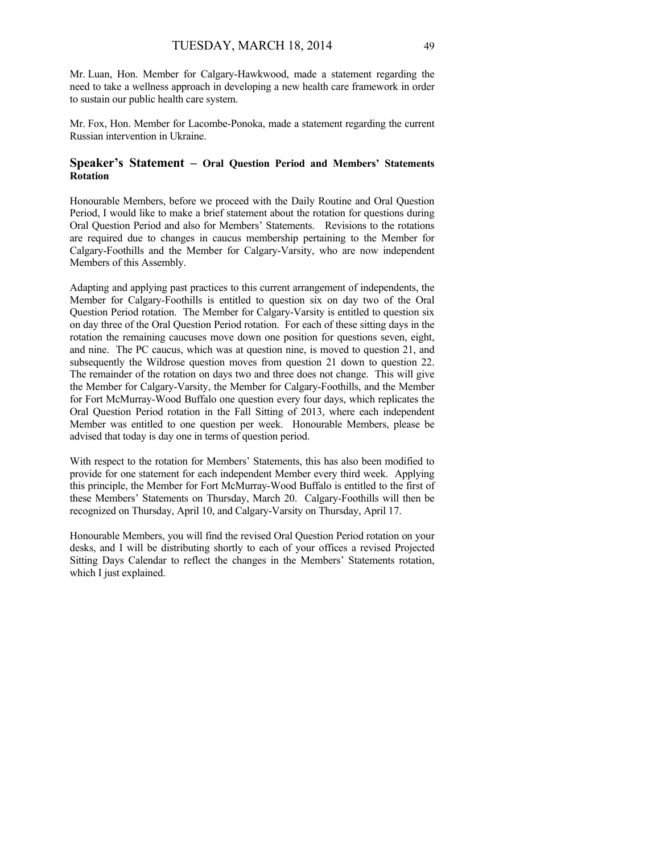Mr. Luan, Hon. Member for Calgary-Hawkwood, made a statement regarding the need to take a wellness approach in developing a new health care framework in order to sustain our public health care system.

Mr. Fox, Hon. Member for Lacombe-Ponoka, made a statement regarding the current Russian intervention in Ukraine.

## **Speaker's Statement – Oral Question Period and Members' Statements Rotation**

Honourable Members, before we proceed with the Daily Routine and Oral Question Period, I would like to make a brief statement about the rotation for questions during Oral Question Period and also for Members' Statements. Revisions to the rotations are required due to changes in caucus membership pertaining to the Member for Calgary-Foothills and the Member for Calgary-Varsity, who are now independent Members of this Assembly.

Adapting and applying past practices to this current arrangement of independents, the Member for Calgary-Foothills is entitled to question six on day two of the Oral Question Period rotation. The Member for Calgary-Varsity is entitled to question six on day three of the Oral Question Period rotation. For each of these sitting days in the rotation the remaining caucuses move down one position for questions seven, eight, and nine. The PC caucus, which was at question nine, is moved to question 21, and subsequently the Wildrose question moves from question 21 down to question 22. The remainder of the rotation on days two and three does not change. This will give the Member for Calgary-Varsity, the Member for Calgary-Foothills, and the Member for Fort McMurray-Wood Buffalo one question every four days, which replicates the Oral Question Period rotation in the Fall Sitting of 2013, where each independent Member was entitled to one question per week. Honourable Members, please be advised that today is day one in terms of question period.

With respect to the rotation for Members' Statements, this has also been modified to provide for one statement for each independent Member every third week. Applying this principle, the Member for Fort McMurray-Wood Buffalo is entitled to the first of these Members' Statements on Thursday, March 20. Calgary-Foothills will then be recognized on Thursday, April 10, and Calgary-Varsity on Thursday, April 17.

Honourable Members, you will find the revised Oral Question Period rotation on your desks, and I will be distributing shortly to each of your offices a revised Projected Sitting Days Calendar to reflect the changes in the Members' Statements rotation, which I just explained.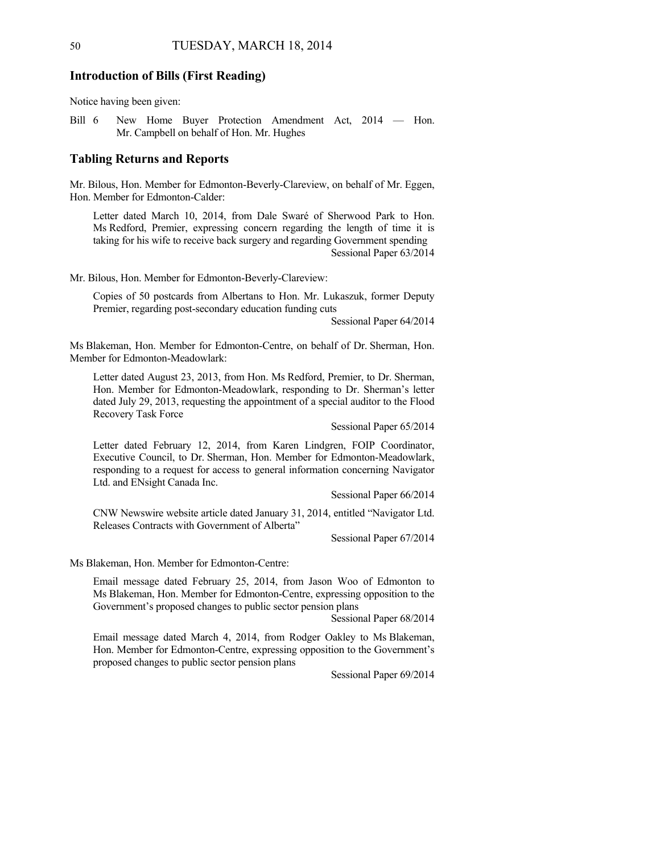### **Introduction of Bills (First Reading)**

Notice having been given:

Bill 6 New Home Buyer Protection Amendment Act, 2014 — Hon. Mr. Campbell on behalf of Hon. Mr. Hughes

### **Tabling Returns and Reports**

Mr. Bilous, Hon. Member for Edmonton-Beverly-Clareview, on behalf of Mr. Eggen, Hon. Member for Edmonton-Calder:

Letter dated March 10, 2014, from Dale Swaré of Sherwood Park to Hon. Ms Redford, Premier, expressing concern regarding the length of time it is taking for his wife to receive back surgery and regarding Government spending Sessional Paper 63/2014

Mr. Bilous, Hon. Member for Edmonton-Beverly-Clareview:

Copies of 50 postcards from Albertans to Hon. Mr. Lukaszuk, former Deputy Premier, regarding post-secondary education funding cuts

Sessional Paper 64/2014

Ms Blakeman, Hon. Member for Edmonton-Centre, on behalf of Dr. Sherman, Hon. Member for Edmonton-Meadowlark:

Letter dated August 23, 2013, from Hon. Ms Redford, Premier, to Dr. Sherman, Hon. Member for Edmonton-Meadowlark, responding to Dr. Sherman's letter dated July 29, 2013, requesting the appointment of a special auditor to the Flood Recovery Task Force

Sessional Paper 65/2014

Letter dated February 12, 2014, from Karen Lindgren, FOIP Coordinator, Executive Council, to Dr. Sherman, Hon. Member for Edmonton-Meadowlark, responding to a request for access to general information concerning Navigator Ltd. and ENsight Canada Inc.

Sessional Paper 66/2014

CNW Newswire website article dated January 31, 2014, entitled "Navigator Ltd. Releases Contracts with Government of Alberta"

Sessional Paper 67/2014

Ms Blakeman, Hon. Member for Edmonton-Centre:

Email message dated February 25, 2014, from Jason Woo of Edmonton to Ms Blakeman, Hon. Member for Edmonton-Centre, expressing opposition to the Government's proposed changes to public sector pension plans

Sessional Paper 68/2014

Email message dated March 4, 2014, from Rodger Oakley to Ms Blakeman, Hon. Member for Edmonton-Centre, expressing opposition to the Government's proposed changes to public sector pension plans

Sessional Paper 69/2014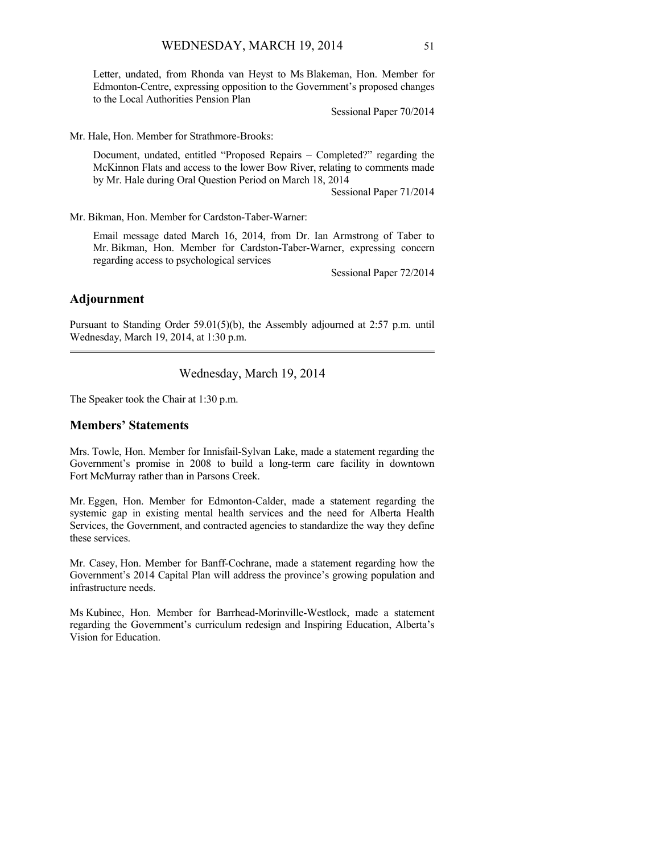Letter, undated, from Rhonda van Heyst to Ms Blakeman, Hon. Member for Edmonton-Centre, expressing opposition to the Government's proposed changes to the Local Authorities Pension Plan

Sessional Paper 70/2014

Mr. Hale, Hon. Member for Strathmore-Brooks:

Document, undated, entitled "Proposed Repairs – Completed?" regarding the McKinnon Flats and access to the lower Bow River, relating to comments made by Mr. Hale during Oral Question Period on March 18, 2014

Sessional Paper 71/2014

Mr. Bikman, Hon. Member for Cardston-Taber-Warner:

Email message dated March 16, 2014, from Dr. Ian Armstrong of Taber to Mr. Bikman, Hon. Member for Cardston-Taber-Warner, expressing concern regarding access to psychological services

Sessional Paper 72/2014

### **Adjournment**

Pursuant to Standing Order 59.01(5)(b), the Assembly adjourned at 2:57 p.m. until Wednesday, March 19, 2014, at 1:30 p.m. 

## Wednesday, March 19, 2014

The Speaker took the Chair at 1:30 p.m.

## **Members' Statements**

Mrs. Towle, Hon. Member for Innisfail-Sylvan Lake, made a statement regarding the Government's promise in 2008 to build a long-term care facility in downtown Fort McMurray rather than in Parsons Creek.

Mr. Eggen, Hon. Member for Edmonton-Calder, made a statement regarding the systemic gap in existing mental health services and the need for Alberta Health Services, the Government, and contracted agencies to standardize the way they define these services.

Mr. Casey, Hon. Member for Banff-Cochrane, made a statement regarding how the Government's 2014 Capital Plan will address the province's growing population and infrastructure needs.

Ms Kubinec, Hon. Member for Barrhead-Morinville-Westlock, made a statement regarding the Government's curriculum redesign and Inspiring Education, Alberta's Vision for Education.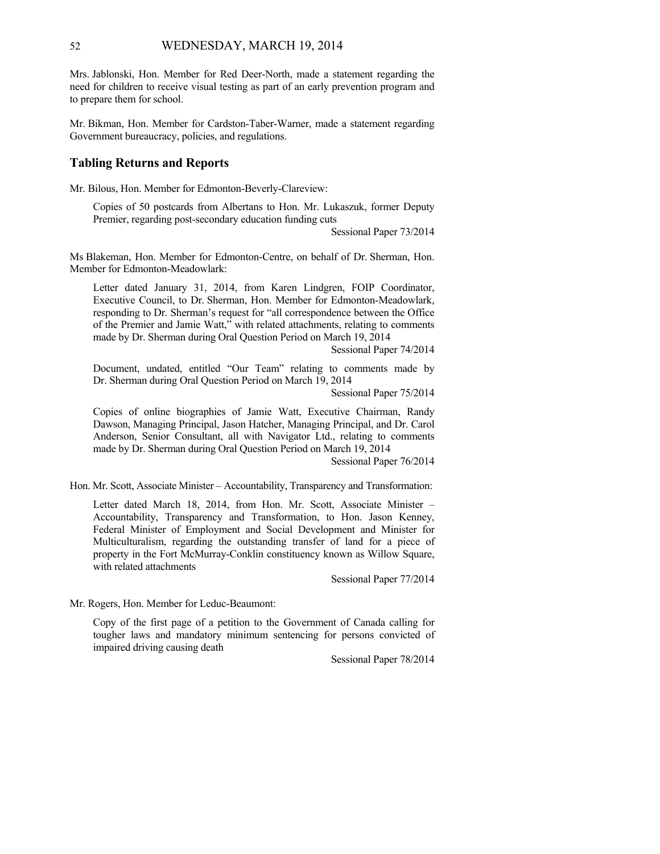Mrs. Jablonski, Hon. Member for Red Deer-North, made a statement regarding the need for children to receive visual testing as part of an early prevention program and to prepare them for school.

Mr. Bikman, Hon. Member for Cardston-Taber-Warner, made a statement regarding Government bureaucracy, policies, and regulations.

### **Tabling Returns and Reports**

Mr. Bilous, Hon. Member for Edmonton-Beverly-Clareview:

Copies of 50 postcards from Albertans to Hon. Mr. Lukaszuk, former Deputy Premier, regarding post-secondary education funding cuts

Sessional Paper 73/2014

Ms Blakeman, Hon. Member for Edmonton-Centre, on behalf of Dr. Sherman, Hon. Member for Edmonton-Meadowlark:

Letter dated January 31, 2014, from Karen Lindgren, FOIP Coordinator, Executive Council, to Dr. Sherman, Hon. Member for Edmonton-Meadowlark, responding to Dr. Sherman's request for "all correspondence between the Office of the Premier and Jamie Watt," with related attachments, relating to comments made by Dr. Sherman during Oral Question Period on March 19, 2014

Sessional Paper 74/2014

Document, undated, entitled "Our Team" relating to comments made by Dr. Sherman during Oral Question Period on March 19, 2014

Sessional Paper 75/2014

Copies of online biographies of Jamie Watt, Executive Chairman, Randy Dawson, Managing Principal, Jason Hatcher, Managing Principal, and Dr. Carol Anderson, Senior Consultant, all with Navigator Ltd., relating to comments made by Dr. Sherman during Oral Question Period on March 19, 2014

Sessional Paper 76/2014

Hon. Mr. Scott, Associate Minister – Accountability, Transparency and Transformation:

Letter dated March 18, 2014, from Hon. Mr. Scott, Associate Minister – Accountability, Transparency and Transformation, to Hon. Jason Kenney, Federal Minister of Employment and Social Development and Minister for Multiculturalism, regarding the outstanding transfer of land for a piece of property in the Fort McMurray-Conklin constituency known as Willow Square, with related attachments

Sessional Paper 77/2014

Mr. Rogers, Hon. Member for Leduc-Beaumont:

Copy of the first page of a petition to the Government of Canada calling for tougher laws and mandatory minimum sentencing for persons convicted of impaired driving causing death

Sessional Paper 78/2014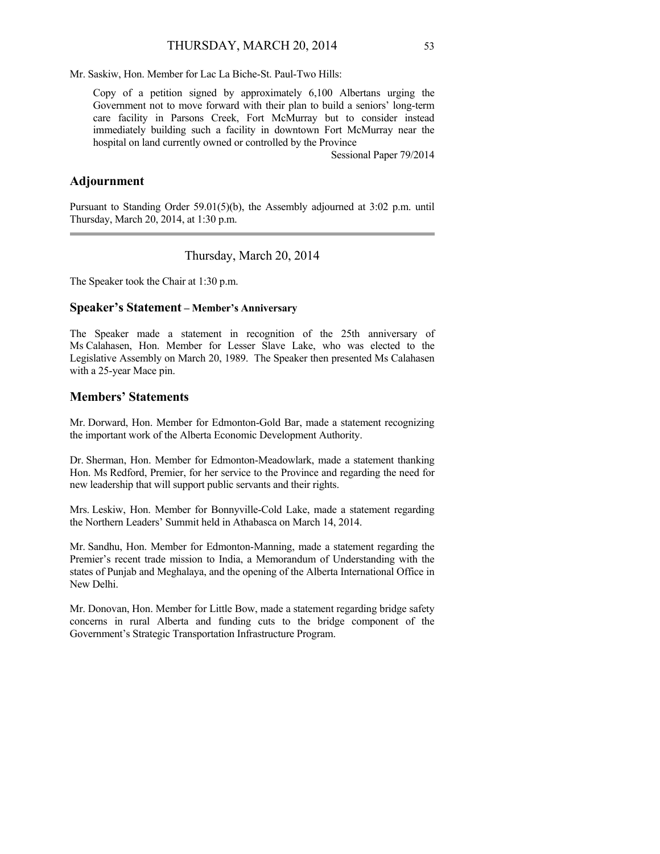Mr. Saskiw, Hon. Member for Lac La Biche-St. Paul-Two Hills:

Copy of a petition signed by approximately 6,100 Albertans urging the Government not to move forward with their plan to build a seniors' long-term care facility in Parsons Creek, Fort McMurray but to consider instead immediately building such a facility in downtown Fort McMurray near the hospital on land currently owned or controlled by the Province

Sessional Paper 79/2014

### **Adjournment**

Pursuant to Standing Order 59.01(5)(b), the Assembly adjourned at 3:02 p.m. until Thursday, March 20, 2014, at 1:30 p.m. 

Thursday, March 20, 2014

The Speaker took the Chair at 1:30 p.m.

### **Speaker's Statement – Member's Anniversary**

The Speaker made a statement in recognition of the 25th anniversary of Ms Calahasen, Hon. Member for Lesser Slave Lake, who was elected to the Legislative Assembly on March 20, 1989. The Speaker then presented Ms Calahasen with a 25-year Mace pin.

## **Members' Statements**

Mr. Dorward, Hon. Member for Edmonton-Gold Bar, made a statement recognizing the important work of the Alberta Economic Development Authority.

Dr. Sherman, Hon. Member for Edmonton-Meadowlark, made a statement thanking Hon. Ms Redford, Premier, for her service to the Province and regarding the need for new leadership that will support public servants and their rights.

Mrs. Leskiw, Hon. Member for Bonnyville-Cold Lake, made a statement regarding the Northern Leaders' Summit held in Athabasca on March 14, 2014.

Mr. Sandhu, Hon. Member for Edmonton-Manning, made a statement regarding the Premier's recent trade mission to India, a Memorandum of Understanding with the states of Punjab and Meghalaya, and the opening of the Alberta International Office in New Delhi.

Mr. Donovan, Hon. Member for Little Bow, made a statement regarding bridge safety concerns in rural Alberta and funding cuts to the bridge component of the Government's Strategic Transportation Infrastructure Program.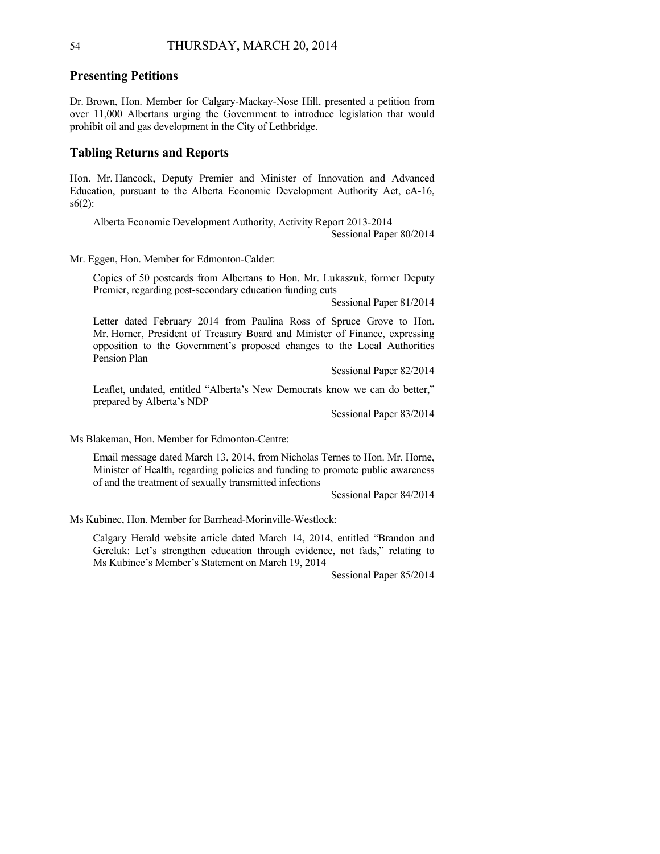### **Presenting Petitions**

Dr. Brown, Hon. Member for Calgary-Mackay-Nose Hill, presented a petition from over 11,000 Albertans urging the Government to introduce legislation that would prohibit oil and gas development in the City of Lethbridge.

### **Tabling Returns and Reports**

Hon. Mr. Hancock, Deputy Premier and Minister of Innovation and Advanced Education, pursuant to the Alberta Economic Development Authority Act, cA-16,  $s6(2)$ :

Alberta Economic Development Authority, Activity Report 2013-2014 Sessional Paper 80/2014

Mr. Eggen, Hon. Member for Edmonton-Calder:

Copies of 50 postcards from Albertans to Hon. Mr. Lukaszuk, former Deputy Premier, regarding post-secondary education funding cuts

Sessional Paper 81/2014

Letter dated February 2014 from Paulina Ross of Spruce Grove to Hon. Mr. Horner, President of Treasury Board and Minister of Finance, expressing opposition to the Government's proposed changes to the Local Authorities Pension Plan

Sessional Paper 82/2014

Leaflet, undated, entitled "Alberta's New Democrats know we can do better," prepared by Alberta's NDP

Sessional Paper 83/2014

Ms Blakeman, Hon. Member for Edmonton-Centre:

Email message dated March 13, 2014, from Nicholas Ternes to Hon. Mr. Horne, Minister of Health, regarding policies and funding to promote public awareness of and the treatment of sexually transmitted infections

Sessional Paper 84/2014

Ms Kubinec, Hon. Member for Barrhead-Morinville-Westlock:

Calgary Herald website article dated March 14, 2014, entitled "Brandon and Gereluk: Let's strengthen education through evidence, not fads," relating to Ms Kubinec's Member's Statement on March 19, 2014

Sessional Paper 85/2014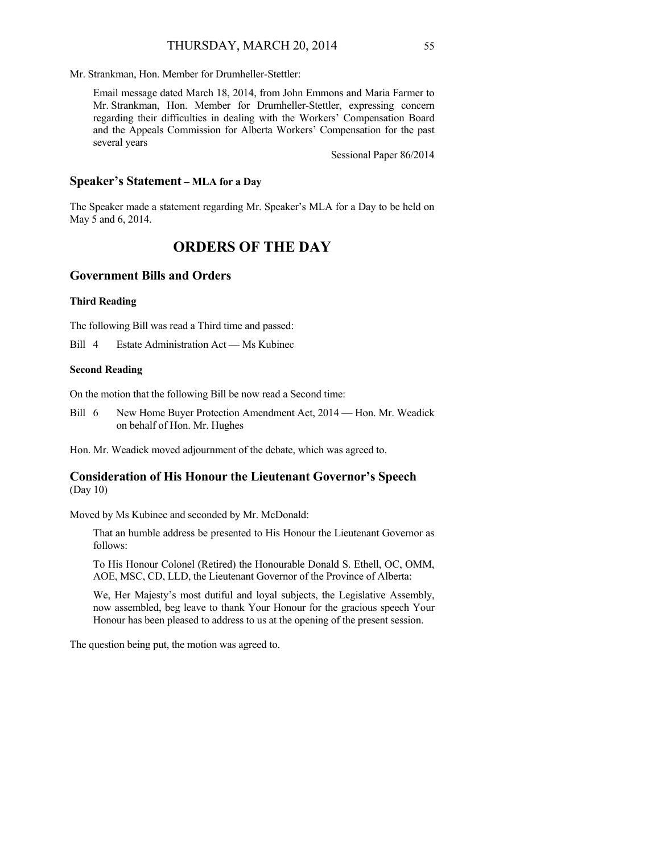Mr. Strankman, Hon. Member for Drumheller-Stettler:

Email message dated March 18, 2014, from John Emmons and Maria Farmer to Mr. Strankman, Hon. Member for Drumheller-Stettler, expressing concern regarding their difficulties in dealing with the Workers' Compensation Board and the Appeals Commission for Alberta Workers' Compensation for the past several years

Sessional Paper 86/2014

### **Speaker's Statement – MLA for a Day**

The Speaker made a statement regarding Mr. Speaker's MLA for a Day to be held on May 5 and 6, 2014.

# **ORDERS OF THE DAY**

### **Government Bills and Orders**

### **Third Reading**

The following Bill was read a Third time and passed:

Bill 4 Estate Administration Act — Ms Kubinec

#### **Second Reading**

On the motion that the following Bill be now read a Second time:

Bill 6 New Home Buyer Protection Amendment Act, 2014 — Hon. Mr. Weadick on behalf of Hon. Mr. Hughes

Hon. Mr. Weadick moved adjournment of the debate, which was agreed to.

## **Consideration of His Honour the Lieutenant Governor's Speech**  (Day 10)

Moved by Ms Kubinec and seconded by Mr. McDonald:

That an humble address be presented to His Honour the Lieutenant Governor as follows:

To His Honour Colonel (Retired) the Honourable Donald S. Ethell, OC, OMM, AOE, MSC, CD, LLD, the Lieutenant Governor of the Province of Alberta:

We, Her Majesty's most dutiful and loyal subjects, the Legislative Assembly, now assembled, beg leave to thank Your Honour for the gracious speech Your Honour has been pleased to address to us at the opening of the present session.

The question being put, the motion was agreed to.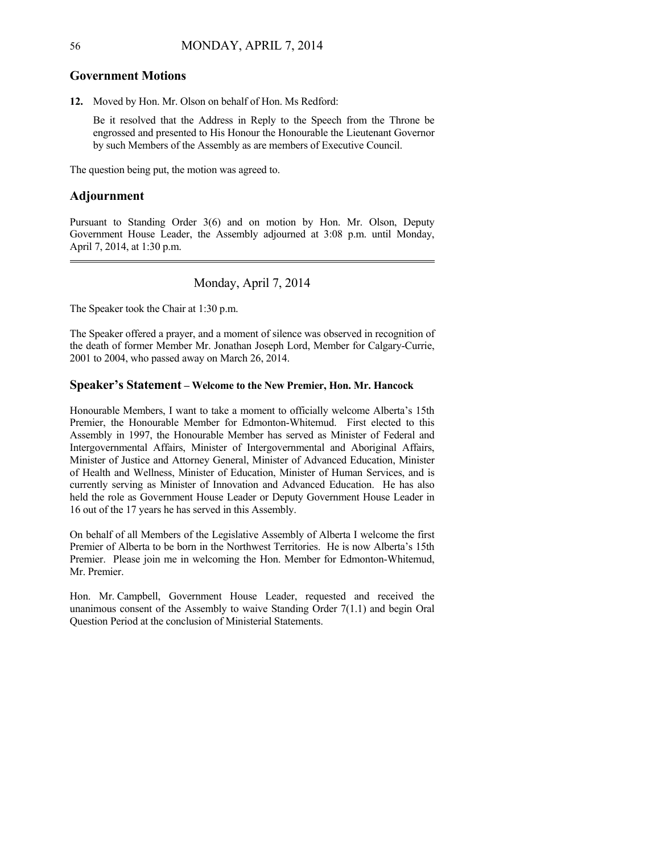### **Government Motions**

**12.** Moved by Hon. Mr. Olson on behalf of Hon. Ms Redford:

Be it resolved that the Address in Reply to the Speech from the Throne be engrossed and presented to His Honour the Honourable the Lieutenant Governor by such Members of the Assembly as are members of Executive Council.

The question being put, the motion was agreed to.

# **Adjournment**

Pursuant to Standing Order 3(6) and on motion by Hon. Mr. Olson, Deputy Government House Leader, the Assembly adjourned at 3:08 p.m. until Monday, April 7, 2014, at 1:30 p.m. 

## Monday, April 7, 2014

The Speaker took the Chair at 1:30 p.m.

The Speaker offered a prayer, and a moment of silence was observed in recognition of the death of former Member Mr. Jonathan Joseph Lord, Member for Calgary-Currie, 2001 to 2004, who passed away on March 26, 2014.

### **Speaker's Statement – Welcome to the New Premier, Hon. Mr. Hancock**

Honourable Members, I want to take a moment to officially welcome Alberta's 15th Premier, the Honourable Member for Edmonton-Whitemud. First elected to this Assembly in 1997, the Honourable Member has served as Minister of Federal and Intergovernmental Affairs, Minister of Intergovernmental and Aboriginal Affairs, Minister of Justice and Attorney General, Minister of Advanced Education, Minister of Health and Wellness, Minister of Education, Minister of Human Services, and is currently serving as Minister of Innovation and Advanced Education. He has also held the role as Government House Leader or Deputy Government House Leader in 16 out of the 17 years he has served in this Assembly.

On behalf of all Members of the Legislative Assembly of Alberta I welcome the first Premier of Alberta to be born in the Northwest Territories. He is now Alberta's 15th Premier. Please join me in welcoming the Hon. Member for Edmonton-Whitemud, Mr. Premier.

Hon. Mr. Campbell, Government House Leader, requested and received the unanimous consent of the Assembly to waive Standing Order 7(1.1) and begin Oral Question Period at the conclusion of Ministerial Statements.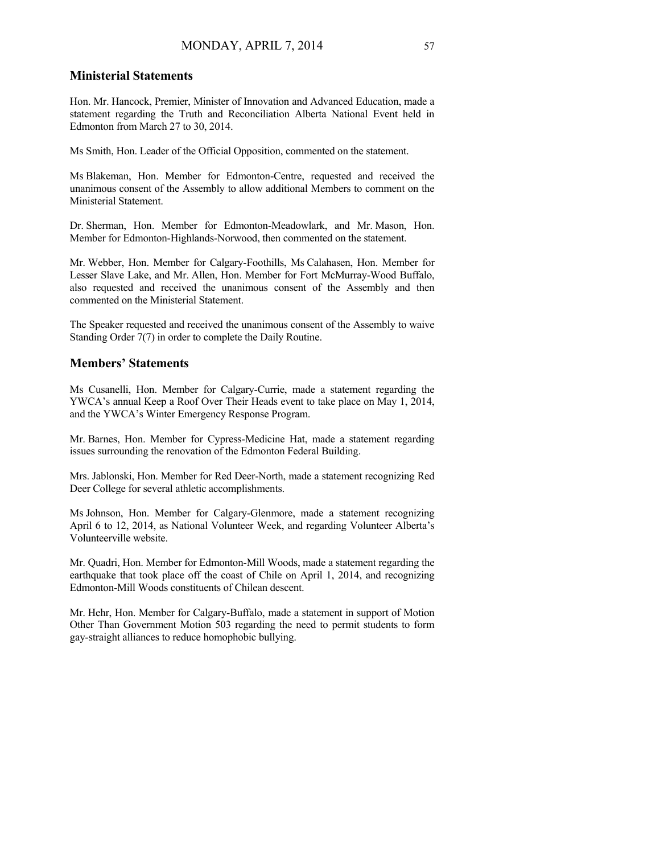## **Ministerial Statements**

Hon. Mr. Hancock, Premier, Minister of Innovation and Advanced Education, made a statement regarding the Truth and Reconciliation Alberta National Event held in Edmonton from March 27 to 30, 2014.

Ms Smith, Hon. Leader of the Official Opposition, commented on the statement.

Ms Blakeman, Hon. Member for Edmonton-Centre, requested and received the unanimous consent of the Assembly to allow additional Members to comment on the Ministerial Statement.

Dr. Sherman, Hon. Member for Edmonton-Meadowlark, and Mr. Mason, Hon. Member for Edmonton-Highlands-Norwood, then commented on the statement.

Mr. Webber, Hon. Member for Calgary-Foothills, Ms Calahasen, Hon. Member for Lesser Slave Lake, and Mr. Allen, Hon. Member for Fort McMurray-Wood Buffalo, also requested and received the unanimous consent of the Assembly and then commented on the Ministerial Statement.

The Speaker requested and received the unanimous consent of the Assembly to waive Standing Order 7(7) in order to complete the Daily Routine.

## **Members' Statements**

Ms Cusanelli, Hon. Member for Calgary-Currie, made a statement regarding the YWCA's annual Keep a Roof Over Their Heads event to take place on May 1, 2014, and the YWCA's Winter Emergency Response Program.

Mr. Barnes, Hon. Member for Cypress-Medicine Hat, made a statement regarding issues surrounding the renovation of the Edmonton Federal Building.

Mrs. Jablonski, Hon. Member for Red Deer-North, made a statement recognizing Red Deer College for several athletic accomplishments.

Ms Johnson, Hon. Member for Calgary-Glenmore, made a statement recognizing April 6 to 12, 2014, as National Volunteer Week, and regarding Volunteer Alberta's Volunteerville website.

Mr. Quadri, Hon. Member for Edmonton-Mill Woods, made a statement regarding the earthquake that took place off the coast of Chile on April 1, 2014, and recognizing Edmonton-Mill Woods constituents of Chilean descent.

Mr. Hehr, Hon. Member for Calgary-Buffalo, made a statement in support of Motion Other Than Government Motion 503 regarding the need to permit students to form gay-straight alliances to reduce homophobic bullying.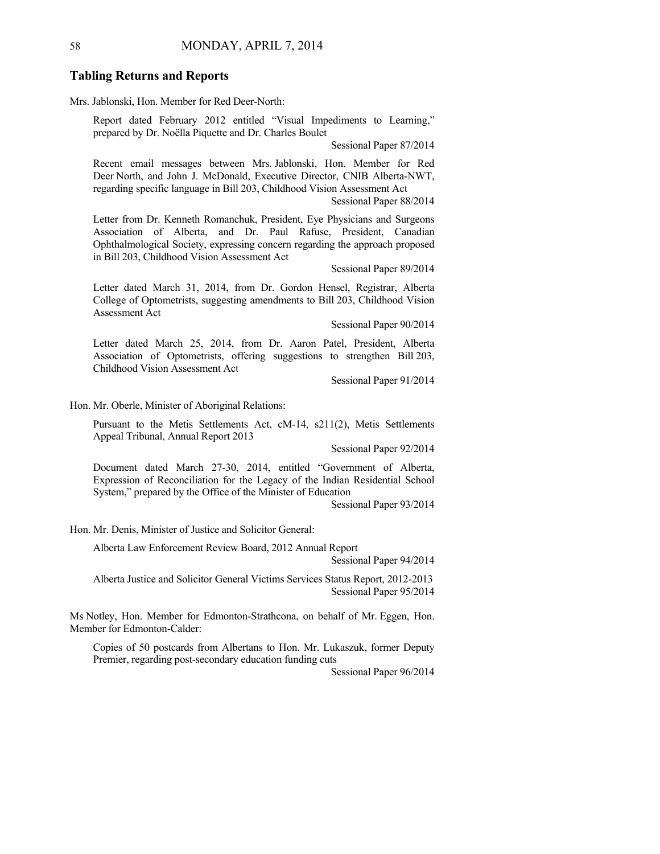### **Tabling Returns and Reports**

Mrs. Jablonski, Hon. Member for Red Deer-North:

Report dated February 2012 entitled "Visual Impediments to Learning," prepared by Dr. Noëlla Piquette and Dr. Charles Boulet

Sessional Paper 87/2014

Recent email messages between Mrs. Jablonski, Hon. Member for Red Deer North, and John J. McDonald, Executive Director, CNIB Alberta-NWT, regarding specific language in Bill 203, Childhood Vision Assessment Act

Sessional Paper 88/2014

Letter from Dr. Kenneth Romanchuk, President, Eye Physicians and Surgeons Association of Alberta, and Dr. Paul Rafuse, President, Canadian Ophthalmological Society, expressing concern regarding the approach proposed in Bill 203, Childhood Vision Assessment Act

Sessional Paper 89/2014

Letter dated March 31, 2014, from Dr. Gordon Hensel, Registrar, Alberta College of Optometrists, suggesting amendments to Bill 203, Childhood Vision Assessment Act

Sessional Paper 90/2014

Letter dated March 25, 2014, from Dr. Aaron Patel, President, Alberta Association of Optometrists, offering suggestions to strengthen Bill 203, Childhood Vision Assessment Act

Sessional Paper 91/2014

Hon. Mr. Oberle, Minister of Aboriginal Relations:

Pursuant to the Metis Settlements Act, cM-14, s211(2), Metis Settlements Appeal Tribunal, Annual Report 2013

Sessional Paper 92/2014

Document dated March 27-30, 2014, entitled "Government of Alberta, Expression of Reconciliation for the Legacy of the Indian Residential School System," prepared by the Office of the Minister of Education

Sessional Paper 93/2014

Hon. Mr. Denis, Minister of Justice and Solicitor General:

Alberta Law Enforcement Review Board, 2012 Annual Report

Sessional Paper 94/2014

Alberta Justice and Solicitor General Victims Services Status Report, 2012-2013 Sessional Paper 95/2014

Ms Notley, Hon. Member for Edmonton-Strathcona, on behalf of Mr. Eggen, Hon. Member for Edmonton-Calder:

Copies of 50 postcards from Albertans to Hon. Mr. Lukaszuk, former Deputy Premier, regarding post-secondary education funding cuts

Sessional Paper 96/2014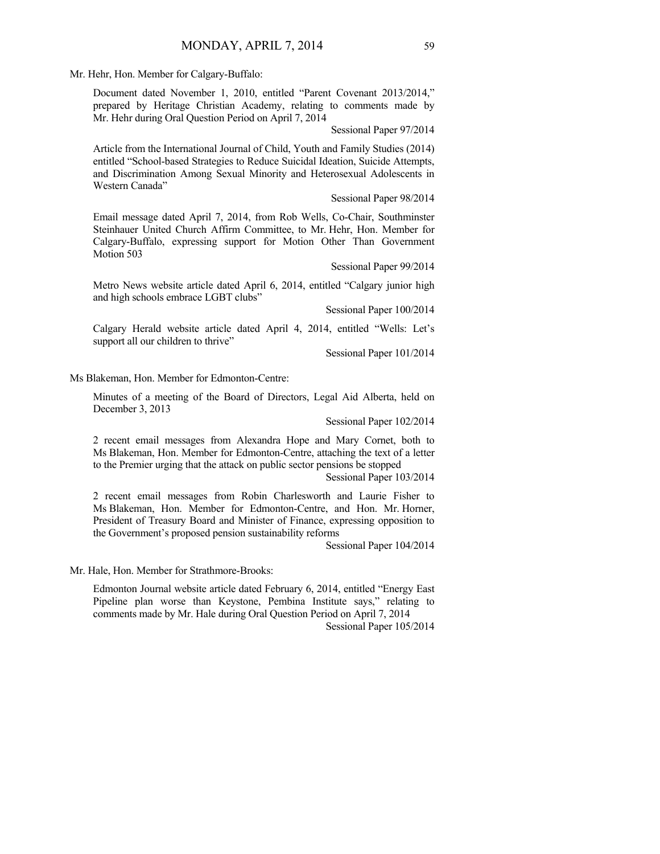Mr. Hehr, Hon. Member for Calgary-Buffalo:

Document dated November 1, 2010, entitled "Parent Covenant 2013/2014," prepared by Heritage Christian Academy, relating to comments made by Mr. Hehr during Oral Question Period on April 7, 2014

Sessional Paper 97/2014

Article from the International Journal of Child, Youth and Family Studies (2014) entitled "School-based Strategies to Reduce Suicidal Ideation, Suicide Attempts, and Discrimination Among Sexual Minority and Heterosexual Adolescents in Western Canada"

Sessional Paper 98/2014

Email message dated April 7, 2014, from Rob Wells, Co-Chair, Southminster Steinhauer United Church Affirm Committee, to Mr. Hehr, Hon. Member for Calgary-Buffalo, expressing support for Motion Other Than Government Motion 503

Sessional Paper 99/2014

Metro News website article dated April 6, 2014, entitled "Calgary junior high and high schools embrace LGBT clubs"

Sessional Paper 100/2014

Calgary Herald website article dated April 4, 2014, entitled "Wells: Let's support all our children to thrive"

Sessional Paper 101/2014

Ms Blakeman, Hon. Member for Edmonton-Centre:

Minutes of a meeting of the Board of Directors, Legal Aid Alberta, held on December 3, 2013

Sessional Paper 102/2014

2 recent email messages from Alexandra Hope and Mary Cornet, both to Ms Blakeman, Hon. Member for Edmonton-Centre, attaching the text of a letter to the Premier urging that the attack on public sector pensions be stopped

Sessional Paper 103/2014

2 recent email messages from Robin Charlesworth and Laurie Fisher to Ms Blakeman, Hon. Member for Edmonton-Centre, and Hon. Mr. Horner, President of Treasury Board and Minister of Finance, expressing opposition to the Government's proposed pension sustainability reforms

Sessional Paper 104/2014

Mr. Hale, Hon. Member for Strathmore-Brooks:

Edmonton Journal website article dated February 6, 2014, entitled "Energy East Pipeline plan worse than Keystone, Pembina Institute says," relating to comments made by Mr. Hale during Oral Question Period on April 7, 2014 Sessional Paper 105/2014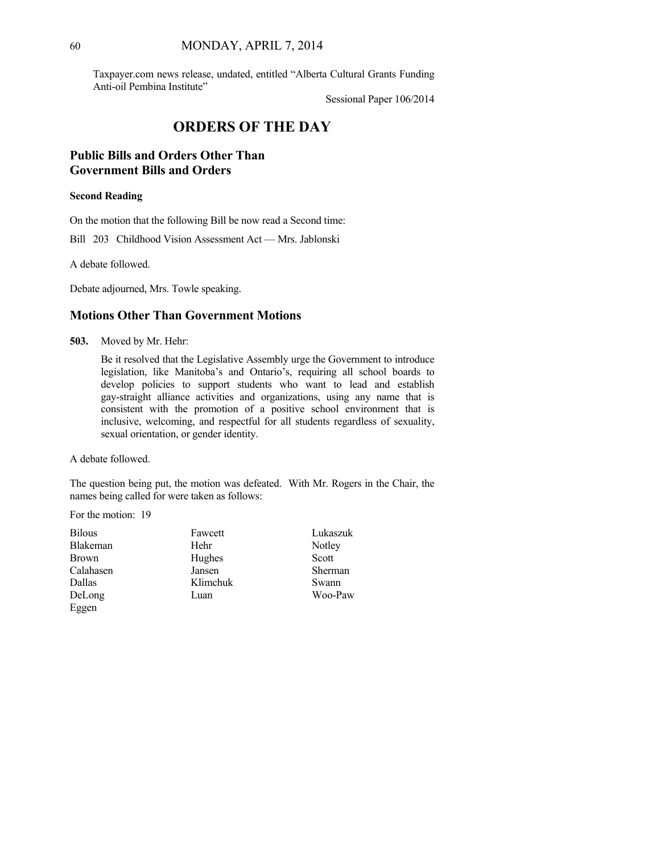Taxpayer.com news release, undated, entitled "Alberta Cultural Grants Funding Anti-oil Pembina Institute"

Sessional Paper 106/2014

# **ORDERS OF THE DAY**

# **Public Bills and Orders Other Than Government Bills and Orders**

#### **Second Reading**

On the motion that the following Bill be now read a Second time:

Bill 203 Childhood Vision Assessment Act — Mrs. Jablonski

A debate followed.

Debate adjourned, Mrs. Towle speaking.

## **Motions Other Than Government Motions**

**503.** Moved by Mr. Hehr:

Be it resolved that the Legislative Assembly urge the Government to introduce legislation, like Manitoba's and Ontario's, requiring all school boards to develop policies to support students who want to lead and establish gay-straight alliance activities and organizations, using any name that is consistent with the promotion of a positive school environment that is inclusive, welcoming, and respectful for all students regardless of sexuality, sexual orientation, or gender identity.

A debate followed.

The question being put, the motion was defeated. With Mr. Rogers in the Chair, the names being called for were taken as follows:

For the motion: 19

| <b>Bilous</b>   | Fawcett  | Lukaszuk |
|-----------------|----------|----------|
| <b>Blakeman</b> | Hehr     | Notley   |
| <b>Brown</b>    | Hughes   | Scott    |
| Calahasen       | Jansen   | Sherman  |
| Dallas          | Klimchuk | Swann    |
| DeLong          | Luan     | Woo-Paw  |
| Eggen           |          |          |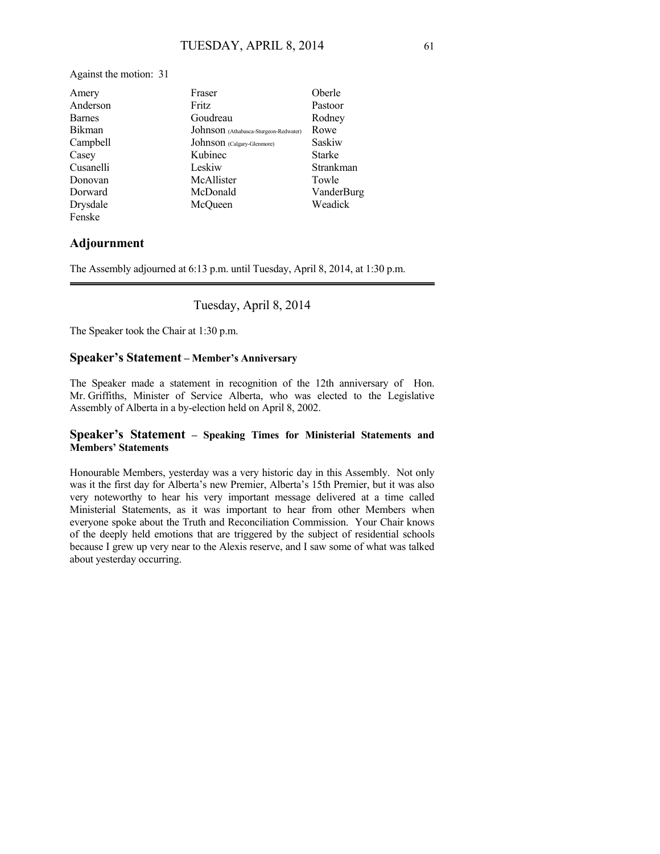Against the motion: 31

| Amery         | Fraser                                | Oberle        |
|---------------|---------------------------------------|---------------|
| Anderson      | <b>Fritz</b>                          | Pastoor       |
| <b>Barnes</b> | Goudreau                              | Rodney        |
| <b>Bikman</b> | Johnson (Athabasca-Sturgeon-Redwater) | Rowe          |
| Campbell      | Johnson (Calgary-Glenmore)            | Saskiw        |
| Casey         | Kubinec                               | <b>Starke</b> |
| Cusanelli     | Leskiw                                | Strankman     |
| Donovan       | McAllister                            | Towle         |
| Dorward       | McDonald                              | VanderBurg    |
| Drysdale      | McOueen                               | Weadick       |
| Fenske        |                                       |               |

## **Adjournment**

The Assembly adjourned at 6:13 p.m. until Tuesday, April 8, 2014, at 1:30 p.m.

Tuesday, April 8, 2014

The Speaker took the Chair at 1:30 p.m.

### **Speaker's Statement – Member's Anniversary**

The Speaker made a statement in recognition of the 12th anniversary of Hon. Mr. Griffiths, Minister of Service Alberta, who was elected to the Legislative Assembly of Alberta in a by-election held on April 8, 2002.

### **Speaker's Statement – Speaking Times for Ministerial Statements and Members' Statements**

Honourable Members, yesterday was a very historic day in this Assembly. Not only was it the first day for Alberta's new Premier, Alberta's 15th Premier, but it was also very noteworthy to hear his very important message delivered at a time called Ministerial Statements, as it was important to hear from other Members when everyone spoke about the Truth and Reconciliation Commission. Your Chair knows of the deeply held emotions that are triggered by the subject of residential schools because I grew up very near to the Alexis reserve, and I saw some of what was talked about yesterday occurring.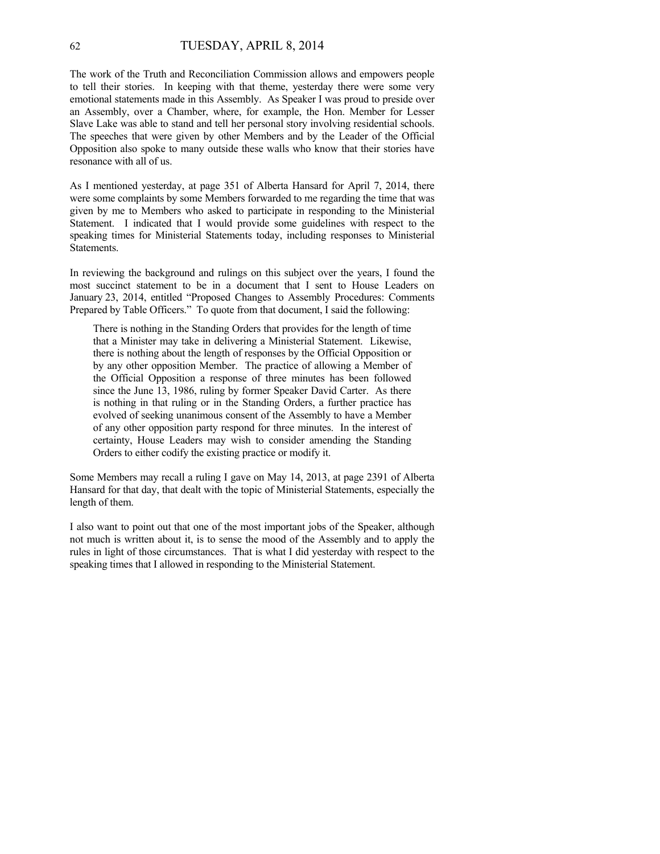The work of the Truth and Reconciliation Commission allows and empowers people to tell their stories. In keeping with that theme, yesterday there were some very emotional statements made in this Assembly. As Speaker I was proud to preside over an Assembly, over a Chamber, where, for example, the Hon. Member for Lesser Slave Lake was able to stand and tell her personal story involving residential schools. The speeches that were given by other Members and by the Leader of the Official Opposition also spoke to many outside these walls who know that their stories have resonance with all of us.

As I mentioned yesterday, at page 351 of Alberta Hansard for April 7, 2014, there were some complaints by some Members forwarded to me regarding the time that was given by me to Members who asked to participate in responding to the Ministerial Statement. I indicated that I would provide some guidelines with respect to the speaking times for Ministerial Statements today, including responses to Ministerial Statements.

In reviewing the background and rulings on this subject over the years, I found the most succinct statement to be in a document that I sent to House Leaders on January 23, 2014, entitled "Proposed Changes to Assembly Procedures: Comments Prepared by Table Officers." To quote from that document, I said the following:

There is nothing in the Standing Orders that provides for the length of time that a Minister may take in delivering a Ministerial Statement. Likewise, there is nothing about the length of responses by the Official Opposition or by any other opposition Member. The practice of allowing a Member of the Official Opposition a response of three minutes has been followed since the June 13, 1986, ruling by former Speaker David Carter. As there is nothing in that ruling or in the Standing Orders, a further practice has evolved of seeking unanimous consent of the Assembly to have a Member of any other opposition party respond for three minutes. In the interest of certainty, House Leaders may wish to consider amending the Standing Orders to either codify the existing practice or modify it.

Some Members may recall a ruling I gave on May 14, 2013, at page 2391 of Alberta Hansard for that day, that dealt with the topic of Ministerial Statements, especially the length of them.

I also want to point out that one of the most important jobs of the Speaker, although not much is written about it, is to sense the mood of the Assembly and to apply the rules in light of those circumstances. That is what I did yesterday with respect to the speaking times that I allowed in responding to the Ministerial Statement.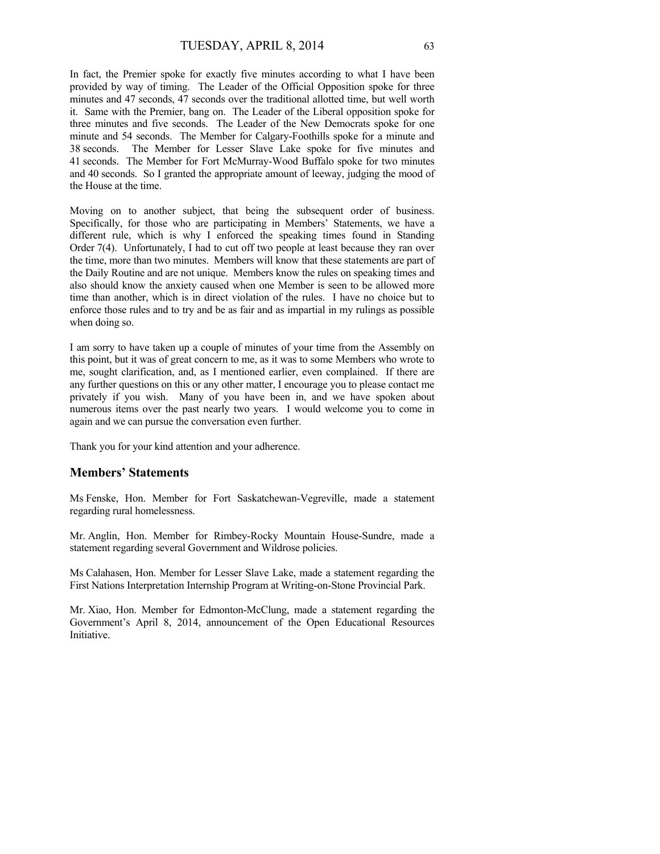In fact, the Premier spoke for exactly five minutes according to what I have been provided by way of timing. The Leader of the Official Opposition spoke for three minutes and 47 seconds, 47 seconds over the traditional allotted time, but well worth it. Same with the Premier, bang on. The Leader of the Liberal opposition spoke for three minutes and five seconds. The Leader of the New Democrats spoke for one minute and 54 seconds. The Member for Calgary-Foothills spoke for a minute and 38 seconds. The Member for Lesser Slave Lake spoke for five minutes and 41 seconds. The Member for Fort McMurray-Wood Buffalo spoke for two minutes and 40 seconds. So I granted the appropriate amount of leeway, judging the mood of the House at the time.

Moving on to another subject, that being the subsequent order of business. Specifically, for those who are participating in Members' Statements, we have a different rule, which is why I enforced the speaking times found in Standing Order 7(4). Unfortunately, I had to cut off two people at least because they ran over the time, more than two minutes. Members will know that these statements are part of the Daily Routine and are not unique. Members know the rules on speaking times and also should know the anxiety caused when one Member is seen to be allowed more time than another, which is in direct violation of the rules. I have no choice but to enforce those rules and to try and be as fair and as impartial in my rulings as possible when doing so.

I am sorry to have taken up a couple of minutes of your time from the Assembly on this point, but it was of great concern to me, as it was to some Members who wrote to me, sought clarification, and, as I mentioned earlier, even complained. If there are any further questions on this or any other matter, I encourage you to please contact me privately if you wish. Many of you have been in, and we have spoken about numerous items over the past nearly two years. I would welcome you to come in again and we can pursue the conversation even further.

Thank you for your kind attention and your adherence.

### **Members' Statements**

Ms Fenske, Hon. Member for Fort Saskatchewan-Vegreville, made a statement regarding rural homelessness.

Mr. Anglin, Hon. Member for Rimbey-Rocky Mountain House-Sundre, made a statement regarding several Government and Wildrose policies.

Ms Calahasen, Hon. Member for Lesser Slave Lake, made a statement regarding the First Nations Interpretation Internship Program at Writing-on-Stone Provincial Park.

Mr. Xiao, Hon. Member for Edmonton-McClung, made a statement regarding the Government's April 8, 2014, announcement of the Open Educational Resources Initiative.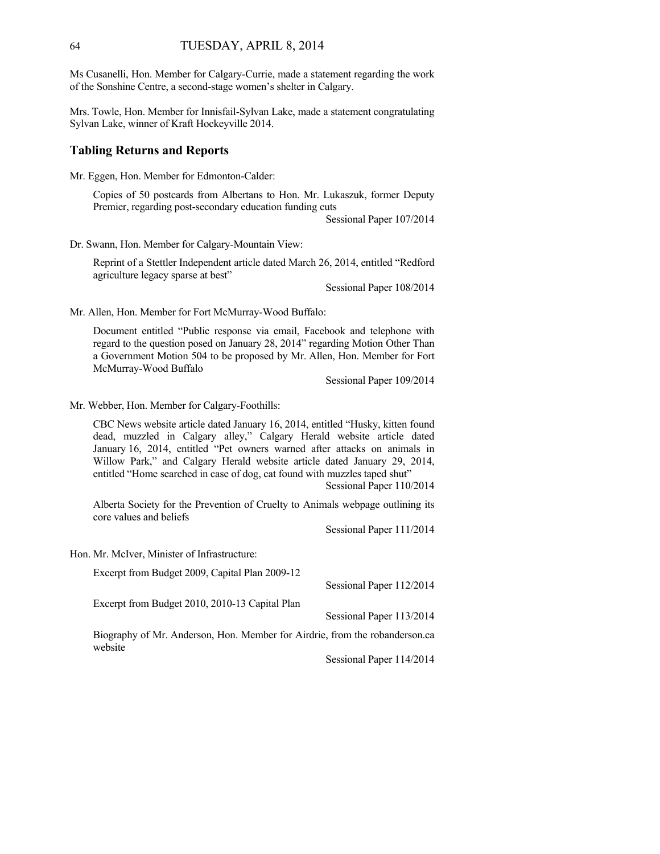Ms Cusanelli, Hon. Member for Calgary-Currie, made a statement regarding the work of the Sonshine Centre, a second-stage women's shelter in Calgary.

Mrs. Towle, Hon. Member for Innisfail-Sylvan Lake, made a statement congratulating Sylvan Lake, winner of Kraft Hockeyville 2014.

### **Tabling Returns and Reports**

Mr. Eggen, Hon. Member for Edmonton-Calder:

Copies of 50 postcards from Albertans to Hon. Mr. Lukaszuk, former Deputy Premier, regarding post-secondary education funding cuts

Sessional Paper 107/2014

Dr. Swann, Hon. Member for Calgary-Mountain View:

Reprint of a Stettler Independent article dated March 26, 2014, entitled "Redford agriculture legacy sparse at best"

Sessional Paper 108/2014

Mr. Allen, Hon. Member for Fort McMurray-Wood Buffalo:

Document entitled "Public response via email, Facebook and telephone with regard to the question posed on January 28, 2014" regarding Motion Other Than a Government Motion 504 to be proposed by Mr. Allen, Hon. Member for Fort McMurray-Wood Buffalo

Sessional Paper 109/2014

Mr. Webber, Hon. Member for Calgary-Foothills:

CBC News website article dated January 16, 2014, entitled "Husky, kitten found dead, muzzled in Calgary alley," Calgary Herald website article dated January 16, 2014, entitled "Pet owners warned after attacks on animals in Willow Park," and Calgary Herald website article dated January 29, 2014, entitled "Home searched in case of dog, cat found with muzzles taped shut"

Sessional Paper 110/2014

Alberta Society for the Prevention of Cruelty to Animals webpage outlining its core values and beliefs

Sessional Paper 111/2014

Hon. Mr. McIver, Minister of Infrastructure:

| Excerpt from Budget 2009, Capital Plan 2009-12                                         |                          |
|----------------------------------------------------------------------------------------|--------------------------|
|                                                                                        | Sessional Paper 112/2014 |
| Excerpt from Budget 2010, 2010-13 Capital Plan                                         |                          |
|                                                                                        | Sessional Paper 113/2014 |
| Biography of Mr. Anderson, Hon. Member for Airdrie, from the robanderson.ca<br>website |                          |
|                                                                                        | Sessional Paper 114/2014 |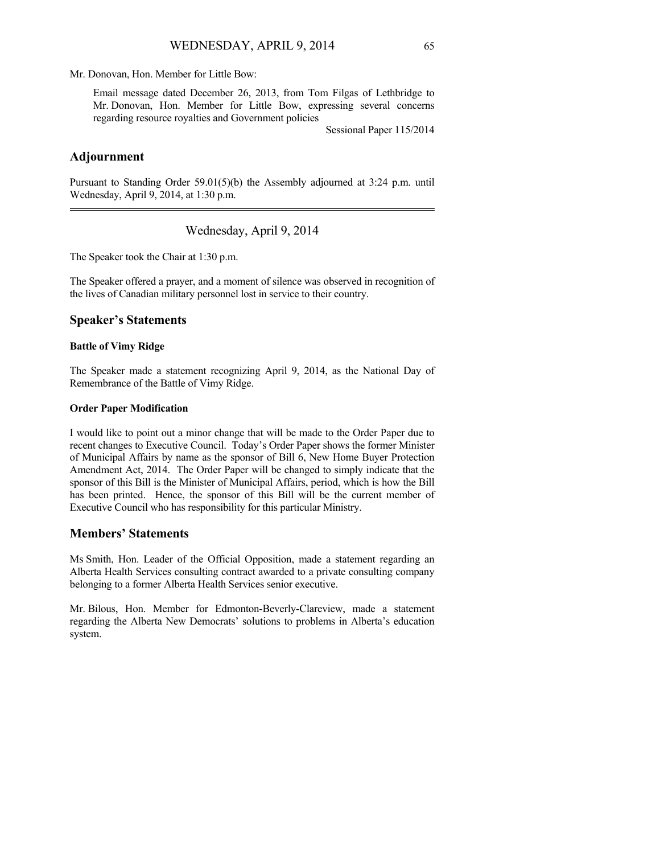Mr. Donovan, Hon. Member for Little Bow:

Email message dated December 26, 2013, from Tom Filgas of Lethbridge to Mr. Donovan, Hon. Member for Little Bow, expressing several concerns regarding resource royalties and Government policies

Sessional Paper 115/2014

### **Adjournment**

Pursuant to Standing Order 59.01(5)(b) the Assembly adjourned at  $3:24$  p.m. until Wednesday, April 9, 2014, at 1:30 p.m. 

Wednesday, April 9, 2014

The Speaker took the Chair at 1:30 p.m.

The Speaker offered a prayer, and a moment of silence was observed in recognition of the lives of Canadian military personnel lost in service to their country.

### **Speaker's Statements**

#### **Battle of Vimy Ridge**

The Speaker made a statement recognizing April 9, 2014, as the National Day of Remembrance of the Battle of Vimy Ridge.

### **Order Paper Modification**

I would like to point out a minor change that will be made to the Order Paper due to recent changes to Executive Council. Today's Order Paper shows the former Minister of Municipal Affairs by name as the sponsor of Bill 6, New Home Buyer Protection Amendment Act, 2014. The Order Paper will be changed to simply indicate that the sponsor of this Bill is the Minister of Municipal Affairs, period, which is how the Bill has been printed. Hence, the sponsor of this Bill will be the current member of Executive Council who has responsibility for this particular Ministry.

### **Members' Statements**

Ms Smith, Hon. Leader of the Official Opposition, made a statement regarding an Alberta Health Services consulting contract awarded to a private consulting company belonging to a former Alberta Health Services senior executive.

Mr. Bilous, Hon. Member for Edmonton-Beverly-Clareview, made a statement regarding the Alberta New Democrats' solutions to problems in Alberta's education system.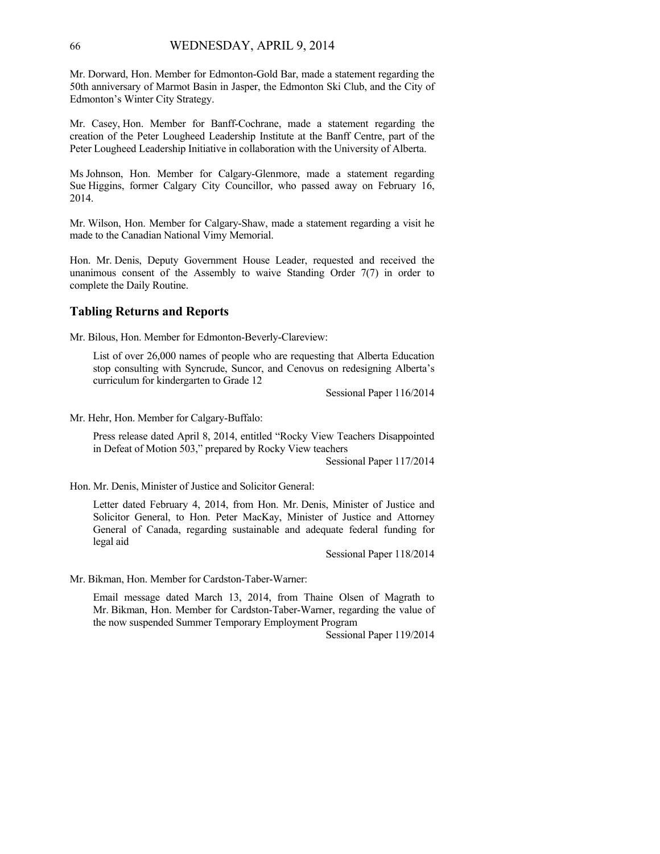Mr. Dorward, Hon. Member for Edmonton-Gold Bar, made a statement regarding the 50th anniversary of Marmot Basin in Jasper, the Edmonton Ski Club, and the City of Edmonton's Winter City Strategy.

Mr. Casey, Hon. Member for Banff-Cochrane, made a statement regarding the creation of the Peter Lougheed Leadership Institute at the Banff Centre, part of the Peter Lougheed Leadership Initiative in collaboration with the University of Alberta.

Ms Johnson, Hon. Member for Calgary-Glenmore, made a statement regarding Sue Higgins, former Calgary City Councillor, who passed away on February 16, 2014.

Mr. Wilson, Hon. Member for Calgary-Shaw, made a statement regarding a visit he made to the Canadian National Vimy Memorial.

Hon. Mr. Denis, Deputy Government House Leader, requested and received the unanimous consent of the Assembly to waive Standing Order  $7(7)$  in order to complete the Daily Routine.

## **Tabling Returns and Reports**

Mr. Bilous, Hon. Member for Edmonton-Beverly-Clareview:

List of over 26,000 names of people who are requesting that Alberta Education stop consulting with Syncrude, Suncor, and Cenovus on redesigning Alberta's curriculum for kindergarten to Grade 12

Sessional Paper 116/2014

Mr. Hehr, Hon. Member for Calgary-Buffalo:

Press release dated April 8, 2014, entitled "Rocky View Teachers Disappointed in Defeat of Motion 503," prepared by Rocky View teachers

Sessional Paper 117/2014

Hon. Mr. Denis, Minister of Justice and Solicitor General:

Letter dated February 4, 2014, from Hon. Mr. Denis, Minister of Justice and Solicitor General, to Hon. Peter MacKay, Minister of Justice and Attorney General of Canada, regarding sustainable and adequate federal funding for legal aid

Sessional Paper 118/2014

Mr. Bikman, Hon. Member for Cardston-Taber-Warner:

Email message dated March 13, 2014, from Thaine Olsen of Magrath to Mr. Bikman, Hon. Member for Cardston-Taber-Warner, regarding the value of the now suspended Summer Temporary Employment Program

Sessional Paper 119/2014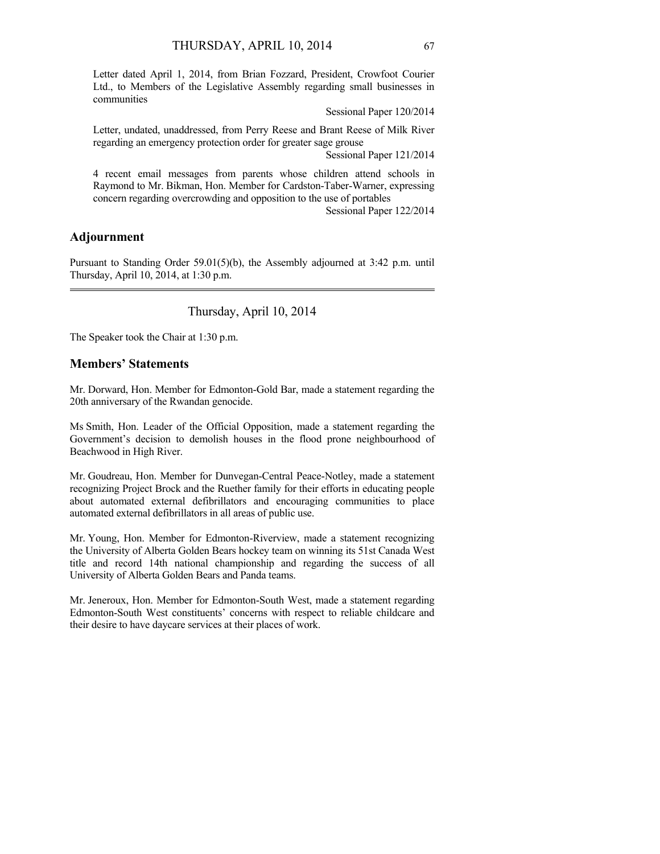Letter dated April 1, 2014, from Brian Fozzard, President, Crowfoot Courier Ltd., to Members of the Legislative Assembly regarding small businesses in communities

Sessional Paper 120/2014

Letter, undated, unaddressed, from Perry Reese and Brant Reese of Milk River regarding an emergency protection order for greater sage grouse

Sessional Paper 121/2014

4 recent email messages from parents whose children attend schools in Raymond to Mr. Bikman, Hon. Member for Cardston-Taber-Warner, expressing concern regarding overcrowding and opposition to the use of portables

Sessional Paper 122/2014

# **Adjournment**

Pursuant to Standing Order 59.01(5)(b), the Assembly adjourned at 3:42 p.m. until Thursday, April 10, 2014, at 1:30 p.m. 

# Thursday, April 10, 2014

The Speaker took the Chair at 1:30 p.m.

# **Members' Statements**

Mr. Dorward, Hon. Member for Edmonton-Gold Bar, made a statement regarding the 20th anniversary of the Rwandan genocide.

Ms Smith, Hon. Leader of the Official Opposition, made a statement regarding the Government's decision to demolish houses in the flood prone neighbourhood of Beachwood in High River.

Mr. Goudreau, Hon. Member for Dunvegan-Central Peace-Notley, made a statement recognizing Project Brock and the Ruether family for their efforts in educating people about automated external defibrillators and encouraging communities to place automated external defibrillators in all areas of public use.

Mr. Young, Hon. Member for Edmonton-Riverview, made a statement recognizing the University of Alberta Golden Bears hockey team on winning its 51st Canada West title and record 14th national championship and regarding the success of all University of Alberta Golden Bears and Panda teams.

Mr. Jeneroux, Hon. Member for Edmonton-South West, made a statement regarding Edmonton-South West constituents' concerns with respect to reliable childcare and their desire to have daycare services at their places of work.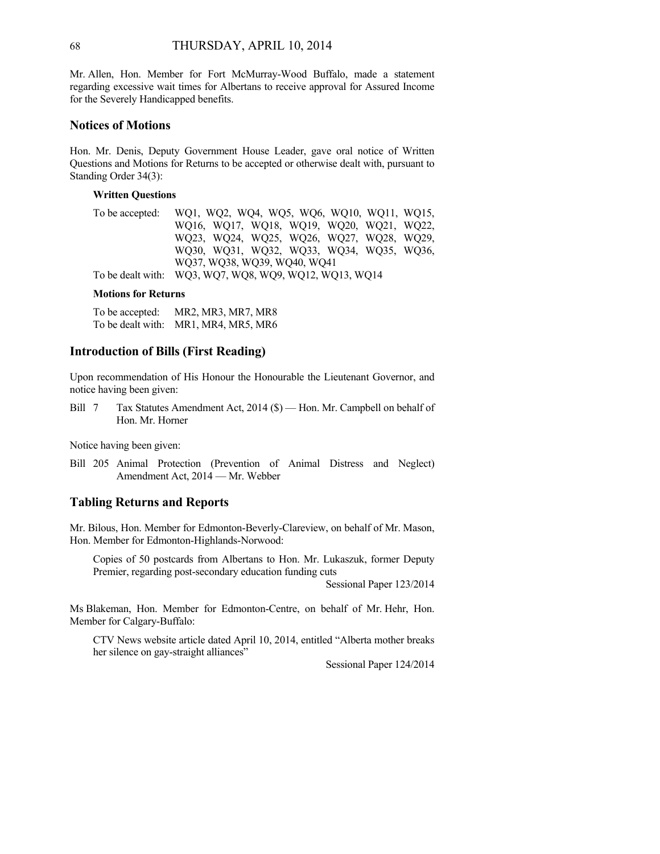Mr. Allen, Hon. Member for Fort McMurray-Wood Buffalo, made a statement regarding excessive wait times for Albertans to receive approval for Assured Income for the Severely Handicapped benefits.

# **Notices of Motions**

Hon. Mr. Denis, Deputy Government House Leader, gave oral notice of Written Questions and Motions for Returns to be accepted or otherwise dealt with, pursuant to Standing Order 34(3):

# **Written Questions**

| To be accepted: WQ1, WQ2, WQ4, WQ5, WQ6, WQ10, WQ11, WQ15, |
|------------------------------------------------------------|
| WQ16, WQ17, WQ18, WQ19, WQ20, WQ21, WQ22,                  |
| WQ23, WQ24, WQ25, WQ26, WQ27, WQ28, WQ29,                  |
| WQ30, WQ31, WQ32, WQ33, WQ34, WQ35, WQ36,                  |
| WQ37, WQ38, WQ39, WQ40, WQ41                               |
| To be dealt with: WQ3, WQ7, WQ8, WQ9, WQ12, WQ13, WQ14     |

#### **Motions for Returns**

To be accepted: MR2, MR3, MR7, MR8 To be dealt with: MR1, MR4, MR5, MR6

# **Introduction of Bills (First Reading)**

Upon recommendation of His Honour the Honourable the Lieutenant Governor, and notice having been given:

Bill 7 Tax Statutes Amendment Act, 2014 (\$) — Hon. Mr. Campbell on behalf of Hon. Mr. Horner

Notice having been given:

Bill 205 Animal Protection (Prevention of Animal Distress and Neglect) Amendment Act, 2014 — Mr. Webber

### **Tabling Returns and Reports**

Mr. Bilous, Hon. Member for Edmonton-Beverly-Clareview, on behalf of Mr. Mason, Hon. Member for Edmonton-Highlands-Norwood:

Copies of 50 postcards from Albertans to Hon. Mr. Lukaszuk, former Deputy Premier, regarding post-secondary education funding cuts

Sessional Paper 123/2014

Ms Blakeman, Hon. Member for Edmonton-Centre, on behalf of Mr. Hehr, Hon. Member for Calgary-Buffalo:

CTV News website article dated April 10, 2014, entitled "Alberta mother breaks her silence on gay-straight alliances"

Sessional Paper 124/2014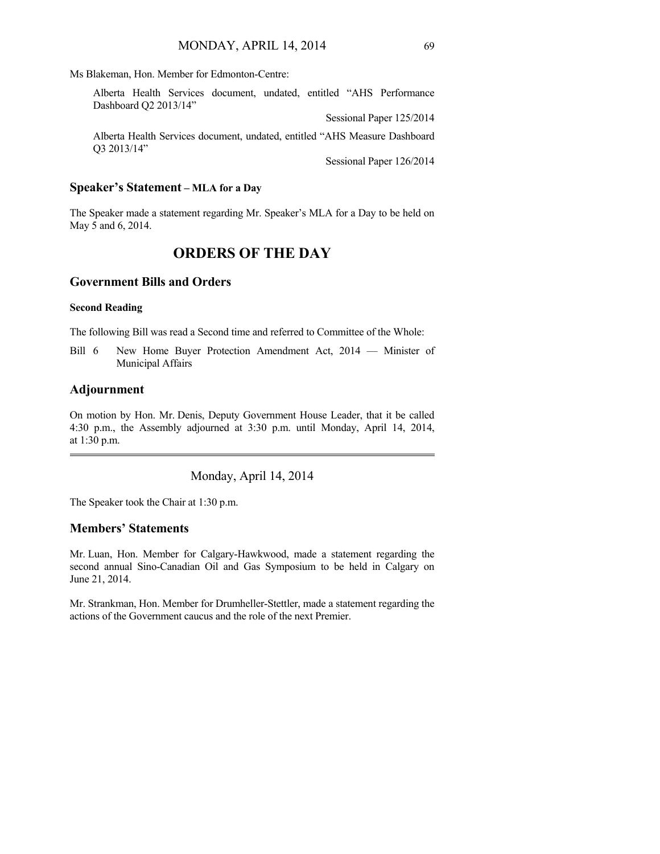Ms Blakeman, Hon. Member for Edmonton-Centre:

| Alberta Health Services document, undated, entitled "AHS Performance"<br>Dashboard Q2 2013/14" |  |                          |
|------------------------------------------------------------------------------------------------|--|--------------------------|
|                                                                                                |  | Sessional Paper 125/2014 |
| Alberta Health Services document, undated, entitled "AHS Measure Dashboard"<br>$O3\ 2013/14"$  |  |                          |
|                                                                                                |  | Sessional Paper 126/2014 |

### **Speaker's Statement – MLA for a Day**

The Speaker made a statement regarding Mr. Speaker's MLA for a Day to be held on May 5 and 6, 2014.

# **ORDERS OF THE DAY**

# **Government Bills and Orders**

### **Second Reading**

The following Bill was read a Second time and referred to Committee of the Whole:

Bill 6 New Home Buyer Protection Amendment Act, 2014 — Minister of Municipal Affairs

### **Adjournment**

On motion by Hon. Mr. Denis, Deputy Government House Leader, that it be called 4:30 p.m., the Assembly adjourned at 3:30 p.m. until Monday, April 14, 2014, at 1:30 p.m. 

Monday, April 14, 2014

The Speaker took the Chair at 1:30 p.m.

# **Members' Statements**

Mr. Luan, Hon. Member for Calgary-Hawkwood, made a statement regarding the second annual Sino-Canadian Oil and Gas Symposium to be held in Calgary on June 21, 2014.

Mr. Strankman, Hon. Member for Drumheller-Stettler, made a statement regarding the actions of the Government caucus and the role of the next Premier.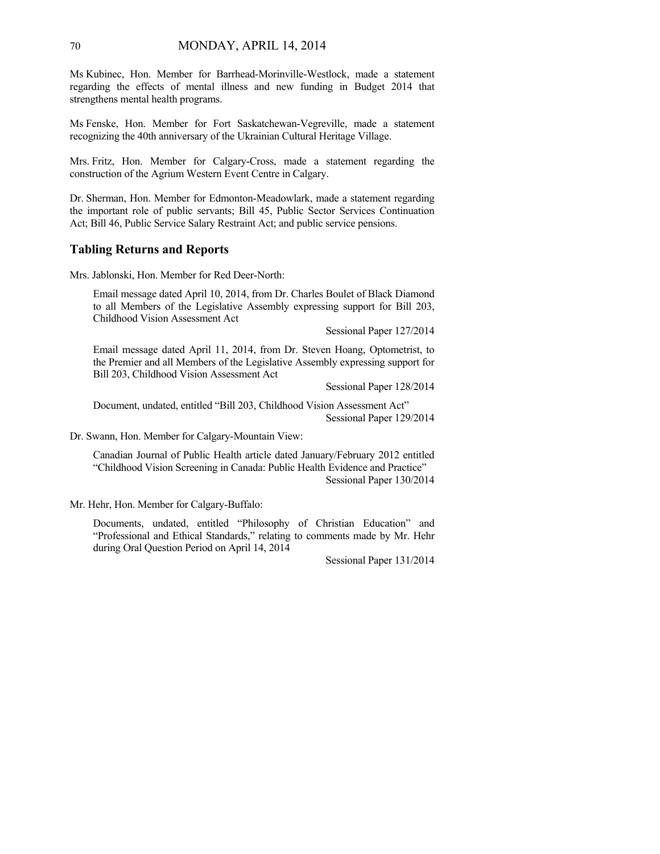Ms Kubinec, Hon. Member for Barrhead-Morinville-Westlock, made a statement regarding the effects of mental illness and new funding in Budget 2014 that strengthens mental health programs.

Ms Fenske, Hon. Member for Fort Saskatchewan-Vegreville, made a statement recognizing the 40th anniversary of the Ukrainian Cultural Heritage Village.

Mrs. Fritz, Hon. Member for Calgary-Cross, made a statement regarding the construction of the Agrium Western Event Centre in Calgary.

Dr. Sherman, Hon. Member for Edmonton-Meadowlark, made a statement regarding the important role of public servants; Bill 45, Public Sector Services Continuation Act; Bill 46, Public Service Salary Restraint Act; and public service pensions.

### **Tabling Returns and Reports**

Mrs. Jablonski, Hon. Member for Red Deer-North:

Email message dated April 10, 2014, from Dr. Charles Boulet of Black Diamond to all Members of the Legislative Assembly expressing support for Bill 203, Childhood Vision Assessment Act

Sessional Paper 127/2014

Email message dated April 11, 2014, from Dr. Steven Hoang, Optometrist, to the Premier and all Members of the Legislative Assembly expressing support for Bill 203, Childhood Vision Assessment Act

Sessional Paper 128/2014

Document, undated, entitled "Bill 203, Childhood Vision Assessment Act" Sessional Paper 129/2014

Dr. Swann, Hon. Member for Calgary-Mountain View:

Canadian Journal of Public Health article dated January/February 2012 entitled "Childhood Vision Screening in Canada: Public Health Evidence and Practice" Sessional Paper 130/2014

Mr. Hehr, Hon. Member for Calgary-Buffalo:

Documents, undated, entitled "Philosophy of Christian Education" and "Professional and Ethical Standards," relating to comments made by Mr. Hehr during Oral Question Period on April 14, 2014

Sessional Paper 131/2014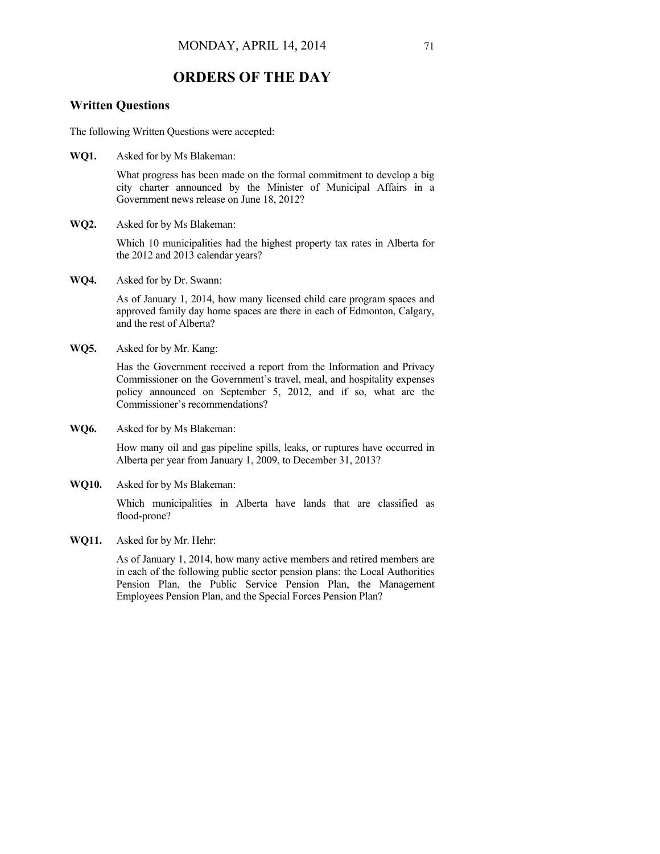# **ORDERS OF THE DAY**

# **Written Questions**

The following Written Questions were accepted:

**WQ1.** Asked for by Ms Blakeman:

What progress has been made on the formal commitment to develop a big city charter announced by the Minister of Municipal Affairs in a Government news release on June 18, 2012?

**WQ2.** Asked for by Ms Blakeman:

Which 10 municipalities had the highest property tax rates in Alberta for the 2012 and 2013 calendar years?

**WQ4.** Asked for by Dr. Swann:

As of January 1, 2014, how many licensed child care program spaces and approved family day home spaces are there in each of Edmonton, Calgary, and the rest of Alberta?

**WQ5.** Asked for by Mr. Kang:

Has the Government received a report from the Information and Privacy Commissioner on the Government's travel, meal, and hospitality expenses policy announced on September 5, 2012, and if so, what are the Commissioner's recommendations?

**WQ6.** Asked for by Ms Blakeman:

How many oil and gas pipeline spills, leaks, or ruptures have occurred in Alberta per year from January 1, 2009, to December 31, 2013?

**WQ10.** Asked for by Ms Blakeman:

Which municipalities in Alberta have lands that are classified as flood-prone?

**WQ11.** Asked for by Mr. Hehr:

As of January 1, 2014, how many active members and retired members are in each of the following public sector pension plans: the Local Authorities Pension Plan, the Public Service Pension Plan, the Management Employees Pension Plan, and the Special Forces Pension Plan?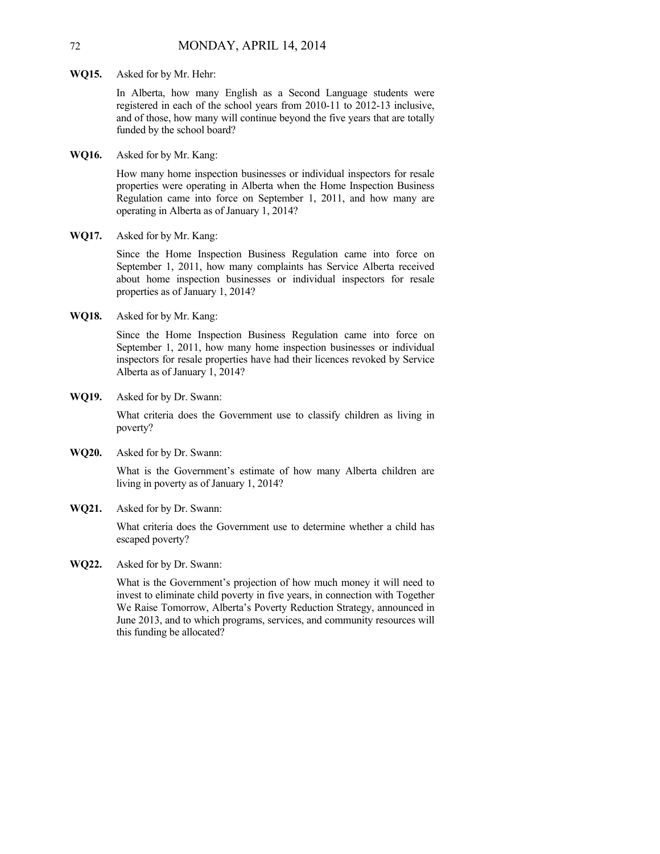**WQ15.** Asked for by Mr. Hehr:

In Alberta, how many English as a Second Language students were registered in each of the school years from 2010-11 to 2012-13 inclusive, and of those, how many will continue beyond the five years that are totally funded by the school board?

**WQ16.** Asked for by Mr. Kang:

How many home inspection businesses or individual inspectors for resale properties were operating in Alberta when the Home Inspection Business Regulation came into force on September 1, 2011, and how many are operating in Alberta as of January 1, 2014?

**WQ17.** Asked for by Mr. Kang:

Since the Home Inspection Business Regulation came into force on September 1, 2011, how many complaints has Service Alberta received about home inspection businesses or individual inspectors for resale properties as of January 1, 2014?

**WQ18.** Asked for by Mr. Kang:

Since the Home Inspection Business Regulation came into force on September 1, 2011, how many home inspection businesses or individual inspectors for resale properties have had their licences revoked by Service Alberta as of January 1, 2014?

**WQ19.** Asked for by Dr. Swann:

What criteria does the Government use to classify children as living in poverty?

**WQ20.** Asked for by Dr. Swann:

What is the Government's estimate of how many Alberta children are living in poverty as of January 1, 2014?

**WQ21.** Asked for by Dr. Swann:

What criteria does the Government use to determine whether a child has escaped poverty?

**WQ22.** Asked for by Dr. Swann:

What is the Government's projection of how much money it will need to invest to eliminate child poverty in five years, in connection with Together We Raise Tomorrow, Alberta's Poverty Reduction Strategy, announced in June 2013, and to which programs, services, and community resources will this funding be allocated?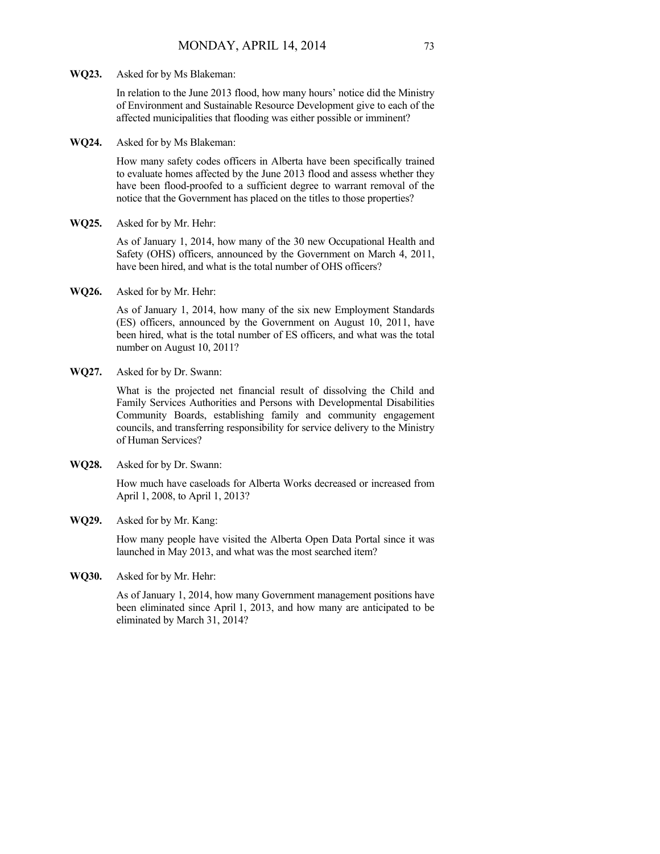In relation to the June 2013 flood, how many hours' notice did the Ministry of Environment and Sustainable Resource Development give to each of the affected municipalities that flooding was either possible or imminent?

**WQ24.** Asked for by Ms Blakeman:

How many safety codes officers in Alberta have been specifically trained to evaluate homes affected by the June 2013 flood and assess whether they have been flood-proofed to a sufficient degree to warrant removal of the notice that the Government has placed on the titles to those properties?

**WQ25.** Asked for by Mr. Hehr:

As of January 1, 2014, how many of the 30 new Occupational Health and Safety (OHS) officers, announced by the Government on March 4, 2011, have been hired, and what is the total number of OHS officers?

**WQ26.** Asked for by Mr. Hehr:

As of January 1, 2014, how many of the six new Employment Standards (ES) officers, announced by the Government on August 10, 2011, have been hired, what is the total number of ES officers, and what was the total number on August 10, 2011?

**WQ27.** Asked for by Dr. Swann:

What is the projected net financial result of dissolving the Child and Family Services Authorities and Persons with Developmental Disabilities Community Boards, establishing family and community engagement councils, and transferring responsibility for service delivery to the Ministry of Human Services?

**WQ28.** Asked for by Dr. Swann:

How much have caseloads for Alberta Works decreased or increased from April 1, 2008, to April 1, 2013?

**WQ29.** Asked for by Mr. Kang:

How many people have visited the Alberta Open Data Portal since it was launched in May 2013, and what was the most searched item?

**WQ30.** Asked for by Mr. Hehr:

As of January 1, 2014, how many Government management positions have been eliminated since April 1, 2013, and how many are anticipated to be eliminated by March 31, 2014?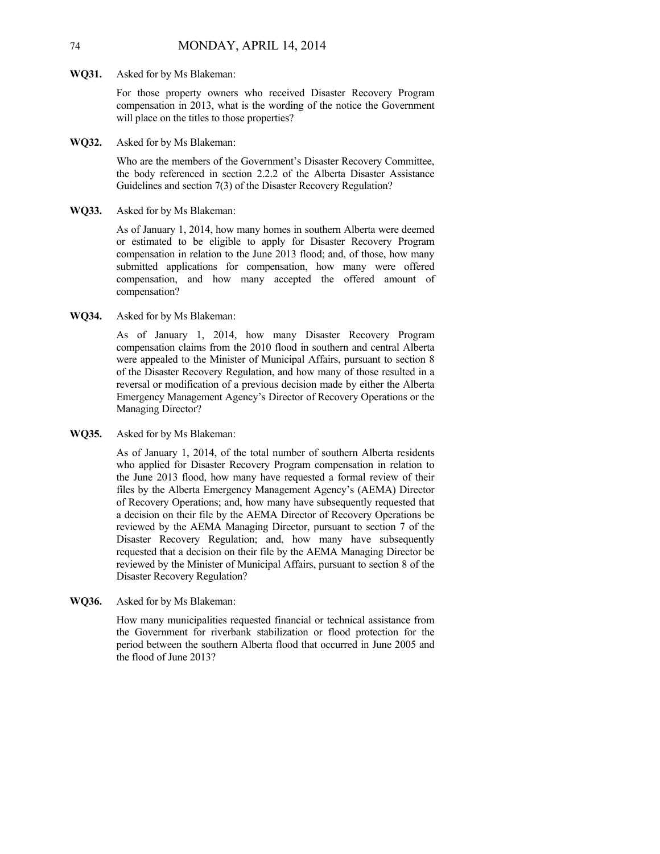#### **WQ31.** Asked for by Ms Blakeman:

For those property owners who received Disaster Recovery Program compensation in 2013, what is the wording of the notice the Government will place on the titles to those properties?

**WQ32.** Asked for by Ms Blakeman:

Who are the members of the Government's Disaster Recovery Committee, the body referenced in section 2.2.2 of the Alberta Disaster Assistance Guidelines and section 7(3) of the Disaster Recovery Regulation?

**WQ33.** Asked for by Ms Blakeman:

As of January 1, 2014, how many homes in southern Alberta were deemed or estimated to be eligible to apply for Disaster Recovery Program compensation in relation to the June 2013 flood; and, of those, how many submitted applications for compensation, how many were offered compensation, and how many accepted the offered amount of compensation?

**WQ34.** Asked for by Ms Blakeman:

As of January 1, 2014, how many Disaster Recovery Program compensation claims from the 2010 flood in southern and central Alberta were appealed to the Minister of Municipal Affairs, pursuant to section 8 of the Disaster Recovery Regulation, and how many of those resulted in a reversal or modification of a previous decision made by either the Alberta Emergency Management Agency's Director of Recovery Operations or the Managing Director?

**WQ35.** Asked for by Ms Blakeman:

As of January 1, 2014, of the total number of southern Alberta residents who applied for Disaster Recovery Program compensation in relation to the June 2013 flood, how many have requested a formal review of their files by the Alberta Emergency Management Agency's (AEMA) Director of Recovery Operations; and, how many have subsequently requested that a decision on their file by the AEMA Director of Recovery Operations be reviewed by the AEMA Managing Director, pursuant to section 7 of the Disaster Recovery Regulation; and, how many have subsequently requested that a decision on their file by the AEMA Managing Director be reviewed by the Minister of Municipal Affairs, pursuant to section 8 of the Disaster Recovery Regulation?

**WQ36.** Asked for by Ms Blakeman:

How many municipalities requested financial or technical assistance from the Government for riverbank stabilization or flood protection for the period between the southern Alberta flood that occurred in June 2005 and the flood of June 2013?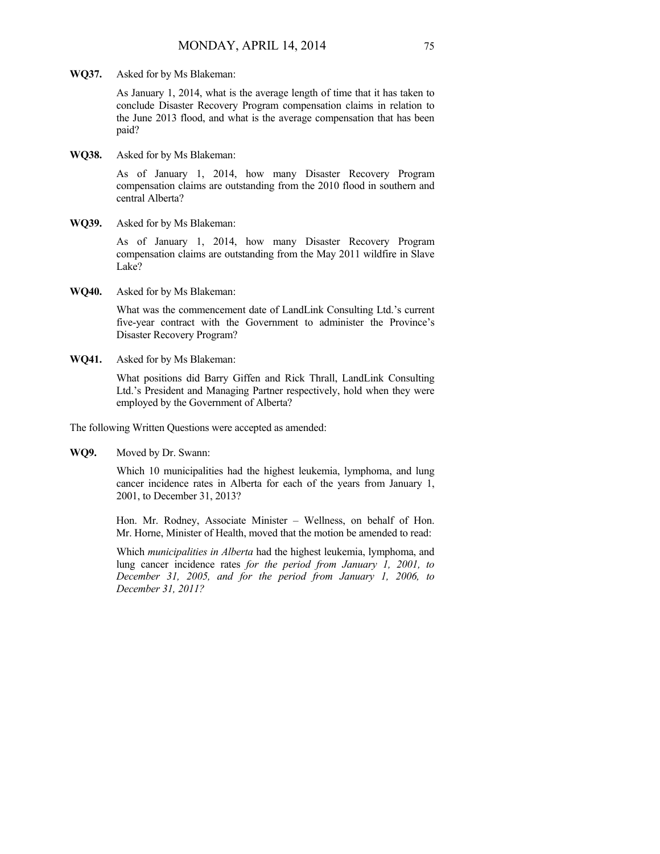**WQ37.** Asked for by Ms Blakeman:

As January 1, 2014, what is the average length of time that it has taken to conclude Disaster Recovery Program compensation claims in relation to the June 2013 flood, and what is the average compensation that has been paid?

**WQ38.** Asked for by Ms Blakeman:

As of January 1, 2014, how many Disaster Recovery Program compensation claims are outstanding from the 2010 flood in southern and central Alberta?

**WQ39.** Asked for by Ms Blakeman:

As of January 1, 2014, how many Disaster Recovery Program compensation claims are outstanding from the May 2011 wildfire in Slave Lake?

**WQ40.** Asked for by Ms Blakeman:

What was the commencement date of LandLink Consulting Ltd.'s current five-year contract with the Government to administer the Province's Disaster Recovery Program?

**WQ41.** Asked for by Ms Blakeman:

What positions did Barry Giffen and Rick Thrall, LandLink Consulting Ltd.'s President and Managing Partner respectively, hold when they were employed by the Government of Alberta?

The following Written Questions were accepted as amended:

**WQ9.** Moved by Dr. Swann:

Which 10 municipalities had the highest leukemia, lymphoma, and lung cancer incidence rates in Alberta for each of the years from January 1, 2001, to December 31, 2013?

Hon. Mr. Rodney, Associate Minister – Wellness, on behalf of Hon. Mr. Horne, Minister of Health, moved that the motion be amended to read:

Which *municipalities in Alberta* had the highest leukemia, lymphoma, and lung cancer incidence rates *for the period from January 1, 2001, to December 31, 2005, and for the period from January 1, 2006, to December 31, 2011?*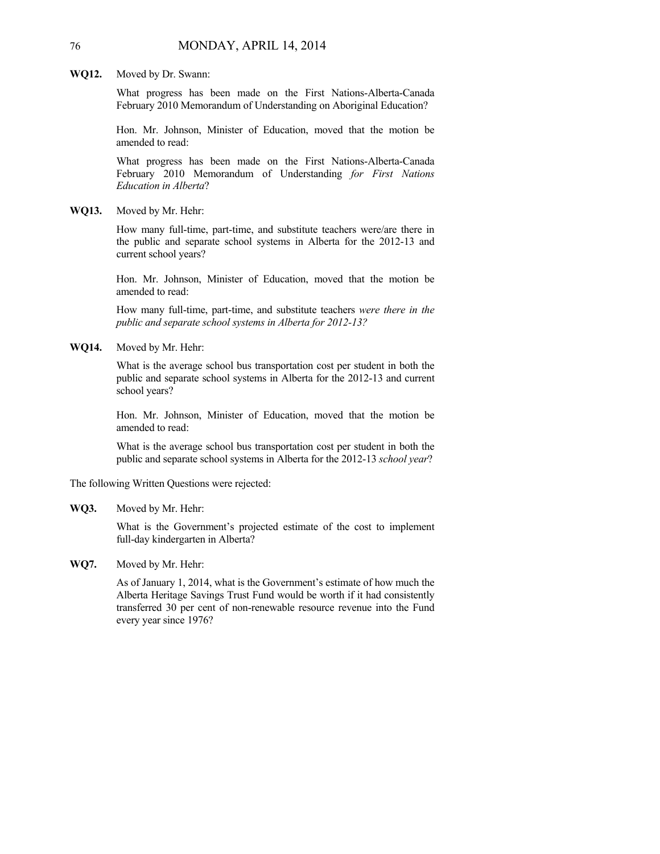**WQ12.** Moved by Dr. Swann:

What progress has been made on the First Nations-Alberta-Canada February 2010 Memorandum of Understanding on Aboriginal Education?

Hon. Mr. Johnson, Minister of Education, moved that the motion be amended to read:

What progress has been made on the First Nations-Alberta-Canada February 2010 Memorandum of Understanding *for First Nations Education in Alberta*?

**WQ13.** Moved by Mr. Hehr:

How many full-time, part-time, and substitute teachers were/are there in the public and separate school systems in Alberta for the 2012-13 and current school years?

Hon. Mr. Johnson, Minister of Education, moved that the motion be amended to read:

How many full-time, part-time, and substitute teachers *were there in the public and separate school systems in Alberta for 2012-13?*

**WQ14.** Moved by Mr. Hehr:

What is the average school bus transportation cost per student in both the public and separate school systems in Alberta for the 2012-13 and current school years?

Hon. Mr. Johnson, Minister of Education, moved that the motion be amended to read:

What is the average school bus transportation cost per student in both the public and separate school systems in Alberta for the 2012-13 *school year*?

The following Written Questions were rejected:

**WQ3.** Moved by Mr. Hehr:

What is the Government's projected estimate of the cost to implement full-day kindergarten in Alberta?

**WQ7.** Moved by Mr. Hehr:

As of January 1, 2014, what is the Government's estimate of how much the Alberta Heritage Savings Trust Fund would be worth if it had consistently transferred 30 per cent of non-renewable resource revenue into the Fund every year since 1976?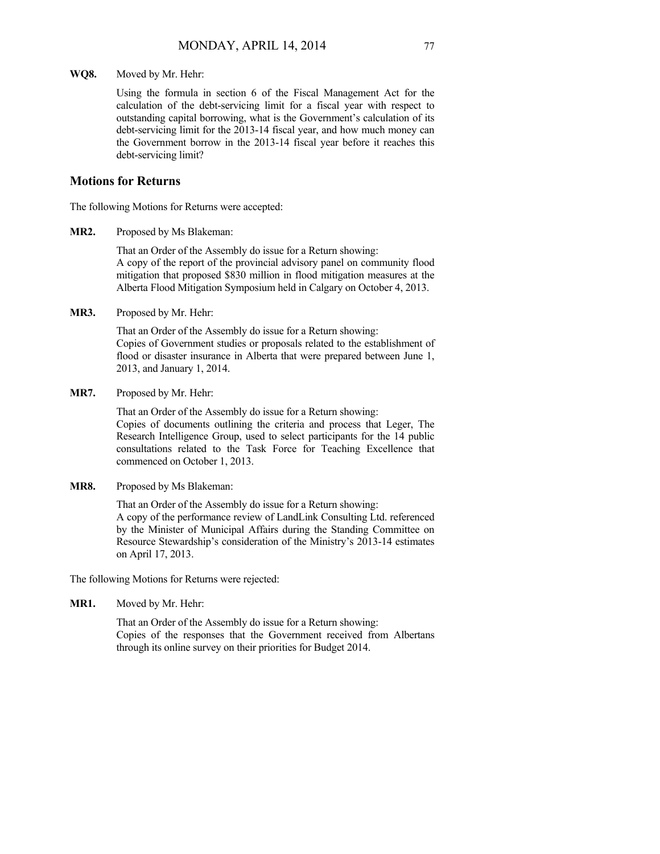**WQ8.** Moved by Mr. Hehr:

Using the formula in section 6 of the Fiscal Management Act for the calculation of the debt-servicing limit for a fiscal year with respect to outstanding capital borrowing, what is the Government's calculation of its debt-servicing limit for the 2013-14 fiscal year, and how much money can the Government borrow in the 2013-14 fiscal year before it reaches this debt-servicing limit?

### **Motions for Returns**

The following Motions for Returns were accepted:

**MR2.** Proposed by Ms Blakeman:

That an Order of the Assembly do issue for a Return showing: A copy of the report of the provincial advisory panel on community flood mitigation that proposed \$830 million in flood mitigation measures at the Alberta Flood Mitigation Symposium held in Calgary on October 4, 2013.

**MR3.** Proposed by Mr. Hehr:

That an Order of the Assembly do issue for a Return showing: Copies of Government studies or proposals related to the establishment of flood or disaster insurance in Alberta that were prepared between June 1, 2013, and January 1, 2014.

**MR7.** Proposed by Mr. Hehr:

That an Order of the Assembly do issue for a Return showing: Copies of documents outlining the criteria and process that Leger, The Research Intelligence Group, used to select participants for the 14 public consultations related to the Task Force for Teaching Excellence that commenced on October 1, 2013.

**MR8.** Proposed by Ms Blakeman:

That an Order of the Assembly do issue for a Return showing: A copy of the performance review of LandLink Consulting Ltd. referenced by the Minister of Municipal Affairs during the Standing Committee on Resource Stewardship's consideration of the Ministry's 2013-14 estimates on April 17, 2013.

The following Motions for Returns were rejected:

**MR1.** Moved by Mr. Hehr:

That an Order of the Assembly do issue for a Return showing: Copies of the responses that the Government received from Albertans through its online survey on their priorities for Budget 2014.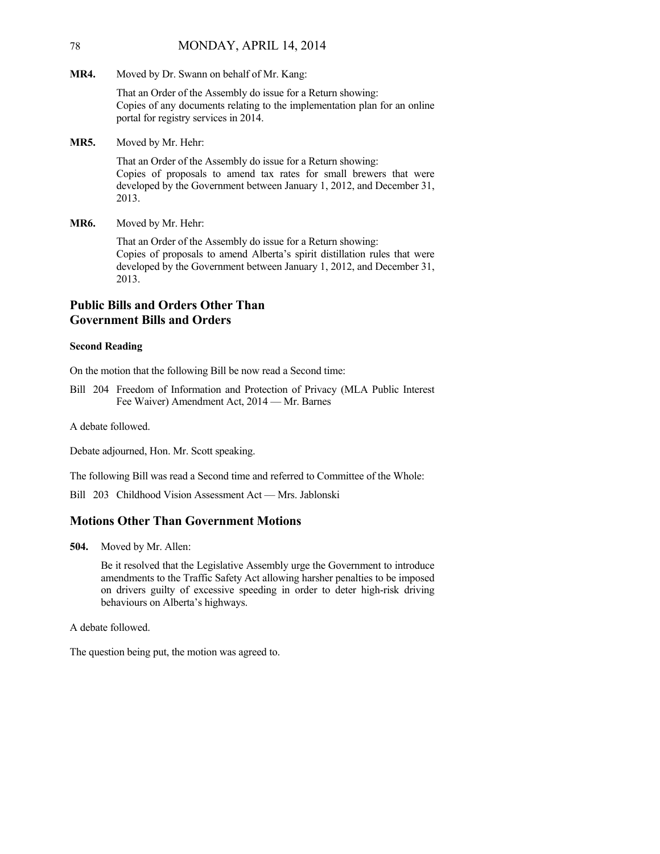### 78 MONDAY, APRIL 14, 2014

**MR4.** Moved by Dr. Swann on behalf of Mr. Kang:

That an Order of the Assembly do issue for a Return showing: Copies of any documents relating to the implementation plan for an online portal for registry services in 2014.

**MR5.** Moved by Mr. Hehr:

That an Order of the Assembly do issue for a Return showing: Copies of proposals to amend tax rates for small brewers that were developed by the Government between January 1, 2012, and December 31, 2013.

**MR6.** Moved by Mr. Hehr:

That an Order of the Assembly do issue for a Return showing: Copies of proposals to amend Alberta's spirit distillation rules that were developed by the Government between January 1, 2012, and December 31, 2013.

# **Public Bills and Orders Other Than Government Bills and Orders**

### **Second Reading**

On the motion that the following Bill be now read a Second time:

Bill 204 Freedom of Information and Protection of Privacy (MLA Public Interest Fee Waiver) Amendment Act, 2014 — Mr. Barnes

A debate followed.

Debate adjourned, Hon. Mr. Scott speaking.

The following Bill was read a Second time and referred to Committee of the Whole:

Bill 203 Childhood Vision Assessment Act — Mrs. Jablonski

### **Motions Other Than Government Motions**

**504.** Moved by Mr. Allen:

Be it resolved that the Legislative Assembly urge the Government to introduce amendments to the Traffic Safety Act allowing harsher penalties to be imposed on drivers guilty of excessive speeding in order to deter high-risk driving behaviours on Alberta's highways.

A debate followed.

The question being put, the motion was agreed to.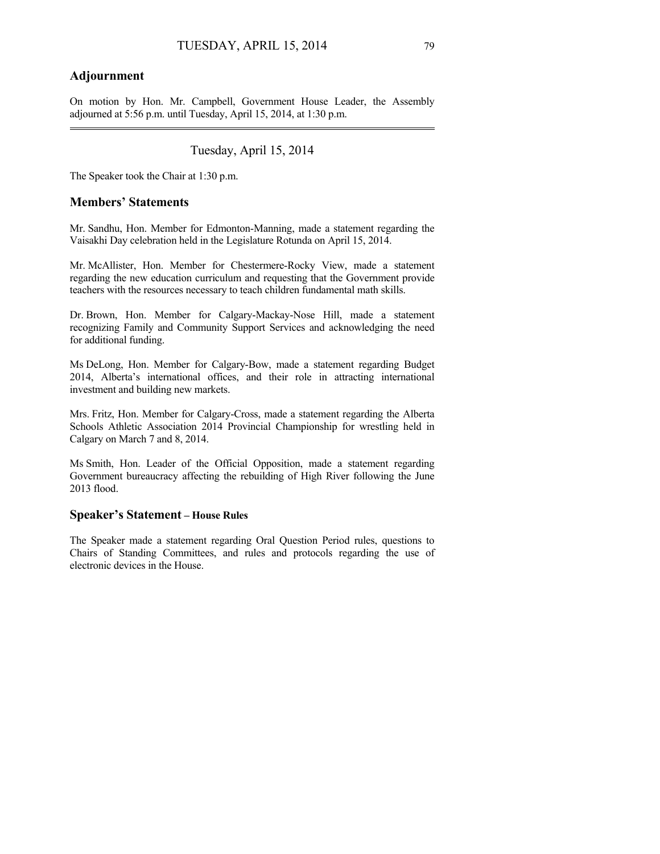# **Adjournment**

On motion by Hon. Mr. Campbell, Government House Leader, the Assembly adjourned at 5:56 p.m. until Tuesday, April 15, 2014, at 1:30 p.m.

# Tuesday, April 15, 2014

The Speaker took the Chair at 1:30 p.m.

### **Members' Statements**

Mr. Sandhu, Hon. Member for Edmonton-Manning, made a statement regarding the Vaisakhi Day celebration held in the Legislature Rotunda on April 15, 2014.

Mr. McAllister, Hon. Member for Chestermere-Rocky View, made a statement regarding the new education curriculum and requesting that the Government provide teachers with the resources necessary to teach children fundamental math skills.

Dr. Brown, Hon. Member for Calgary-Mackay-Nose Hill, made a statement recognizing Family and Community Support Services and acknowledging the need for additional funding.

Ms DeLong, Hon. Member for Calgary-Bow, made a statement regarding Budget 2014, Alberta's international offices, and their role in attracting international investment and building new markets.

Mrs. Fritz, Hon. Member for Calgary-Cross, made a statement regarding the Alberta Schools Athletic Association 2014 Provincial Championship for wrestling held in Calgary on March 7 and 8, 2014.

Ms Smith, Hon. Leader of the Official Opposition, made a statement regarding Government bureaucracy affecting the rebuilding of High River following the June 2013 flood.

# **Speaker's Statement – House Rules**

The Speaker made a statement regarding Oral Question Period rules, questions to Chairs of Standing Committees, and rules and protocols regarding the use of electronic devices in the House.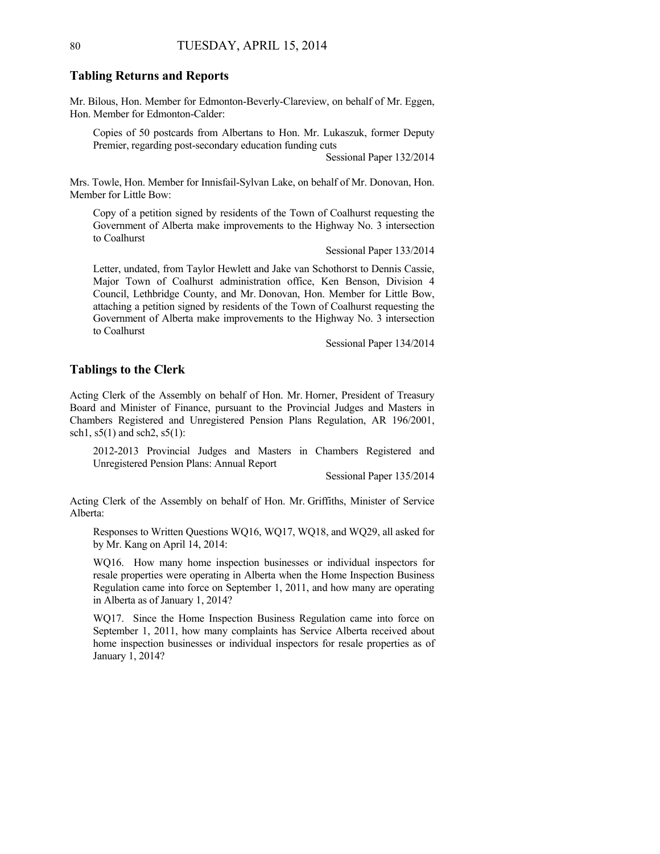### **Tabling Returns and Reports**

Mr. Bilous, Hon. Member for Edmonton-Beverly-Clareview, on behalf of Mr. Eggen, Hon. Member for Edmonton-Calder:

Copies of 50 postcards from Albertans to Hon. Mr. Lukaszuk, former Deputy Premier, regarding post-secondary education funding cuts

Sessional Paper 132/2014

Mrs. Towle, Hon. Member for Innisfail-Sylvan Lake, on behalf of Mr. Donovan, Hon. Member for Little Bow:

Copy of a petition signed by residents of the Town of Coalhurst requesting the Government of Alberta make improvements to the Highway No. 3 intersection to Coalhurst

Sessional Paper 133/2014

Letter, undated, from Taylor Hewlett and Jake van Schothorst to Dennis Cassie, Major Town of Coalhurst administration office, Ken Benson, Division 4 Council, Lethbridge County, and Mr. Donovan, Hon. Member for Little Bow, attaching a petition signed by residents of the Town of Coalhurst requesting the Government of Alberta make improvements to the Highway No. 3 intersection to Coalhurst

Sessional Paper 134/2014

### **Tablings to the Clerk**

Acting Clerk of the Assembly on behalf of Hon. Mr. Horner, President of Treasury Board and Minister of Finance, pursuant to the Provincial Judges and Masters in Chambers Registered and Unregistered Pension Plans Regulation, AR 196/2001, sch1, s5(1) and sch2, s5(1):

2012-2013 Provincial Judges and Masters in Chambers Registered and Unregistered Pension Plans: Annual Report

Sessional Paper 135/2014

Acting Clerk of the Assembly on behalf of Hon. Mr. Griffiths, Minister of Service Alberta:

Responses to Written Questions WQ16, WQ17, WQ18, and WQ29, all asked for by Mr. Kang on April 14, 2014:

WQ16. How many home inspection businesses or individual inspectors for resale properties were operating in Alberta when the Home Inspection Business Regulation came into force on September 1, 2011, and how many are operating in Alberta as of January 1, 2014?

WQ17. Since the Home Inspection Business Regulation came into force on September 1, 2011, how many complaints has Service Alberta received about home inspection businesses or individual inspectors for resale properties as of January 1, 2014?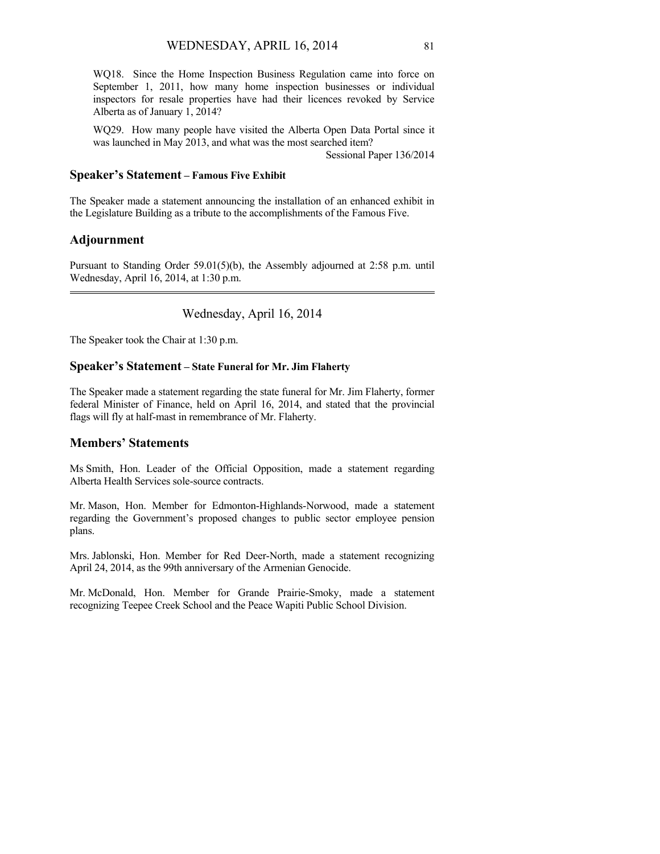WQ18. Since the Home Inspection Business Regulation came into force on September 1, 2011, how many home inspection businesses or individual inspectors for resale properties have had their licences revoked by Service Alberta as of January 1, 2014?

WQ29. How many people have visited the Alberta Open Data Portal since it was launched in May 2013, and what was the most searched item?

Sessional Paper 136/2014

## **Speaker's Statement – Famous Five Exhibit**

The Speaker made a statement announcing the installation of an enhanced exhibit in the Legislature Building as a tribute to the accomplishments of the Famous Five.

# **Adjournment**

Pursuant to Standing Order 59.01(5)(b), the Assembly adjourned at 2:58 p.m. until Wednesday, April 16, 2014, at 1:30 p.m. 

Wednesday, April 16, 2014

The Speaker took the Chair at 1:30 p.m.

# **Speaker's Statement – State Funeral for Mr. Jim Flaherty**

The Speaker made a statement regarding the state funeral for Mr. Jim Flaherty, former federal Minister of Finance, held on April 16, 2014, and stated that the provincial flags will fly at half-mast in remembrance of Mr. Flaherty.

# **Members' Statements**

Ms Smith, Hon. Leader of the Official Opposition, made a statement regarding Alberta Health Services sole-source contracts.

Mr. Mason, Hon. Member for Edmonton-Highlands-Norwood, made a statement regarding the Government's proposed changes to public sector employee pension plans.

Mrs. Jablonski, Hon. Member for Red Deer-North, made a statement recognizing April 24, 2014, as the 99th anniversary of the Armenian Genocide.

Mr. McDonald, Hon. Member for Grande Prairie-Smoky, made a statement recognizing Teepee Creek School and the Peace Wapiti Public School Division.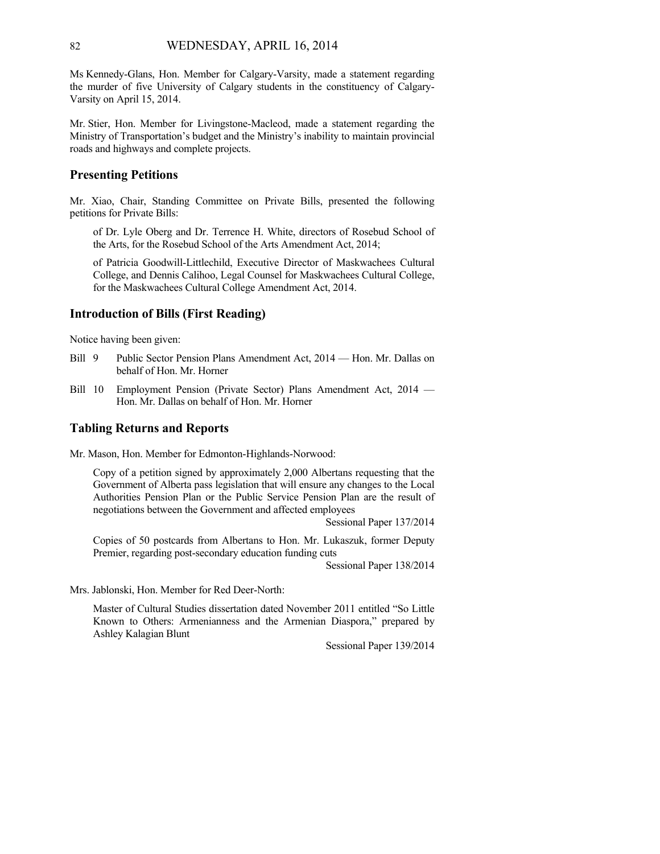Ms Kennedy-Glans, Hon. Member for Calgary-Varsity, made a statement regarding the murder of five University of Calgary students in the constituency of Calgary-Varsity on April 15, 2014.

Mr. Stier, Hon. Member for Livingstone-Macleod, made a statement regarding the Ministry of Transportation's budget and the Ministry's inability to maintain provincial roads and highways and complete projects.

### **Presenting Petitions**

Mr. Xiao, Chair, Standing Committee on Private Bills, presented the following petitions for Private Bills:

of Dr. Lyle Oberg and Dr. Terrence H. White, directors of Rosebud School of the Arts, for the Rosebud School of the Arts Amendment Act, 2014;

of Patricia Goodwill-Littlechild, Executive Director of Maskwachees Cultural College, and Dennis Calihoo, Legal Counsel for Maskwachees Cultural College, for the Maskwachees Cultural College Amendment Act, 2014.

# **Introduction of Bills (First Reading)**

Notice having been given:

- Bill 9 Public Sector Pension Plans Amendment Act, 2014 Hon. Mr. Dallas on behalf of Hon. Mr. Horner
- Bill 10 Employment Pension (Private Sector) Plans Amendment Act, 2014 Hon. Mr. Dallas on behalf of Hon. Mr. Horner

#### **Tabling Returns and Reports**

Mr. Mason, Hon. Member for Edmonton-Highlands-Norwood:

Copy of a petition signed by approximately 2,000 Albertans requesting that the Government of Alberta pass legislation that will ensure any changes to the Local Authorities Pension Plan or the Public Service Pension Plan are the result of negotiations between the Government and affected employees

Sessional Paper 137/2014

Copies of 50 postcards from Albertans to Hon. Mr. Lukaszuk, former Deputy Premier, regarding post-secondary education funding cuts

Sessional Paper 138/2014

Mrs. Jablonski, Hon. Member for Red Deer-North:

Master of Cultural Studies dissertation dated November 2011 entitled "So Little Known to Others: Armenianness and the Armenian Diaspora," prepared by Ashley Kalagian Blunt

Sessional Paper 139/2014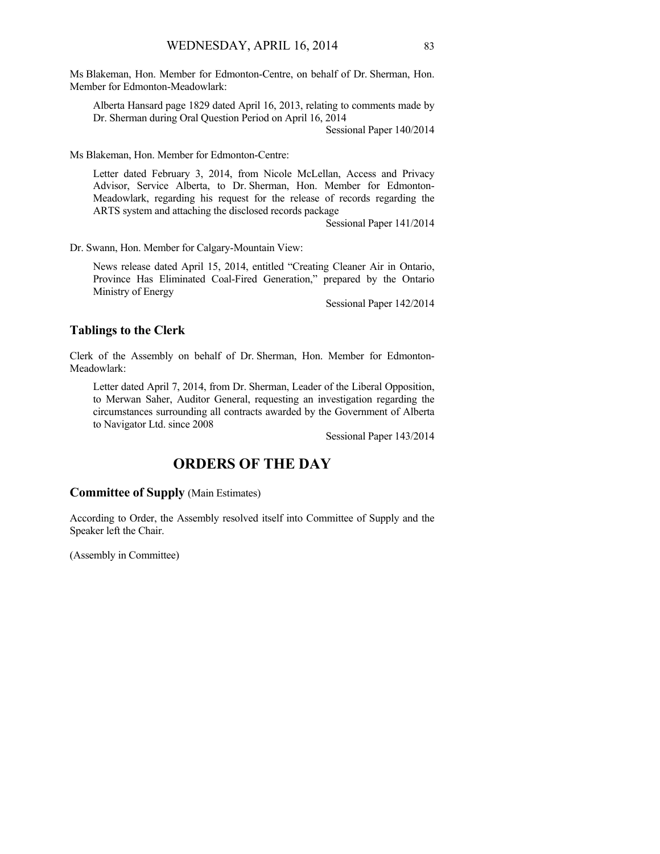Ms Blakeman, Hon. Member for Edmonton-Centre, on behalf of Dr. Sherman, Hon. Member for Edmonton-Meadowlark:

Alberta Hansard page 1829 dated April 16, 2013, relating to comments made by Dr. Sherman during Oral Question Period on April 16, 2014

Sessional Paper 140/2014

Ms Blakeman, Hon. Member for Edmonton-Centre:

Letter dated February 3, 2014, from Nicole McLellan, Access and Privacy Advisor, Service Alberta, to Dr. Sherman, Hon. Member for Edmonton-Meadowlark, regarding his request for the release of records regarding the ARTS system and attaching the disclosed records package

Sessional Paper 141/2014

Dr. Swann, Hon. Member for Calgary-Mountain View:

News release dated April 15, 2014, entitled "Creating Cleaner Air in Ontario, Province Has Eliminated Coal-Fired Generation," prepared by the Ontario Ministry of Energy

Sessional Paper 142/2014

#### **Tablings to the Clerk**

Clerk of the Assembly on behalf of Dr. Sherman, Hon. Member for Edmonton-Meadowlark:

Letter dated April 7, 2014, from Dr. Sherman, Leader of the Liberal Opposition, to Merwan Saher, Auditor General, requesting an investigation regarding the circumstances surrounding all contracts awarded by the Government of Alberta to Navigator Ltd. since 2008

Sessional Paper 143/2014

# **ORDERS OF THE DAY**

### **Committee of Supply** (Main Estimates)

According to Order, the Assembly resolved itself into Committee of Supply and the Speaker left the Chair.

(Assembly in Committee)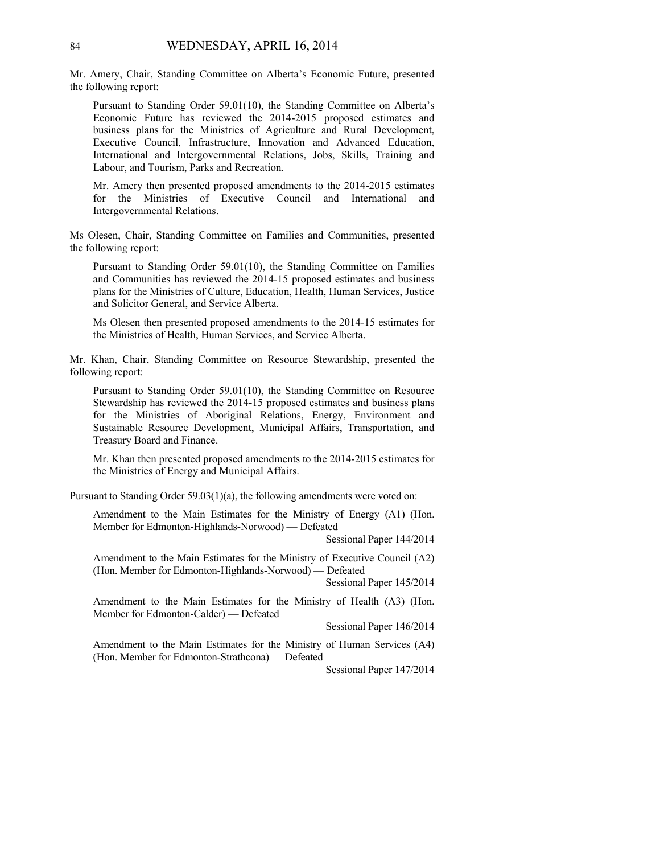Mr. Amery, Chair, Standing Committee on Alberta's Economic Future, presented the following report:

Pursuant to Standing Order 59.01(10), the Standing Committee on Alberta's Economic Future has reviewed the 2014-2015 proposed estimates and business plans for the Ministries of Agriculture and Rural Development, Executive Council, Infrastructure, Innovation and Advanced Education, International and Intergovernmental Relations, Jobs, Skills, Training and Labour, and Tourism, Parks and Recreation.

Mr. Amery then presented proposed amendments to the 2014-2015 estimates for the Ministries of Executive Council and International and Intergovernmental Relations.

Ms Olesen, Chair, Standing Committee on Families and Communities, presented the following report:

Pursuant to Standing Order 59.01(10), the Standing Committee on Families and Communities has reviewed the 2014-15 proposed estimates and business plans for the Ministries of Culture, Education, Health, Human Services, Justice and Solicitor General, and Service Alberta.

Ms Olesen then presented proposed amendments to the 2014-15 estimates for the Ministries of Health, Human Services, and Service Alberta.

Mr. Khan, Chair, Standing Committee on Resource Stewardship, presented the following report:

Pursuant to Standing Order 59.01(10), the Standing Committee on Resource Stewardship has reviewed the 2014-15 proposed estimates and business plans for the Ministries of Aboriginal Relations, Energy, Environment and Sustainable Resource Development, Municipal Affairs, Transportation, and Treasury Board and Finance.

Mr. Khan then presented proposed amendments to the 2014-2015 estimates for the Ministries of Energy and Municipal Affairs.

Pursuant to Standing Order 59.03(1)(a), the following amendments were voted on:

Amendment to the Main Estimates for the Ministry of Energy (A1) (Hon. Member for Edmonton-Highlands-Norwood) — Defeated

Sessional Paper 144/2014

Amendment to the Main Estimates for the Ministry of Executive Council (A2) (Hon. Member for Edmonton-Highlands-Norwood) — Defeated

Sessional Paper 145/2014

Amendment to the Main Estimates for the Ministry of Health (A3) (Hon. Member for Edmonton-Calder) — Defeated

Sessional Paper 146/2014

Amendment to the Main Estimates for the Ministry of Human Services (A4) (Hon. Member for Edmonton-Strathcona) — Defeated

Sessional Paper 147/2014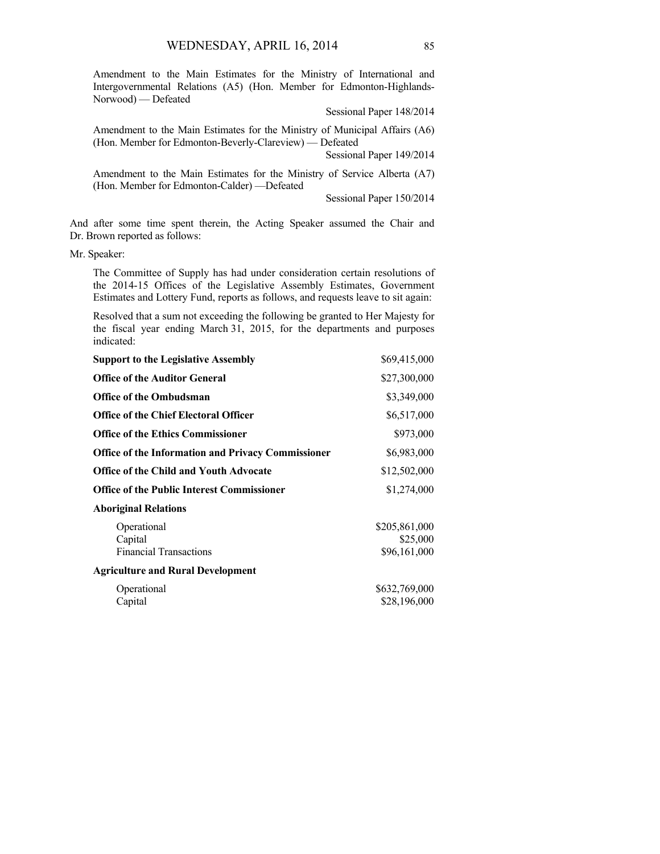Amendment to the Main Estimates for the Ministry of International and Intergovernmental Relations (A5) (Hon. Member for Edmonton-Highlands-Norwood) — Defeated

Sessional Paper 148/2014

Amendment to the Main Estimates for the Ministry of Municipal Affairs (A6) (Hon. Member for Edmonton-Beverly-Clareview) — Defeated

Sessional Paper 149/2014

Amendment to the Main Estimates for the Ministry of Service Alberta (A7) (Hon. Member for Edmonton-Calder) —Defeated

Sessional Paper 150/2014

And after some time spent therein, the Acting Speaker assumed the Chair and Dr. Brown reported as follows:

Mr. Speaker:

The Committee of Supply has had under consideration certain resolutions of the 2014-15 Offices of the Legislative Assembly Estimates, Government Estimates and Lottery Fund, reports as follows, and requests leave to sit again:

Resolved that a sum not exceeding the following be granted to Her Majesty for the fiscal year ending March 31, 2015, for the departments and purposes indicated:

| <b>Support to the Legislative Assembly</b>                | \$69,415,000                              |
|-----------------------------------------------------------|-------------------------------------------|
| <b>Office of the Auditor General</b>                      | \$27,300,000                              |
| <b>Office of the Ombudsman</b>                            | \$3,349,000                               |
| <b>Office of the Chief Electoral Officer</b>              | \$6,517,000                               |
| <b>Office of the Ethics Commissioner</b>                  | \$973,000                                 |
| <b>Office of the Information and Privacy Commissioner</b> | \$6,983,000                               |
| <b>Office of the Child and Youth Advocate</b>             | \$12,502,000                              |
| <b>Office of the Public Interest Commissioner</b>         | \$1,274,000                               |
| <b>Aboriginal Relations</b>                               |                                           |
| Operational<br>Capital<br><b>Financial Transactions</b>   | \$205,861,000<br>\$25,000<br>\$96,161,000 |
| <b>Agriculture and Rural Development</b>                  |                                           |
| Operational<br>Capital                                    | \$632,769,000<br>\$28,196,000             |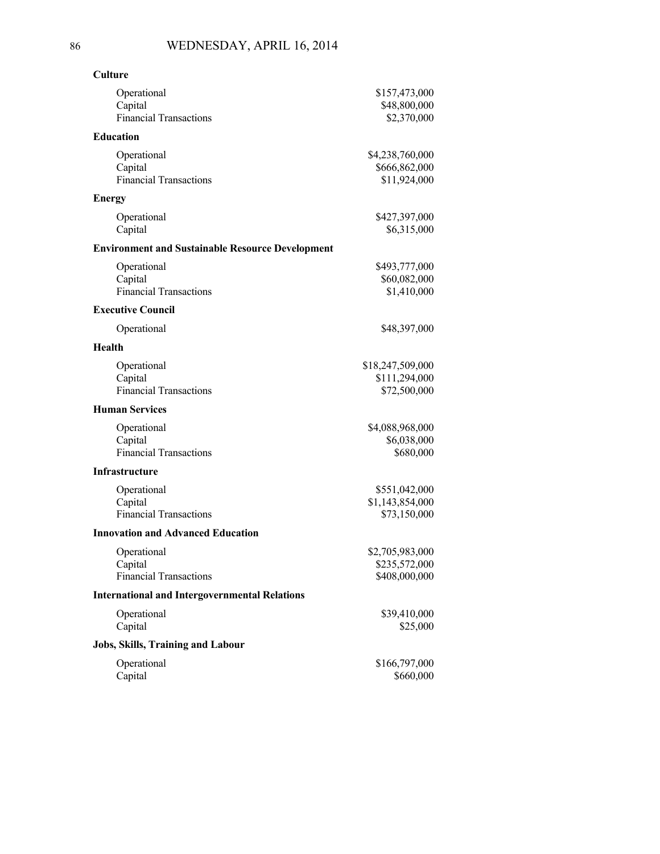| <b>Culture</b>                                          |                                                   |
|---------------------------------------------------------|---------------------------------------------------|
| Operational<br>Capital<br><b>Financial Transactions</b> | \$157,473,000<br>\$48,800,000<br>\$2,370,000      |
| <b>Education</b>                                        |                                                   |
| Operational<br>Capital<br><b>Financial Transactions</b> | \$4,238,760,000<br>\$666,862,000<br>\$11,924,000  |
| Energy                                                  |                                                   |
| Operational<br>Capital                                  | \$427,397,000<br>\$6,315,000                      |
| <b>Environment and Sustainable Resource Development</b> |                                                   |
| Operational<br>Capital<br><b>Financial Transactions</b> | \$493,777,000<br>\$60,082,000<br>\$1,410,000      |
| <b>Executive Council</b>                                |                                                   |
| Operational                                             | \$48,397,000                                      |
| Health                                                  |                                                   |
| Operational<br>Capital<br><b>Financial Transactions</b> | \$18,247,509,000<br>\$111,294,000<br>\$72,500,000 |
| <b>Human Services</b>                                   |                                                   |
| Operational<br>Capital<br><b>Financial Transactions</b> | \$4,088,968,000<br>\$6,038,000<br>\$680,000       |
| <b>Infrastructure</b>                                   |                                                   |
| Operational<br>Capital<br><b>Financial Transactions</b> | \$551,042,000<br>\$1,143,854,000<br>\$73,150,000  |
| <b>Innovation and Advanced Education</b>                |                                                   |
| Operational<br>Capital<br><b>Financial Transactions</b> | \$2,705,983,000<br>\$235,572,000<br>\$408,000,000 |
| <b>International and Intergovernmental Relations</b>    |                                                   |
| Operational<br>Capital                                  | \$39,410,000<br>\$25,000                          |
| Jobs, Skills, Training and Labour                       |                                                   |
| Operational<br>Capital                                  | \$166,797,000<br>\$660,000                        |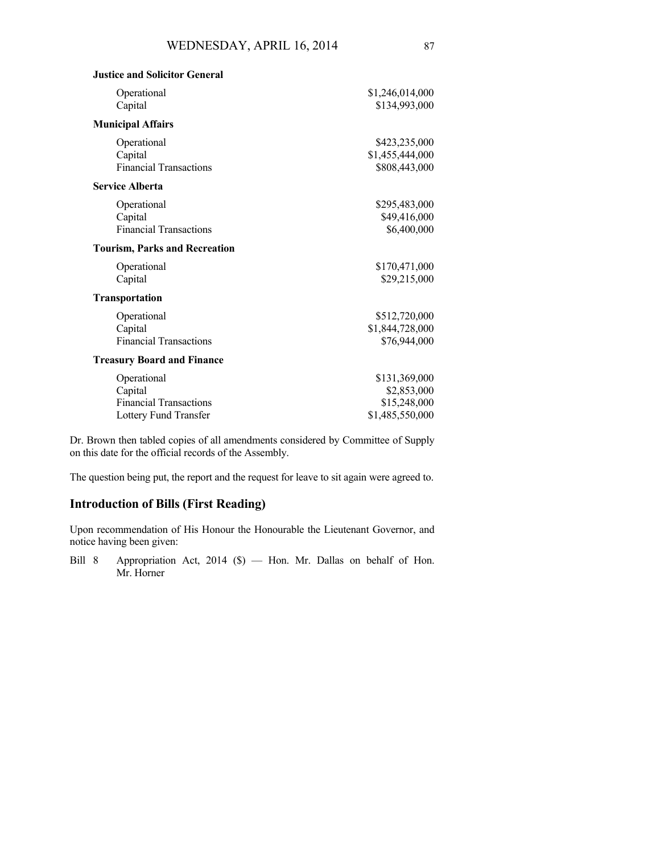| Operational                          | \$1,246,014,000 |
|--------------------------------------|-----------------|
| Capital                              | \$134,993,000   |
| <b>Municipal Affairs</b>             |                 |
| Operational                          | \$423,235,000   |
| Capital                              | \$1,455,444,000 |
| <b>Financial Transactions</b>        | \$808,443,000   |
| <b>Service Alberta</b>               |                 |
| Operational                          | \$295,483,000   |
| Capital                              | \$49,416,000    |
| <b>Financial Transactions</b>        | \$6,400,000     |
| <b>Tourism, Parks and Recreation</b> |                 |
| Operational                          | \$170,471,000   |
| Capital                              | \$29,215,000    |
| <b>Transportation</b>                |                 |
| Operational                          | \$512,720,000   |
| Capital                              | \$1,844,728,000 |
| <b>Financial Transactions</b>        | \$76,944,000    |
| <b>Treasury Board and Finance</b>    |                 |
| Operational                          | \$131,369,000   |
| Capital                              | \$2,853,000     |
| <b>Financial Transactions</b>        | \$15,248,000    |
| Lottery Fund Transfer                | \$1,485,550,000 |

Dr. Brown then tabled copies of all amendments considered by Committee of Supply on this date for the official records of the Assembly.

The question being put, the report and the request for leave to sit again were agreed to.

# **Introduction of Bills (First Reading)**

**Justice and Solicitor General**

Upon recommendation of His Honour the Honourable the Lieutenant Governor, and notice having been given:

Bill 8 Appropriation Act, 2014 (\$) — Hon. Mr. Dallas on behalf of Hon. Mr. Horner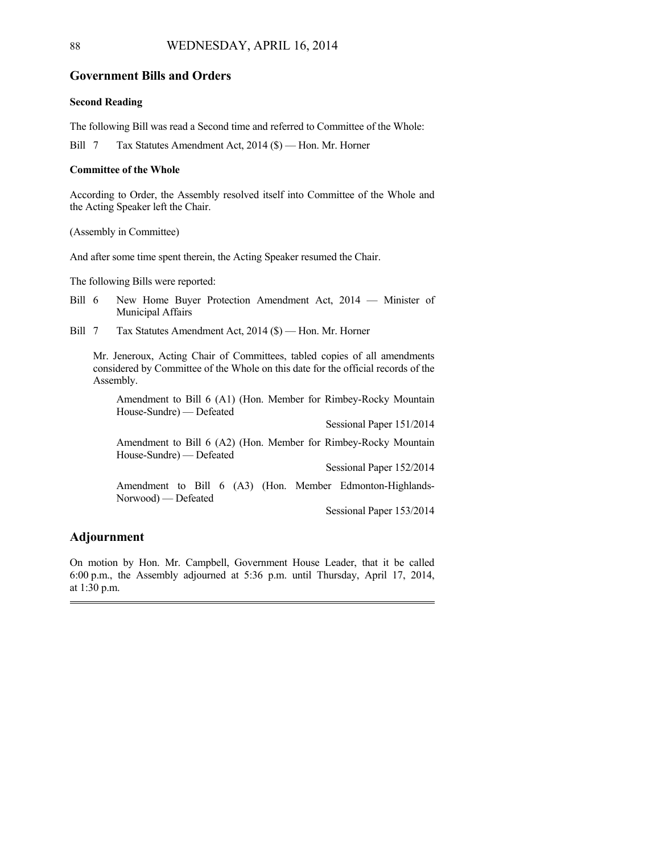## **Government Bills and Orders**

#### **Second Reading**

The following Bill was read a Second time and referred to Committee of the Whole:

Bill 7 Tax Statutes Amendment Act, 2014 (\$) — Hon. Mr. Horner

#### **Committee of the Whole**

According to Order, the Assembly resolved itself into Committee of the Whole and the Acting Speaker left the Chair.

(Assembly in Committee)

And after some time spent therein, the Acting Speaker resumed the Chair.

The following Bills were reported:

- Bill 6 New Home Buyer Protection Amendment Act, 2014 Minister of Municipal Affairs
- Bill 7 Tax Statutes Amendment Act, 2014 (\$) Hon. Mr. Horner

Mr. Jeneroux, Acting Chair of Committees, tabled copies of all amendments considered by Committee of the Whole on this date for the official records of the Assembly.

Amendment to Bill 6 (A1) (Hon. Member for Rimbey-Rocky Mountain House-Sundre) — Defeated

Sessional Paper 151/2014

Amendment to Bill 6 (A2) (Hon. Member for Rimbey-Rocky Mountain House-Sundre) — Defeated

Sessional Paper 152/2014

Amendment to Bill 6 (A3) (Hon. Member Edmonton-Highlands-Norwood) — Defeated

Sessional Paper 153/2014

### **Adjournment**

On motion by Hon. Mr. Campbell, Government House Leader, that it be called 6:00 p.m., the Assembly adjourned at 5:36 p.m. until Thursday, April 17, 2014, at 1:30 p.m.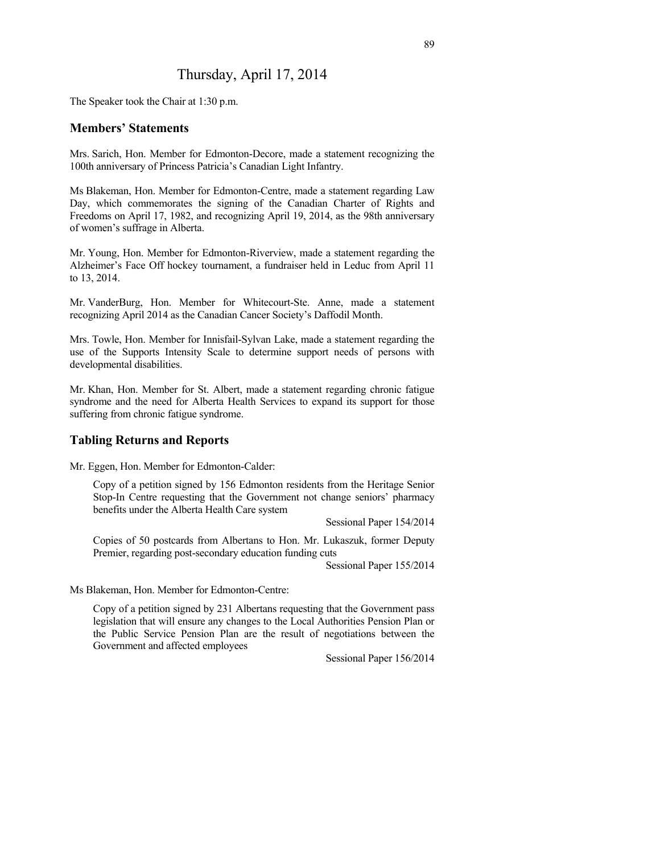# Thursday, April 17, 2014

The Speaker took the Chair at 1:30 p.m.

## **Members' Statements**

Mrs. Sarich, Hon. Member for Edmonton-Decore, made a statement recognizing the 100th anniversary of Princess Patricia's Canadian Light Infantry.

Ms Blakeman, Hon. Member for Edmonton-Centre, made a statement regarding Law Day, which commemorates the signing of the Canadian Charter of Rights and Freedoms on April 17, 1982, and recognizing April 19, 2014, as the 98th anniversary of women's suffrage in Alberta.

Mr. Young, Hon. Member for Edmonton-Riverview, made a statement regarding the Alzheimer's Face Off hockey tournament, a fundraiser held in Leduc from April 11 to 13, 2014.

Mr. VanderBurg, Hon. Member for Whitecourt-Ste. Anne, made a statement recognizing April 2014 as the Canadian Cancer Society's Daffodil Month.

Mrs. Towle, Hon. Member for Innisfail-Sylvan Lake, made a statement regarding the use of the Supports Intensity Scale to determine support needs of persons with developmental disabilities.

Mr. Khan, Hon. Member for St. Albert, made a statement regarding chronic fatigue syndrome and the need for Alberta Health Services to expand its support for those suffering from chronic fatigue syndrome.

# **Tabling Returns and Reports**

Mr. Eggen, Hon. Member for Edmonton-Calder:

Copy of a petition signed by 156 Edmonton residents from the Heritage Senior Stop-In Centre requesting that the Government not change seniors' pharmacy benefits under the Alberta Health Care system

Sessional Paper 154/2014

Copies of 50 postcards from Albertans to Hon. Mr. Lukaszuk, former Deputy Premier, regarding post-secondary education funding cuts

Sessional Paper 155/2014

Ms Blakeman, Hon. Member for Edmonton-Centre:

Copy of a petition signed by 231 Albertans requesting that the Government pass legislation that will ensure any changes to the Local Authorities Pension Plan or the Public Service Pension Plan are the result of negotiations between the Government and affected employees

Sessional Paper 156/2014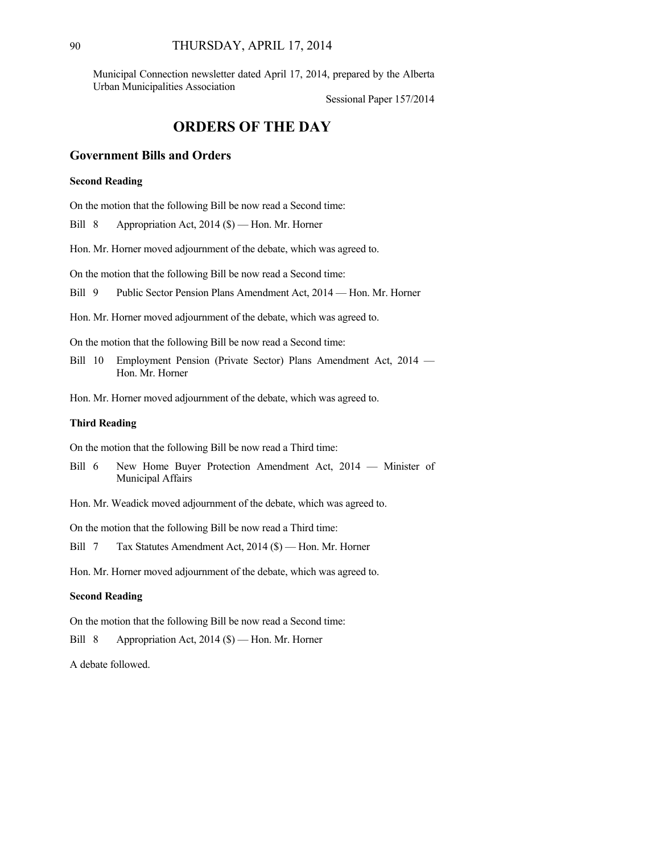Municipal Connection newsletter dated April 17, 2014, prepared by the Alberta Urban Municipalities Association

Sessional Paper 157/2014

# **ORDERS OF THE DAY**

# **Government Bills and Orders**

#### **Second Reading**

On the motion that the following Bill be now read a Second time:

Bill 8 Appropriation Act, 2014 (\$) — Hon. Mr. Horner

Hon. Mr. Horner moved adjournment of the debate, which was agreed to.

On the motion that the following Bill be now read a Second time:

Bill 9 Public Sector Pension Plans Amendment Act, 2014 — Hon. Mr. Horner

Hon. Mr. Horner moved adjournment of the debate, which was agreed to.

On the motion that the following Bill be now read a Second time:

Bill 10 Employment Pension (Private Sector) Plans Amendment Act, 2014 — Hon. Mr. Horner

Hon. Mr. Horner moved adjournment of the debate, which was agreed to.

#### **Third Reading**

On the motion that the following Bill be now read a Third time:

- Bill 6 New Home Buyer Protection Amendment Act, 2014 Minister of Municipal Affairs
- Hon. Mr. Weadick moved adjournment of the debate, which was agreed to.

On the motion that the following Bill be now read a Third time:

Bill 7 Tax Statutes Amendment Act, 2014 (\$) — Hon. Mr. Horner

Hon. Mr. Horner moved adjournment of the debate, which was agreed to.

#### **Second Reading**

On the motion that the following Bill be now read a Second time:

Bill 8 Appropriation Act, 2014 (\$) — Hon. Mr. Horner

A debate followed.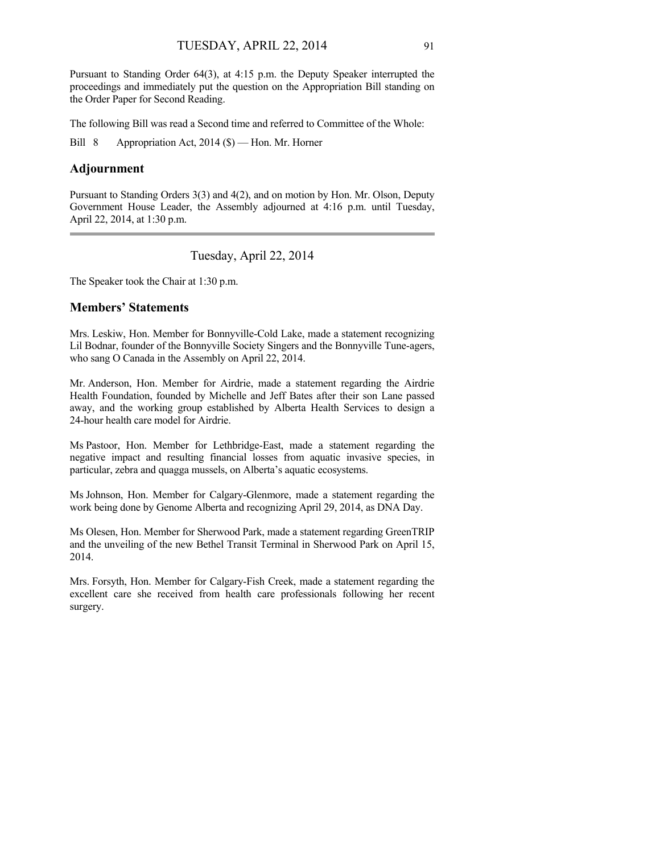Pursuant to Standing Order 64(3), at 4:15 p.m. the Deputy Speaker interrupted the proceedings and immediately put the question on the Appropriation Bill standing on the Order Paper for Second Reading.

The following Bill was read a Second time and referred to Committee of the Whole:

Bill 8 Appropriation Act, 2014 (\$) — Hon. Mr. Horner

# **Adjournment**

Pursuant to Standing Orders 3(3) and 4(2), and on motion by Hon. Mr. Olson, Deputy Government House Leader, the Assembly adjourned at 4:16 p.m. until Tuesday, April 22, 2014, at 1:30 p.m. 

Tuesday, April 22, 2014

The Speaker took the Chair at 1:30 p.m.

# **Members' Statements**

Mrs. Leskiw, Hon. Member for Bonnyville-Cold Lake, made a statement recognizing Lil Bodnar, founder of the Bonnyville Society Singers and the Bonnyville Tune-agers, who sang O Canada in the Assembly on April 22, 2014.

Mr. Anderson, Hon. Member for Airdrie, made a statement regarding the Airdrie Health Foundation, founded by Michelle and Jeff Bates after their son Lane passed away, and the working group established by Alberta Health Services to design a 24-hour health care model for Airdrie.

Ms Pastoor, Hon. Member for Lethbridge-East, made a statement regarding the negative impact and resulting financial losses from aquatic invasive species, in particular, zebra and quagga mussels, on Alberta's aquatic ecosystems.

Ms Johnson, Hon. Member for Calgary-Glenmore, made a statement regarding the work being done by Genome Alberta and recognizing April 29, 2014, as DNA Day.

Ms Olesen, Hon. Member for Sherwood Park, made a statement regarding GreenTRIP and the unveiling of the new Bethel Transit Terminal in Sherwood Park on April 15, 2014.

Mrs. Forsyth, Hon. Member for Calgary-Fish Creek, made a statement regarding the excellent care she received from health care professionals following her recent surgery.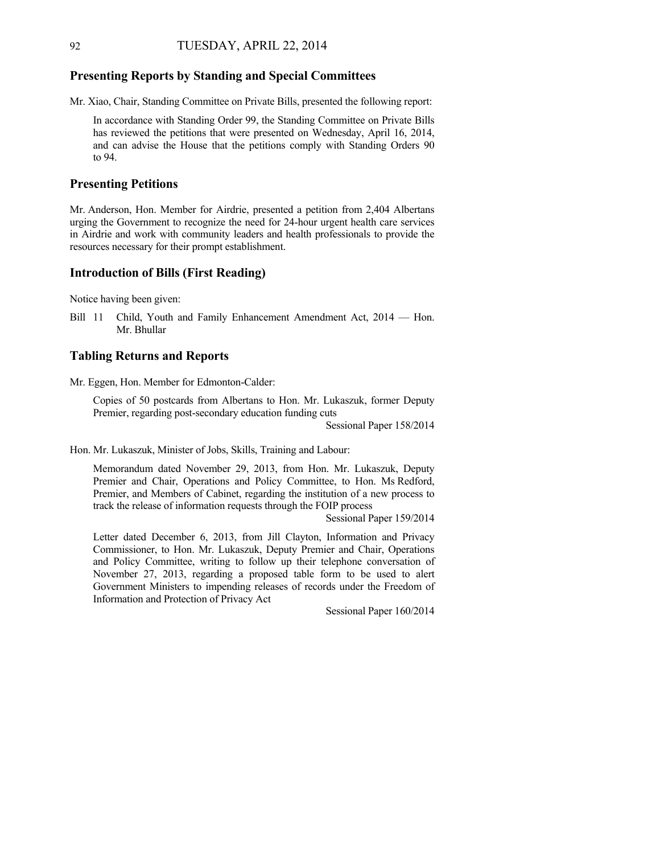### **Presenting Reports by Standing and Special Committees**

Mr. Xiao, Chair, Standing Committee on Private Bills, presented the following report:

In accordance with Standing Order 99, the Standing Committee on Private Bills has reviewed the petitions that were presented on Wednesday, April 16, 2014, and can advise the House that the petitions comply with Standing Orders 90 to 94.

# **Presenting Petitions**

Mr. Anderson, Hon. Member for Airdrie, presented a petition from 2,404 Albertans urging the Government to recognize the need for 24-hour urgent health care services in Airdrie and work with community leaders and health professionals to provide the resources necessary for their prompt establishment.

### **Introduction of Bills (First Reading)**

Notice having been given:

Bill 11 Child, Youth and Family Enhancement Amendment Act, 2014 — Hon. Mr. Bhullar

# **Tabling Returns and Reports**

Mr. Eggen, Hon. Member for Edmonton-Calder:

Copies of 50 postcards from Albertans to Hon. Mr. Lukaszuk, former Deputy Premier, regarding post-secondary education funding cuts

Sessional Paper 158/2014

Hon. Mr. Lukaszuk, Minister of Jobs, Skills, Training and Labour:

Memorandum dated November 29, 2013, from Hon. Mr. Lukaszuk, Deputy Premier and Chair, Operations and Policy Committee, to Hon. Ms Redford, Premier, and Members of Cabinet, regarding the institution of a new process to track the release of information requests through the FOIP process

Sessional Paper 159/2014

Letter dated December 6, 2013, from Jill Clayton, Information and Privacy Commissioner, to Hon. Mr. Lukaszuk, Deputy Premier and Chair, Operations and Policy Committee, writing to follow up their telephone conversation of November 27, 2013, regarding a proposed table form to be used to alert Government Ministers to impending releases of records under the Freedom of Information and Protection of Privacy Act

Sessional Paper 160/2014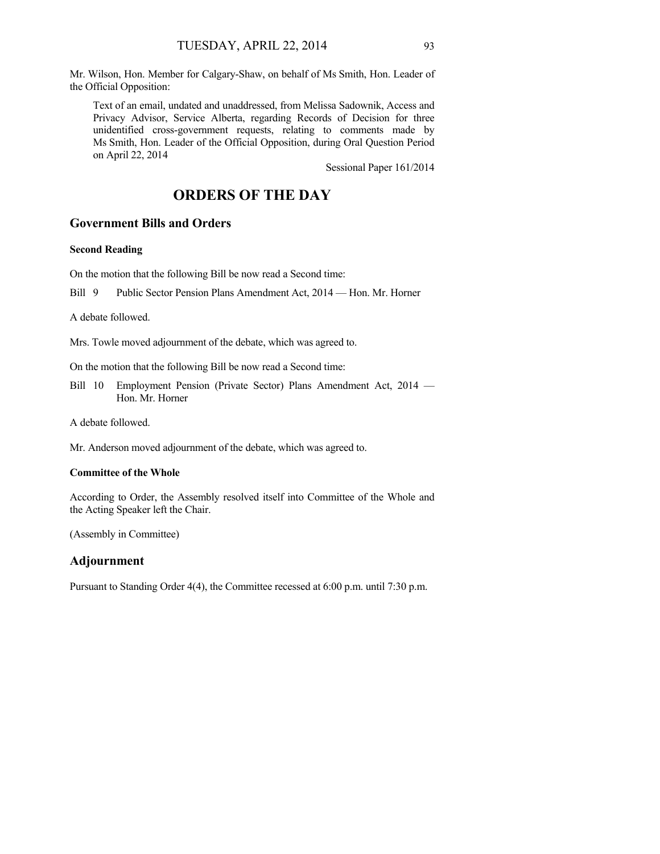Mr. Wilson, Hon. Member for Calgary-Shaw, on behalf of Ms Smith, Hon. Leader of the Official Opposition:

Text of an email, undated and unaddressed, from Melissa Sadownik, Access and Privacy Advisor, Service Alberta, regarding Records of Decision for three unidentified cross-government requests, relating to comments made by Ms Smith, Hon. Leader of the Official Opposition, during Oral Question Period on April 22, 2014

Sessional Paper 161/2014

# **ORDERS OF THE DAY**

# **Government Bills and Orders**

### **Second Reading**

On the motion that the following Bill be now read a Second time:

Bill 9 Public Sector Pension Plans Amendment Act, 2014 — Hon. Mr. Horner

A debate followed.

Mrs. Towle moved adjournment of the debate, which was agreed to.

On the motion that the following Bill be now read a Second time:

Bill 10 Employment Pension (Private Sector) Plans Amendment Act, 2014 — Hon. Mr. Horner

A debate followed.

Mr. Anderson moved adjournment of the debate, which was agreed to.

#### **Committee of the Whole**

According to Order, the Assembly resolved itself into Committee of the Whole and the Acting Speaker left the Chair.

(Assembly in Committee)

# **Adjournment**

Pursuant to Standing Order 4(4), the Committee recessed at 6:00 p.m. until 7:30 p.m.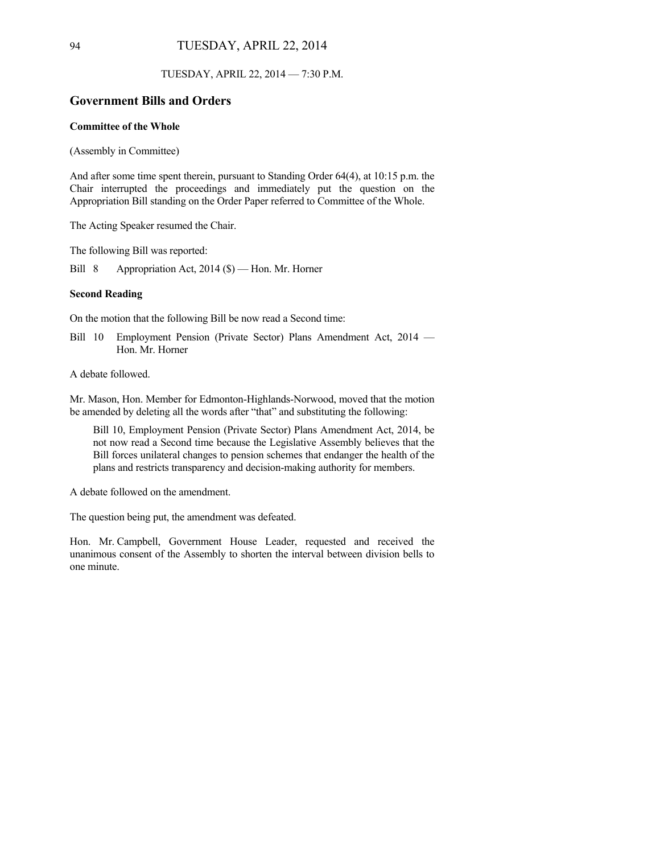#### TUESDAY, APRIL 22, 2014 — 7:30 P.M.

# **Government Bills and Orders**

### **Committee of the Whole**

(Assembly in Committee)

And after some time spent therein, pursuant to Standing Order 64(4), at 10:15 p.m. the Chair interrupted the proceedings and immediately put the question on the Appropriation Bill standing on the Order Paper referred to Committee of the Whole.

The Acting Speaker resumed the Chair.

The following Bill was reported:

Bill 8 Appropriation Act, 2014 (\$) — Hon. Mr. Horner

#### **Second Reading**

On the motion that the following Bill be now read a Second time:

Bill 10 Employment Pension (Private Sector) Plans Amendment Act, 2014 — Hon. Mr. Horner

A debate followed.

Mr. Mason, Hon. Member for Edmonton-Highlands-Norwood, moved that the motion be amended by deleting all the words after "that" and substituting the following:

Bill 10, Employment Pension (Private Sector) Plans Amendment Act, 2014, be not now read a Second time because the Legislative Assembly believes that the Bill forces unilateral changes to pension schemes that endanger the health of the plans and restricts transparency and decision-making authority for members.

A debate followed on the amendment.

The question being put, the amendment was defeated.

Hon. Mr. Campbell, Government House Leader, requested and received the unanimous consent of the Assembly to shorten the interval between division bells to one minute.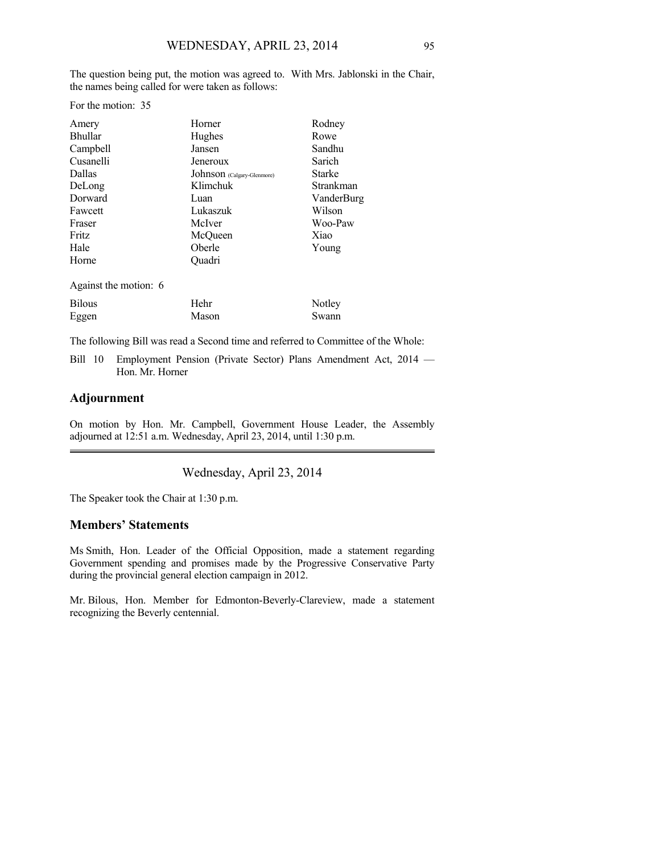The question being put, the motion was agreed to. With Mrs. Jablonski in the Chair, the names being called for were taken as follows:

For the motion: 35

| Amery                 | Horner                     | Rodney        |
|-----------------------|----------------------------|---------------|
| <b>Bhullar</b>        | Hughes                     | Rowe          |
| Campbell              | Jansen                     | Sandhu        |
| Cusanelli             | Jeneroux                   | Sarich        |
| Dallas                | Johnson (Calgary-Glenmore) | <b>Starke</b> |
| DeLong                | Klimchuk                   | Strankman     |
| Dorward               | Luan                       | VanderBurg    |
| Fawcett               | Lukaszuk                   | Wilson        |
| Fraser                | McIver                     | Woo-Paw       |
| Fritz                 | McQueen                    | Xiao          |
| Hale                  | Oberle                     | Young         |
| Horne                 | Ouadri                     |               |
| Against the motion: 6 |                            |               |
| <b>Bilous</b>         | Hehr                       | Notley        |
| Eggen                 | Mason                      | Swann         |

The following Bill was read a Second time and referred to Committee of the Whole:

Bill 10 Employment Pension (Private Sector) Plans Amendment Act, 2014 — Hon. Mr. Horner

# **Adjournment**

On motion by Hon. Mr. Campbell, Government House Leader, the Assembly adjourned at 12:51 a.m. Wednesday, April 23, 2014, until 1:30 p.m.

Wednesday, April 23, 2014

The Speaker took the Chair at 1:30 p.m.

# **Members' Statements**

Ms Smith, Hon. Leader of the Official Opposition, made a statement regarding Government spending and promises made by the Progressive Conservative Party during the provincial general election campaign in 2012.

Mr. Bilous, Hon. Member for Edmonton-Beverly-Clareview, made a statement recognizing the Beverly centennial.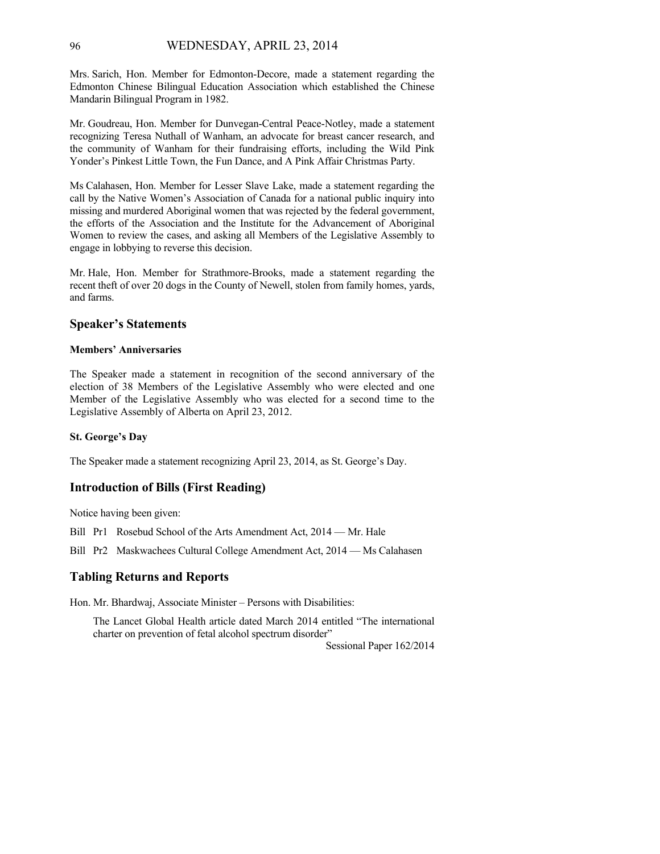Mrs. Sarich, Hon. Member for Edmonton-Decore, made a statement regarding the Edmonton Chinese Bilingual Education Association which established the Chinese Mandarin Bilingual Program in 1982.

Mr. Goudreau, Hon. Member for Dunvegan-Central Peace-Notley, made a statement recognizing Teresa Nuthall of Wanham, an advocate for breast cancer research, and the community of Wanham for their fundraising efforts, including the Wild Pink Yonder's Pinkest Little Town, the Fun Dance, and A Pink Affair Christmas Party.

Ms Calahasen, Hon. Member for Lesser Slave Lake, made a statement regarding the call by the Native Women's Association of Canada for a national public inquiry into missing and murdered Aboriginal women that was rejected by the federal government, the efforts of the Association and the Institute for the Advancement of Aboriginal Women to review the cases, and asking all Members of the Legislative Assembly to engage in lobbying to reverse this decision.

Mr. Hale, Hon. Member for Strathmore-Brooks, made a statement regarding the recent theft of over 20 dogs in the County of Newell, stolen from family homes, yards, and farms.

#### **Speaker's Statements**

#### **Members' Anniversaries**

The Speaker made a statement in recognition of the second anniversary of the election of 38 Members of the Legislative Assembly who were elected and one Member of the Legislative Assembly who was elected for a second time to the Legislative Assembly of Alberta on April 23, 2012.

### **St. George's Day**

The Speaker made a statement recognizing April 23, 2014, as St. George's Day.

### **Introduction of Bills (First Reading)**

Notice having been given:

Bill Pr1 Rosebud School of the Arts Amendment Act, 2014 — Mr. Hale

Bill Pr2 Maskwachees Cultural College Amendment Act, 2014 — Ms Calahasen

### **Tabling Returns and Reports**

Hon. Mr. Bhardwaj, Associate Minister – Persons with Disabilities:

The Lancet Global Health article dated March 2014 entitled "The international charter on prevention of fetal alcohol spectrum disorder"

Sessional Paper 162/2014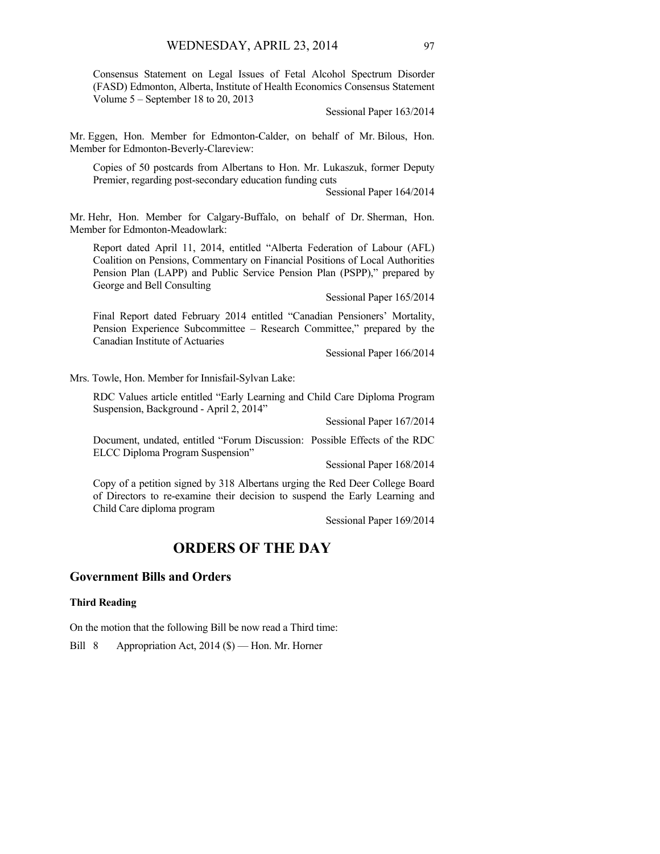Consensus Statement on Legal Issues of Fetal Alcohol Spectrum Disorder (FASD) Edmonton, Alberta, Institute of Health Economics Consensus Statement Volume 5 – September 18 to 20, 2013

Sessional Paper 163/2014

Mr. Eggen, Hon. Member for Edmonton-Calder, on behalf of Mr. Bilous, Hon. Member for Edmonton-Beverly-Clareview:

Copies of 50 postcards from Albertans to Hon. Mr. Lukaszuk, former Deputy Premier, regarding post-secondary education funding cuts

Sessional Paper 164/2014

Mr. Hehr, Hon. Member for Calgary-Buffalo, on behalf of Dr. Sherman, Hon. Member for Edmonton-Meadowlark:

Report dated April 11, 2014, entitled "Alberta Federation of Labour (AFL) Coalition on Pensions, Commentary on Financial Positions of Local Authorities Pension Plan (LAPP) and Public Service Pension Plan (PSPP)," prepared by George and Bell Consulting

Sessional Paper 165/2014

Final Report dated February 2014 entitled "Canadian Pensioners' Mortality, Pension Experience Subcommittee – Research Committee," prepared by the Canadian Institute of Actuaries

Sessional Paper 166/2014

Mrs. Towle, Hon. Member for Innisfail-Sylvan Lake:

RDC Values article entitled "Early Learning and Child Care Diploma Program Suspension, Background - April 2, 2014"

Sessional Paper 167/2014

Document, undated, entitled "Forum Discussion: Possible Effects of the RDC ELCC Diploma Program Suspension"

Sessional Paper 168/2014

Copy of a petition signed by 318 Albertans urging the Red Deer College Board of Directors to re-examine their decision to suspend the Early Learning and Child Care diploma program

Sessional Paper 169/2014

# **ORDERS OF THE DAY**

## **Government Bills and Orders**

#### **Third Reading**

On the motion that the following Bill be now read a Third time:

Bill 8 Appropriation Act, 2014 (\$) — Hon. Mr. Horner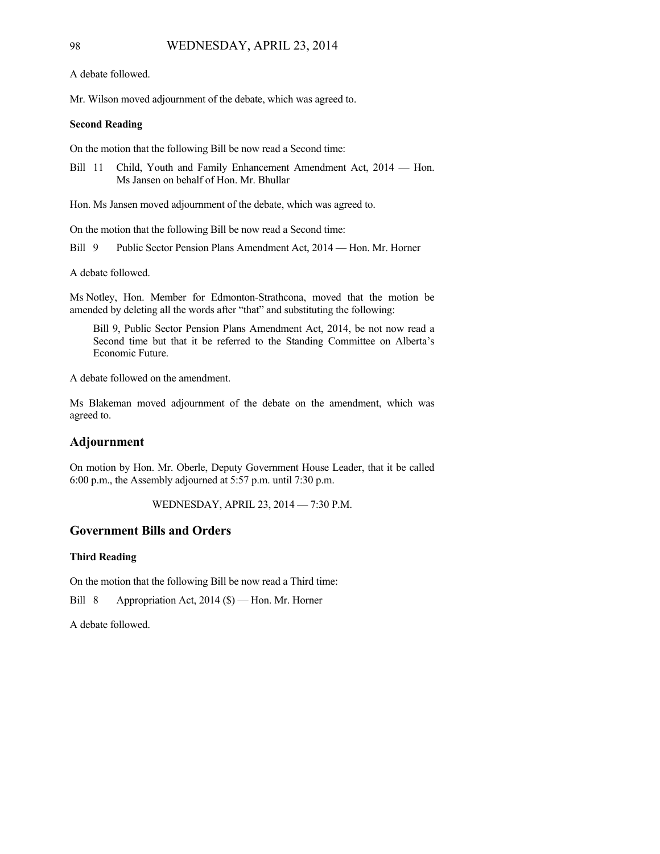A debate followed.

Mr. Wilson moved adjournment of the debate, which was agreed to.

### **Second Reading**

On the motion that the following Bill be now read a Second time:

Bill 11 Child, Youth and Family Enhancement Amendment Act, 2014 — Hon. Ms Jansen on behalf of Hon. Mr. Bhullar

Hon. Ms Jansen moved adjournment of the debate, which was agreed to.

On the motion that the following Bill be now read a Second time:

Bill 9 Public Sector Pension Plans Amendment Act, 2014 — Hon. Mr. Horner

A debate followed.

Ms Notley, Hon. Member for Edmonton-Strathcona, moved that the motion be amended by deleting all the words after "that" and substituting the following:

Bill 9, Public Sector Pension Plans Amendment Act, 2014, be not now read a Second time but that it be referred to the Standing Committee on Alberta's Economic Future.

A debate followed on the amendment.

Ms Blakeman moved adjournment of the debate on the amendment, which was agreed to.

# **Adjournment**

On motion by Hon. Mr. Oberle, Deputy Government House Leader, that it be called 6:00 p.m., the Assembly adjourned at 5:57 p.m. until 7:30 p.m.

WEDNESDAY, APRIL 23, 2014 — 7:30 P.M.

# **Government Bills and Orders**

### **Third Reading**

On the motion that the following Bill be now read a Third time:

Bill 8 Appropriation Act, 2014 (\$) — Hon. Mr. Horner

A debate followed.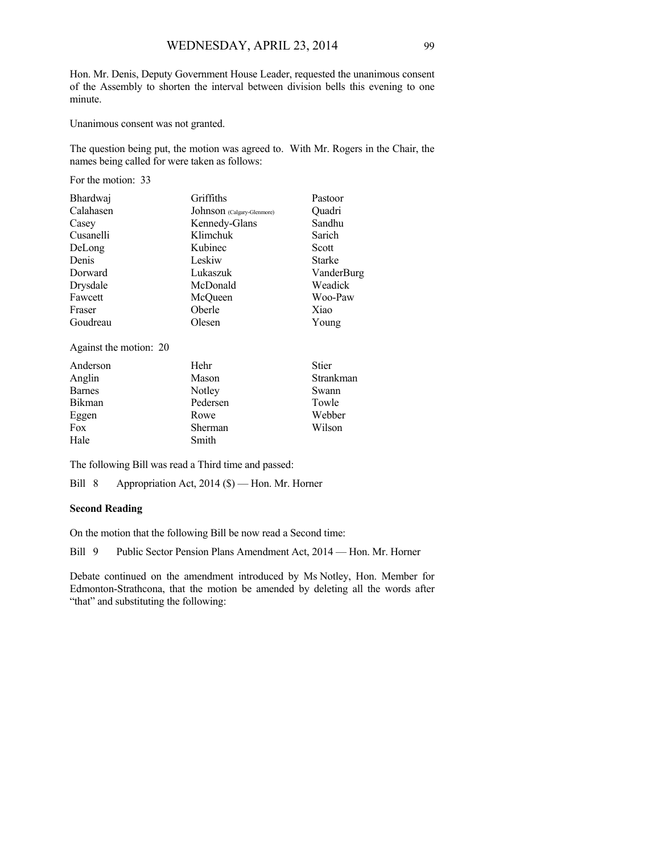Hon. Mr. Denis, Deputy Government House Leader, requested the unanimous consent of the Assembly to shorten the interval between division bells this evening to one minute.

Unanimous consent was not granted.

The question being put, the motion was agreed to. With Mr. Rogers in the Chair, the names being called for were taken as follows:

For the motion: 33

| Bhardwaj  | Griffiths                  | Pastoor       |
|-----------|----------------------------|---------------|
| Calahasen | Johnson (Calgary-Glenmore) | Ouadri        |
| Casey     | Kennedy-Glans              | Sandhu        |
| Cusanelli | Klimchuk                   | Sarich        |
| DeLong    | Kubinec                    | Scott         |
| Denis     | Leskiw                     | <b>Starke</b> |
| Dorward   | Lukaszuk                   | VanderBurg    |
| Drysdale  | McDonald                   | Weadick       |
| Fawcett   | McQueen                    | Woo-Paw       |
| Fraser    | Oberle                     | Xiao          |
| Goudreau  | Olesen                     | Young         |

Against the motion: 20

| Anderson      | Hehr     | <b>Stier</b> |
|---------------|----------|--------------|
| Anglin        | Mason    | Strankman    |
| <b>Barnes</b> | Notley   | Swann        |
| Bikman        | Pedersen | Towle        |
| Eggen         | Rowe     | Webber       |
| Fox           | Sherman  | Wilson       |
| Hale          | Smith    |              |

The following Bill was read a Third time and passed:

Bill 8 Appropriation Act, 2014 (\$) — Hon. Mr. Horner

### **Second Reading**

On the motion that the following Bill be now read a Second time:

Bill 9 Public Sector Pension Plans Amendment Act, 2014 — Hon. Mr. Horner

Debate continued on the amendment introduced by Ms Notley, Hon. Member for Edmonton-Strathcona, that the motion be amended by deleting all the words after "that" and substituting the following: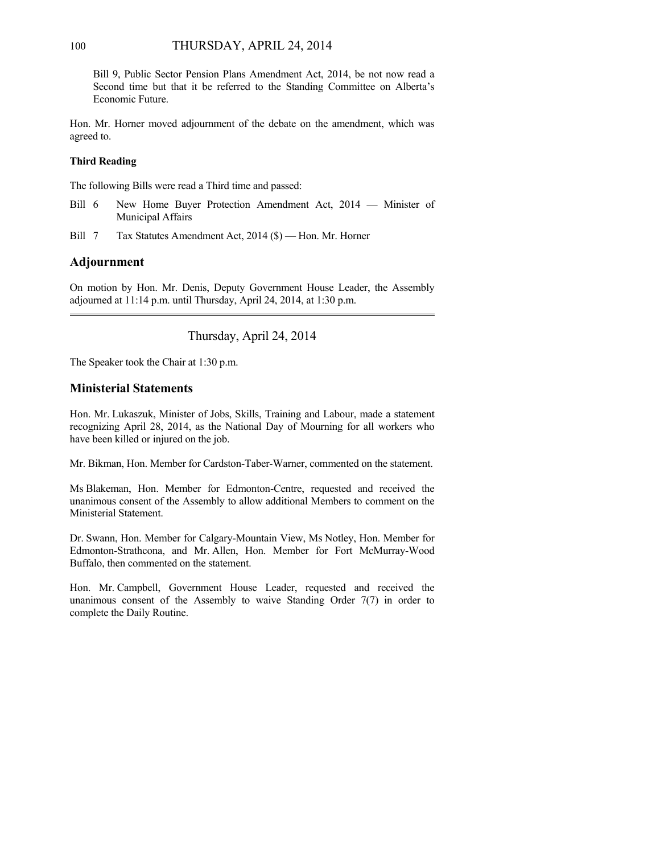Bill 9, Public Sector Pension Plans Amendment Act, 2014, be not now read a Second time but that it be referred to the Standing Committee on Alberta's Economic Future.

Hon. Mr. Horner moved adjournment of the debate on the amendment, which was agreed to.

### **Third Reading**

The following Bills were read a Third time and passed:

- Bill 6 New Home Buyer Protection Amendment Act, 2014 Minister of Municipal Affairs
- Bill 7 Tax Statutes Amendment Act, 2014 (\$) Hon. Mr. Horner

# **Adjournment**

On motion by Hon. Mr. Denis, Deputy Government House Leader, the Assembly adjourned at 11:14 p.m. until Thursday, April 24, 2014, at 1:30 p.m.

Thursday, April 24, 2014

The Speaker took the Chair at 1:30 p.m.

# **Ministerial Statements**

Hon. Mr. Lukaszuk, Minister of Jobs, Skills, Training and Labour, made a statement recognizing April 28, 2014, as the National Day of Mourning for all workers who have been killed or injured on the job.

Mr. Bikman, Hon. Member for Cardston-Taber-Warner, commented on the statement.

Ms Blakeman, Hon. Member for Edmonton-Centre, requested and received the unanimous consent of the Assembly to allow additional Members to comment on the Ministerial Statement.

Dr. Swann, Hon. Member for Calgary-Mountain View, Ms Notley, Hon. Member for Edmonton-Strathcona, and Mr. Allen, Hon. Member for Fort McMurray-Wood Buffalo, then commented on the statement.

Hon. Mr. Campbell, Government House Leader, requested and received the unanimous consent of the Assembly to waive Standing Order  $7(7)$  in order to complete the Daily Routine.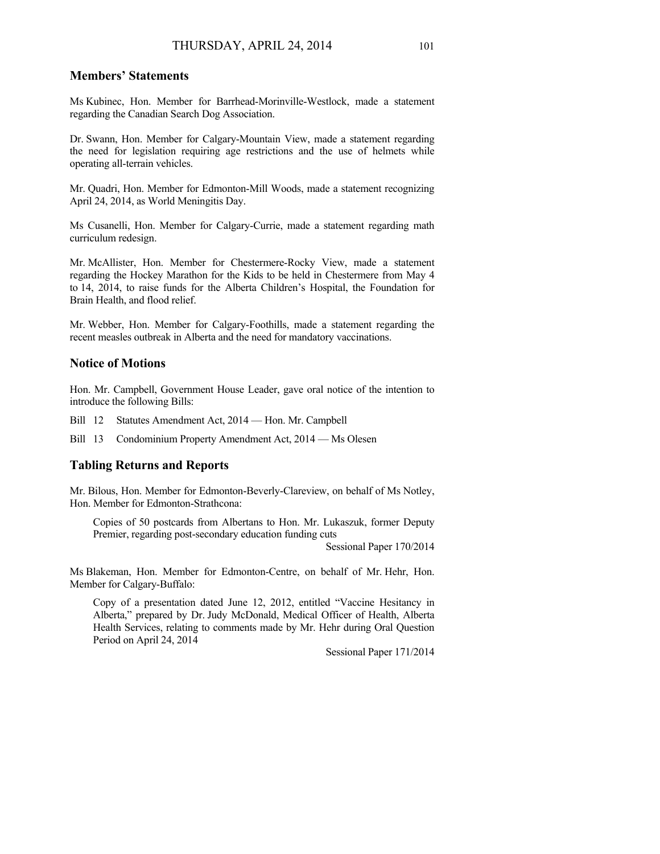# **Members' Statements**

Ms Kubinec, Hon. Member for Barrhead-Morinville-Westlock, made a statement regarding the Canadian Search Dog Association.

Dr. Swann, Hon. Member for Calgary-Mountain View, made a statement regarding the need for legislation requiring age restrictions and the use of helmets while operating all-terrain vehicles.

Mr. Quadri, Hon. Member for Edmonton-Mill Woods, made a statement recognizing April 24, 2014, as World Meningitis Day.

Ms Cusanelli, Hon. Member for Calgary-Currie, made a statement regarding math curriculum redesign.

Mr. McAllister, Hon. Member for Chestermere-Rocky View, made a statement regarding the Hockey Marathon for the Kids to be held in Chestermere from May 4 to 14, 2014, to raise funds for the Alberta Children's Hospital, the Foundation for Brain Health, and flood relief.

Mr. Webber, Hon. Member for Calgary-Foothills, made a statement regarding the recent measles outbreak in Alberta and the need for mandatory vaccinations.

# **Notice of Motions**

Hon. Mr. Campbell, Government House Leader, gave oral notice of the intention to introduce the following Bills:

Bill 12 Statutes Amendment Act, 2014 — Hon. Mr. Campbell

Bill 13 Condominium Property Amendment Act, 2014 — Ms Olesen

### **Tabling Returns and Reports**

Mr. Bilous, Hon. Member for Edmonton-Beverly-Clareview, on behalf of Ms Notley, Hon. Member for Edmonton-Strathcona:

Copies of 50 postcards from Albertans to Hon. Mr. Lukaszuk, former Deputy Premier, regarding post-secondary education funding cuts

Sessional Paper 170/2014

Ms Blakeman, Hon. Member for Edmonton-Centre, on behalf of Mr. Hehr, Hon. Member for Calgary-Buffalo:

Copy of a presentation dated June 12, 2012, entitled "Vaccine Hesitancy in Alberta," prepared by Dr. Judy McDonald, Medical Officer of Health, Alberta Health Services, relating to comments made by Mr. Hehr during Oral Question Period on April 24, 2014

Sessional Paper 171/2014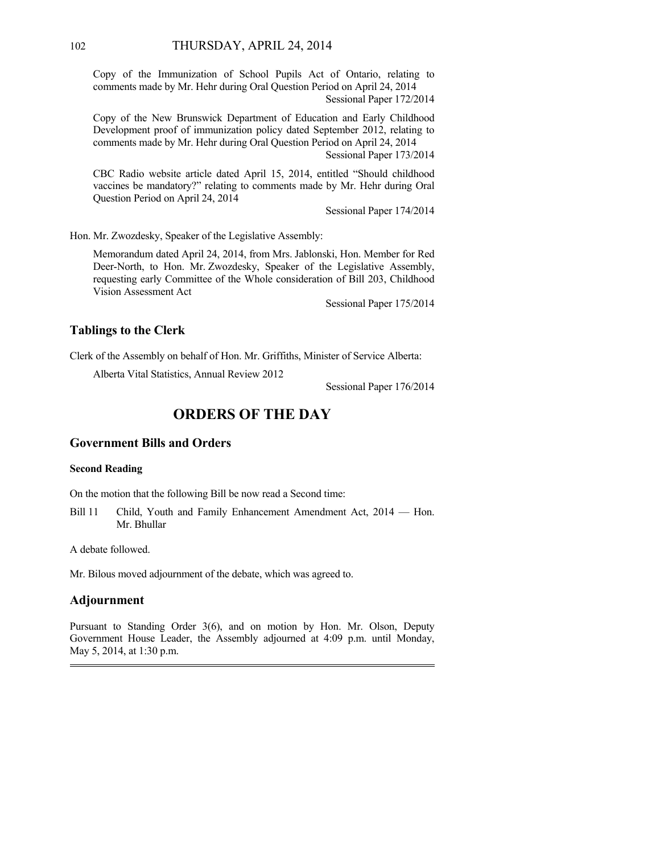Copy of the Immunization of School Pupils Act of Ontario, relating to comments made by Mr. Hehr during Oral Question Period on April 24, 2014 Sessional Paper 172/2014

Copy of the New Brunswick Department of Education and Early Childhood Development proof of immunization policy dated September 2012, relating to comments made by Mr. Hehr during Oral Question Period on April 24, 2014 Sessional Paper 173/2014

CBC Radio website article dated April 15, 2014, entitled "Should childhood vaccines be mandatory?" relating to comments made by Mr. Hehr during Oral Question Period on April 24, 2014

Sessional Paper 174/2014

Hon. Mr. Zwozdesky, Speaker of the Legislative Assembly:

Memorandum dated April 24, 2014, from Mrs. Jablonski, Hon. Member for Red Deer-North, to Hon. Mr. Zwozdesky, Speaker of the Legislative Assembly, requesting early Committee of the Whole consideration of Bill 203, Childhood Vision Assessment Act

Sessional Paper 175/2014

### **Tablings to the Clerk**

Clerk of the Assembly on behalf of Hon. Mr. Griffiths, Minister of Service Alberta:

Alberta Vital Statistics, Annual Review 2012

Sessional Paper 176/2014

# **ORDERS OF THE DAY**

## **Government Bills and Orders**

#### **Second Reading**

On the motion that the following Bill be now read a Second time:

Bill 11 Child, Youth and Family Enhancement Amendment Act, 2014 — Hon. Mr. Bhullar

A debate followed.

Mr. Bilous moved adjournment of the debate, which was agreed to.

### **Adjournment**

Pursuant to Standing Order 3(6), and on motion by Hon. Mr. Olson, Deputy Government House Leader, the Assembly adjourned at 4:09 p.m. until Monday, May 5, 2014, at 1:30 p.m.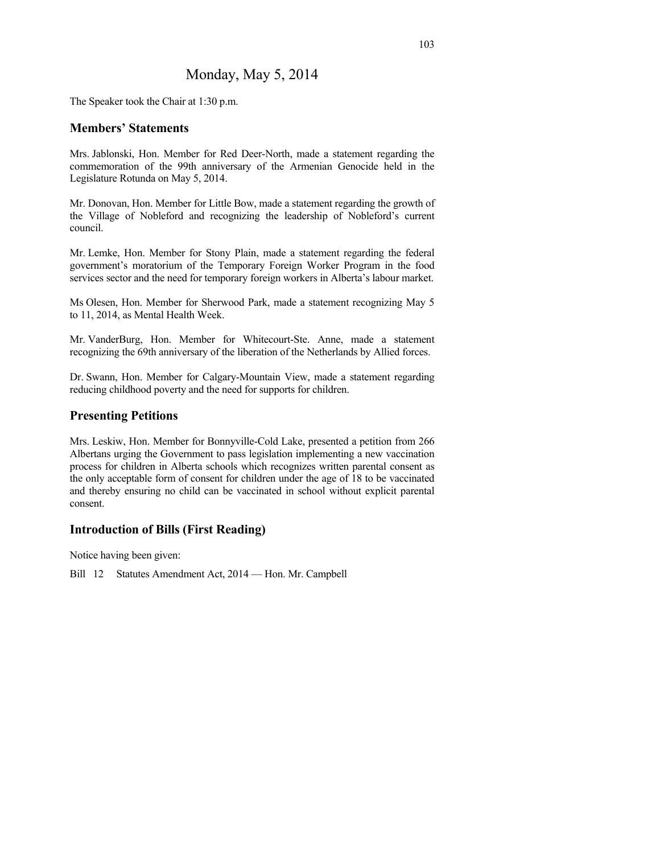## Monday, May 5, 2014

The Speaker took the Chair at 1:30 p.m.

#### **Members' Statements**

Mrs. Jablonski, Hon. Member for Red Deer-North, made a statement regarding the commemoration of the 99th anniversary of the Armenian Genocide held in the Legislature Rotunda on May 5, 2014.

Mr. Donovan, Hon. Member for Little Bow, made a statement regarding the growth of the Village of Nobleford and recognizing the leadership of Nobleford's current council.

Mr. Lemke, Hon. Member for Stony Plain, made a statement regarding the federal government's moratorium of the Temporary Foreign Worker Program in the food services sector and the need for temporary foreign workers in Alberta's labour market.

Ms Olesen, Hon. Member for Sherwood Park, made a statement recognizing May 5 to 11, 2014, as Mental Health Week.

Mr. VanderBurg, Hon. Member for Whitecourt-Ste. Anne, made a statement recognizing the 69th anniversary of the liberation of the Netherlands by Allied forces.

Dr. Swann, Hon. Member for Calgary-Mountain View, made a statement regarding reducing childhood poverty and the need for supports for children.

#### **Presenting Petitions**

Mrs. Leskiw, Hon. Member for Bonnyville-Cold Lake, presented a petition from 266 Albertans urging the Government to pass legislation implementing a new vaccination process for children in Alberta schools which recognizes written parental consent as the only acceptable form of consent for children under the age of 18 to be vaccinated and thereby ensuring no child can be vaccinated in school without explicit parental consent.

### **Introduction of Bills (First Reading)**

Notice having been given:

Bill 12 Statutes Amendment Act, 2014 — Hon. Mr. Campbell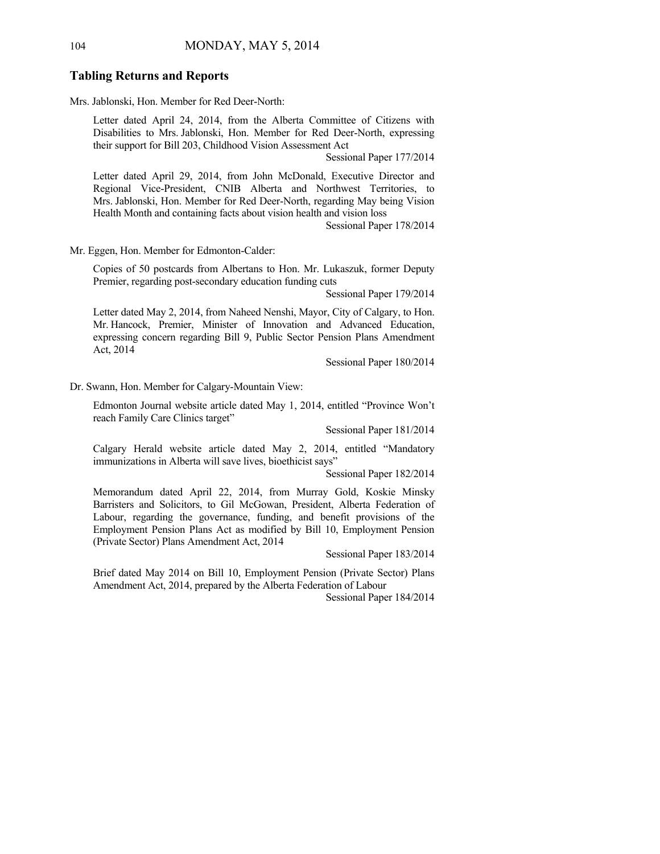#### **Tabling Returns and Reports**

Mrs. Jablonski, Hon. Member for Red Deer-North:

Letter dated April 24, 2014, from the Alberta Committee of Citizens with Disabilities to Mrs. Jablonski, Hon. Member for Red Deer-North, expressing their support for Bill 203, Childhood Vision Assessment Act

Sessional Paper 177/2014

Letter dated April 29, 2014, from John McDonald, Executive Director and Regional Vice-President, CNIB Alberta and Northwest Territories, to Mrs. Jablonski, Hon. Member for Red Deer-North, regarding May being Vision Health Month and containing facts about vision health and vision loss

Sessional Paper 178/2014

Mr. Eggen, Hon. Member for Edmonton-Calder:

Copies of 50 postcards from Albertans to Hon. Mr. Lukaszuk, former Deputy Premier, regarding post-secondary education funding cuts

Sessional Paper 179/2014

Letter dated May 2, 2014, from Naheed Nenshi, Mayor, City of Calgary, to Hon. Mr. Hancock, Premier, Minister of Innovation and Advanced Education, expressing concern regarding Bill 9, Public Sector Pension Plans Amendment Act, 2014

Sessional Paper 180/2014

Dr. Swann, Hon. Member for Calgary-Mountain View:

Edmonton Journal website article dated May 1, 2014, entitled "Province Won't reach Family Care Clinics target"

Sessional Paper 181/2014

Calgary Herald website article dated May 2, 2014, entitled "Mandatory immunizations in Alberta will save lives, bioethicist says"

Sessional Paper 182/2014

Memorandum dated April 22, 2014, from Murray Gold, Koskie Minsky Barristers and Solicitors, to Gil McGowan, President, Alberta Federation of Labour, regarding the governance, funding, and benefit provisions of the Employment Pension Plans Act as modified by Bill 10, Employment Pension (Private Sector) Plans Amendment Act, 2014

Sessional Paper 183/2014

Brief dated May 2014 on Bill 10, Employment Pension (Private Sector) Plans Amendment Act, 2014, prepared by the Alberta Federation of Labour

Sessional Paper 184/2014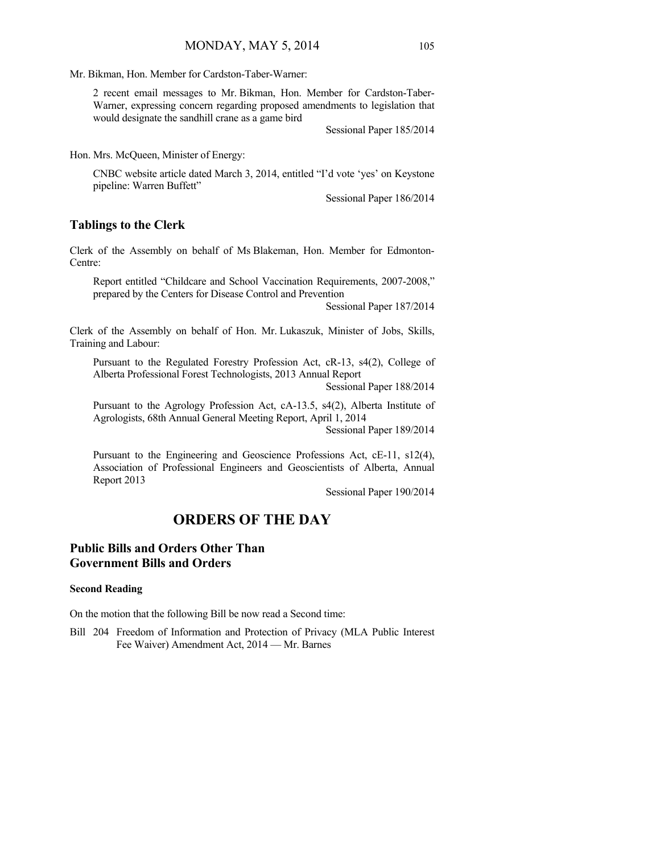Mr. Bikman, Hon. Member for Cardston-Taber-Warner:

2 recent email messages to Mr. Bikman, Hon. Member for Cardston-Taber-Warner, expressing concern regarding proposed amendments to legislation that would designate the sandhill crane as a game bird

Sessional Paper 185/2014

Hon. Mrs. McQueen, Minister of Energy:

CNBC website article dated March 3, 2014, entitled "I'd vote 'yes' on Keystone pipeline: Warren Buffett"

Sessional Paper 186/2014

#### **Tablings to the Clerk**

Clerk of the Assembly on behalf of Ms Blakeman, Hon. Member for Edmonton-Centre:

Report entitled "Childcare and School Vaccination Requirements, 2007-2008," prepared by the Centers for Disease Control and Prevention

Sessional Paper 187/2014

Clerk of the Assembly on behalf of Hon. Mr. Lukaszuk, Minister of Jobs, Skills, Training and Labour:

Pursuant to the Regulated Forestry Profession Act, cR-13, s4(2), College of Alberta Professional Forest Technologists, 2013 Annual Report

Sessional Paper 188/2014

Pursuant to the Agrology Profession Act, cA-13.5, s4(2), Alberta Institute of Agrologists, 68th Annual General Meeting Report, April 1, 2014

Sessional Paper 189/2014

Pursuant to the Engineering and Geoscience Professions Act, cE-11, s12(4), Association of Professional Engineers and Geoscientists of Alberta, Annual Report 2013

Sessional Paper 190/2014

## **ORDERS OF THE DAY**

## **Public Bills and Orders Other Than Government Bills and Orders**

#### **Second Reading**

On the motion that the following Bill be now read a Second time:

Bill 204 Freedom of Information and Protection of Privacy (MLA Public Interest Fee Waiver) Amendment Act, 2014 — Mr. Barnes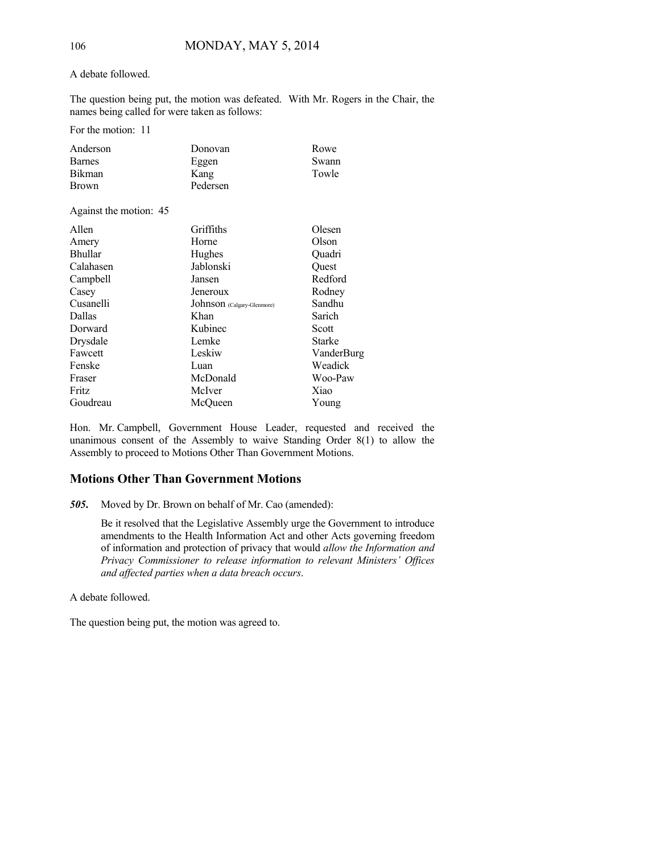#### A debate followed.

The question being put, the motion was defeated. With Mr. Rogers in the Chair, the names being called for were taken as follows:

For the motion: 11

| Anderson      | Donovan  | Rowe  |
|---------------|----------|-------|
| <b>Barnes</b> | Eggen    | Swann |
| <b>Bikman</b> | Kang     | Towle |
| <b>Brown</b>  | Pedersen |       |

#### Against the motion: 45

| Allen          | Griffiths                  | Olesen        |
|----------------|----------------------------|---------------|
| Amery          | Horne                      | Olson         |
| <b>Bhullar</b> | Hughes                     | Ouadri        |
| Calahasen      | Jablonski                  | Ouest         |
| Campbell       | Jansen                     | Redford       |
| Casey          | Jeneroux                   | Rodney        |
| Cusanelli      | Johnson (Calgary-Glenmore) | Sandhu        |
| <b>Dallas</b>  | Khan                       | Sarich        |
| Dorward        | Kubinec                    | Scott         |
| Drysdale       | Lemke                      | <b>Starke</b> |
| Fawcett        | Leskiw                     | VanderBurg    |
| Fenske         | Luan                       | Weadick       |
| Fraser         | McDonald                   | Woo-Paw       |
| Fritz          | McIver                     | Xiao          |
| Goudreau       | McOueen                    | Young         |

Hon. Mr. Campbell, Government House Leader, requested and received the unanimous consent of the Assembly to waive Standing Order 8(1) to allow the Assembly to proceed to Motions Other Than Government Motions.

### **Motions Other Than Government Motions**

*505***.** Moved by Dr. Brown on behalf of Mr. Cao (amended):

Be it resolved that the Legislative Assembly urge the Government to introduce amendments to the Health Information Act and other Acts governing freedom of information and protection of privacy that would *allow the Information and Privacy Commissioner to release information to relevant Ministers' Offices and affected parties when a data breach occurs*.

A debate followed.

The question being put, the motion was agreed to.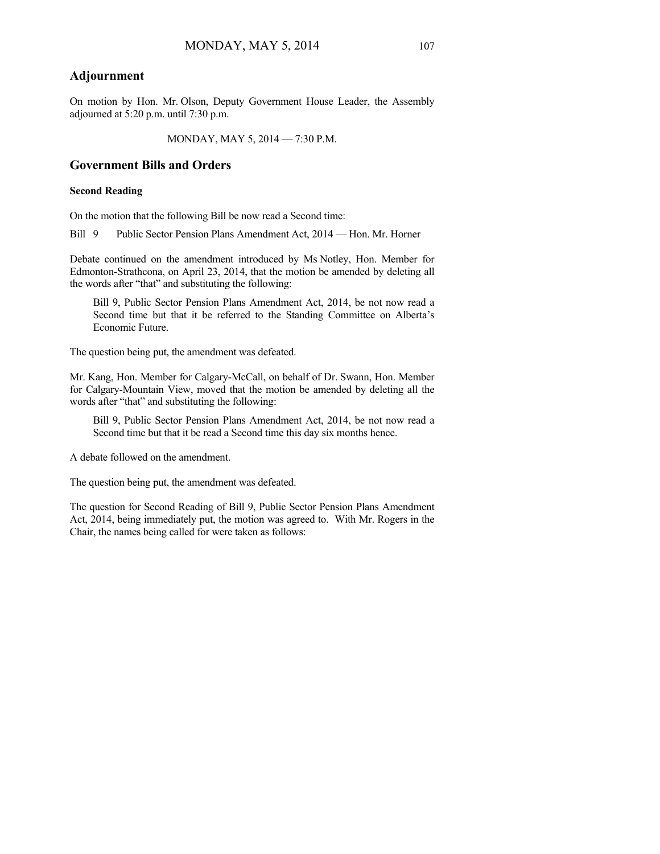#### **Adjournment**

On motion by Hon. Mr. Olson, Deputy Government House Leader, the Assembly adjourned at 5:20 p.m. until 7:30 p.m.

MONDAY, MAY 5, 2014 — 7:30 P.M.

#### **Government Bills and Orders**

#### **Second Reading**

On the motion that the following Bill be now read a Second time:

Bill 9 Public Sector Pension Plans Amendment Act, 2014 — Hon. Mr. Horner

Debate continued on the amendment introduced by Ms Notley, Hon. Member for Edmonton-Strathcona, on April 23, 2014, that the motion be amended by deleting all the words after "that" and substituting the following:

Bill 9, Public Sector Pension Plans Amendment Act, 2014, be not now read a Second time but that it be referred to the Standing Committee on Alberta's Economic Future.

The question being put, the amendment was defeated.

Mr. Kang, Hon. Member for Calgary-McCall, on behalf of Dr. Swann, Hon. Member for Calgary-Mountain View, moved that the motion be amended by deleting all the words after "that" and substituting the following:

Bill 9, Public Sector Pension Plans Amendment Act, 2014, be not now read a Second time but that it be read a Second time this day six months hence.

A debate followed on the amendment.

The question being put, the amendment was defeated.

The question for Second Reading of Bill 9, Public Sector Pension Plans Amendment Act, 2014, being immediately put, the motion was agreed to. With Mr. Rogers in the Chair, the names being called for were taken as follows: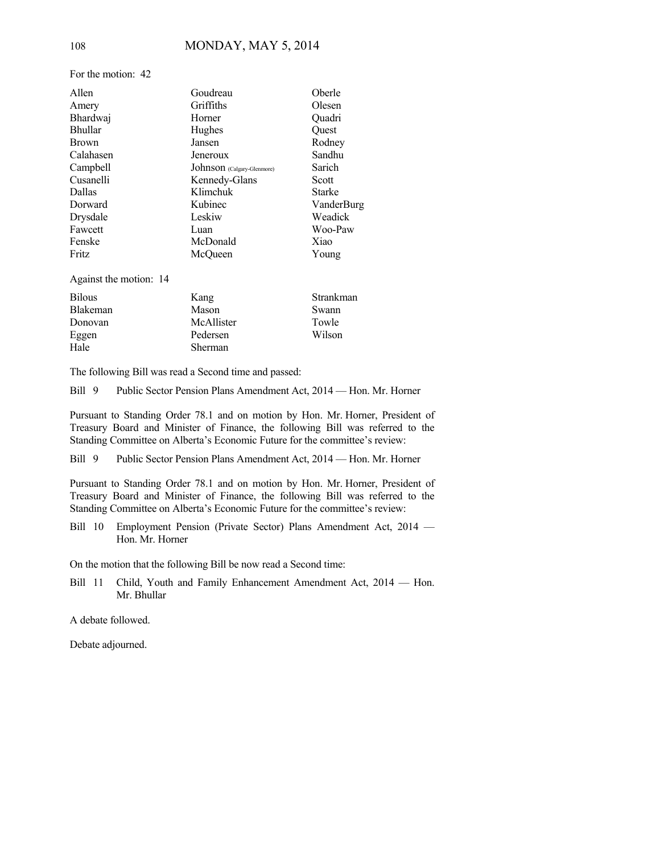Allen Goudreau Oberle Amery Griffiths Olesen Bhardwaj Horner Quadri Bhullar Hughes Quest Brown Jansen Rodney Calahasen Jeneroux Sandhu Campbell Johnson (Calgary-Glenmore) Sarich Cusanelli Kennedy-Glans Scott Dallas Klimchuk Starke Dorward Kubinec VanderBurg Drysdale Leskiw Weadick Fawcett Luan Luan Woo-Paw Fenske McDonald Xiao Fritz McQueen Young

Against the motion: 14

| <b>Bilous</b> | Kang           | Strankman |
|---------------|----------------|-----------|
| Blakeman      | Mason          | Swann     |
| Donovan       | McAllister     | Towle     |
| Eggen         | Pedersen       | Wilson    |
| Hale          | <b>Sherman</b> |           |

The following Bill was read a Second time and passed:

Bill 9 Public Sector Pension Plans Amendment Act, 2014 — Hon. Mr. Horner

Pursuant to Standing Order 78.1 and on motion by Hon. Mr. Horner, President of Treasury Board and Minister of Finance, the following Bill was referred to the Standing Committee on Alberta's Economic Future for the committee's review:

Bill 9 Public Sector Pension Plans Amendment Act, 2014 — Hon. Mr. Horner

Pursuant to Standing Order 78.1 and on motion by Hon. Mr. Horner, President of Treasury Board and Minister of Finance, the following Bill was referred to the Standing Committee on Alberta's Economic Future for the committee's review:

Bill 10 Employment Pension (Private Sector) Plans Amendment Act, 2014 — Hon. Mr. Horner

On the motion that the following Bill be now read a Second time:

Bill 11 Child, Youth and Family Enhancement Amendment Act, 2014 — Hon. Mr. Bhullar

A debate followed.

Debate adjourned.

For the motion: 42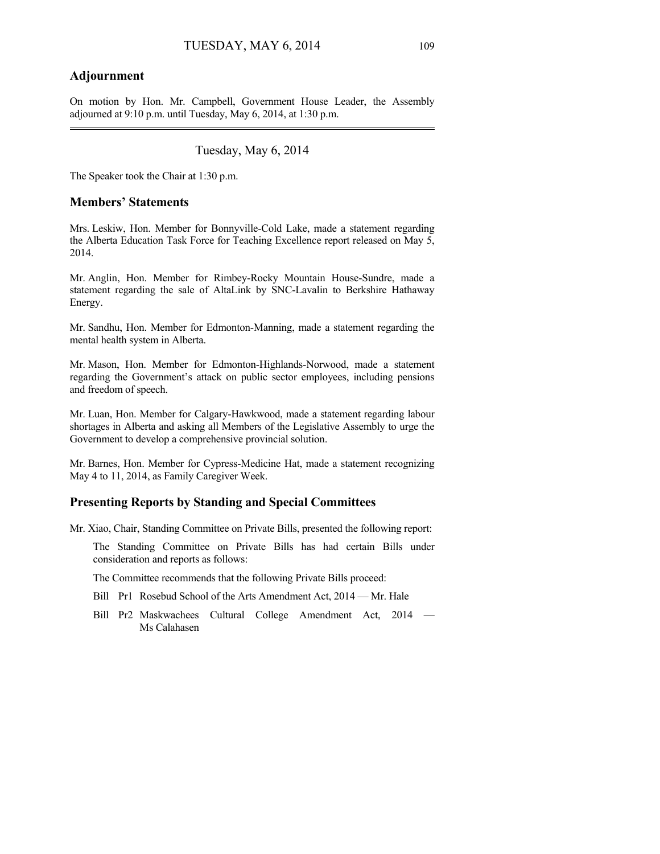#### **Adjournment**

On motion by Hon. Mr. Campbell, Government House Leader, the Assembly adjourned at 9:10 p.m. until Tuesday, May 6, 2014, at 1:30 p.m. 

### Tuesday, May 6, 2014

The Speaker took the Chair at 1:30 p.m.

#### **Members' Statements**

Mrs. Leskiw, Hon. Member for Bonnyville-Cold Lake, made a statement regarding the Alberta Education Task Force for Teaching Excellence report released on May 5, 2014.

Mr. Anglin, Hon. Member for Rimbey-Rocky Mountain House-Sundre, made a statement regarding the sale of AltaLink by SNC-Lavalin to Berkshire Hathaway Energy.

Mr. Sandhu, Hon. Member for Edmonton-Manning, made a statement regarding the mental health system in Alberta.

Mr. Mason, Hon. Member for Edmonton-Highlands-Norwood, made a statement regarding the Government's attack on public sector employees, including pensions and freedom of speech.

Mr. Luan, Hon. Member for Calgary-Hawkwood, made a statement regarding labour shortages in Alberta and asking all Members of the Legislative Assembly to urge the Government to develop a comprehensive provincial solution.

Mr. Barnes, Hon. Member for Cypress-Medicine Hat, made a statement recognizing May 4 to 11, 2014, as Family Caregiver Week.

#### **Presenting Reports by Standing and Special Committees**

Mr. Xiao, Chair, Standing Committee on Private Bills, presented the following report:

The Standing Committee on Private Bills has had certain Bills under consideration and reports as follows:

The Committee recommends that the following Private Bills proceed:

- Bill Pr1 Rosebud School of the Arts Amendment Act, 2014 Mr. Hale
- Bill Pr2 Maskwachees Cultural College Amendment Act, 2014 Ms Calahasen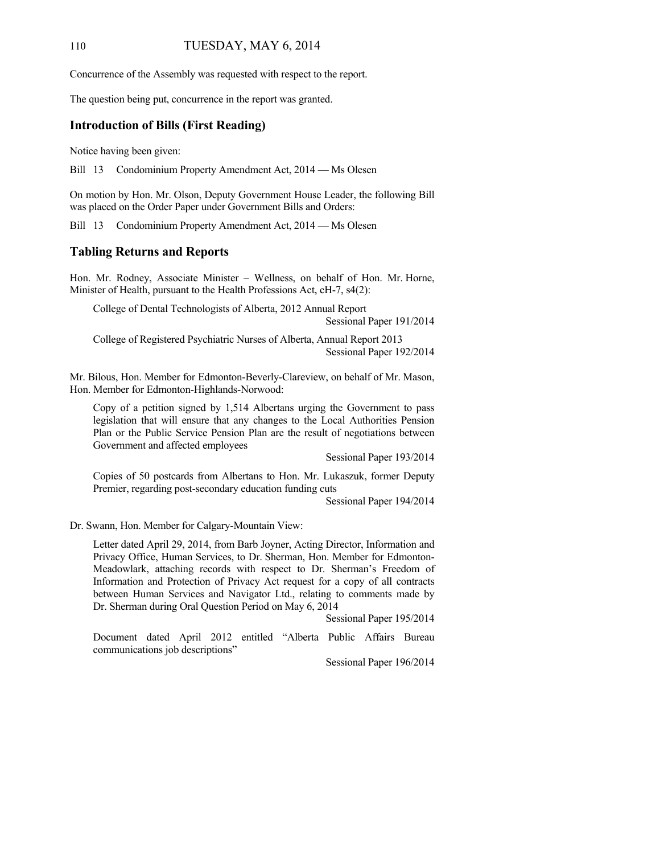#### 110 TUESDAY, MAY 6, 2014

Concurrence of the Assembly was requested with respect to the report.

The question being put, concurrence in the report was granted.

#### **Introduction of Bills (First Reading)**

Notice having been given:

Bill 13 Condominium Property Amendment Act, 2014 — Ms Olesen

On motion by Hon. Mr. Olson, Deputy Government House Leader, the following Bill was placed on the Order Paper under Government Bills and Orders:

Bill 13 Condominium Property Amendment Act, 2014 — Ms Olesen

#### **Tabling Returns and Reports**

Hon. Mr. Rodney, Associate Minister – Wellness, on behalf of Hon. Mr. Horne, Minister of Health, pursuant to the Health Professions Act, cH-7, s4(2):

College of Dental Technologists of Alberta, 2012 Annual Report

Sessional Paper 191/2014

College of Registered Psychiatric Nurses of Alberta, Annual Report 2013 Sessional Paper 192/2014

Mr. Bilous, Hon. Member for Edmonton-Beverly-Clareview, on behalf of Mr. Mason, Hon. Member for Edmonton-Highlands-Norwood:

Copy of a petition signed by 1,514 Albertans urging the Government to pass legislation that will ensure that any changes to the Local Authorities Pension Plan or the Public Service Pension Plan are the result of negotiations between Government and affected employees

Sessional Paper 193/2014

Copies of 50 postcards from Albertans to Hon. Mr. Lukaszuk, former Deputy Premier, regarding post-secondary education funding cuts

Sessional Paper 194/2014

Dr. Swann, Hon. Member for Calgary-Mountain View:

Letter dated April 29, 2014, from Barb Joyner, Acting Director, Information and Privacy Office, Human Services, to Dr. Sherman, Hon. Member for Edmonton-Meadowlark, attaching records with respect to Dr. Sherman's Freedom of Information and Protection of Privacy Act request for a copy of all contracts between Human Services and Navigator Ltd., relating to comments made by Dr. Sherman during Oral Question Period on May 6, 2014

Sessional Paper 195/2014

Document dated April 2012 entitled "Alberta Public Affairs Bureau communications job descriptions"

Sessional Paper 196/2014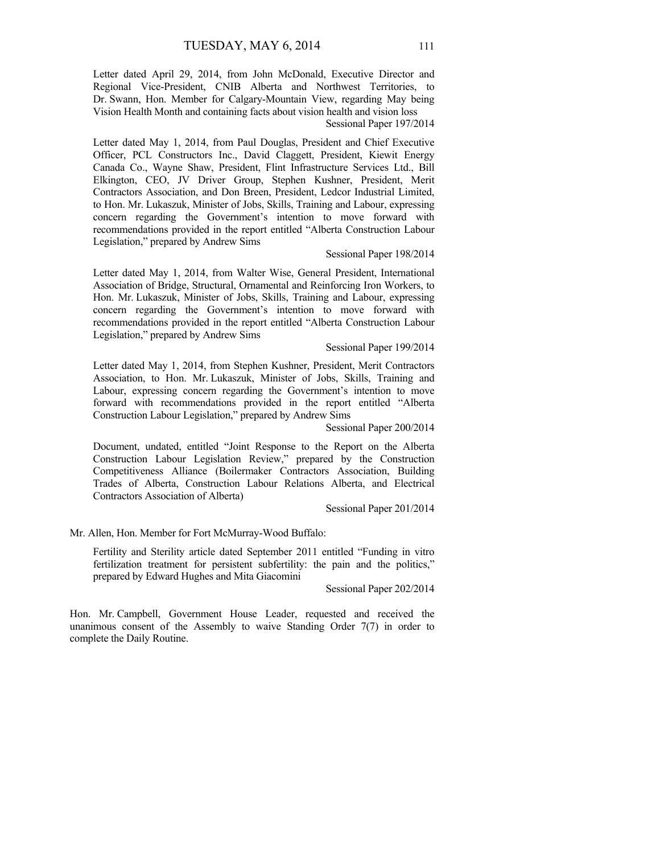Letter dated April 29, 2014, from John McDonald, Executive Director and Regional Vice-President, CNIB Alberta and Northwest Territories, to Dr. Swann, Hon. Member for Calgary-Mountain View, regarding May being Vision Health Month and containing facts about vision health and vision loss

#### Sessional Paper 197/2014

Letter dated May 1, 2014, from Paul Douglas, President and Chief Executive Officer, PCL Constructors Inc., David Claggett, President, Kiewit Energy Canada Co., Wayne Shaw, President, Flint Infrastructure Services Ltd., Bill Elkington, CEO, JV Driver Group, Stephen Kushner, President, Merit Contractors Association, and Don Breen, President, Ledcor Industrial Limited, to Hon. Mr. Lukaszuk, Minister of Jobs, Skills, Training and Labour, expressing concern regarding the Government's intention to move forward with recommendations provided in the report entitled "Alberta Construction Labour Legislation," prepared by Andrew Sims

#### Sessional Paper 198/2014

Letter dated May 1, 2014, from Walter Wise, General President, International Association of Bridge, Structural, Ornamental and Reinforcing Iron Workers, to Hon. Mr. Lukaszuk, Minister of Jobs, Skills, Training and Labour, expressing concern regarding the Government's intention to move forward with recommendations provided in the report entitled "Alberta Construction Labour Legislation," prepared by Andrew Sims

#### Sessional Paper 199/2014

Letter dated May 1, 2014, from Stephen Kushner, President, Merit Contractors Association, to Hon. Mr. Lukaszuk, Minister of Jobs, Skills, Training and Labour, expressing concern regarding the Government's intention to move forward with recommendations provided in the report entitled "Alberta Construction Labour Legislation," prepared by Andrew Sims

Sessional Paper 200/2014

Document, undated, entitled "Joint Response to the Report on the Alberta Construction Labour Legislation Review," prepared by the Construction Competitiveness Alliance (Boilermaker Contractors Association, Building Trades of Alberta, Construction Labour Relations Alberta, and Electrical Contractors Association of Alberta)

Sessional Paper 201/2014

Mr. Allen, Hon. Member for Fort McMurray-Wood Buffalo:

Fertility and Sterility article dated September 2011 entitled "Funding in vitro fertilization treatment for persistent subfertility: the pain and the politics," prepared by Edward Hughes and Mita Giacomini

Sessional Paper 202/2014

Hon. Mr. Campbell, Government House Leader, requested and received the unanimous consent of the Assembly to waive Standing Order 7(7) in order to complete the Daily Routine.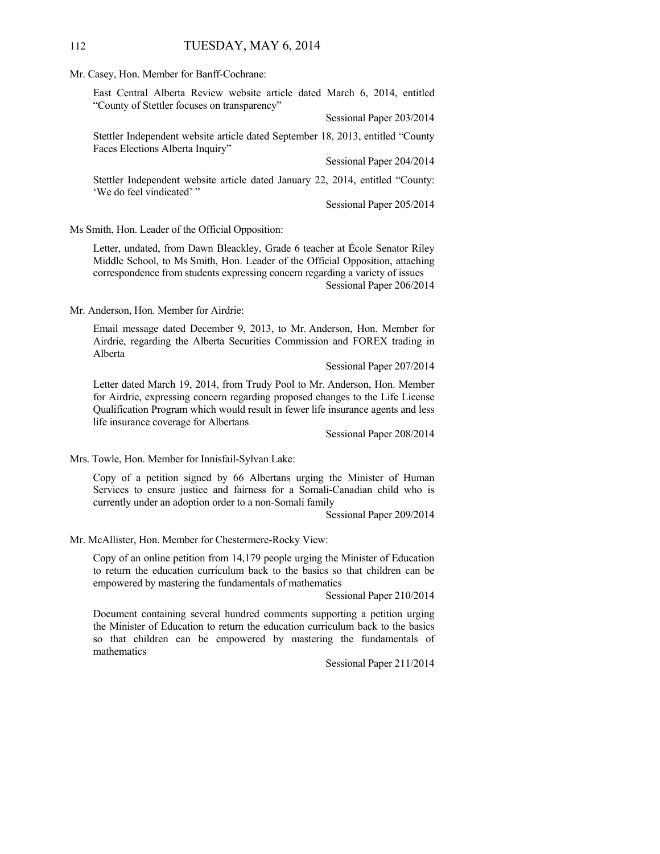#### 112 TUESDAY, MAY 6, 2014

Mr. Casey, Hon. Member for Banff-Cochrane:

East Central Alberta Review website article dated March 6, 2014, entitled "County of Stettler focuses on transparency"

Sessional Paper 203/2014

Stettler Independent website article dated September 18, 2013, entitled "County Faces Elections Alberta Inquiry"

Sessional Paper 204/2014

Stettler Independent website article dated January 22, 2014, entitled "County: 'We do feel vindicated' "

Sessional Paper 205/2014

Ms Smith, Hon. Leader of the Official Opposition:

Letter, undated, from Dawn Bleackley, Grade 6 teacher at École Senator Riley Middle School, to Ms Smith, Hon. Leader of the Official Opposition, attaching correspondence from students expressing concern regarding a variety of issues Sessional Paper 206/2014

Mr. Anderson, Hon. Member for Airdrie:

Email message dated December 9, 2013, to Mr. Anderson, Hon. Member for Airdrie, regarding the Alberta Securities Commission and FOREX trading in Alberta

Sessional Paper 207/2014

Letter dated March 19, 2014, from Trudy Pool to Mr. Anderson, Hon. Member for Airdrie, expressing concern regarding proposed changes to the Life License Qualification Program which would result in fewer life insurance agents and less life insurance coverage for Albertans

Sessional Paper 208/2014

Mrs. Towle, Hon. Member for Innisfail-Sylvan Lake:

Copy of a petition signed by 66 Albertans urging the Minister of Human Services to ensure justice and fairness for a Somali-Canadian child who is currently under an adoption order to a non-Somali family

Sessional Paper 209/2014

Mr. McAllister, Hon. Member for Chestermere-Rocky View:

Copy of an online petition from 14,179 people urging the Minister of Education to return the education curriculum back to the basics so that children can be empowered by mastering the fundamentals of mathematics

Sessional Paper 210/2014

Document containing several hundred comments supporting a petition urging the Minister of Education to return the education curriculum back to the basics so that children can be empowered by mastering the fundamentals of mathematics

Sessional Paper 211/2014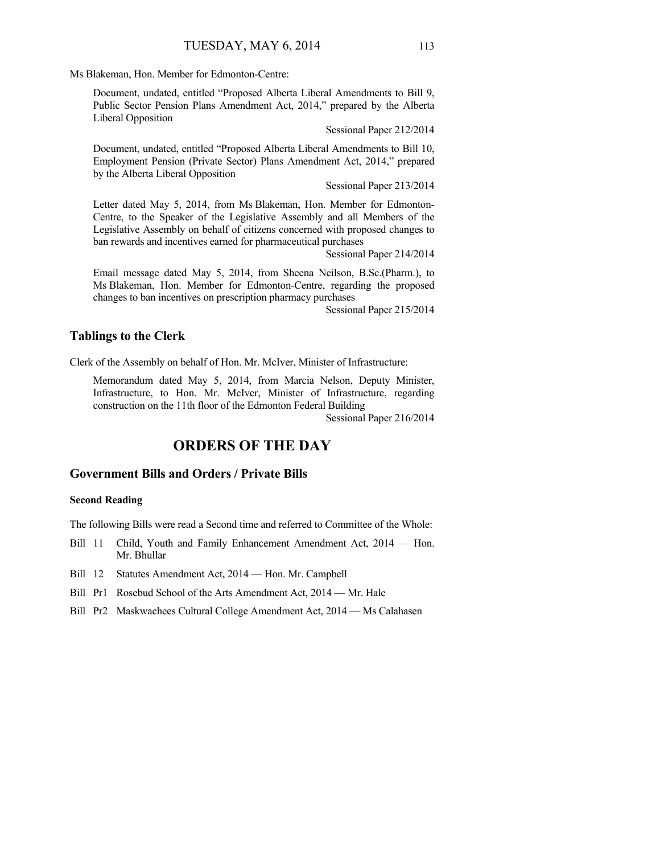Ms Blakeman, Hon. Member for Edmonton-Centre:

Document, undated, entitled "Proposed Alberta Liberal Amendments to Bill 9, Public Sector Pension Plans Amendment Act, 2014," prepared by the Alberta Liberal Opposition

Sessional Paper 212/2014

Document, undated, entitled "Proposed Alberta Liberal Amendments to Bill 10, Employment Pension (Private Sector) Plans Amendment Act, 2014," prepared by the Alberta Liberal Opposition

Sessional Paper 213/2014

Letter dated May 5, 2014, from Ms Blakeman, Hon. Member for Edmonton-Centre, to the Speaker of the Legislative Assembly and all Members of the Legislative Assembly on behalf of citizens concerned with proposed changes to ban rewards and incentives earned for pharmaceutical purchases

Sessional Paper 214/2014

Email message dated May 5, 2014, from Sheena Neilson, B.Sc.(Pharm.), to Ms Blakeman, Hon. Member for Edmonton-Centre, regarding the proposed changes to ban incentives on prescription pharmacy purchases

Sessional Paper 215/2014

#### **Tablings to the Clerk**

Clerk of the Assembly on behalf of Hon. Mr. McIver, Minister of Infrastructure:

Memorandum dated May 5, 2014, from Marcia Nelson, Deputy Minister, Infrastructure, to Hon. Mr. McIver, Minister of Infrastructure, regarding construction on the 11th floor of the Edmonton Federal Building

Sessional Paper 216/2014

## **ORDERS OF THE DAY**

#### **Government Bills and Orders / Private Bills**

#### **Second Reading**

The following Bills were read a Second time and referred to Committee of the Whole:

- Bill 11 Child, Youth and Family Enhancement Amendment Act, 2014 Hon. Mr. Bhullar
- Bill 12 Statutes Amendment Act, 2014 Hon. Mr. Campbell
- Bill Pr1 Rosebud School of the Arts Amendment Act, 2014 Mr. Hale
- Bill Pr2 Maskwachees Cultural College Amendment Act, 2014 Ms Calahasen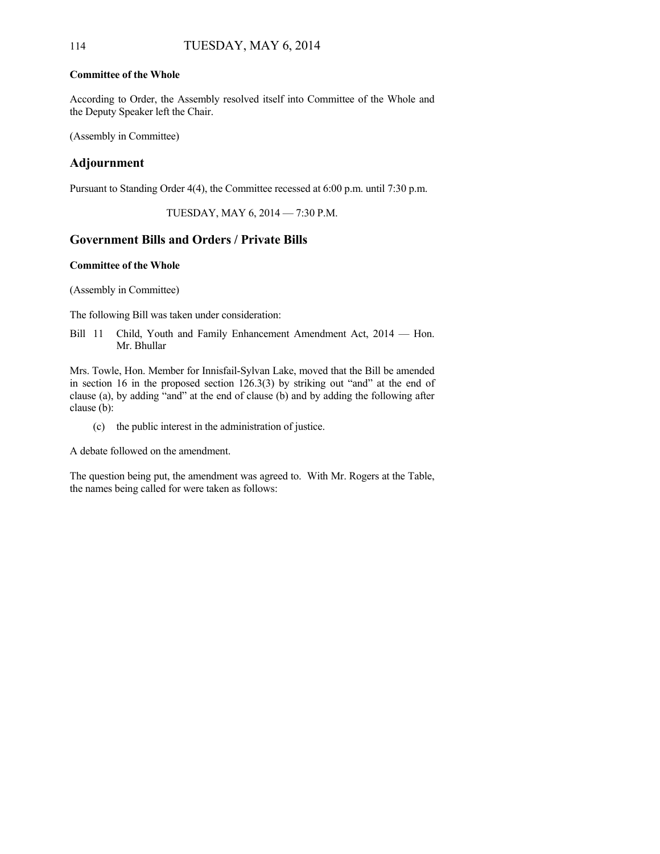#### **Committee of the Whole**

According to Order, the Assembly resolved itself into Committee of the Whole and the Deputy Speaker left the Chair.

(Assembly in Committee)

### **Adjournment**

Pursuant to Standing Order 4(4), the Committee recessed at 6:00 p.m. until 7:30 p.m.

TUESDAY, MAY 6, 2014 — 7:30 P.M.

### **Government Bills and Orders / Private Bills**

#### **Committee of the Whole**

(Assembly in Committee)

The following Bill was taken under consideration:

Bill 11 Child, Youth and Family Enhancement Amendment Act, 2014 — Hon. Mr. Bhullar

Mrs. Towle, Hon. Member for Innisfail-Sylvan Lake, moved that the Bill be amended in section 16 in the proposed section 126.3(3) by striking out "and" at the end of clause (a), by adding "and" at the end of clause (b) and by adding the following after clause (b):

(c) the public interest in the administration of justice.

A debate followed on the amendment.

The question being put, the amendment was agreed to. With Mr. Rogers at the Table, the names being called for were taken as follows: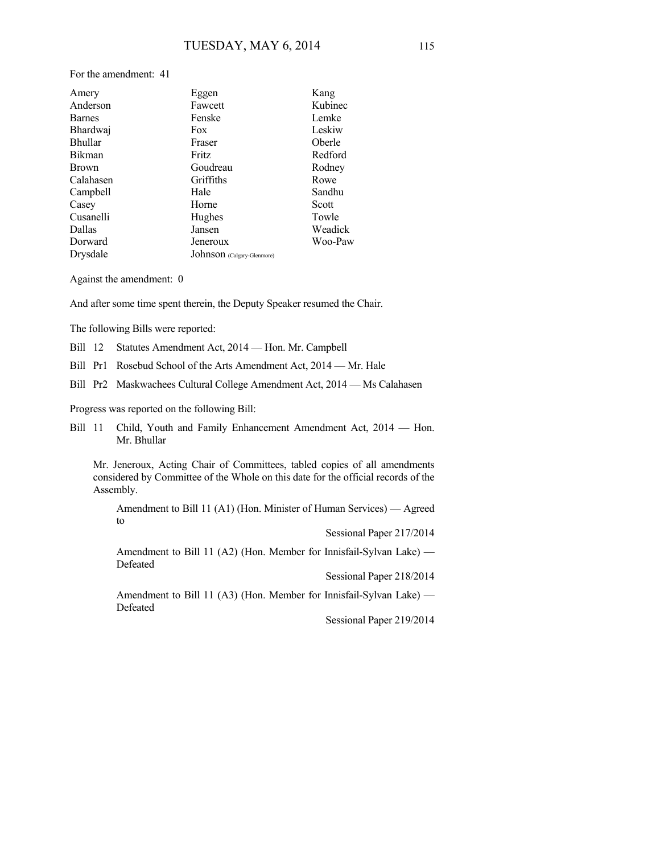For the amendment: 41

| Amery          | Eggen                      | Kang    |
|----------------|----------------------------|---------|
| Anderson       | Fawcett                    | Kubinec |
| <b>Barnes</b>  | Fenske                     | Lemke   |
| Bhardwaj       | Fox                        | Leskiw  |
| <b>Bhullar</b> | Fraser                     | Oberle  |
| <b>Bikman</b>  | Fritz                      | Redford |
| <b>Brown</b>   | Goudreau                   | Rodney  |
| Calahasen      | Griffiths                  | Rowe    |
| Campbell       | Hale                       | Sandhu  |
| Casey          | Horne                      | Scott   |
| Cusanelli      | Hughes                     | Towle   |
| Dallas         | Jansen                     | Weadick |
| Dorward        | Jeneroux                   | Woo-Paw |
| Drysdale       | Johnson (Calgary-Glenmore) |         |

Against the amendment: 0

And after some time spent therein, the Deputy Speaker resumed the Chair.

The following Bills were reported:

- Bill 12 Statutes Amendment Act, 2014 Hon. Mr. Campbell
- Bill Pr1 Rosebud School of the Arts Amendment Act, 2014 Mr. Hale
- Bill Pr2 Maskwachees Cultural College Amendment Act, 2014 Ms Calahasen

Progress was reported on the following Bill:

Bill 11 Child, Youth and Family Enhancement Amendment Act, 2014 — Hon. Mr. Bhullar

Mr. Jeneroux, Acting Chair of Committees, tabled copies of all amendments considered by Committee of the Whole on this date for the official records of the Assembly.

Amendment to Bill 11 (A1) (Hon. Minister of Human Services) — Agreed to

Sessional Paper 217/2014

Amendment to Bill 11 (A2) (Hon. Member for Innisfail-Sylvan Lake) — Defeated

Sessional Paper 218/2014

Amendment to Bill 11 (A3) (Hon. Member for Innisfail-Sylvan Lake) — Defeated

Sessional Paper 219/2014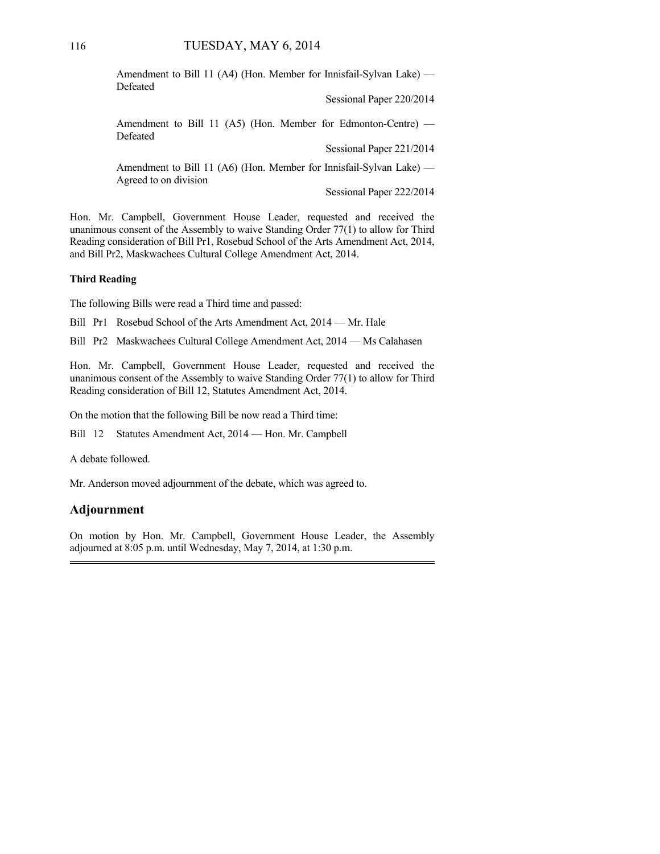Amendment to Bill 11 (A4) (Hon. Member for Innisfail-Sylvan Lake) — Defeated

Sessional Paper 220/2014

Amendment to Bill 11 (A5) (Hon. Member for Edmonton-Centre) — Defeated

Sessional Paper 221/2014

Amendment to Bill 11 (A6) (Hon. Member for Innisfail-Sylvan Lake) — Agreed to on division

Sessional Paper 222/2014

Hon. Mr. Campbell, Government House Leader, requested and received the unanimous consent of the Assembly to waive Standing Order 77(1) to allow for Third Reading consideration of Bill Pr1, Rosebud School of the Arts Amendment Act, 2014, and Bill Pr2, Maskwachees Cultural College Amendment Act, 2014.

#### **Third Reading**

The following Bills were read a Third time and passed:

Bill Pr1 Rosebud School of the Arts Amendment Act, 2014 — Mr. Hale

Bill Pr2 Maskwachees Cultural College Amendment Act, 2014 — Ms Calahasen

Hon. Mr. Campbell, Government House Leader, requested and received the unanimous consent of the Assembly to waive Standing Order 77(1) to allow for Third Reading consideration of Bill 12, Statutes Amendment Act, 2014.

On the motion that the following Bill be now read a Third time:

Bill 12 Statutes Amendment Act, 2014 — Hon. Mr. Campbell

A debate followed.

Mr. Anderson moved adjournment of the debate, which was agreed to.

#### **Adjournment**

On motion by Hon. Mr. Campbell, Government House Leader, the Assembly adjourned at 8:05 p.m. until Wednesday, May 7, 2014, at 1:30 p.m.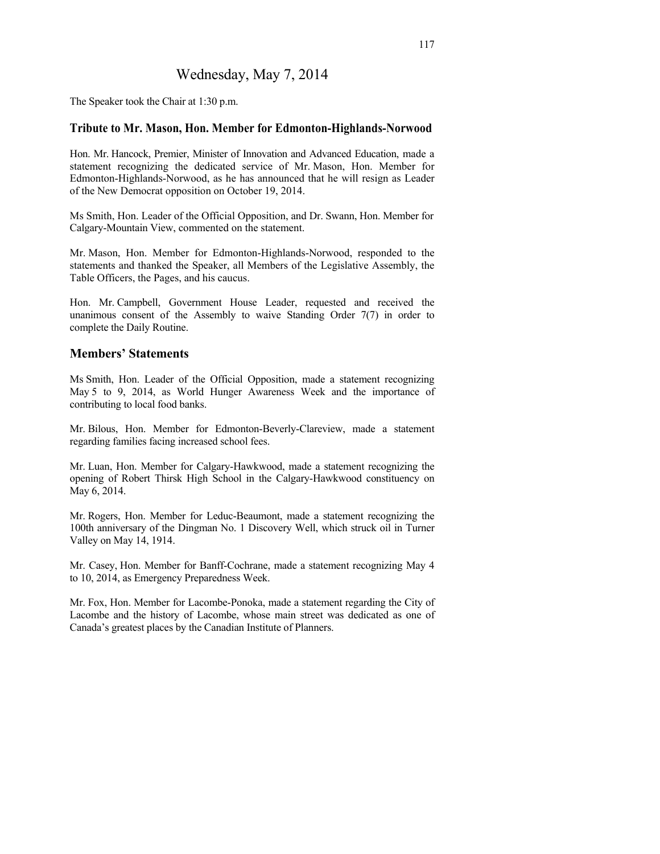## Wednesday, May 7, 2014

The Speaker took the Chair at 1:30 p.m.

#### **Tribute to Mr. Mason, Hon. Member for Edmonton-Highlands-Norwood**

Hon. Mr. Hancock, Premier, Minister of Innovation and Advanced Education, made a statement recognizing the dedicated service of Mr. Mason, Hon. Member for Edmonton-Highlands-Norwood, as he has announced that he will resign as Leader of the New Democrat opposition on October 19, 2014.

Ms Smith, Hon. Leader of the Official Opposition, and Dr. Swann, Hon. Member for Calgary-Mountain View, commented on the statement.

Mr. Mason, Hon. Member for Edmonton-Highlands-Norwood, responded to the statements and thanked the Speaker, all Members of the Legislative Assembly, the Table Officers, the Pages, and his caucus.

Hon. Mr. Campbell, Government House Leader, requested and received the unanimous consent of the Assembly to waive Standing Order 7(7) in order to complete the Daily Routine.

#### **Members' Statements**

Ms Smith, Hon. Leader of the Official Opposition, made a statement recognizing May 5 to 9, 2014, as World Hunger Awareness Week and the importance of contributing to local food banks.

Mr. Bilous, Hon. Member for Edmonton-Beverly-Clareview, made a statement regarding families facing increased school fees.

Mr. Luan, Hon. Member for Calgary-Hawkwood, made a statement recognizing the opening of Robert Thirsk High School in the Calgary-Hawkwood constituency on May 6, 2014.

Mr. Rogers, Hon. Member for Leduc-Beaumont, made a statement recognizing the 100th anniversary of the Dingman No. 1 Discovery Well, which struck oil in Turner Valley on May 14, 1914.

Mr. Casey, Hon. Member for Banff-Cochrane, made a statement recognizing May 4 to 10, 2014, as Emergency Preparedness Week.

Mr. Fox, Hon. Member for Lacombe-Ponoka, made a statement regarding the City of Lacombe and the history of Lacombe, whose main street was dedicated as one of Canada's greatest places by the Canadian Institute of Planners.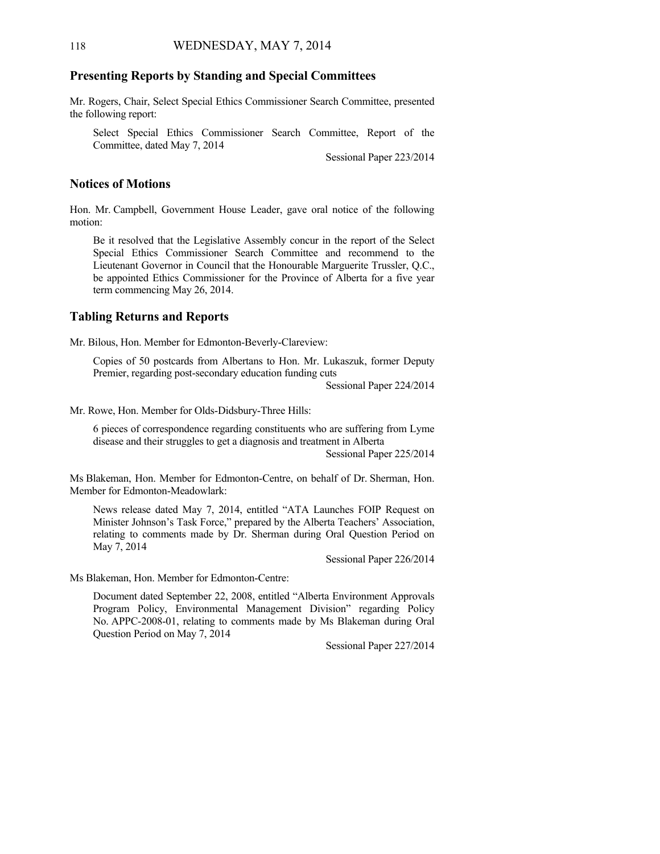#### **Presenting Reports by Standing and Special Committees**

Mr. Rogers, Chair, Select Special Ethics Commissioner Search Committee, presented the following report:

Select Special Ethics Commissioner Search Committee, Report of the Committee, dated May 7, 2014

Sessional Paper 223/2014

#### **Notices of Motions**

Hon. Mr. Campbell, Government House Leader, gave oral notice of the following motion:

Be it resolved that the Legislative Assembly concur in the report of the Select Special Ethics Commissioner Search Committee and recommend to the Lieutenant Governor in Council that the Honourable Marguerite Trussler, Q.C., be appointed Ethics Commissioner for the Province of Alberta for a five year term commencing May 26, 2014.

#### **Tabling Returns and Reports**

Mr. Bilous, Hon. Member for Edmonton-Beverly-Clareview:

Copies of 50 postcards from Albertans to Hon. Mr. Lukaszuk, former Deputy Premier, regarding post-secondary education funding cuts

Sessional Paper 224/2014

Mr. Rowe, Hon. Member for Olds-Didsbury-Three Hills:

6 pieces of correspondence regarding constituents who are suffering from Lyme disease and their struggles to get a diagnosis and treatment in Alberta

Sessional Paper 225/2014

Ms Blakeman, Hon. Member for Edmonton-Centre, on behalf of Dr. Sherman, Hon. Member for Edmonton-Meadowlark:

News release dated May 7, 2014, entitled "ATA Launches FOIP Request on Minister Johnson's Task Force," prepared by the Alberta Teachers' Association, relating to comments made by Dr. Sherman during Oral Question Period on May 7, 2014

Sessional Paper 226/2014

Ms Blakeman, Hon. Member for Edmonton-Centre:

Document dated September 22, 2008, entitled "Alberta Environment Approvals Program Policy, Environmental Management Division" regarding Policy No. APPC-2008-01, relating to comments made by Ms Blakeman during Oral Question Period on May 7, 2014

Sessional Paper 227/2014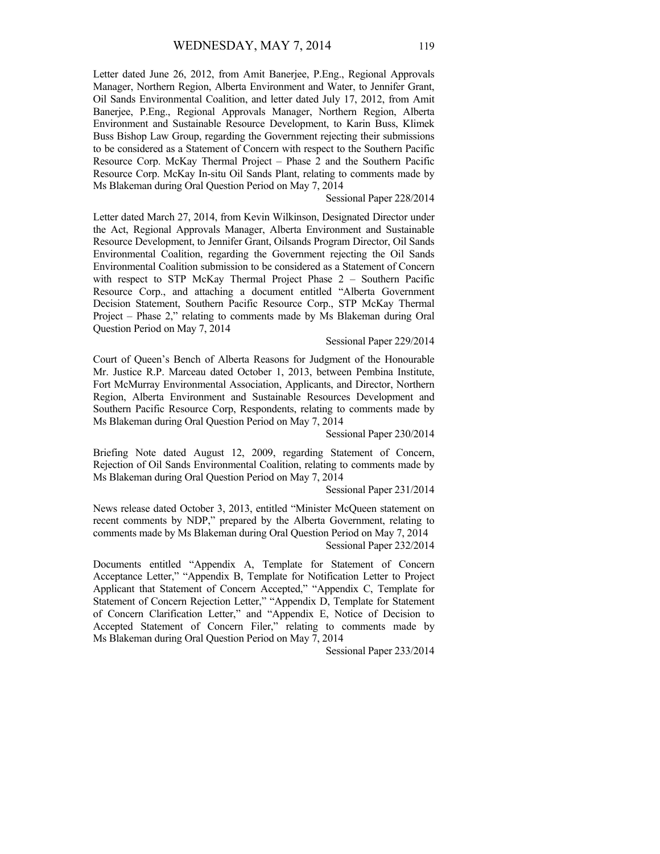Letter dated June 26, 2012, from Amit Banerjee, P.Eng., Regional Approvals Manager, Northern Region, Alberta Environment and Water, to Jennifer Grant, Oil Sands Environmental Coalition, and letter dated July 17, 2012, from Amit Banerjee, P.Eng., Regional Approvals Manager, Northern Region, Alberta Environment and Sustainable Resource Development, to Karin Buss, Klimek Buss Bishop Law Group, regarding the Government rejecting their submissions to be considered as a Statement of Concern with respect to the Southern Pacific Resource Corp. McKay Thermal Project – Phase 2 and the Southern Pacific Resource Corp. McKay In-situ Oil Sands Plant, relating to comments made by Ms Blakeman during Oral Question Period on May 7, 2014

#### Sessional Paper 228/2014

Letter dated March 27, 2014, from Kevin Wilkinson, Designated Director under the Act, Regional Approvals Manager, Alberta Environment and Sustainable Resource Development, to Jennifer Grant, Oilsands Program Director, Oil Sands Environmental Coalition, regarding the Government rejecting the Oil Sands Environmental Coalition submission to be considered as a Statement of Concern with respect to STP McKay Thermal Project Phase 2 – Southern Pacific Resource Corp., and attaching a document entitled "Alberta Government Decision Statement, Southern Pacific Resource Corp., STP McKay Thermal Project – Phase 2," relating to comments made by Ms Blakeman during Oral Question Period on May 7, 2014

#### Sessional Paper 229/2014

Court of Queen's Bench of Alberta Reasons for Judgment of the Honourable Mr. Justice R.P. Marceau dated October 1, 2013, between Pembina Institute, Fort McMurray Environmental Association, Applicants, and Director, Northern Region, Alberta Environment and Sustainable Resources Development and Southern Pacific Resource Corp, Respondents, relating to comments made by Ms Blakeman during Oral Question Period on May 7, 2014

Sessional Paper 230/2014

Briefing Note dated August 12, 2009, regarding Statement of Concern, Rejection of Oil Sands Environmental Coalition, relating to comments made by Ms Blakeman during Oral Question Period on May 7, 2014

Sessional Paper 231/2014

News release dated October 3, 2013, entitled "Minister McQueen statement on recent comments by NDP," prepared by the Alberta Government, relating to comments made by Ms Blakeman during Oral Question Period on May 7, 2014 Sessional Paper 232/2014

Documents entitled "Appendix A, Template for Statement of Concern Acceptance Letter," "Appendix B, Template for Notification Letter to Project Applicant that Statement of Concern Accepted," "Appendix C, Template for Statement of Concern Rejection Letter," "Appendix D, Template for Statement of Concern Clarification Letter," and "Appendix E, Notice of Decision to Accepted Statement of Concern Filer," relating to comments made by Ms Blakeman during Oral Question Period on May 7, 2014

Sessional Paper 233/2014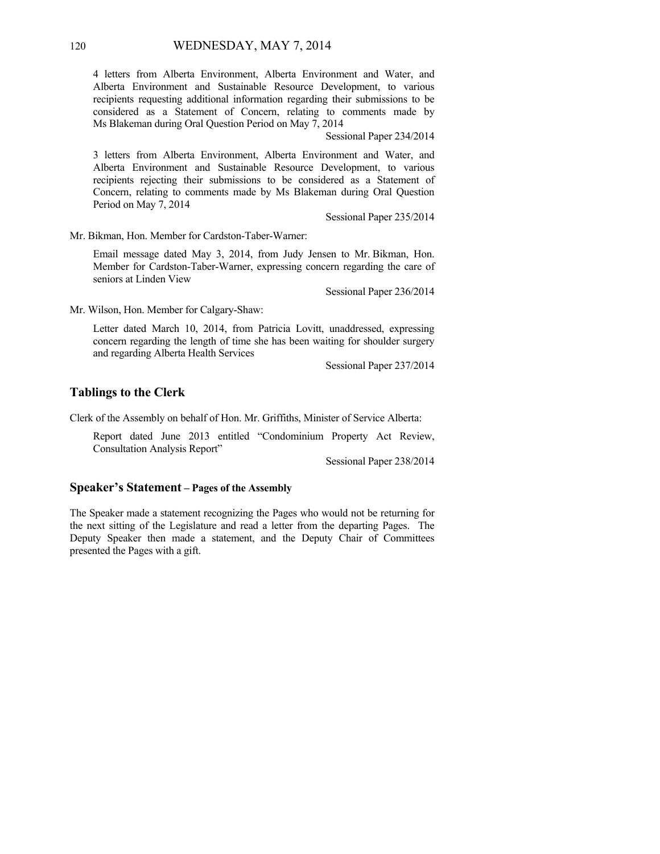4 letters from Alberta Environment, Alberta Environment and Water, and Alberta Environment and Sustainable Resource Development, to various recipients requesting additional information regarding their submissions to be considered as a Statement of Concern, relating to comments made by Ms Blakeman during Oral Question Period on May 7, 2014

Sessional Paper 234/2014

3 letters from Alberta Environment, Alberta Environment and Water, and Alberta Environment and Sustainable Resource Development, to various recipients rejecting their submissions to be considered as a Statement of Concern, relating to comments made by Ms Blakeman during Oral Question Period on May 7, 2014

Sessional Paper 235/2014

Mr. Bikman, Hon. Member for Cardston-Taber-Warner:

Email message dated May 3, 2014, from Judy Jensen to Mr. Bikman, Hon. Member for Cardston-Taber-Warner, expressing concern regarding the care of seniors at Linden View

Sessional Paper 236/2014

Mr. Wilson, Hon. Member for Calgary-Shaw:

Letter dated March 10, 2014, from Patricia Lovitt, unaddressed, expressing concern regarding the length of time she has been waiting for shoulder surgery and regarding Alberta Health Services

Sessional Paper 237/2014

#### **Tablings to the Clerk**

Clerk of the Assembly on behalf of Hon. Mr. Griffiths, Minister of Service Alberta:

Report dated June 2013 entitled "Condominium Property Act Review, Consultation Analysis Report"

Sessional Paper 238/2014

#### **Speaker's Statement – Pages of the Assembly**

The Speaker made a statement recognizing the Pages who would not be returning for the next sitting of the Legislature and read a letter from the departing Pages. The Deputy Speaker then made a statement, and the Deputy Chair of Committees presented the Pages with a gift.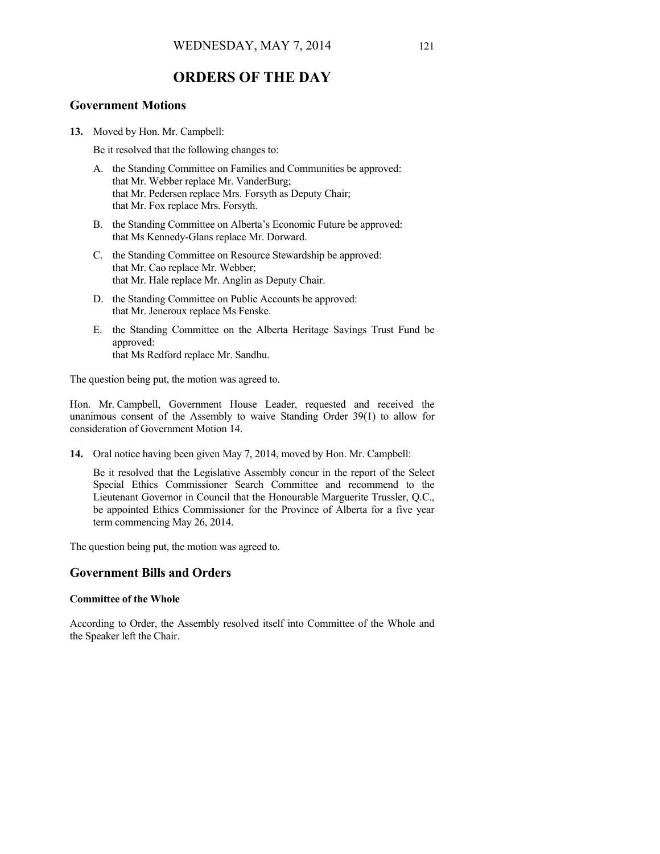## **ORDERS OF THE DAY**

#### **Government Motions**

**13.** Moved by Hon. Mr. Campbell:

Be it resolved that the following changes to:

- A. the Standing Committee on Families and Communities be approved: that Mr. Webber replace Mr. VanderBurg; that Mr. Pedersen replace Mrs. Forsyth as Deputy Chair; that Mr. Fox replace Mrs. Forsyth.
- B. the Standing Committee on Alberta's Economic Future be approved: that Ms Kennedy-Glans replace Mr. Dorward.
- C. the Standing Committee on Resource Stewardship be approved: that Mr. Cao replace Mr. Webber; that Mr. Hale replace Mr. Anglin as Deputy Chair.
- D. the Standing Committee on Public Accounts be approved: that Mr. Jeneroux replace Ms Fenske.
- E. the Standing Committee on the Alberta Heritage Savings Trust Fund be approved: that Ms Redford replace Mr. Sandhu.

The question being put, the motion was agreed to.

Hon. Mr. Campbell, Government House Leader, requested and received the unanimous consent of the Assembly to waive Standing Order 39(1) to allow for consideration of Government Motion 14.

**14.** Oral notice having been given May 7, 2014, moved by Hon. Mr. Campbell:

Be it resolved that the Legislative Assembly concur in the report of the Select Special Ethics Commissioner Search Committee and recommend to the Lieutenant Governor in Council that the Honourable Marguerite Trussler, Q.C., be appointed Ethics Commissioner for the Province of Alberta for a five year term commencing May 26, 2014.

The question being put, the motion was agreed to.

#### **Government Bills and Orders**

#### **Committee of the Whole**

According to Order, the Assembly resolved itself into Committee of the Whole and the Speaker left the Chair.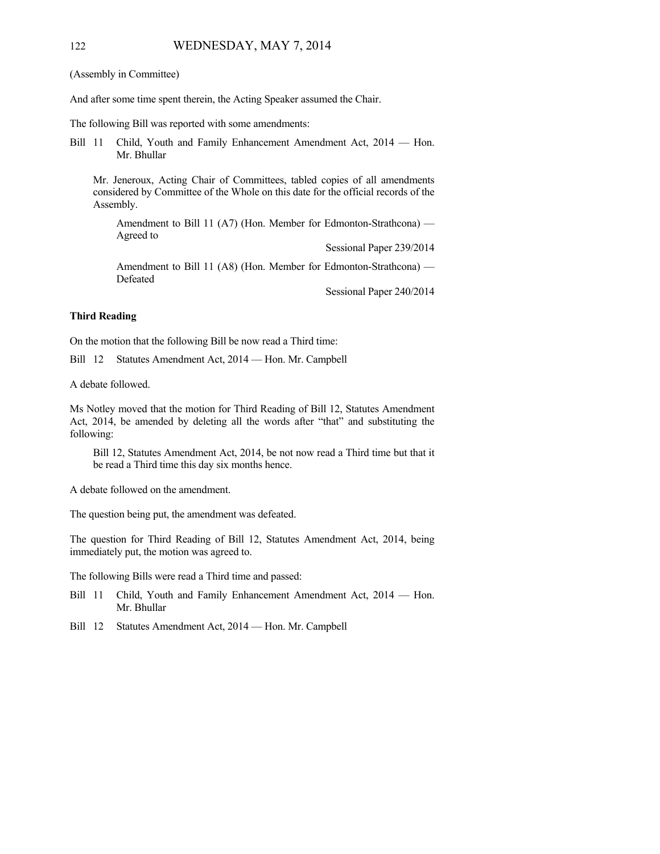#### 122 WEDNESDAY, MAY 7, 2014

(Assembly in Committee)

And after some time spent therein, the Acting Speaker assumed the Chair.

The following Bill was reported with some amendments:

Bill 11 Child, Youth and Family Enhancement Amendment Act, 2014 — Hon. Mr. Bhullar

Mr. Jeneroux, Acting Chair of Committees, tabled copies of all amendments considered by Committee of the Whole on this date for the official records of the Assembly.

Amendment to Bill 11 (A7) (Hon. Member for Edmonton-Strathcona) — Agreed to

Sessional Paper 239/2014

Amendment to Bill 11 (A8) (Hon. Member for Edmonton-Strathcona) — Defeated

Sessional Paper 240/2014

#### **Third Reading**

On the motion that the following Bill be now read a Third time:

Bill 12 Statutes Amendment Act, 2014 — Hon. Mr. Campbell

A debate followed.

Ms Notley moved that the motion for Third Reading of Bill 12, Statutes Amendment Act, 2014, be amended by deleting all the words after "that" and substituting the following:

Bill 12, Statutes Amendment Act, 2014, be not now read a Third time but that it be read a Third time this day six months hence.

A debate followed on the amendment.

The question being put, the amendment was defeated.

The question for Third Reading of Bill 12, Statutes Amendment Act, 2014, being immediately put, the motion was agreed to.

The following Bills were read a Third time and passed:

- Bill 11 Child, Youth and Family Enhancement Amendment Act, 2014 Hon. Mr. Bhullar
- Bill 12 Statutes Amendment Act, 2014 Hon. Mr. Campbell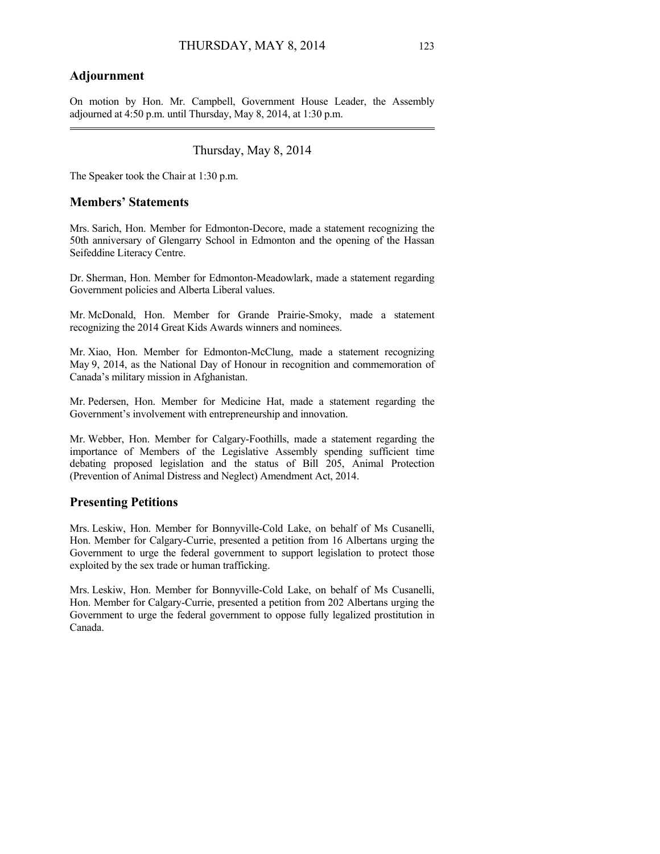#### **Adjournment**

On motion by Hon. Mr. Campbell, Government House Leader, the Assembly adjourned at  $4:50$  p.m. until Thursday, May 8, 2014, at  $1:30$  p.m.

### Thursday, May 8, 2014

The Speaker took the Chair at 1:30 p.m.

#### **Members' Statements**

Mrs. Sarich, Hon. Member for Edmonton-Decore, made a statement recognizing the 50th anniversary of Glengarry School in Edmonton and the opening of the Hassan Seifeddine Literacy Centre.

Dr. Sherman, Hon. Member for Edmonton-Meadowlark, made a statement regarding Government policies and Alberta Liberal values.

Mr. McDonald, Hon. Member for Grande Prairie-Smoky, made a statement recognizing the 2014 Great Kids Awards winners and nominees.

Mr. Xiao, Hon. Member for Edmonton-McClung, made a statement recognizing May 9, 2014, as the National Day of Honour in recognition and commemoration of Canada's military mission in Afghanistan.

Mr. Pedersen, Hon. Member for Medicine Hat, made a statement regarding the Government's involvement with entrepreneurship and innovation.

Mr. Webber, Hon. Member for Calgary-Foothills, made a statement regarding the importance of Members of the Legislative Assembly spending sufficient time debating proposed legislation and the status of Bill 205, Animal Protection (Prevention of Animal Distress and Neglect) Amendment Act, 2014.

#### **Presenting Petitions**

Mrs. Leskiw, Hon. Member for Bonnyville-Cold Lake, on behalf of Ms Cusanelli, Hon. Member for Calgary-Currie, presented a petition from 16 Albertans urging the Government to urge the federal government to support legislation to protect those exploited by the sex trade or human trafficking.

Mrs. Leskiw, Hon. Member for Bonnyville-Cold Lake, on behalf of Ms Cusanelli, Hon. Member for Calgary-Currie, presented a petition from 202 Albertans urging the Government to urge the federal government to oppose fully legalized prostitution in Canada.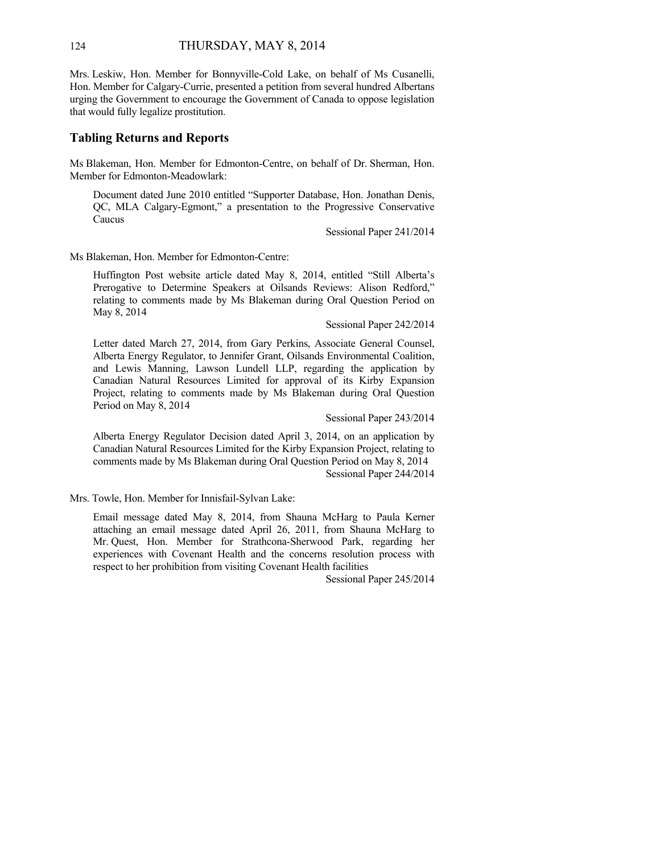Mrs. Leskiw, Hon. Member for Bonnyville-Cold Lake, on behalf of Ms Cusanelli, Hon. Member for Calgary-Currie, presented a petition from several hundred Albertans urging the Government to encourage the Government of Canada to oppose legislation that would fully legalize prostitution.

#### **Tabling Returns and Reports**

Ms Blakeman, Hon. Member for Edmonton-Centre, on behalf of Dr. Sherman, Hon. Member for Edmonton-Meadowlark:

Document dated June 2010 entitled "Supporter Database, Hon. Jonathan Denis, QC, MLA Calgary-Egmont," a presentation to the Progressive Conservative Caucus

Sessional Paper 241/2014

Ms Blakeman, Hon. Member for Edmonton-Centre:

Huffington Post website article dated May 8, 2014, entitled "Still Alberta's Prerogative to Determine Speakers at Oilsands Reviews: Alison Redford," relating to comments made by Ms Blakeman during Oral Question Period on May 8, 2014

Sessional Paper 242/2014

Letter dated March 27, 2014, from Gary Perkins, Associate General Counsel, Alberta Energy Regulator, to Jennifer Grant, Oilsands Environmental Coalition, and Lewis Manning, Lawson Lundell LLP, regarding the application by Canadian Natural Resources Limited for approval of its Kirby Expansion Project, relating to comments made by Ms Blakeman during Oral Question Period on May 8, 2014

Sessional Paper 243/2014

Alberta Energy Regulator Decision dated April 3, 2014, on an application by Canadian Natural Resources Limited for the Kirby Expansion Project, relating to comments made by Ms Blakeman during Oral Question Period on May 8, 2014 Sessional Paper 244/2014

Mrs. Towle, Hon. Member for Innisfail-Sylvan Lake:

Email message dated May 8, 2014, from Shauna McHarg to Paula Kerner attaching an email message dated April 26, 2011, from Shauna McHarg to Mr. Quest, Hon. Member for Strathcona-Sherwood Park, regarding her experiences with Covenant Health and the concerns resolution process with respect to her prohibition from visiting Covenant Health facilities

Sessional Paper 245/2014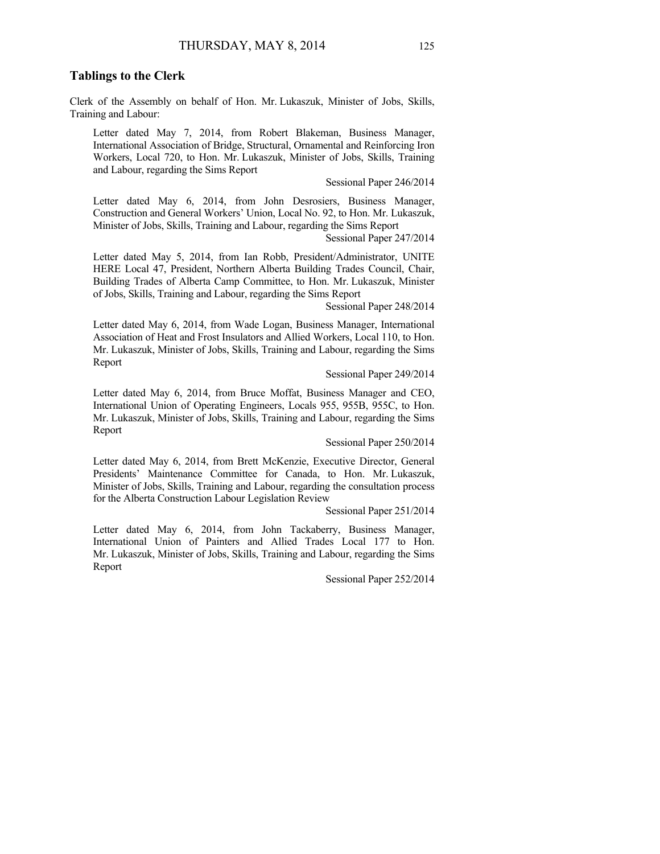#### **Tablings to the Clerk**

Clerk of the Assembly on behalf of Hon. Mr. Lukaszuk, Minister of Jobs, Skills, Training and Labour:

Letter dated May 7, 2014, from Robert Blakeman, Business Manager, International Association of Bridge, Structural, Ornamental and Reinforcing Iron Workers, Local 720, to Hon. Mr. Lukaszuk, Minister of Jobs, Skills, Training and Labour, regarding the Sims Report

Sessional Paper 246/2014

Letter dated May 6, 2014, from John Desrosiers, Business Manager, Construction and General Workers' Union, Local No. 92, to Hon. Mr. Lukaszuk, Minister of Jobs, Skills, Training and Labour, regarding the Sims Report

Sessional Paper 247/2014

Letter dated May 5, 2014, from Ian Robb, President/Administrator, UNITE HERE Local 47, President, Northern Alberta Building Trades Council, Chair, Building Trades of Alberta Camp Committee, to Hon. Mr. Lukaszuk, Minister of Jobs, Skills, Training and Labour, regarding the Sims Report

Sessional Paper 248/2014

Letter dated May 6, 2014, from Wade Logan, Business Manager, International Association of Heat and Frost Insulators and Allied Workers, Local 110, to Hon. Mr. Lukaszuk, Minister of Jobs, Skills, Training and Labour, regarding the Sims Report

Sessional Paper 249/2014

Letter dated May 6, 2014, from Bruce Moffat, Business Manager and CEO, International Union of Operating Engineers, Locals 955, 955B, 955C, to Hon. Mr. Lukaszuk, Minister of Jobs, Skills, Training and Labour, regarding the Sims Report

Sessional Paper 250/2014

Letter dated May 6, 2014, from Brett McKenzie, Executive Director, General Presidents' Maintenance Committee for Canada, to Hon. Mr. Lukaszuk, Minister of Jobs, Skills, Training and Labour, regarding the consultation process for the Alberta Construction Labour Legislation Review

Sessional Paper 251/2014

Letter dated May 6, 2014, from John Tackaberry, Business Manager, International Union of Painters and Allied Trades Local 177 to Hon. Mr. Lukaszuk, Minister of Jobs, Skills, Training and Labour, regarding the Sims Report

Sessional Paper 252/2014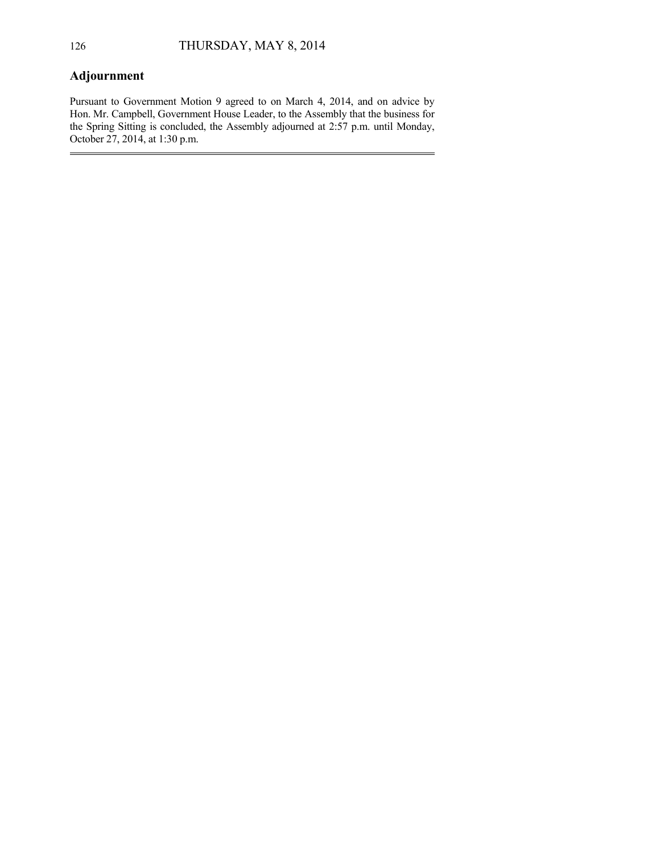## **Adjournment**

Pursuant to Government Motion 9 agreed to on March 4, 2014, and on advice by Hon. Mr. Campbell, Government House Leader, to the Assembly that the business for the Spring Sitting is concluded, the Assembly adjourned at 2:57 p.m. until Monday, October 27, 2014, at 1:30 p.m.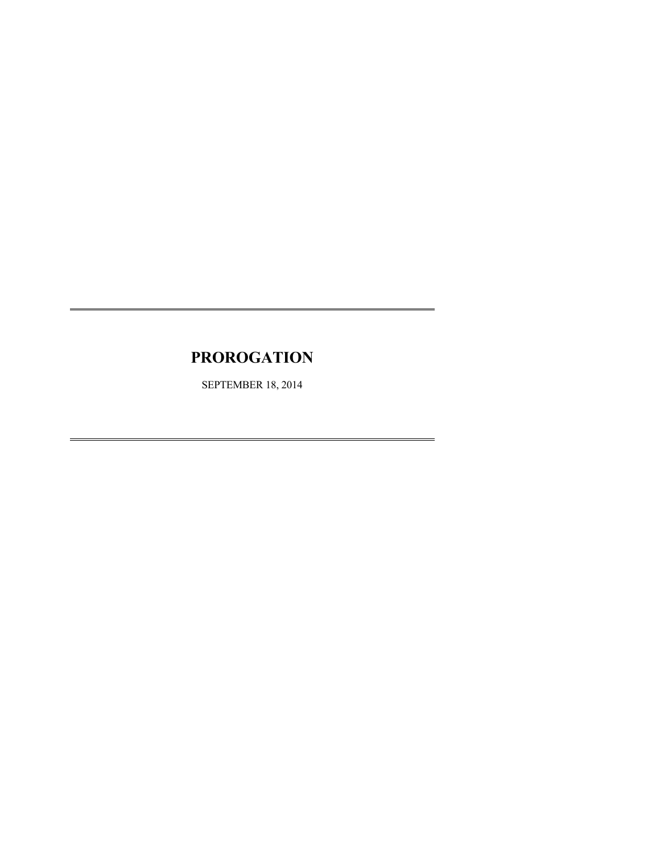# **PROROGATION**

SEPTEMBER 18, 2014